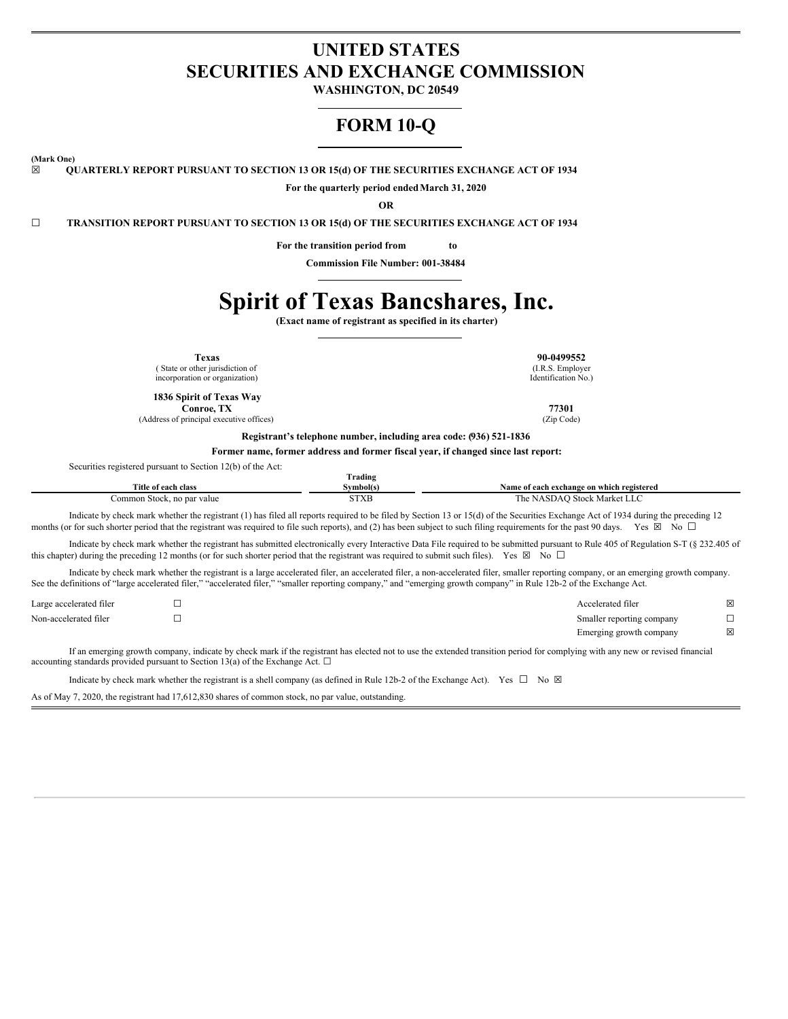# **UNITED STATES SECURITIES AND EXCHANGE COMMISSION**

**WASHINGTON, DC 20549**

# **FORM 10-Q**

**(Mark One)**

**☒ QUARTERLY REPORT PURSUANT TO SECTION 13 OR 15(d) OF THE SECURITIES EXCHANGE ACT OF 1934**

**For the quarterly period endedMarch 31, 2020**

**OR**

**☐ TRANSITION REPORT PURSUANT TO SECTION 13 OR 15(d) OF THE SECURITIES EXCHANGE ACT OF 1934**

**For the transition period from to**

**Commission File Number: 001-38484**

# **Spirit of Texas Bancshares, Inc.**

**(Exact name of registrant as specified in its charter)**

**Texas 90-0499552** ( State or other jurisdiction of

incorporation or organization) **1836 Spirit of Texas Way**

**Conroe, TX 77301**

(Address of principal executive offices) (Zip Code)

(I.R.S. Employer Identification No.)

**Registrant's telephone number, including area code: (936) 521-1836**

**Former name, former address and former fiscal year, if changed since last report:**

Securities registered pursuant to Section 12(b) of the Act:

|                            | <b>CONTRACTOR</b><br><b>frading</b> |                                           |
|----------------------------|-------------------------------------|-------------------------------------------|
| Title of each class        | Svmbol(s)                           | Name of each exchange on which registered |
| Common Stock, no par value | <b>STXB</b>                         | The NASDAO Stock Market LLC               |

Indicate by check mark whether the registrant (1) has filed all reports required to be filed by Section 13 or 15(d) of the Securities Exchange Act of 1934 during the preceding 12 months (or for such shorter period that the registrant was required to file such reports), and (2) has been subject to such filing requirements for the past 90 days. Yes  $\boxtimes$  No  $\Box$ 

Indicate by check mark whether the registrant has submitted electronically every Interactive Data File required to be submitted pursuant to Rule 405 of Regulation S-T (§ 232.405 of this chapter) during the preceding 12 months (or for such shorter period that the registrant was required to submit such files). Yes  $\boxtimes$  No  $\Box$ 

Indicate by check mark whether the registrant is a large accelerated filer, an accelerated filer, a non-accelerated filer, smaller reporting company, or an emerging growth company. See the definitions of "large accelerated filer," "accelerated filer," "smaller reporting company," and "emerging growth company" in Rule 12b-2 of the Exchange Act.

| Large accelerated filer | Accelerated filer         | X           |
|-------------------------|---------------------------|-------------|
| Non-accelerated filer   | Smaller reporting company |             |
|                         | Emerging growth company   | $\boxtimes$ |

If an emerging growth company, indicate by check mark if the registrant has elected not to use the extended transition period for complying with any new or revised financial accounting standards provided pursuant to Section 13(a) of the Exchange Act.  $\square$ 

Indicate by check mark whether the registrant is a shell company (as defined in Rule 12b-2 of the Exchange Act). Yes  $\Box$  No  $\boxtimes$ 

As of May 7, 2020, the registrant had 17,612,830 shares of common stock, no par value, outstanding.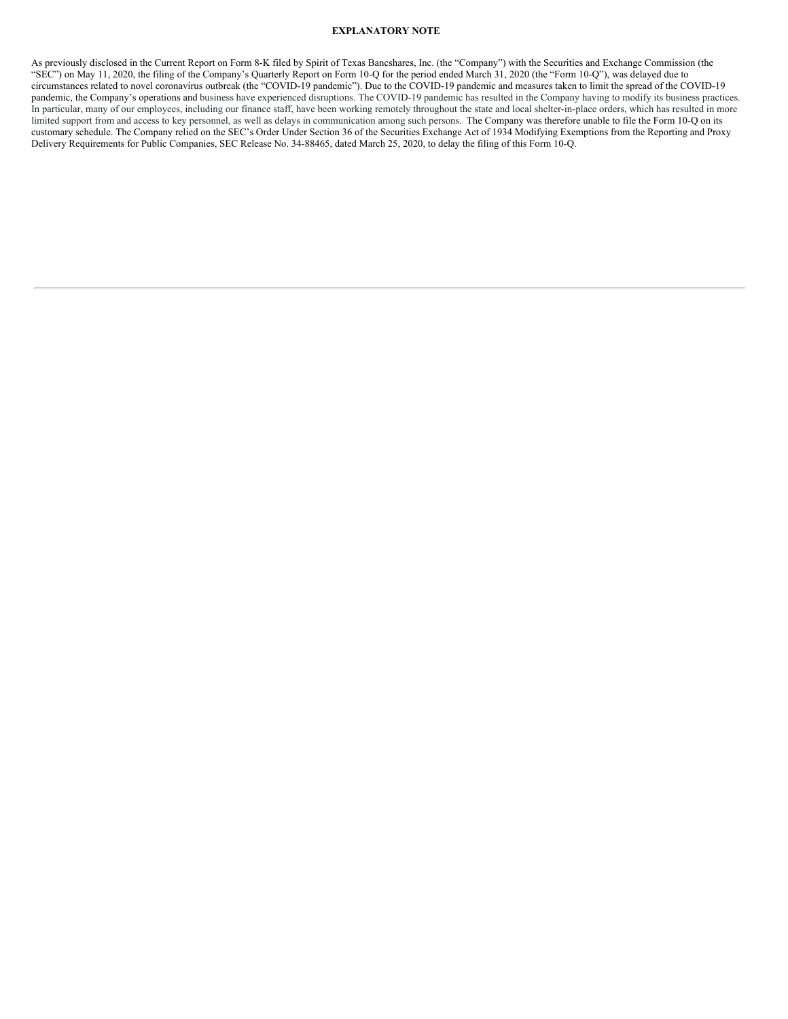# **EXPLANATORY NOTE**

As previously disclosed in the Current Report on Form 8-K filed by Spirit of Texas Bancshares, Inc. (the "Company") with the Securities and Exchange Commission (the "SEC") on May 11, 2020, the filing of the Company's Quarterly Report on Form 10-Q for the period ended March 31, 2020 (the "Form 10-Q"), was delayed due to circumstances related to novel coronavirus outbreak (the "COVID-19 pandemic"). Due to the COVID-19 pandemic and measures taken to limit the spread of the COVID-19 pandemic, the Company's operations and business have experienced disruptions. The COVID-19 pandemic has resulted in the Company having to modify its business practices. In particular, many of our employees, including our finance staff, have been working remotely throughout the state and local shelter-in-place orders, which has resulted in more limited support from and access to key personnel, as well as delays in communication among such persons. The Company was therefore unable to file the Form 10-Q on its customary schedule. The Company relied on the SEC's Order Under Section 36 of the Securities Exchange Act of 1934 Modifying Exemptions from the Reporting and Proxy Delivery Requirements for Public Companies, SEC Release No. 34-88465, dated March 25, 2020, to delay the filing of this Form 10-Q.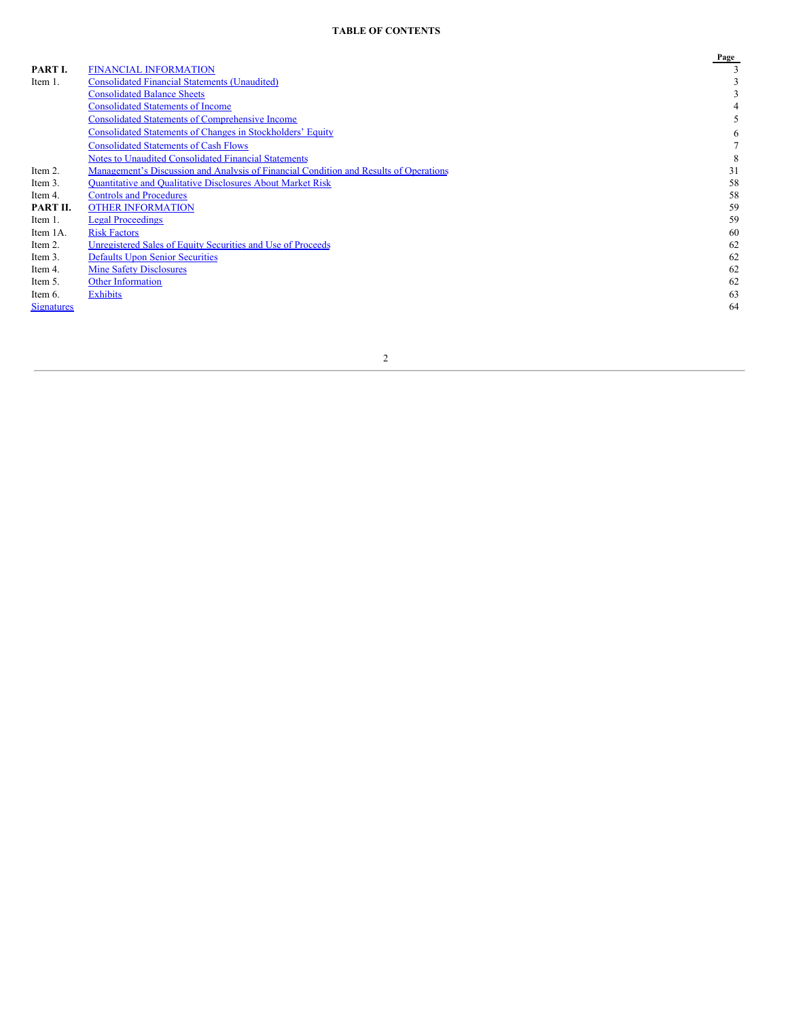# **TABLE OF CONTENTS**

|                   |                                                                                       | Page |
|-------------------|---------------------------------------------------------------------------------------|------|
| PART I.           | <b>FINANCIAL INFORMATION</b>                                                          |      |
| Item 1.           | <b>Consolidated Financial Statements (Unaudited)</b>                                  |      |
|                   | <b>Consolidated Balance Sheets</b>                                                    |      |
|                   | <b>Consolidated Statements of Income</b>                                              |      |
|                   | <b>Consolidated Statements of Comprehensive Income</b>                                |      |
|                   | <b>Consolidated Statements of Changes in Stockholders' Equity</b>                     | 6    |
|                   | <b>Consolidated Statements of Cash Flows</b>                                          |      |
|                   | <b>Notes to Unaudited Consolidated Financial Statements</b>                           | 8    |
| Item 2.           | Management's Discussion and Analysis of Financial Condition and Results of Operations | 31   |
| Item 3.           | <b>Ouantitative and Oualitative Disclosures About Market Risk</b>                     | 58   |
| Item 4.           | <b>Controls and Procedures</b>                                                        | 58   |
| PART II.          | <b>OTHER INFORMATION</b>                                                              | 59   |
| Item 1.           | <b>Legal Proceedings</b>                                                              | 59   |
| Item 1A.          | <b>Risk Factors</b>                                                                   | 60   |
| Item 2.           | Unregistered Sales of Equity Securities and Use of Proceeds                           | 62   |
| Item 3.           | <b>Defaults Upon Senior Securities</b>                                                | 62   |
| Item 4.           | <b>Mine Safety Disclosures</b>                                                        | 62   |
| Item 5.           | <b>Other Information</b>                                                              | 62   |
| Item 6.           | <b>Exhibits</b>                                                                       | 63   |
| <b>Signatures</b> |                                                                                       | 64   |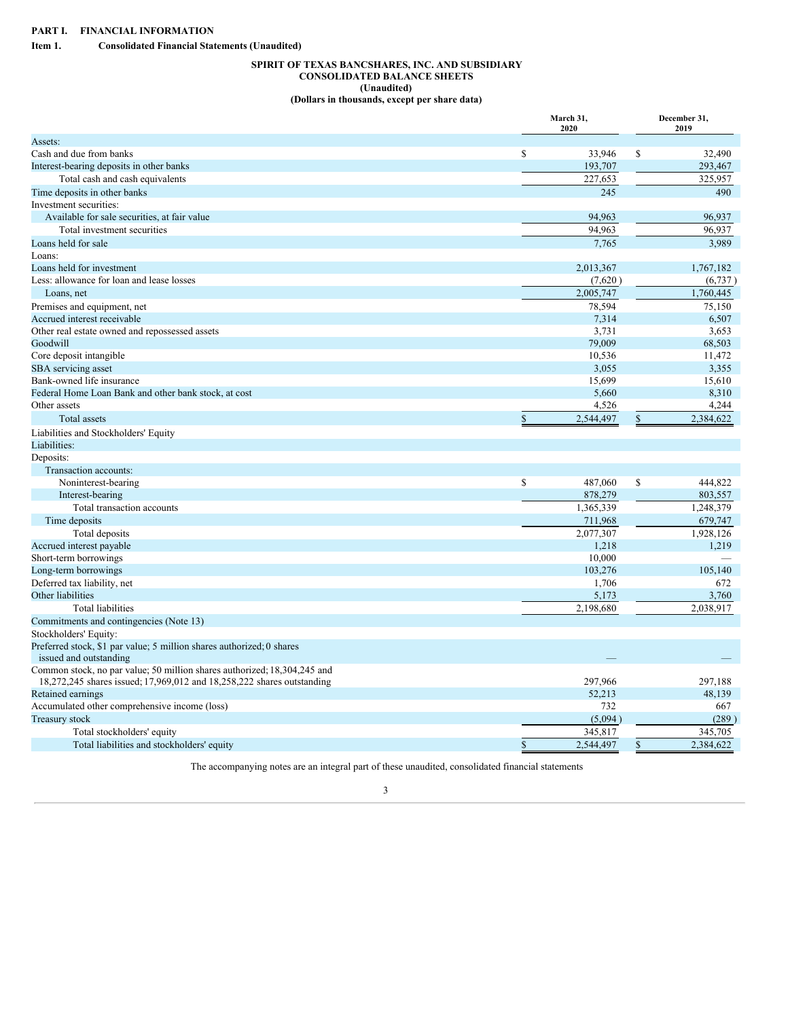<span id="page-3-2"></span><span id="page-3-1"></span><span id="page-3-0"></span>**Item 1. Consolidated Financial Statements (Unaudited)**

# **SPIRIT OF TEXAS BANCSHARES, INC. AND SUBSIDIARY CONSOLIDATED BALANCE SHEETS (Unaudited) (Dollars in thousands, except per share data)**

|                                                                          | March 31,<br>2020 | December 31,<br>2019 |
|--------------------------------------------------------------------------|-------------------|----------------------|
| Assets:                                                                  |                   |                      |
| Cash and due from banks                                                  | \$<br>33,946      | \$<br>32.490         |
| Interest-bearing deposits in other banks                                 | 193,707           | 293,467              |
| Total cash and cash equivalents                                          | 227,653           | 325.957              |
| Time deposits in other banks                                             | 245               | 490                  |
| Investment securities:                                                   |                   |                      |
| Available for sale securities, at fair value                             | 94,963            | 96,937               |
| Total investment securities                                              | 94,963            | 96,937               |
| Loans held for sale                                                      | 7,765             | 3,989                |
| Loans:                                                                   |                   |                      |
| Loans held for investment                                                | 2,013,367         | 1,767,182            |
| Less: allowance for loan and lease losses                                | (7,620)           | (6,737)              |
| Loans, net                                                               | 2,005,747         | 1,760,445            |
| Premises and equipment, net                                              | 78,594            | 75,150               |
| Accrued interest receivable                                              | 7,314             | 6,507                |
| Other real estate owned and repossessed assets                           | 3,731             | 3,653                |
| Goodwill                                                                 | 79,009            | 68,503               |
| Core deposit intangible                                                  | 10,536            | 11,472               |
| SBA servicing asset                                                      | 3,055             | 3,355                |
| Bank-owned life insurance                                                | 15,699            | 15,610               |
| Federal Home Loan Bank and other bank stock, at cost                     | 5,660             | 8,310                |
| Other assets                                                             | 4,526             | 4,244                |
| Total assets                                                             | \$<br>2,544,497   | \$<br>2,384,622      |
| Liabilities and Stockholders' Equity                                     |                   |                      |
| Liabilities:                                                             |                   |                      |
| Deposits:                                                                |                   |                      |
| Transaction accounts:                                                    |                   |                      |
| Noninterest-bearing                                                      | \$<br>487,060     | \$<br>444,822        |
| Interest-bearing                                                         | 878,279           | 803,557              |
| Total transaction accounts                                               | 1,365,339         | 1,248,379            |
| Time deposits                                                            | 711,968           | 679,747              |
| Total deposits                                                           | 2,077,307         | 1,928,126            |
| Accrued interest payable                                                 | 1,218             | 1,219                |
| Short-term borrowings                                                    | 10,000            |                      |
| Long-term borrowings                                                     | 103,276           | 105,140              |
| Deferred tax liability, net                                              | 1,706             | 672                  |
| Other liabilities                                                        | 5,173             | 3,760                |
| <b>Total liabilities</b>                                                 | 2,198,680         | 2,038,917            |
| Commitments and contingencies (Note 13)                                  |                   |                      |
| Stockholders' Equity:                                                    |                   |                      |
| Preferred stock, \$1 par value; 5 million shares authorized; 0 shares    |                   |                      |
| issued and outstanding                                                   |                   |                      |
| Common stock, no par value; 50 million shares authorized; 18,304,245 and |                   |                      |
| 18,272,245 shares issued; 17,969,012 and 18,258,222 shares outstanding   | 297,966           | 297,188              |
| Retained earnings<br>Accumulated other comprehensive income (loss)       | 52,213<br>732     | 48,139<br>667        |
| <b>Treasury stock</b>                                                    | (5,094)           | (289)                |
|                                                                          |                   | 345,705              |
| Total stockholders' equity                                               | \$<br>345,817     | \$                   |
| Total liabilities and stockholders' equity                               | 2,544,497         | 2,384,622            |

The accompanying notes are an integral part of these unaudited, consolidated financial statements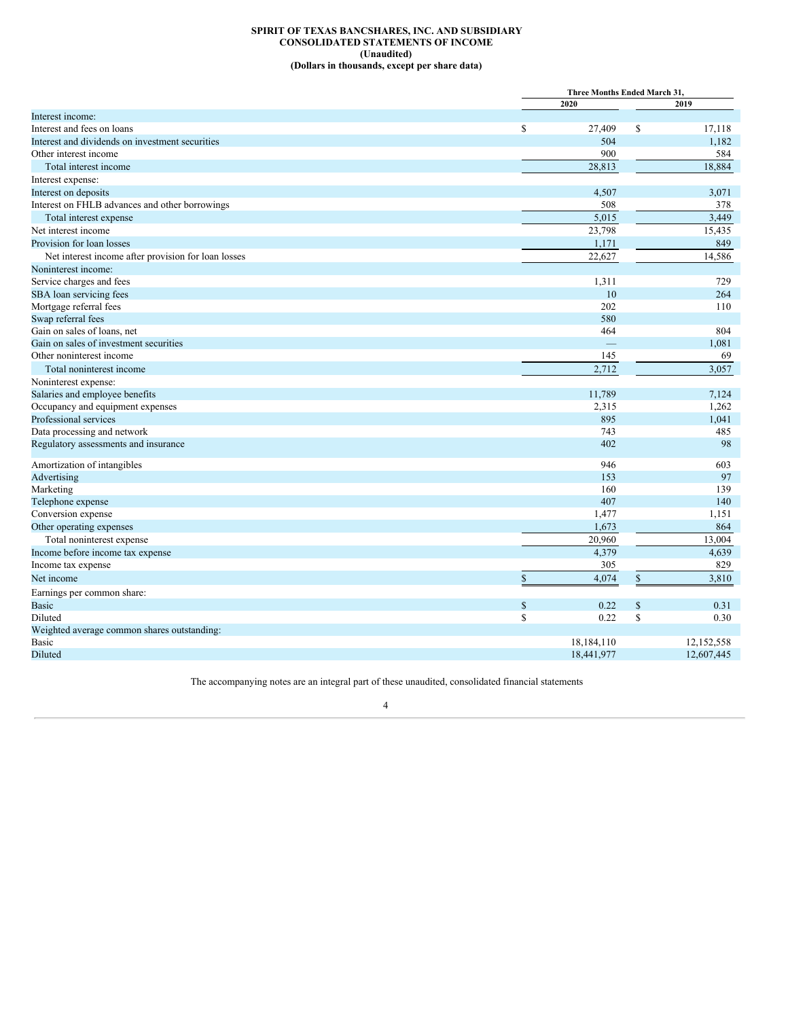# **SPIRIT OF TEXAS BANCSHARES, INC. AND SUBSIDIARY CONSOLIDATED STATEMENTS OF INCOME (Unaudited) (Dollars in thousands, except per share data)**

<span id="page-4-0"></span>

|                                                     |      | Three Months Ended March 31. |            |  |
|-----------------------------------------------------|------|------------------------------|------------|--|
|                                                     | 2020 |                              | 2019       |  |
| Interest income:                                    |      |                              |            |  |
| Interest and fees on loans                          | \$   | \$<br>27,409                 | 17,118     |  |
| Interest and dividends on investment securities     |      | 504                          | 1,182      |  |
| Other interest income                               |      | 900                          | 584        |  |
| Total interest income                               |      | 28,813                       | 18,884     |  |
| Interest expense:                                   |      |                              |            |  |
| Interest on deposits                                |      | 4,507                        | 3,071      |  |
| Interest on FHLB advances and other borrowings      |      | 508                          | 378        |  |
| Total interest expense                              |      | 5,015                        | 3,449      |  |
| Net interest income                                 |      | 23,798                       | 15,435     |  |
| Provision for loan losses                           |      | 1,171                        | 849        |  |
| Net interest income after provision for loan losses |      | 22,627                       | 14,586     |  |
| Noninterest income:                                 |      |                              |            |  |
| Service charges and fees                            |      | 1,311                        | 729        |  |
| SBA loan servicing fees                             |      | 10                           | 264        |  |
| Mortgage referral fees                              |      | 202                          | 110        |  |
| Swap referral fees                                  |      | 580                          |            |  |
| Gain on sales of loans, net                         |      | 464                          | 804        |  |
| Gain on sales of investment securities              |      |                              | 1,081      |  |
| Other noninterest income                            |      | 145                          | 69         |  |
| Total noninterest income                            |      | 2,712                        | 3,057      |  |
| Noninterest expense:                                |      |                              |            |  |
| Salaries and employee benefits                      |      | 11,789                       | 7,124      |  |
| Occupancy and equipment expenses                    |      | 2,315                        | 1,262      |  |
| Professional services                               |      | 895                          | 1,041      |  |
| Data processing and network                         |      | 743                          | 485        |  |
| Regulatory assessments and insurance                |      | 402                          | 98         |  |
| Amortization of intangibles                         |      | 946                          | 603        |  |
| Advertising                                         |      | 153                          | 97         |  |
| Marketing                                           |      | 160                          | 139        |  |
| Telephone expense                                   |      | 407                          | 140        |  |
| Conversion expense                                  |      | 1,477                        | 1,151      |  |
| Other operating expenses                            |      | 1,673                        | 864        |  |
| Total noninterest expense                           |      | 20,960                       | 13,004     |  |
| Income before income tax expense                    |      | 4,379                        | 4,639      |  |
| Income tax expense                                  |      | 305                          | 829        |  |
| Net income                                          | \$   | \$<br>4,074                  | 3,810      |  |
| Earnings per common share:                          |      |                              |            |  |
| <b>Basic</b>                                        | \$   | \$<br>0.22                   | 0.31       |  |
| Diluted                                             | \$   | \$<br>0.22                   | 0.30       |  |
| Weighted average common shares outstanding:         |      |                              |            |  |
| Basic                                               |      | 18,184,110                   | 12,152,558 |  |
| Diluted                                             |      | 18,441,977                   | 12,607,445 |  |

The accompanying notes are an integral part of these unaudited, consolidated financial statements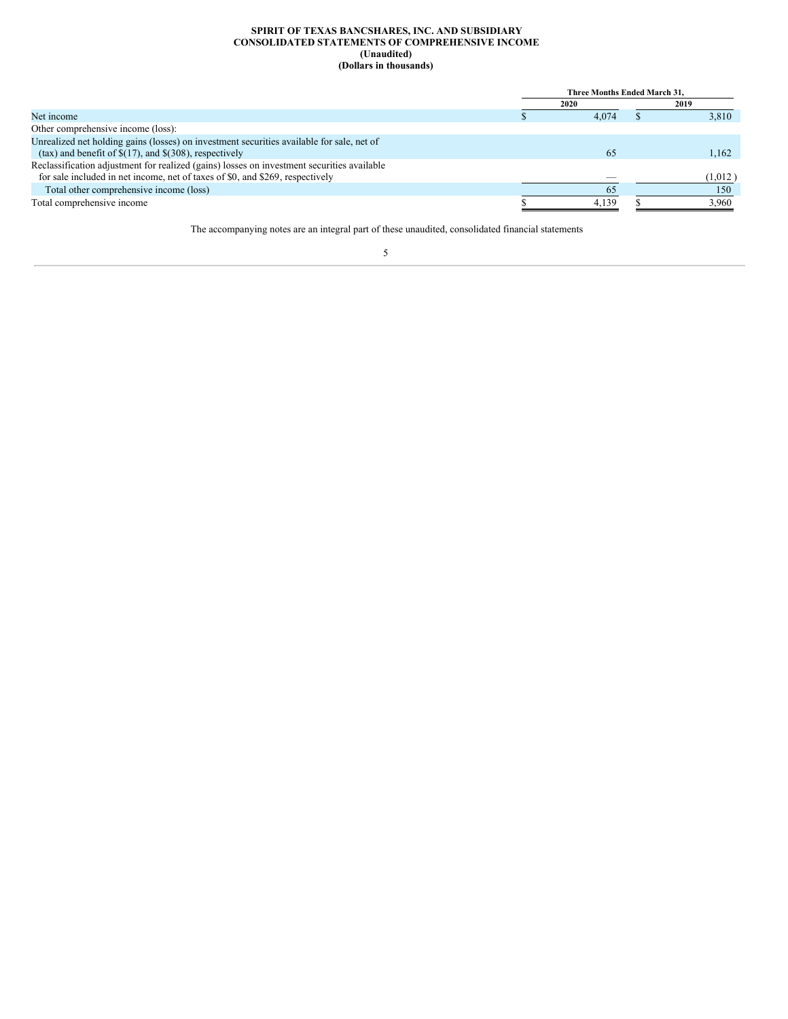#### **SPIRIT OF TEXAS BANCSHARES, INC. AND SUBSIDIARY CONSOLIDATED STATEMENTS OF COMPREHENSIVE INCOME (Unaudited) (Dollars in thousands)**

<span id="page-5-0"></span>

|                                                                                            | Three Months Ended March 31. |       |  |         |
|--------------------------------------------------------------------------------------------|------------------------------|-------|--|---------|
|                                                                                            |                              | 2020  |  | 2019    |
| Net income                                                                                 |                              | 4.074 |  | 3.810   |
| Other comprehensive income (loss):                                                         |                              |       |  |         |
| Unrealized net holding gains (losses) on investment securities available for sale, net of  |                              |       |  |         |
| (tax) and benefit of $\$(17)$ , and $\$(308)$ , respectively                               |                              | 65    |  | 1.162   |
| Reclassification adjustment for realized (gains) losses on investment securities available |                              |       |  |         |
| for sale included in net income, net of taxes of \$0, and \$269, respectively              |                              |       |  | (1,012) |
| Total other comprehensive income (loss)                                                    |                              | 65    |  | 150     |
| Total comprehensive income                                                                 |                              | 4.139 |  | 3.960   |

The accompanying notes are an integral part of these unaudited, consolidated financial statements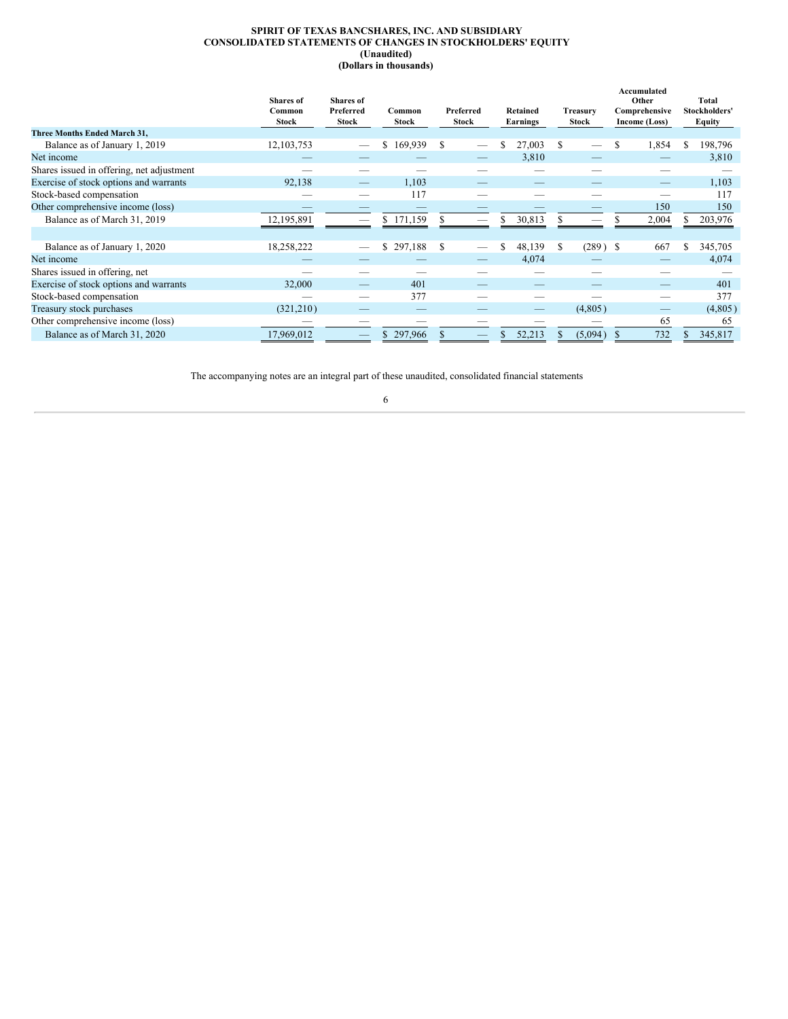# **SPIRIT OF TEXAS BANCSHARES, INC. AND SUBSIDIARY CONSOLIDATED STATEMENTS OF CHANGES IN STOCKHOLDERS' EQUITY (Unaudited) (Dollars in thousands)**

<span id="page-6-0"></span>

|                                           | <b>Shares</b> of<br>Common<br><b>Stock</b> | <b>Shares</b> of<br>Preferred<br><b>Stock</b> | Common<br><b>Stock</b> | Preferred<br><b>Stock</b> | Retained<br><b>Earnings</b> | Treasurv<br><b>Stock</b> | Accumulated<br>Other<br>Comprehensive<br>Income (Loss) | Total<br>Stockholders'<br>Equity |
|-------------------------------------------|--------------------------------------------|-----------------------------------------------|------------------------|---------------------------|-----------------------------|--------------------------|--------------------------------------------------------|----------------------------------|
| Three Months Ended March 31,              |                                            |                                               |                        |                           |                             |                          |                                                        |                                  |
| Balance as of January 1, 2019             | 12, 103, 753                               |                                               | S.<br>169,939          | S                         | 27,003                      | S                        | 1,854                                                  | 198,796<br>S                     |
| Net income                                |                                            |                                               |                        |                           | 3,810                       |                          |                                                        | 3,810                            |
| Shares issued in offering, net adjustment |                                            |                                               |                        |                           |                             |                          |                                                        |                                  |
| Exercise of stock options and warrants    | 92,138                                     |                                               | 1,103                  |                           |                             |                          |                                                        | 1,103                            |
| Stock-based compensation                  |                                            |                                               | 117                    |                           |                             |                          |                                                        | 117                              |
| Other comprehensive income (loss)         |                                            |                                               |                        |                           |                             |                          | 150                                                    | 150                              |
| Balance as of March 31, 2019              | 12,195,891                                 |                                               | \$171,159              |                           | 30,813                      |                          | 2,004                                                  | 203,976                          |
|                                           |                                            |                                               |                        |                           |                             |                          |                                                        |                                  |
| Balance as of January 1, 2020             | 18,258,222                                 |                                               | 297,188<br>\$          | S                         | 48,139<br>S                 | $(289)$ \$<br>S          | 667                                                    | \$<br>345,705                    |
| Net income                                |                                            |                                               |                        |                           | 4,074                       |                          |                                                        | 4,074                            |
| Shares issued in offering, net            |                                            |                                               |                        |                           |                             |                          |                                                        |                                  |
| Exercise of stock options and warrants    | 32,000                                     |                                               | 401                    |                           |                             |                          |                                                        | 401                              |
| Stock-based compensation                  |                                            |                                               | 377                    |                           |                             |                          |                                                        | 377                              |
| Treasury stock purchases                  | (321, 210)                                 |                                               |                        |                           |                             | (4,805)                  |                                                        | (4,805)                          |
| Other comprehensive income (loss)         |                                            |                                               |                        |                           |                             |                          | 65                                                     | 65                               |
| Balance as of March 31, 2020              | 17,969,012                                 |                                               | 297,966                |                           | 52,213                      | (5,094)                  | 732                                                    | 345,817                          |

The accompanying notes are an integral part of these unaudited, consolidated financial statements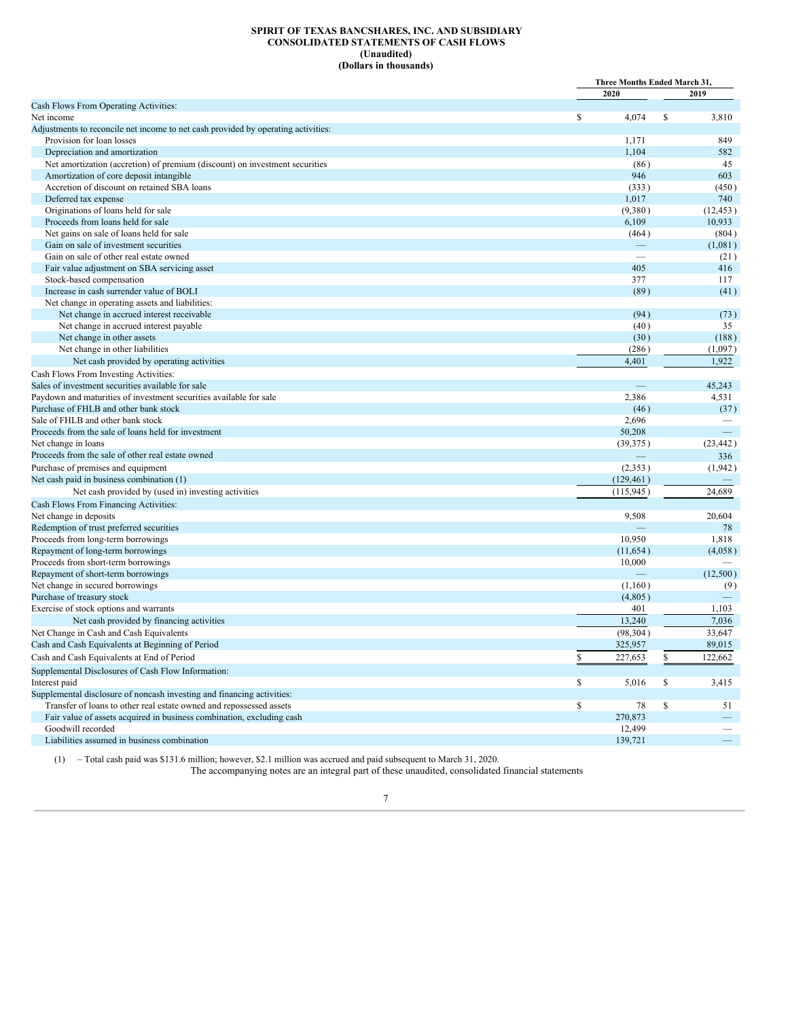# **SPIRIT OF TEXAS BANCSHARES, INC. AND SUBSIDIARY CONSOLIDATED STATEMENTS OF CASH FLOWS (Unaudited) (Dollars in thousands)**

<span id="page-7-0"></span>

|                                                                                   | Three Months Ended March 31, |               |
|-----------------------------------------------------------------------------------|------------------------------|---------------|
|                                                                                   | 2020                         | 2019          |
| Cash Flows From Operating Activities:                                             |                              |               |
| Net income                                                                        | \$<br>4,074                  | \$<br>3,810   |
| Adjustments to reconcile net income to net cash provided by operating activities: |                              |               |
| Provision for loan losses                                                         | 1.171                        | 849           |
| Depreciation and amortization                                                     | 1,104                        | 582           |
| Net amortization (accretion) of premium (discount) on investment securities       | (86)                         | 45            |
| Amortization of core deposit intangible                                           | 946                          | 603           |
| Accretion of discount on retained SBA loans                                       | (333)                        | (450)         |
| Deferred tax expense                                                              | 1,017                        | 740           |
| Originations of loans held for sale                                               | (9,380)                      | (12, 453)     |
| Proceeds from loans held for sale                                                 | 6,109                        | 10,933        |
| Net gains on sale of loans held for sale                                          | (464)                        | (804)         |
| Gain on sale of investment securities                                             |                              | (1,081)       |
| Gain on sale of other real estate owned                                           |                              | (21)          |
| Fair value adjustment on SBA servicing asset                                      | 405                          | 416           |
| Stock-based compensation                                                          | 377                          | 117           |
| Increase in cash surrender value of BOLI                                          | (89)                         | (41)          |
| Net change in operating assets and liabilities:                                   |                              |               |
| Net change in accrued interest receivable                                         | (94)                         | (73)          |
| Net change in accrued interest payable                                            | (40)                         | 35            |
| Net change in other assets                                                        | (30)                         | (188)         |
| Net change in other liabilities                                                   | (286)                        | (1,097)       |
| Net cash provided by operating activities                                         | 4,401                        | 1,922         |
| Cash Flows From Investing Activities:                                             |                              |               |
| Sales of investment securities available for sale                                 |                              | 45,243        |
| Paydown and maturities of investment securities available for sale                | 2,386                        | 4,531         |
| Purchase of FHLB and other bank stock                                             | (46)                         | (37)          |
| Sale of FHLB and other bank stock                                                 | 2,696                        |               |
| Proceeds from the sale of loans held for investment                               | 50,208                       |               |
| Net change in loans                                                               | (39, 375)                    | (23, 442)     |
| Proceeds from the sale of other real estate owned                                 |                              | 336           |
| Purchase of premises and equipment                                                | (2,353)                      | (1,942)       |
| Net cash paid in business combination (1)                                         | (129, 461)                   |               |
| Net cash provided by (used in) investing activities                               | (115, 945)                   | 24,689        |
| Cash Flows From Financing Activities:                                             |                              |               |
| Net change in deposits                                                            | 9,508                        | 20,604        |
| Redemption of trust preferred securities                                          |                              | 78            |
| Proceeds from long-term borrowings                                                | 10.950                       | 1,818         |
| Repayment of long-term borrowings                                                 | (11, 654)                    | (4,058)       |
| Proceeds from short-term borrowings                                               | 10,000                       |               |
| Repayment of short-term borrowings                                                |                              | (12,500)      |
| Net change in secured borrowings                                                  | (1,160)                      | (9)           |
| Purchase of treasury stock                                                        | (4,805)                      |               |
| Exercise of stock options and warrants                                            | 401                          | 1,103         |
| Net cash provided by financing activities                                         | 13,240                       | 7.036         |
|                                                                                   | (98, 304)                    | 33.647        |
| Net Change in Cash and Cash Equivalents                                           |                              |               |
| Cash and Cash Equivalents at Beginning of Period                                  | 325,957                      | 89,015        |
| Cash and Cash Equivalents at End of Period                                        | \$<br>227,653                | \$<br>122,662 |
| Supplemental Disclosures of Cash Flow Information:                                |                              |               |
| Interest paid                                                                     | \$<br>5,016                  | \$<br>3,415   |
| Supplemental disclosure of noncash investing and financing activities:            |                              |               |
| Transfer of loans to other real estate owned and repossessed assets               | \$<br>78                     | \$<br>51      |
| Fair value of assets acquired in business combination, excluding cash             | 270,873                      |               |
| Goodwill recorded                                                                 | 12,499                       |               |
| Liabilities assumed in business combination                                       | 139,721                      |               |

(1) – Total cash paid was \$131.6 million; however, \$2.1 million was accrued and paid subsequent to March 31, 2020.

The accompanying notes are an integral part of these unaudited, consolidated financial statements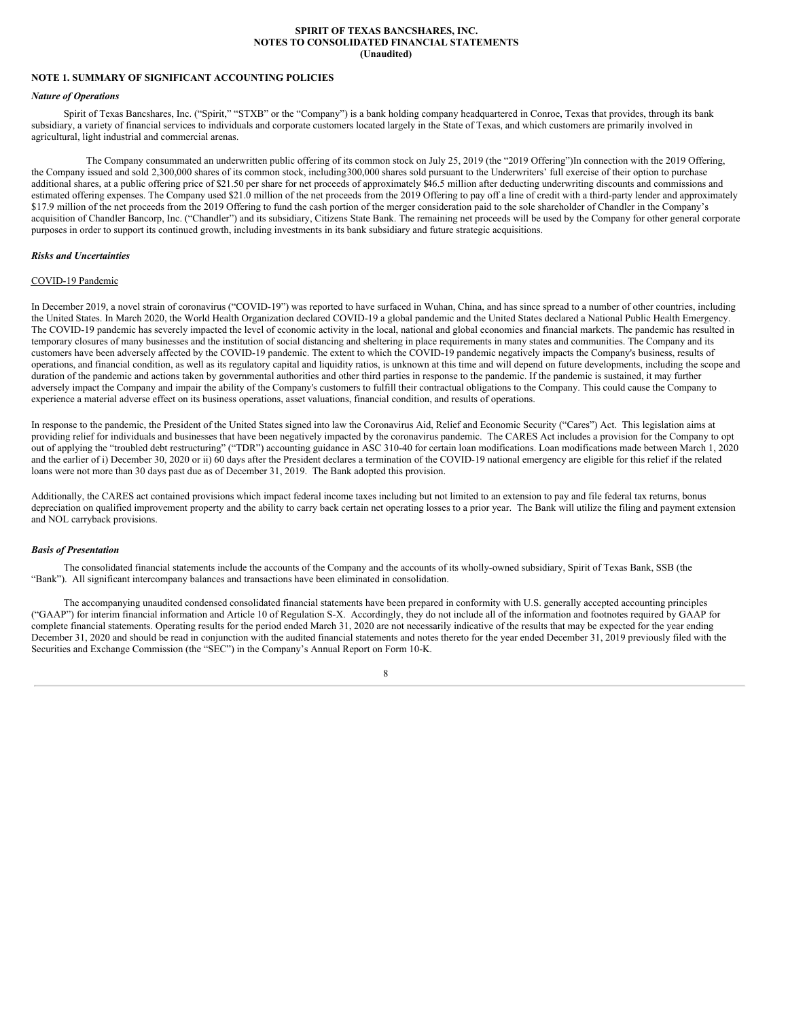#### **SPIRIT OF TEXAS BANCSHARES, INC. NOTES TO CONSOLIDATED FINANCIAL STATEMENTS (Unaudited)**

# <span id="page-8-0"></span>**NOTE 1. SUMMARY OF SIGNIFICANT ACCOUNTING POLICIES**

#### *Nature of Operations*

Spirit of Texas Bancshares, Inc. ("Spirit," "STXB" or the "Company") is a bank holding company headquartered in Conroe, Texas that provides, through its bank subsidiary, a variety of financial services to individuals and corporate customers located largely in the State of Texas, and which customers are primarily involved in agricultural, light industrial and commercial arenas.

The Company consummated an underwritten public offering of its common stock on July 25, 2019 (the "2019 Offering")In connection with the 2019 Offering, the Company issued and sold 2,300,000 shares of its common stock, including300,000 shares sold pursuant to the Underwriters' full exercise of their option to purchase additional shares, at a public offering price of \$21.50 per share for net proceeds of approximately \$46.5 million after deducting underwriting discounts and commissions and estimated offering expenses. The Company used \$21.0 million of the net proceeds from the 2019 Offering to pay off a line of credit with a third-party lender and approximately \$17.9 million of the net proceeds from the 2019 Offering to fund the cash portion of the merger consideration paid to the sole shareholder of Chandler in the Company's acquisition of Chandler Bancorp, Inc. ("Chandler") and its subsidiary, Citizens State Bank. The remaining net proceeds will be used by the Company for other general corporate purposes in order to support its continued growth, including investments in its bank subsidiary and future strategic acquisitions.

# *Risks and Uncertainties*

# COVID-19 Pandemic

In December 2019, a novel strain of coronavirus ("COVID-19") was reported to have surfaced in Wuhan, China, and has since spread to a number of other countries, including the United States. In March 2020, the World Health Organization declared COVID-19 a global pandemic and the United States declared a National Public Health Emergency. The COVID-19 pandemic has severely impacted the level of economic activity in the local, national and global economies and financial markets. The pandemic has resulted in temporary closures of many businesses and the institution of social distancing and sheltering in place requirements in many states and communities. The Company and its customers have been adversely affected by the COVID-19 pandemic. The extent to which the COVID-19 pandemic negatively impacts the Company's business, results of operations, and financial condition, as well as its regulatory capital and liquidity ratios, is unknown at this time and will depend on future developments, including the scope and duration of the pandemic and actions taken by governmental authorities and other third parties in response to the pandemic. If the pandemic is sustained, it may further adversely impact the Company and impair the ability of the Company's customers to fulfill their contractual obligations to the Company. This could cause the Company to experience a material adverse effect on its business operations, asset valuations, financial condition, and results of operations.

In response to the pandemic, the President of the United States signed into law the Coronavirus Aid, Relief and Economic Security ("Cares") Act. This legislation aims at providing relief for individuals and businesses that have been negatively impacted by the coronavirus pandemic. The CARES Act includes a provision for the Company to opt out of applying the "troubled debt restructuring" ("TDR") accounting guidance in ASC 310-40 for certain loan modifications. Loan modifications made between March 1, 2020 and the earlier of i) December 30, 2020 or ii) 60 days after the President declares a termination of the COVID-19 national emergency are eligible for this relief if the related loans were not more than 30 days past due as of December 31, 2019. The Bank adopted this provision.

Additionally, the CARES act contained provisions which impact federal income taxes including but not limited to an extension to pay and file federal tax returns, bonus depreciation on qualified improvement property and the ability to carry back certain net operating losses to a prior year. The Bank will utilize the filing and payment extension and NOL carryback provisions.

# *Basis of Presentation*

The consolidated financial statements include the accounts of the Company and the accounts of its wholly-owned subsidiary, Spirit of Texas Bank, SSB (the "Bank"). All significant intercompany balances and transactions have been eliminated in consolidation.

The accompanying unaudited condensed consolidated financial statements have been prepared in conformity with U.S. generally accepted accounting principles ("GAAP") for interim financial information and Article 10 of Regulation S-X. Accordingly, they do not include all of the information and footnotes required by GAAP for complete financial statements. Operating results for the period ended March 31, 2020 are not necessarily indicative of the results that may be expected for the year ending December 31, 2020 and should be read in conjunction with the audited financial statements and notes thereto for the year ended December 31, 2019 previously filed with the Securities and Exchange Commission (the "SEC") in the Company's Annual Report on Form 10-K.

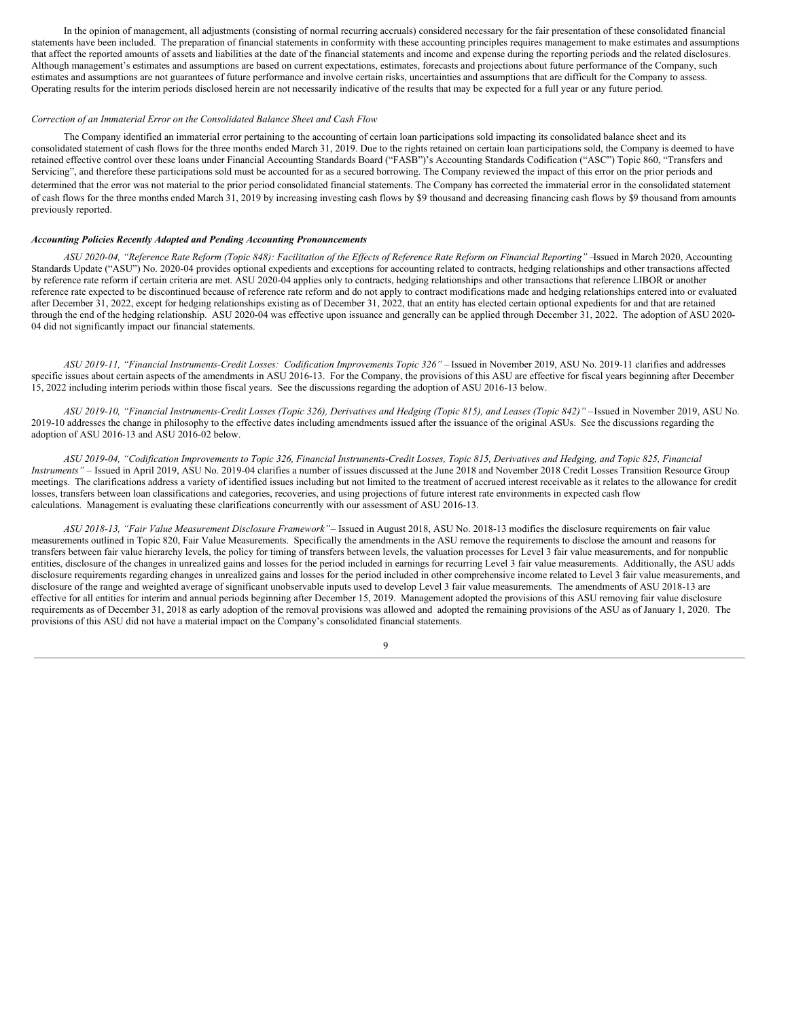In the opinion of management, all adjustments (consisting of normal recurring accruals) considered necessary for the fair presentation of these consolidated financial statements have been included. The preparation of financial statements in conformity with these accounting principles requires management to make estimates and assumptions that affect the reported amounts of assets and liabilities at the date of the financial statements and income and expense during the reporting periods and the related disclosures. Although management's estimates and assumptions are based on current expectations, estimates, forecasts and projections about future performance of the Company, such estimates and assumptions are not guarantees of future performance and involve certain risks, uncertainties and assumptions that are difficult for the Company to assess. Operating results for the interim periods disclosed herein are not necessarily indicative of the results that may be expected for a full year or any future period.

# *Correction of an Immaterial Error on the Consolidated Balance Sheet and Cash Flow*

The Company identified an immaterial error pertaining to the accounting of certain loan participations sold impacting its consolidated balance sheet and its consolidated statement of cash flows for the three months ended March 31, 2019. Due to the rights retained on certain loan participations sold, the Company is deemed to have retained effective control over these loans under Financial Accounting Standards Board ("FASB")'s Accounting Standards Codification ("ASC") Topic 860, "Transfers and Servicing", and therefore these participations sold must be accounted for as a secured borrowing. The Company reviewed the impact of this error on the prior periods and determined that the error was not material to the prior period consolidated financial statements. The Company has corrected the immaterial error in the consolidated statement of cash flows for the three months ended March 31, 2019 by increasing investing cash flows by \$9 thousand and decreasing financing cash flows by \$9 thousand from amounts previously reported.

#### *Accounting Policies Recently Adopted and Pending Accounting Pronouncements*

ASU 2020-04, "Reference Rate Reform (Topic 848): Facilitation of the Effects of Reference Rate Reform on Financial Reporting" -Issued in March 2020, Accounting Standards Update ("ASU") No. 2020-04 provides optional expedients and exceptions for accounting related to contracts, hedging relationships and other transactions affected by reference rate reform if certain criteria are met. ASU 2020-04 applies only to contracts, hedging relationships and other transactions that reference LIBOR or another reference rate expected to be discontinued because of reference rate reform and do not apply to contract modifications made and hedging relationships entered into or evaluated after December  $31$ , 2022, except for hedging relationships existing as of December 31, 2022, that an entity has elected certain optional expedients for and that are retained through the end of the hedging relationship. ASU 2020-04 was effective upon issuance and generally can be applied through December 31, 2022. The adoption of ASU 2020- 04 did not significantly impact our financial statements.

*ASU 2019-11, "Financial Instruments-Credit Losses: Codification Improvements Topic 326" –* Issued in November 2019, ASU No. 2019-11 clarifies and addresses specific issues about certain aspects of the amendments in ASU 2016-13. For the Company, the provisions of this ASU are effective for fiscal years beginning after December 15, 2022 including interim periods within those fiscal years. See the discussions regarding the adoption of ASU 2016-13 below.

ASU 2019-10, "Financial Instruments-Credit Losses (Topic 326), Derivatives and Hedging (Topic 815), and Leases (Topic 842)" -Issued in November 2019, ASU No. 2019-10 addresses the change in philosophy to the effective dates including amendments issued after the issuance of the original ASUs. See the discussions regarding the adoption of ASU 2016-13 and ASU 2016-02 below.

ASU 2019-04, "Codification Improvements to Topic 326, Financial Instruments-Credit Losses, Topic 815, Derivatives and Hedging, and Topic 825, Financial *Instruments" –* Issued in April 2019, ASU No. 2019-04 clarifies a number of issues discussed at the June 2018 and November 2018 Credit Losses Transition Resource Group meetings. The clarifications address a variety of identified issues including but not limited to the treatment of accrued interest receivable as it relates to the allowance for credit losses, transfers between loan classifications and categories, recoveries, and using projections of future interest rate environments in expected cash flow calculations. Management is evaluating these clarifications concurrently with our assessment of ASU 2016-13.

*ASU 2018-13, "Fair Value Measurement Disclosure Framework"*– Issued in August 2018, ASU No. 2018-13 modifies the disclosure requirements on fair value measurements outlined in Topic 820, Fair Value Measurements. Specifically the amendments in the ASU remove the requirements to disclose the amount and reasons for transfers between fair value hierarchy levels, the policy for timing of transfers between levels, the valuation processes for Level 3 fair value measurements, and for nonpublic entities, disclosure of the changes in unrealized gains and losses for the period included in earnings for recurring Level 3 fair value measurements. Additionally, the ASU adds disclosure requirements regarding changes in unrealized gains and losses for the period included in other comprehensive income related to Level 3 fair value measurements, and disclosure of the range and weighted average of significant unobservable inputs used to develop Level 3 fair value measurements. The amendments of ASU 2018-13 are effective for all entities for interim and annual periods beginning after December 15, 2019. Management adopted the provisions of this ASU removing fair value disclosure requirements as of December 31, 2018 as early adoption of the removal provisions was allowed and adopted the remaining provisions of the ASU as of January 1, 2020. The provisions of this ASU did not have a material impact on the Company's consolidated financial statements.

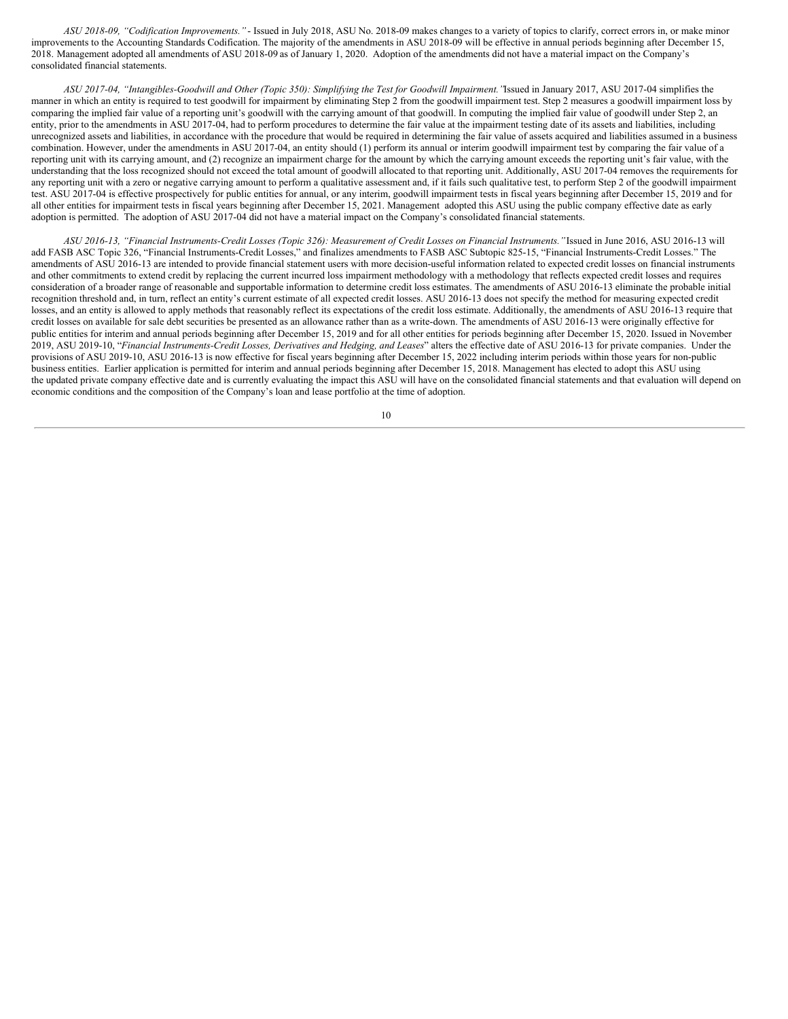*ASU 2018-09, "Codification Improvements."* - Issued in July 2018, ASU No. 2018-09 makes changes to a variety of topics to clarify, correct errors in, or make minor improvements to the Accounting Standards Codification. The majority of the amendments in ASU 2018-09 will be effective in annual periods beginning after December 15, 2018. Management adopted all amendments of ASU 2018-09 as of January 1, 2020. Adoption of the amendments did not have a material impact on the Company's consolidated financial statements.

ASU 2017-04, "Intangibles-Goodwill and Other (Topic 350): Simplifying the Test for Goodwill Impairment. "Issued in January 2017, ASU 2017-04 simplifies the manner in which an entity is required to test goodwill for impairment by eliminating Step 2 from the goodwill impairment test. Step 2 measures a goodwill impairment loss by comparing the implied fair value of a reporting unit's goodwill with the carrying amount of that goodwill. In computing the implied fair value of goodwill under Step 2, an entity, prior to the amendments in ASU 2017-04, had to perform procedures to determine the fair value at the impairment testing date of its assets and liabilities, including unrecognized assets and liabilities, in accordance with the procedure that would be required in determining the fair value of assets acquired and liabilities assumed in a business combination. However, under the amendments in ASU 2017-04, an entity should  $(1)$  perform its annual or interim goodwill impairment test by comparing the fair value of a reporting unit with its carrying amount, and (2) recognize an impairment charge for the amount by which the carrying amount exceeds the reporting unit's fair value, with the understanding that the loss recognized should not exceed the total amount of goodwill allocated to that reporting unit. Additionally, ASU 2017-04 removes the requirements for any reporting unit with a zero or negative carrying amount to perform a qualitative assessment and, if it fails such qualitative test, to perform Step 2 of the goodwill impairment test. ASU 2017-04 is effective prospectively for public entities for annual, or any interim, goodwill impairment tests in fiscal years beginning after December 15, 2019 and for all other entities for impairment tests in fiscal years beginning after December 15, 2021. Management adopted this ASU using the public company effective date as early adoption is permitted. The adoption of ASU 2017-04 did not have a material impact on the Company's consolidated financial statements.

ASU 2016-13, "Financial Instruments-Credit Losses (Topic 326): Measurement of Credit Losses on Financial Instruments."Issued in June 2016, ASU 2016-13 will add FASB ASC Topic 326, "Financial Instruments-Credit Losses," and finalizes amendments to FASB ASC Subtopic 825-15, "Financial Instruments-Credit Losses." The amendments of ASU 2016-13 are intended to provide financial statement users with more decision-useful information related to expected credit losses on financial instruments and other commitments to extend credit by replacing the current incurred loss impairment methodology with a methodology that reflects expected credit losses and requires consideration of a broader range of reasonable and supportable information to determine credit loss estimates. The amendments of ASU 2016-13 eliminate the probable initial recognition threshold and, in turn, reflect an entity's current estimate of all expected credit losses. ASU 2016-13 does not specify the method for measuring expected credit losses, and an entity is allowed to apply methods that reasonably reflect its expectations of the credit loss estimate. Additionally, the amendments of ASU 2016-13 require that credit losses on available for sale debt securities be presented as an allowance rather than as a write-down. The amendments of ASU 2016-13 were originally effective for public entities for interim and annual periods beginning after December 15, 2019 and for all other entities for periods beginning after December 15, 2020. Issued in November 2019, ASU 2019-10, "*Financial Instruments-Credit Losses, Derivatives and Hedging, and Leases*" alters the effective date of ASU 2016-13 for private companies. Under the provisions of ASU 2019-10, ASU 2016-13 is now effective for fiscal years beginning after December 15, 2022 including interim periods within those years for non-public business entities. Earlier application is permitted for interim and annual periods beginning after December 15, 2018. Management has elected to adopt this ASU using the updated private company effective date and is currently evaluating the impact this ASU will have on the consolidated financial statements and that evaluation will depend on economic conditions and the composition of the Company's loan and lease portfolio at the time of adoption.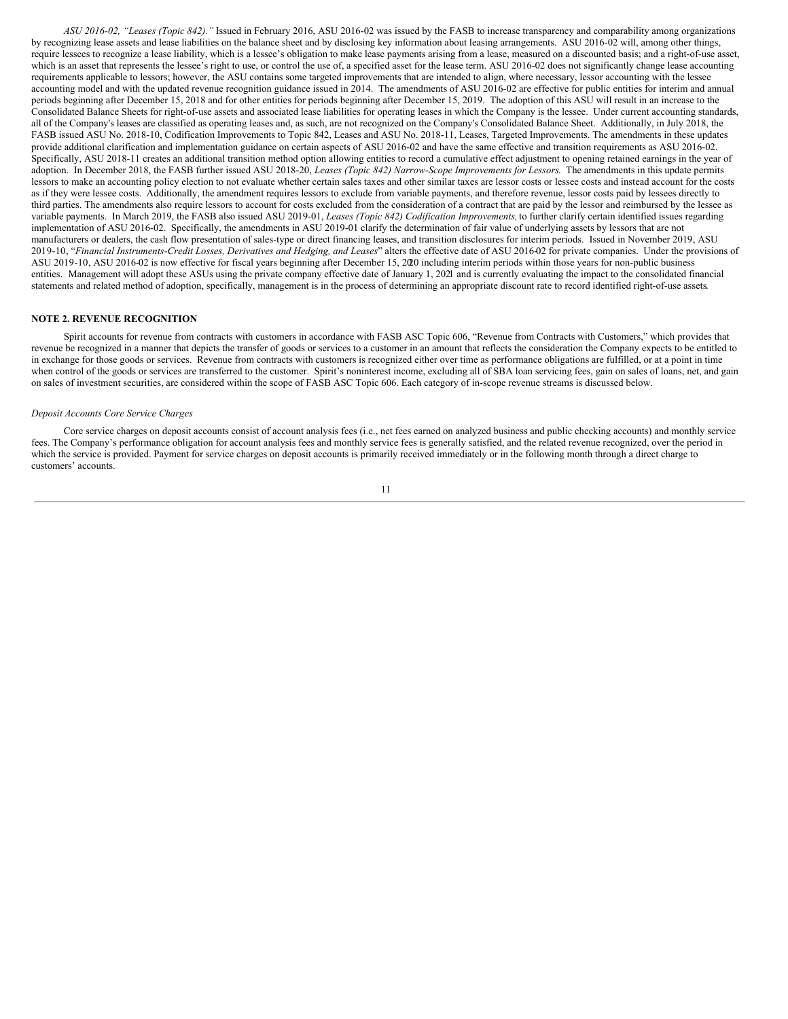*ASU 2016-02, "Leases (Topic 842)."* Issued in February 2016, ASU 2016-02 was issued by the FASB to increase transparency and comparability among organizations by recognizing lease assets and lease liabilities on the balance sheet and by disclosing key information about leasing arrangements. ASU 2016-02 will, among other things, require lessees to recognize a lease liability, which is a lessee's obligation to make lease payments arising from a lease, measured on a discounted basis; and a right-of-use asset, which is an asset that represents the lessee's right to use, or control the use of, a specified asset for the lease term. ASU 2016-02 does not significantly change lease accounting requirements applicable to lessors; however, the ASU contains some targeted improvements that are intended to align, where necessary, lessor accounting with the lessee accounting model and with the updated revenue recognition guidance issued in 2014. The amendments of ASU 2016-02 are effective for public entities for interim and annual periods beginning after December 15, 2018 and for other entities for periods beginning after December 15, 2019. The adoption of this ASU will result in an increase to the Consolidated Balance Sheets for right-of-use assets and associated lease liabilities for operating leases in which the Company is the lessee. Under current accounting standards, all of the Company's leases are classified as operating leases and, as such, are not recognized on the Company's Consolidated Balance Sheet. Additionally, in July 2018, the FASB issued ASU No. 2018-10, Codification Improvements to Topic 842, Leases and ASU No. 2018-11, Leases, Targeted Improvements. The amendments in these updates provide additional clarification and implementation guidance on certain aspects of ASU 2016-02 and have the same effective and transition requirements as ASU 2016-02. Specifically, ASU 2018-11 creates an additional transition method option allowing entities to record a cumulative effect adjustment to opening retained earnings in the year of adoption. In December 2018, the FASB further issued ASU 2018-20, *Leases (Topic 842) Narrow-Scope Improvements for Lessors*. The amendments in this update permits lessors to make an accounting policy election to not evaluate whether certain sales taxes and other similar taxes are lessor costs or lessee costs and instead account for the costs as if they were lessee costs. Additionally, the amendment requires lessors to exclude from variable payments, and therefore revenue, lessor costs paid by lessees directly to third parties. The amendments also require lessors to account for costs excluded from the consideration of a contract that are paid by the lessor and reimbursed by the lessee as variable payments. In March 2019, the FASB also issued ASU 2019-01, *Leases (Topic 842) Codification Improvements,* to further clarify certain identified issues regarding implementation of ASU 2016-02. Specifically, the amendments in ASU 2019-01 clarify the determination of fair value of underlying assets by lessors that are not manufacturers or dealers, the cash flow presentation of sales-type or direct financing leases, and transition disclosures for interim periods. Issued in November 2019, ASU 2019-10, "Financial Instruments-Credit Losses, Derivatives and Hedging, and Leases" alters the effective date of ASU 2016-02 for private companies. Under the provisions of ASU 2019-10, ASU 2016-02 is now effective for fiscal years beginning after December 15, 2020 including interim periods within those years for non-public business entities. Management will adopt these ASUs using the private company effective date of January 1, 2021 and is currently evaluating the impact to the consolidated financial statements and related method of adoption, specifically, management is in the process of determining an appropriate discount rate to record identified right-of-use assets.

# **NOTE 2. REVENUE RECOGNITION**

Spirit accounts for revenue from contracts with customers in accordance with FASB ASC Topic 606, "Revenue from Contracts with Customers," which provides that revenue be recognized in a manner that depicts the transfer of goods or services to a customer in an amount that reflects the consideration the Company expects to be entitled to in exchange for those goods or services. Revenue from contracts with customers is recognized either over time as performance obligations are fulfilled, or at a point in time when control of the goods or services are transferred to the customer. Spirit's noninterest income, excluding all of SBA loan servicing fees, gain on sales of loans, net, and gain on sales of investment securities, are considered within the scope of FASB ASC Topic 606. Each category of in-scope revenue streams is discussed below.

#### *Deposit Accounts Core Service Charges*

Core service charges on deposit accounts consist of account analysis fees (i.e., net fees earned on analyzed business and public checking accounts) and monthly service fees. The Company's performance obligation for account analysis fees and monthly service fees is generally satisfied, and the related revenue recognized, over the period in which the service is provided. Payment for service charges on deposit accounts is primarily received immediately or in the following month through a direct charge to customers' accounts.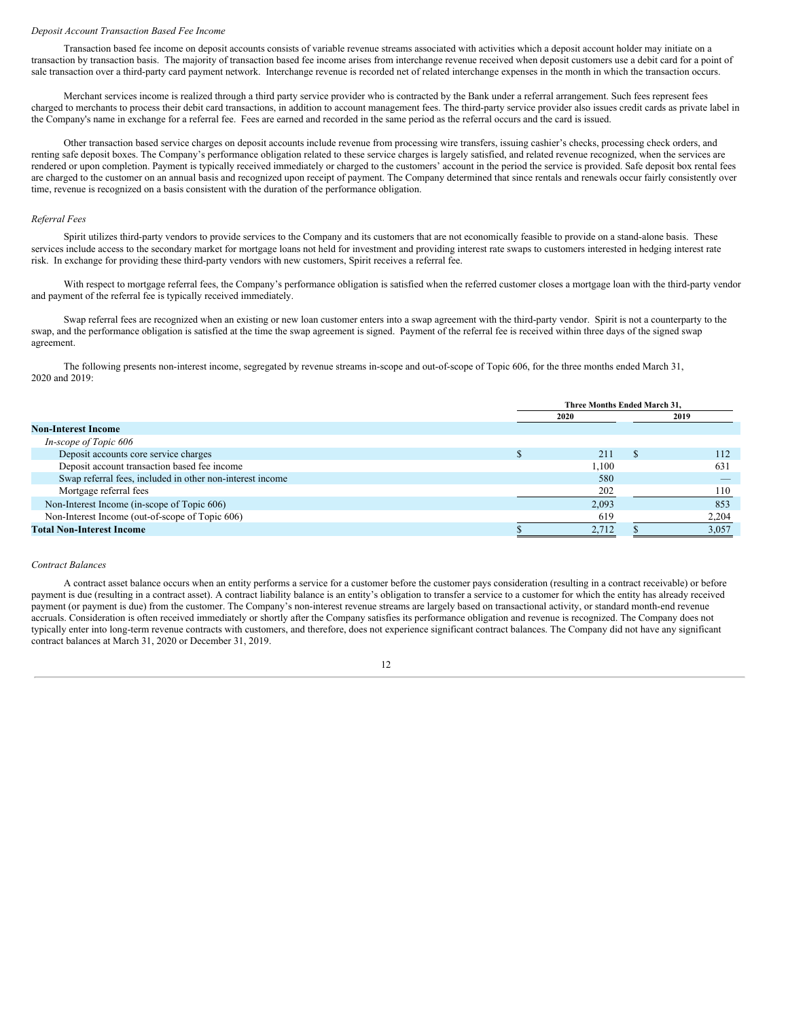#### *Deposit Account Transaction Based Fee Income*

Transaction based fee income on deposit accounts consists of variable revenue streams associated with activities which a deposit account holder may initiate on a transaction by transaction basis. The majority of transaction based fee income arises from interchange revenue received when deposit customers use a debit card for a point of sale transaction over a third-party card payment network. Interchange revenue is recorded net of related interchange expenses in the month in which the transaction occurs.

Merchant services income is realized through a third party service provider who is contracted by the Bank under a referral arrangement. Such fees represent fees charged to merchants to process their debit card transactions, in addition to account management fees. The third-party service provider also issues credit cards as private label in the Company's name in exchange for a referral fee. Fees are earned and recorded in the same period as the referral occurs and the card is issued.

Other transaction based service charges on deposit accounts include revenue from processing wire transfers, issuing cashier's checks, processing check orders, and renting safe deposit boxes. The Company's performance obligation related to these service charges is largely satisfied, and related revenue recognized, when the services are rendered or upon completion. Payment is typically received immediately or charged to the customers' account in the period the service is provided. Safe deposit box rental fees are charged to the customer on an annual basis and recognized upon receipt of payment. The Company determined that since rentals and renewals occur fairly consistently over time, revenue is recognized on a basis consistent with the duration of the performance obligation.

#### *Referral Fees*

Spirit utilizes third-party vendors to provide services to the Company and its customers that are not economically feasible to provide on a stand-alone basis. These services include access to the secondary market for mortgage loans not held for investment and providing interest rate swaps to customers interested in hedging interest rate risk. In exchange for providing these third-party vendors with new customers, Spirit receives a referral fee.

With respect to mortgage referral fees, the Company's performance obligation is satisfied when the referred customer closes a mortgage loan with the third-party vendor and payment of the referral fee is typically received immediately.

Swap referral fees are recognized when an existing or new loan customer enters into a swap agreement with the third-party vendor. Spirit is not a counterparty to the swap, and the performance obligation is satisfied at the time the swap agreement is signed. Payment of the referral fee is received within three days of the signed swap agreement.

The following presents non-interest income, segregated by revenue streams in-scope and out-of-scope of Topic 606, for the three months ended March 31, 2020 and 2019:

|                                                           | Three Months Ended March 31. |  |       |
|-----------------------------------------------------------|------------------------------|--|-------|
|                                                           | 2020                         |  | 2019  |
| <b>Non-Interest Income</b>                                |                              |  |       |
| In-scope of Topic 606                                     |                              |  |       |
| Deposit accounts core service charges                     | 211                          |  | 112   |
| Deposit account transaction based fee income              | 1.100                        |  | 631   |
| Swap referral fees, included in other non-interest income | 580                          |  |       |
| Mortgage referral fees                                    | 202                          |  | 110   |
| Non-Interest Income (in-scope of Topic 606)               | 2,093                        |  | 853   |
| Non-Interest Income (out-of-scope of Topic 606)           | 619                          |  | 2,204 |
| <b>Total Non-Interest Income</b>                          | 2,712                        |  | 3,057 |

# *Contract Balances*

A contract asset balance occurs when an entity performs a service for a customer before the customer pays consideration (resulting in a contract receivable) or before payment is due (resulting in a contract asset). A contract liability balance is an entity's obligation to transfer a service to a customer for which the entity has already received payment (or payment is due) from the customer. The Company's non-interest revenue streams are largely based on transactional activity, or standard month-end revenue accruals. Consideration is often received immediately or shortly after the Company satisfies its performance obligation and revenue is recognized. The Company does not typically enter into long-term revenue contracts with customers, and therefore, does not experience significant contract balances. The Company did not have any significant contract balances at March 31, 2020 or December 31, 2019.

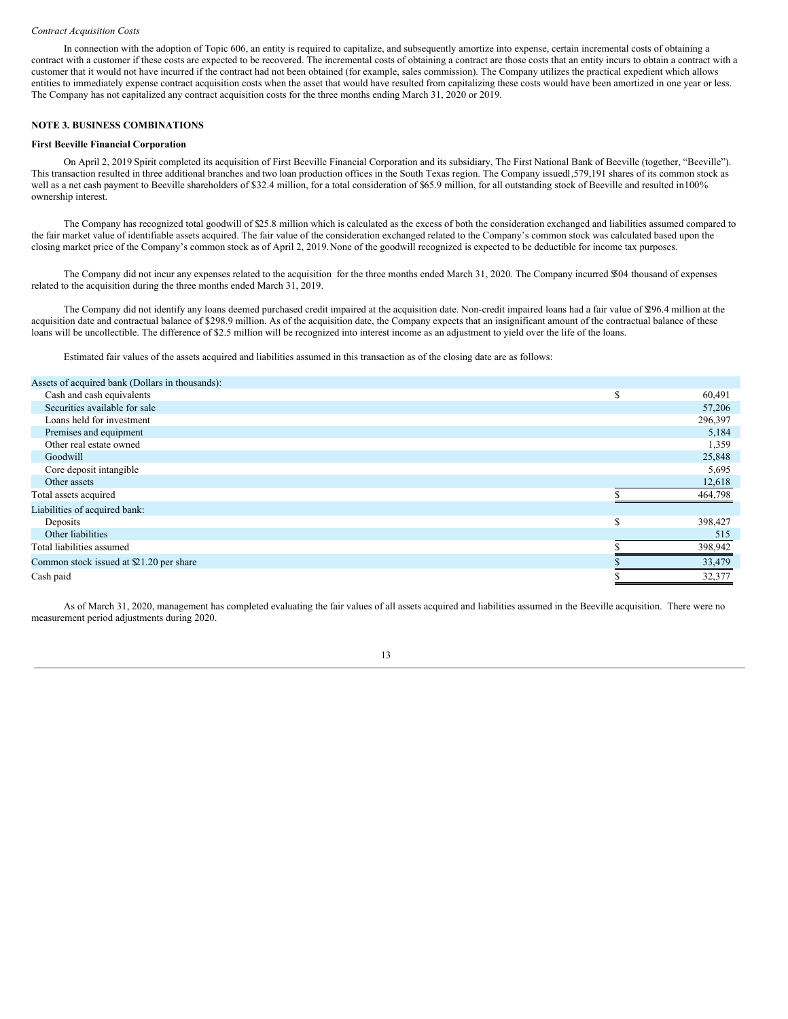#### *Contract Acquisition Costs*

In connection with the adoption of Topic 606, an entity is required to capitalize, and subsequently amortize into expense, certain incremental costs of obtaining a contract with a customer if these costs are expected to be recovered. The incremental costs of obtaining a contract are those costs that an entity incurs to obtain a contract with a customer that it would not have incurred if the contract had not been obtained (for example, sales commission). The Company utilizes the practical expedient which allows entities to immediately expense contract acquisition costs when the asset that would have resulted from capitalizing these costs would have been amortized in one year or less. The Company has not capitalized any contract acquisition costs for the three months ending March 31, 2020 or 2019.

# **NOTE 3. BUSINESS COMBINATIONS**

#### **First Beeville Financial Corporation**

On April 2, 2019 Spirit completed its acquisition of First Beeville Financial Corporation and its subsidiary, The First National Bank of Beeville (together, "Beeville"). This transaction resulted in three additional branches and two loan production offices in the South Texas region. The Company issued1,579,191 shares of its common stock as well as a net cash payment to Beeville shareholders of \$32.4 million, for a total consideration of \$65.9 million, for all outstanding stock of Beeville and resulted in100% ownership interest.

The Company has recognized total goodwill of \$25.8 million which is calculated as the excess of both the consideration exchanged and liabilities assumed compared to the fair market value of identifiable assets acquired. The fair value of the consideration exchanged related to the Company's common stock was calculated based upon the closing market price of the Company's common stock as of April 2, 2019.None of the goodwill recognized is expected to be deductible for income tax purposes.

The Company did not incur any expenses related to the acquisition for the three months ended March 31, 2020. The Company incurred \$504 thousand of expenses related to the acquisition during the three months ended March 31, 2019.

The Company did not identify any loans deemed purchased credit impaired at the acquisition date. Non-credit impaired loans had a fair value of \$296.4 million at the acquisition date and contractual balance of \$298.9 million. As of the acquisition date, the Company expects that an insignificant amount of the contractual balance of these loans will be uncollectible. The difference of \$2.5 million will be recognized into interest income as an adjustment to yield over the life of the loans.

Estimated fair values of the assets acquired and liabilities assumed in this transaction as of the closing date are as follows:

| S | 60,491  |
|---|---------|
|   | 57,206  |
|   | 296,397 |
|   | 5,184   |
|   | 1,359   |
|   | 25,848  |
|   | 5,695   |
|   | 12,618  |
|   | 464,798 |
|   |         |
| S | 398,427 |
|   | 515     |
|   | 398,942 |
|   | 33,479  |
|   | 32,377  |
|   |         |

As of March 31, 2020, management has completed evaluating the fair values of all assets acquired and liabilities assumed in the Beeville acquisition. There were no measurement period adjustments during 2020.

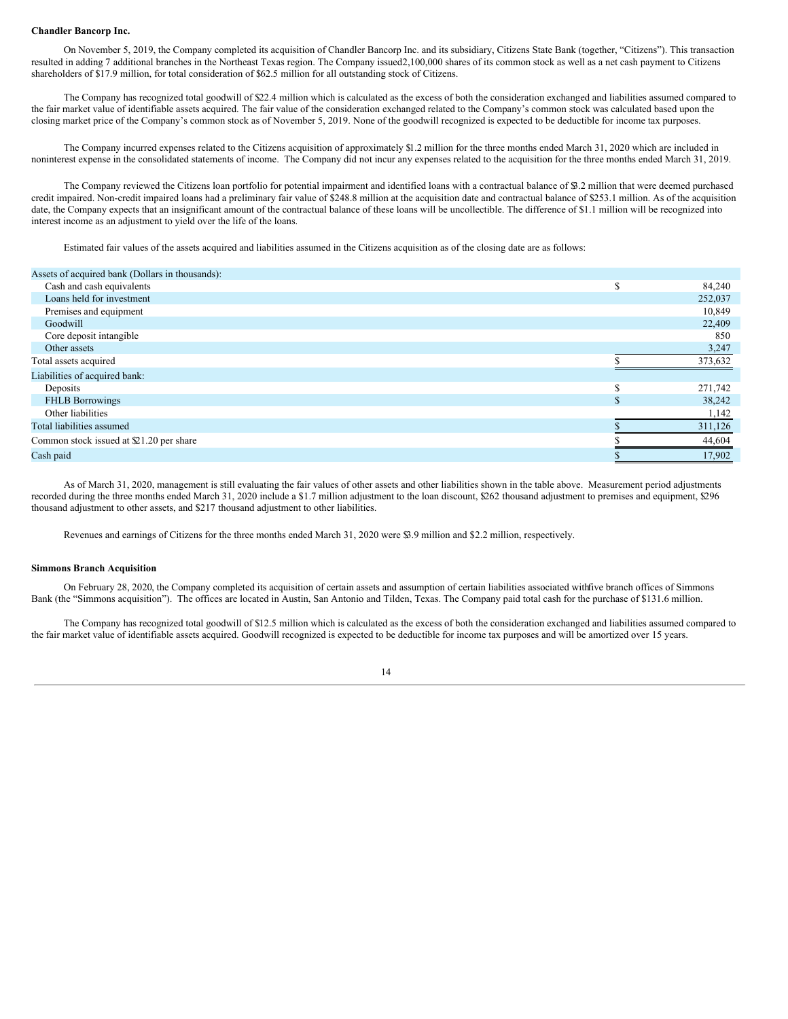#### **Chandler Bancorp Inc.**

On November 5, 2019, the Company completed its acquisition of Chandler Bancorp Inc. and its subsidiary, Citizens State Bank (together, "Citizens"). This transaction resulted in adding 7 additional branches in the Northeast Texas region. The Company issued2,100,000 shares of its common stock as well as a net cash payment to Citizens shareholders of \$17.9 million, for total consideration of \$62.5 million for all outstanding stock of Citizens.

The Company has recognized total goodwill of \$22.4 million which is calculated as the excess of both the consideration exchanged and liabilities assumed compared to the fair market value of identifiable assets acquired. The fair value of the consideration exchanged related to the Company's common stock was calculated based upon the closing market price of the Company's common stock as of November 5, 2019. None of the goodwill recognized is expected to be deductible for income tax purposes.

The Company incurred expenses related to the Citizens acquisition of approximately \$1.2 million for the three months ended March 31, 2020 which are included in noninterest expense in the consolidated statements of income. The Company did not incur any expenses related to the acquisition for the three months ended March 31, 2019.

The Company reviewed the Citizens loan portfolio for potential impairment and identified loans with a contractual balance of \$3.2 million that were deemed purchased credit impaired. Non-credit impaired loans had a preliminary fair value of \$248.8 million at the acquisition date and contractual balance of \$253.1 million. As of the acquisition date, the Company expects that an insignificant amount of the contractual balance of these loans will be uncollectible. The difference of \$1.1 million will be recognized into interest income as an adjustment to yield over the life of the loans.

Estimated fair values of the assets acquired and liabilities assumed in the Citizens acquisition as of the closing date are as follows:

| Assets of acquired bank (Dollars in thousands): |         |
|-------------------------------------------------|---------|
| Cash and cash equivalents                       | 84,240  |
| Loans held for investment                       | 252,037 |
| Premises and equipment                          | 10,849  |
| Goodwill                                        | 22,409  |
| Core deposit intangible                         | 850     |
| Other assets                                    | 3,247   |
| Total assets acquired                           | 373,632 |
| Liabilities of acquired bank:                   |         |
| Deposits                                        | 271,742 |
| <b>FHLB Borrowings</b>                          | 38,242  |
| Other liabilities                               | 1,142   |
| Total liabilities assumed                       | 311,126 |
| Common stock issued at $$21.20$ per share       | 44,604  |
| Cash paid                                       | 17,902  |

As of March 31, 2020, management is still evaluating the fair values of other assets and other liabilities shown in the table above. Measurement period adjustments recorded during the three months ended March 31, 2020 include a \$1.7 million adjustment to the loan discount, \$262 thousand adjustment to premises and equipment, \$296 thousand adjustment to other assets, and \$217 thousand adjustment to other liabilities.

Revenues and earnings of Citizens for the three months ended March 31, 2020 were \$3.9 million and \$2.2 million, respectively.

# **Simmons Branch Acquisition**

On February 28, 2020, the Company completed its acquisition of certain assets and assumption of certain liabilities associated withfive branch offices of Simmons Bank (the "Simmons acquisition"). The offices are located in Austin, San Antonio and Tilden, Texas. The Company paid total cash for the purchase of \$131.6 million.

The Company has recognized total goodwill of \$12.5 million which is calculated as the excess of both the consideration exchanged and liabilities assumed compared to the fair market value of identifiable assets acquired. Goodwill recognized is expected to be deductible for income tax purposes and will be amortized over 15 years.

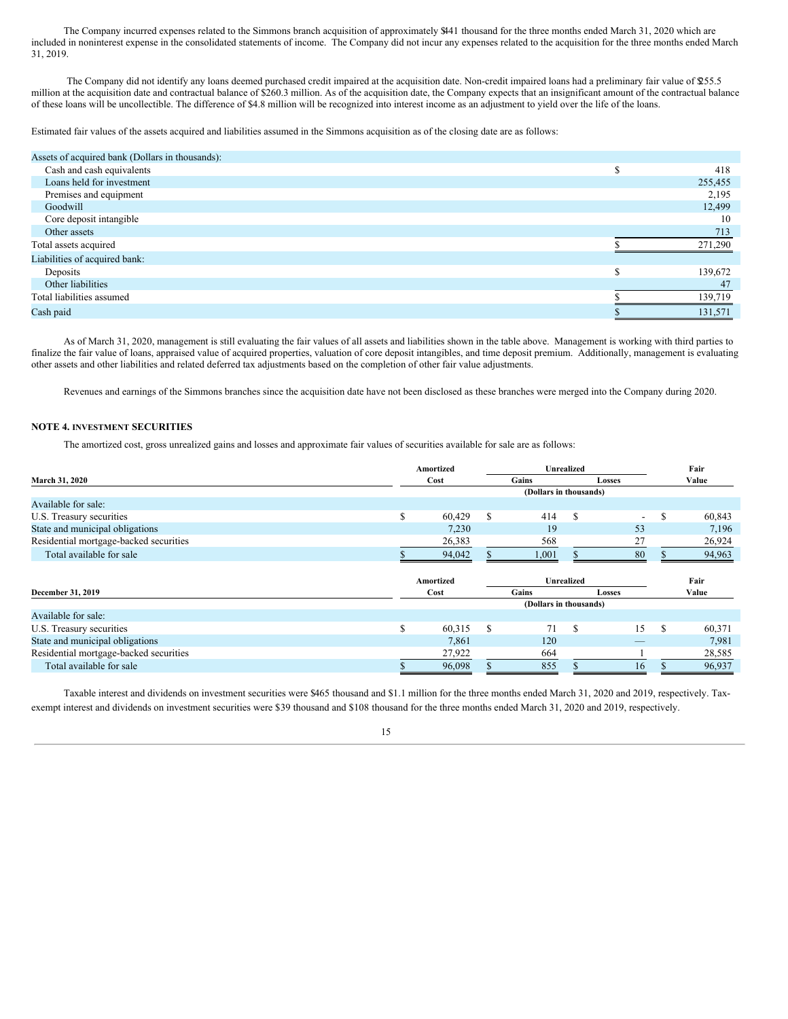The Company incurred expenses related to the Simmons branch acquisition of approximately \$441 thousand for the three months ended March 31, 2020 which are included in noninterest expense in the consolidated statements of income. The Company did not incur any expenses related to the acquisition for the three months ended March 31, 2019.

The Company did not identify any loans deemed purchased credit impaired at the acquisition date. Non-credit impaired loans had a preliminary fair value of \$255.5 million at the acquisition date and contractual balance of \$260.3 million. As of the acquisition date, the Company expects that an insignificant amount of the contractual balance of these loans will be uncollectible. The difference of \$4.8 million will be recognized into interest income as an adjustment to yield over the life of the loans.

Estimated fair values of the assets acquired and liabilities assumed in the Simmons acquisition as of the closing date are as follows:

| Assets of acquired bank (Dollars in thousands): |   |         |
|-------------------------------------------------|---|---------|
| Cash and cash equivalents                       |   | 418     |
| Loans held for investment                       |   | 255,455 |
| Premises and equipment                          |   | 2,195   |
| Goodwill                                        |   | 12,499  |
| Core deposit intangible                         |   | 10      |
| Other assets                                    |   | 713     |
| Total assets acquired                           |   | 271,290 |
| Liabilities of acquired bank:                   |   |         |
| Deposits                                        | e | 139,672 |
| Other liabilities                               |   | 47      |
| Total liabilities assumed                       |   | 139,719 |
| Cash paid                                       |   | 131,571 |

As of March 31, 2020, management is still evaluating the fair values of all assets and liabilities shown in the table above. Management is working with third parties to finalize the fair value of loans, appraised value of acquired properties, valuation of core deposit intangibles, and time deposit premium. Additionally, management is evaluating other assets and other liabilities and related deferred tax adjustments based on the completion of other fair value adjustments.

Revenues and earnings of the Simmons branches since the acquisition date have not been disclosed as these branches were merged into the Company during 2020.

# **NOTE 4. INVESTMENT SECURITIES**

The amortized cost, gross unrealized gains and losses and approximate fair values of securities available for sale are as follows:

|                                        | Amortized              |   | <b>Unrealized</b>      | Fair              |                          |     |        |
|----------------------------------------|------------------------|---|------------------------|-------------------|--------------------------|-----|--------|
| March 31, 2020                         | Cost                   |   | Gains                  |                   | <b>Losses</b>            |     | Value  |
|                                        |                        |   | (Dollars in thousands) |                   |                          |     |        |
| Available for sale:                    |                        |   |                        |                   |                          |     |        |
| U.S. Treasury securities               | \$<br>60,429           | S | 414                    | S                 | $\overline{\phantom{0}}$ | S   | 60,843 |
| State and municipal obligations        | 7,230                  |   | 19                     |                   | 53                       |     | 7,196  |
| Residential mortgage-backed securities | 26,383                 |   | 568                    |                   | 27                       |     | 26,924 |
| Total available for sale               | 94,042                 |   | 1,001                  |                   | 80                       |     | 94,963 |
|                                        | Amortized              |   |                        | <b>Unrealized</b> |                          |     | Fair   |
| December 31, 2019                      | Cost                   |   | Gains                  |                   | <b>Losses</b>            |     | Value  |
|                                        | (Dollars in thousands) |   |                        |                   |                          |     |        |
| Available for sale:                    |                        |   |                        |                   |                          |     |        |
| U.S. Treasury securities               | \$<br>60,315           | S | 71                     | <b>S</b>          | 15                       | \$. | 60,371 |
| State and municipal obligations        | 7,861                  |   | 120                    |                   |                          |     | 7,981  |
| Residential mortgage-backed securities | 27,922                 |   | 664                    |                   |                          |     | 28,585 |
| Total available for sale               | 96,098                 |   | 855                    |                   | 16                       |     | 96,937 |

Taxable interest and dividends on investment securities were \$465 thousand and \$1.1 million for the three months ended March 31, 2020 and 2019, respectively. Taxexempt interest and dividends on investment securities were \$39 thousand and \$108 thousand for the three months ended March 31, 2020 and 2019, respectively.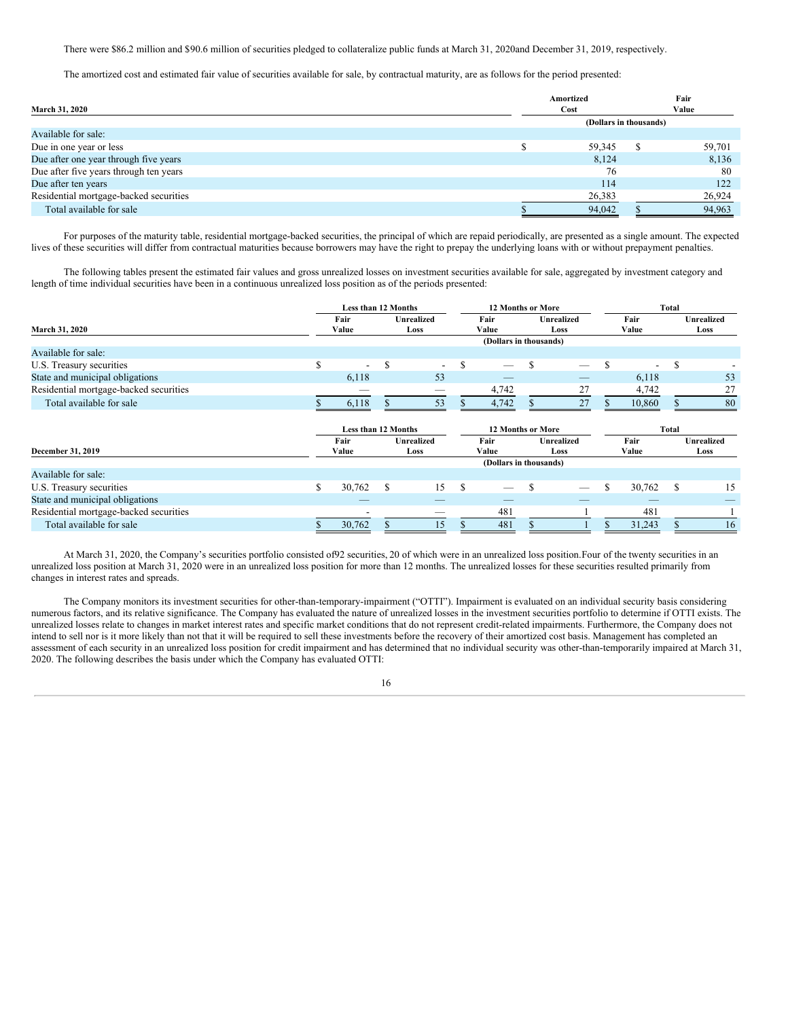There were \$86.2 million and \$90.6 million of securities pledged to collateralize public funds at March 31, 2020and December 31, 2019, respectively.

The amortized cost and estimated fair value of securities available for sale, by contractual maturity, are as follows for the period presented:

|                                        | Amortized              | Fair   |
|----------------------------------------|------------------------|--------|
| <b>March 31, 2020</b>                  | Cost                   | Value  |
|                                        | (Dollars in thousands) |        |
| Available for sale:                    |                        |        |
| Due in one year or less                | 59,345                 | 59,701 |
| Due after one year through five years  | 8,124                  | 8,136  |
| Due after five years through ten years | 76                     | 80     |
| Due after ten years                    | 114                    | 122    |
| Residential mortgage-backed securities | 26,383                 | 26,924 |
| Total available for sale               | 94,042                 | 94,963 |

For purposes of the maturity table, residential mortgage-backed securities, the principal of which are repaid periodically, are presented as a single amount. The expected lives of these securities will differ from contractual maturities because borrowers may have the right to prepay the underlying loans with or without prepayment penalties.

The following tables present the estimated fair values and gross unrealized losses on investment securities available for sale, aggregated by investment category and length of time individual securities have been in a continuous unrealized loss position as of the periods presented:

|                                        |   | <b>Less than 12 Months</b> |                   |                           | <b>12 Months or More</b> |                        |                           |    |               | Total                    |       |                    |  |  |
|----------------------------------------|---|----------------------------|-------------------|---------------------------|--------------------------|------------------------|---------------------------|----|---------------|--------------------------|-------|--------------------|--|--|
| <b>March 31, 2020</b>                  |   | Fair<br>Value              |                   | <b>Unrealized</b><br>Loss |                          | Fair<br>Value          | <b>Unrealized</b><br>Loss |    | Fair<br>Value |                          |       | Unrealized<br>Loss |  |  |
|                                        |   | (Dollars in thousands)     |                   |                           |                          |                        |                           |    |               |                          |       |                    |  |  |
| Available for sale:                    |   |                            |                   |                           |                          |                        |                           |    |               |                          |       |                    |  |  |
| U.S. Treasury securities               | S | $\overline{\phantom{a}}$   | S                 | $\overline{\phantom{a}}$  | <sup>\$</sup>            |                        | -S                        |    | \$.           | $\overline{\phantom{a}}$ | \$    |                    |  |  |
| State and municipal obligations        |   | 6,118                      |                   | 53                        |                          |                        |                           |    |               | 6,118                    |       | 53                 |  |  |
| Residential mortgage-backed securities |   |                            |                   |                           |                          | 4,742                  |                           | 27 |               | 4,742                    |       | 27                 |  |  |
| Total available for sale               |   | 6,118                      |                   | 53                        |                          | 4,742                  |                           | 27 |               | 10,860                   |       | 80                 |  |  |
|                                        |   | Less than 12 Months        |                   |                           |                          |                        | <b>12 Months or More</b>  |    |               |                          | Total |                    |  |  |
|                                        |   | Fair                       | <b>Unrealized</b> |                           | Fair                     |                        | <b>Unrealized</b>         |    | Fair          |                          |       | Unrealized         |  |  |
| December 31, 2019                      |   | Value                      |                   | Value<br>Loss             |                          |                        | Loss                      |    | Value         |                          | Loss  |                    |  |  |
| Available for sale:                    |   |                            |                   |                           |                          | (Dollars in thousands) |                           |    |               |                          |       |                    |  |  |
| U.S. Treasury securities               | S | 30,762                     | S                 | 15                        | <sup>\$</sup>            |                        | -S                        |    | S             | 30,762                   | S     | 15                 |  |  |
| State and municipal obligations        |   |                            |                   |                           |                          |                        |                           |    |               |                          |       |                    |  |  |
| Residential mortgage-backed securities |   |                            |                   | _                         |                          | 481                    |                           |    |               | 481                      |       |                    |  |  |
|                                        |   |                            |                   |                           |                          |                        |                           |    |               |                          |       |                    |  |  |

At March 31, 2020, the Company's securities portfolio consisted of92 securities, 20 of which were in an unrealized loss position. Four of the twenty securities in an unrealized loss position at March 31, 2020 were in an unrealized loss position for more than 12 months. The unrealized losses for these securities resulted primarily from changes in interest rates and spreads.

The Company monitors its investment securities for other-than-temporary-impairment ("OTTI"). Impairment is evaluated on an individual security basis considering numerous factors, and its relative significance. The Company has evaluated the nature of unrealized losses in the investment securities portfolio to determine if OTTI exists. The unrealized losses relate to changes in market interest rates and specific market conditions that do not represent credit-related impairments. Furthermore, the Company does not intend to sell nor is it more likely than not that it will be required to sell these investments before the recovery of their amortized cost basis. Management has completed an assessment of each security in an unrealized loss position for credit impairment and has determined that no individual security was other-than-temporarily impaired at March 31, 2020. The following describes the basis under which the Company has evaluated OTTI: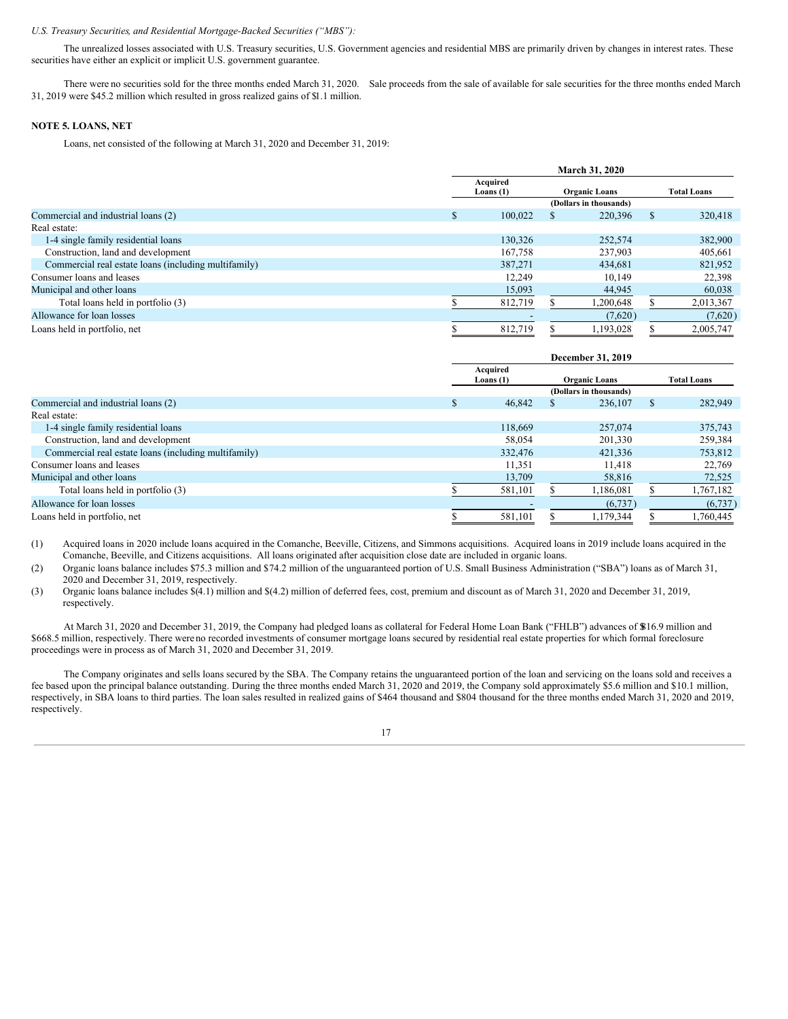# *U.S. Treasury Securities, and Residential Mortgage-Backed Securities ("MBS"):*

The unrealized losses associated with U.S. Treasury securities, U.S. Government agencies and residential MBS are primarily driven by changes in interest rates. These securities have either an explicit or implicit U.S. government guarantee.

There were no securities sold for the three months ended March 31, 2020. Sale proceeds from the sale of available for sale securities for the three months ended March 31, 2019 were \$45.2 million which resulted in gross realized gains of \$1.1 million.

# **NOTE 5. LOANS, NET**

Loans, net consisted of the following at March 31, 2020 and December 31, 2019:

|                                                      |     | March 31, 2020          |                      |                        |                    |           |  |  |  |  |  |
|------------------------------------------------------|-----|-------------------------|----------------------|------------------------|--------------------|-----------|--|--|--|--|--|
|                                                      |     | Acquired<br>Loans $(1)$ | <b>Organic Loans</b> |                        | <b>Total Loans</b> |           |  |  |  |  |  |
|                                                      |     |                         |                      | (Dollars in thousands) |                    |           |  |  |  |  |  |
| Commercial and industrial loans (2)                  | \$. | 100.022                 |                      | 220,396                | <sup>\$</sup>      | 320,418   |  |  |  |  |  |
| Real estate:                                         |     |                         |                      |                        |                    |           |  |  |  |  |  |
| 1-4 single family residential loans                  |     | 130.326                 |                      | 252,574                |                    | 382,900   |  |  |  |  |  |
| Construction, land and development                   |     | 167.758                 |                      | 237,903                |                    | 405,661   |  |  |  |  |  |
| Commercial real estate loans (including multifamily) |     | 387,271                 |                      | 434.681                |                    | 821,952   |  |  |  |  |  |
| Consumer loans and leases                            |     | 12,249                  |                      | 10,149                 |                    | 22,398    |  |  |  |  |  |
| Municipal and other loans                            |     | 15,093                  |                      | 44,945                 |                    | 60,038    |  |  |  |  |  |
| Total loans held in portfolio (3)                    |     | 812,719                 |                      | 1,200,648              |                    | 2,013,367 |  |  |  |  |  |
| Allowance for loan losses                            |     |                         |                      | (7,620)                |                    | (7,620)   |  |  |  |  |  |
| Loans held in portfolio, net                         |     | 812.719                 |                      | 1.193.028              |                    | 2.005.747 |  |  |  |  |  |

|                                                      | December 31, 2019 |                         |  |                        |               |                    |  |  |  |  |
|------------------------------------------------------|-------------------|-------------------------|--|------------------------|---------------|--------------------|--|--|--|--|
|                                                      |                   | Acquired<br>Loans $(1)$ |  | <b>Organic Loans</b>   |               | <b>Total Loans</b> |  |  |  |  |
|                                                      |                   |                         |  | (Dollars in thousands) |               |                    |  |  |  |  |
| Commercial and industrial loans (2)                  | S.                | 46,842                  |  | 236,107                | <sup>\$</sup> | 282,949            |  |  |  |  |
| Real estate:                                         |                   |                         |  |                        |               |                    |  |  |  |  |
| 1-4 single family residential loans                  |                   | 118,669                 |  | 257,074                |               | 375,743            |  |  |  |  |
| Construction, land and development                   |                   | 58,054                  |  | 201,330                |               | 259,384            |  |  |  |  |
| Commercial real estate loans (including multifamily) |                   | 332,476                 |  | 421,336                |               | 753,812            |  |  |  |  |
| Consumer loans and leases                            |                   | 11,351                  |  | 11.418                 |               | 22,769             |  |  |  |  |
| Municipal and other loans                            |                   | 13,709                  |  | 58,816                 |               | 72,525             |  |  |  |  |
| Total loans held in portfolio (3)                    |                   | 581,101                 |  | 1,186,081              |               | 1,767,182          |  |  |  |  |
| Allowance for loan losses                            |                   |                         |  | (6,737)                |               | (6, 737)           |  |  |  |  |
| Loans held in portfolio, net                         |                   | 581,101                 |  | 1,179,344              |               | 1,760,445          |  |  |  |  |

(1) Acquired loans in 2020 include loans acquired in the Comanche, Beeville, Citizens, and Simmons acquisitions. Acquired loans in 2019 include loans acquired in the Comanche, Beeville, and Citizens acquisitions. All loans originated after acquisition close date are included in organic loans.

(2) Organic loans balance includes \$75.3 million and \$74.2 million of the unguaranteed portion of U.S. Small Business Administration ("SBA") loans as of March 31, 2020 and December 31, 2019, respectively.

(3) Organic loans balance includes \$(4.1) million and \$(4.2) million of deferred fees, cost, premium and discount as of March 31, 2020 and December 31, 2019, respectively.

At March 31, 2020 and December 31, 2019, the Company had pledged loans as collateral for Federal Home Loan Bank ("FHLB") advances of \$816.9 million and \$668.5 million, respectively. There were no recorded investments of consumer mortgage loans secured by residential real estate properties for which formal foreclosure proceedings were in process as of March 31, 2020 and December 31, 2019.

The Company originates and sells loans secured by the SBA. The Company retains the unguaranteed portion of the loan and servicing on the loans sold and receives a fee based upon the principal balance outstanding. During the three months ended March 31, 2020 and 2019, the Company sold approximately \$5.6 million and \$10.1 million, respectively, in SBA loans to third parties. The loan sales resulted in realized gains of \$464 thousand and \$804 thousand for the three months ended March 31, 2020 and 2019, respectively.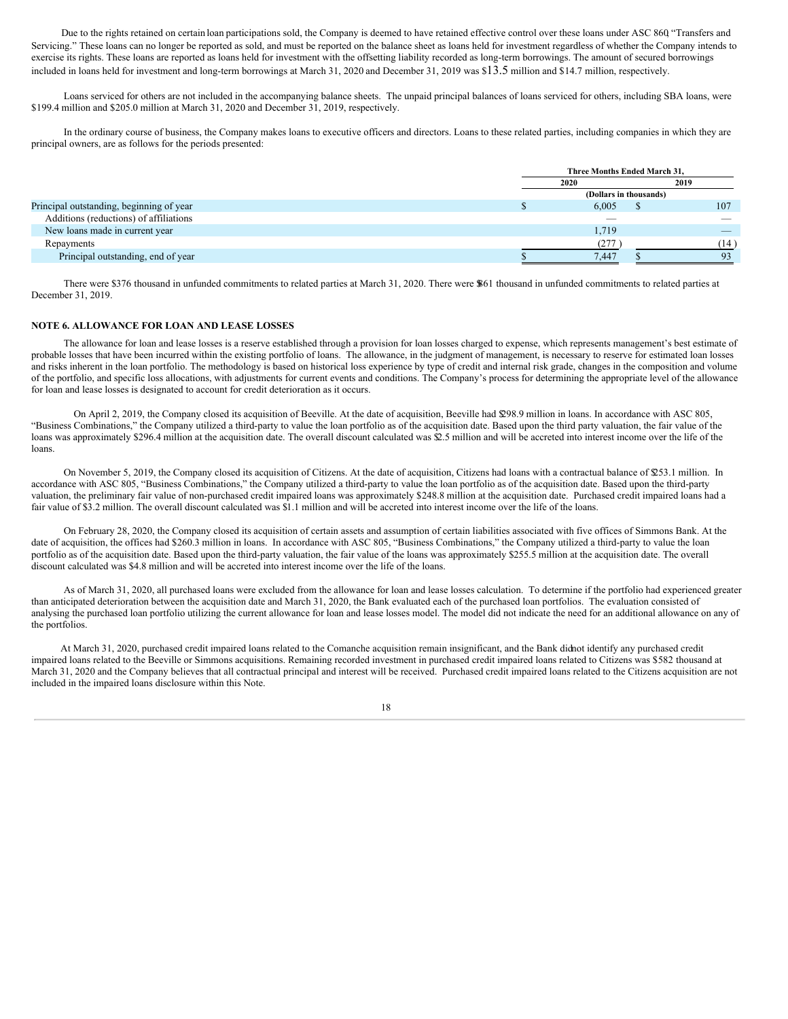Due to the rights retained on certain loan participations sold, the Company is deemed to have retained effective control over these loans under ASC 860, "Transfers and Servicing." These loans can no longer be reported as sold, and must be reported on the balance sheet as loans held for investment regardless of whether the Company intends to exercise its rights. These loans are reported as loans held for investment with the offsetting liability recorded as long-term borrowings. The amount of secured borrowings included in loans held for investment and long-term borrowings at March 31, 2020 and December 31, 2019 was \$13.5 million and \$14.7 million, respectively.

Loans serviced for others are not included in the accompanying balance sheets. The unpaid principal balances of loans serviced for others, including SBA loans, were \$199.4 million and \$205.0 million at March 31, 2020 and December 31, 2019, respectively.

In the ordinary course of business, the Company makes loans to executive officers and directors. Loans to these related parties, including companies in which they are principal owners, are as follows for the periods presented:

| Three Months Ended March 31, |       |      |                        |  |  |  |  |  |
|------------------------------|-------|------|------------------------|--|--|--|--|--|
|                              | 2019  |      |                        |  |  |  |  |  |
|                              |       |      |                        |  |  |  |  |  |
|                              | 6,005 |      | 107                    |  |  |  |  |  |
|                              | _     |      | $-$                    |  |  |  |  |  |
|                              | 1,719 |      | _                      |  |  |  |  |  |
|                              | (277) |      | (14)                   |  |  |  |  |  |
|                              | 7.447 |      | 93                     |  |  |  |  |  |
|                              |       | 2020 | (Dollars in thousands) |  |  |  |  |  |

There were \$376 thousand in unfunded commitments to related parties at March 31, 2020. There were \$861 thousand in unfunded commitments to related parties at December 31, 2019.

# **NOTE 6. ALLOWANCE FOR LOAN AND LEASE LOSSES**

The allowance for loan and lease losses is a reserve established through a provision for loan losses charged to expense, which represents management's best estimate of probable losses that have been incurred within the existing portfolio of loans. The allowance, in the judgment of management, is necessary to reserve for estimated loan losses and risks inherent in the loan portfolio. The methodology is based on historical loss experience by type of credit and internal risk grade, changes in the composition and volume of the portfolio, and specific loss allocations, with adjustments for current events and conditions. The Company's process for determining the appropriate level of the allowance for loan and lease losses is designated to account for credit deterioration as it occurs.

On April 2, 2019, the Company closed its acquisition of Beeville. At the date of acquisition, Beeville had \$298.9 million in loans. In accordance with ASC 805, "Business Combinations," the Company utilized a third-party to value the loan portfolio as of the acquisition date. Based upon the third party valuation, the fair value of the loans was approximately \$296.4 million at the acquisition date. The overall discount calculated was \$2.5 million and will be accreted into interest income over the life of the loans.

On November 5, 2019, the Company closed its acquisition of Citizens. At the date of acquisition, Citizens had loans with a contractual balance of \$253.1 million. In accordance with ASC 805, "Business Combinations," the Company utilized a third-party to value the loan portfolio as of the acquisition date. Based upon the third-party valuation, the preliminary fair value of non-purchased credit impaired loans was approximately \$248.8 million at the acquisition date. Purchased credit impaired loans had a fair value of \$3.2 million. The overall discount calculated was \$1.1 million and will be accreted into interest income over the life of the loans.

On February 28, 2020, the Company closed its acquisition of certain assets and assumption of certain liabilities associated with five offices of Simmons Bank. At the date of acquisition, the offices had \$260.3 million in loans. In accordance with ASC 805, "Business Combinations," the Company utilized a third-party to value the loan portfolio as of the acquisition date. Based upon the third-party valuation, the fair value of the loans was approximately \$255.5 million at the acquisition date. The overall discount calculated was \$4.8 million and will be accreted into interest income over the life of the loans.

As of March 31, 2020, all purchased loans were excluded from the allowance for loan and lease losses calculation. To determine if the portfolio had experienced greater than anticipated deterioration between the acquisition date and March 31, 2020, the Bank evaluated each of the purchased loan portfolios. The evaluation consisted of analysing the purchased loan portfolio utilizing the current allowance for loan and lease losses model. The model did not indicate the need for an additional allowance on any of the portfolios.

At March 31, 2020, purchased credit impaired loans related to the Comanche acquisition remain insignificant, and the Bank didnot identify any purchased credit impaired loans related to the Beeville or Simmons acquisitions. Remaining recorded investment in purchased credit impaired loans related to Citizens was \$582 thousand at March 31, 2020 and the Company believes that all contractual principal and interest will be received. Purchased credit impaired loans related to the Citizens acquisition are not included in the impaired loans disclosure within this Note.

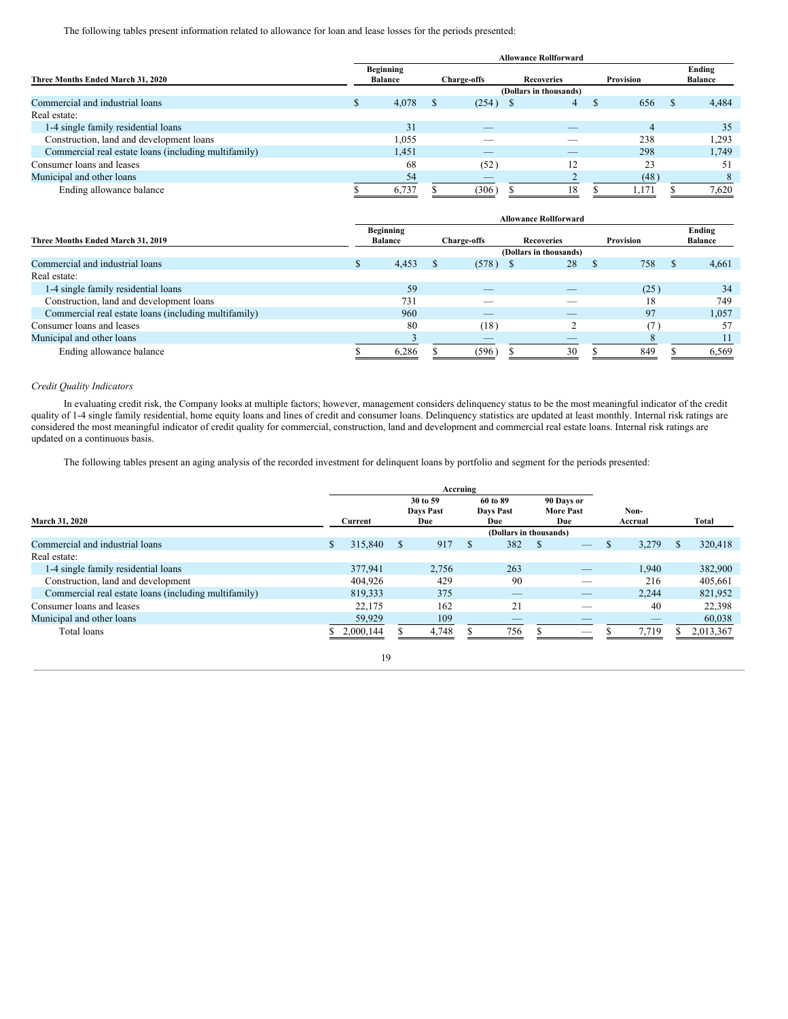The following tables present information related to allowance for loan and lease losses for the periods presented:

|                                                      | <b>Allowance Rollforward</b> |                             |                    |                        |            |           |                |              |                          |  |  |  |
|------------------------------------------------------|------------------------------|-----------------------------|--------------------|------------------------|------------|-----------|----------------|--------------|--------------------------|--|--|--|
| Three Months Ended March 31, 2020                    |                              | Beginning<br><b>Balance</b> | <b>Charge-offs</b> |                        | Recoveries | Provision |                |              | Ending<br><b>Balance</b> |  |  |  |
|                                                      |                              |                             |                    | (Dollars in thousands) |            |           |                |              |                          |  |  |  |
| Commercial and industrial loans                      |                              | 4,078                       | - 5                | $(254)$ \$             | 4          | - 35      | 656            | $\mathbf{r}$ | 4,484                    |  |  |  |
| Real estate:                                         |                              |                             |                    |                        |            |           |                |              |                          |  |  |  |
| 1-4 single family residential loans                  |                              | 31                          |                    |                        |            |           | $\overline{4}$ |              | 35                       |  |  |  |
| Construction, land and development loans             |                              | 1,055                       |                    |                        |            |           | 238            |              | .293                     |  |  |  |
| Commercial real estate loans (including multifamily) |                              | 1,451                       |                    | _                      |            |           | 298            |              | 1,749                    |  |  |  |
| Consumer loans and leases                            |                              | 68                          |                    | (52)                   | 12         |           | 23             |              | 51                       |  |  |  |
| Municipal and other loans                            |                              | 54                          |                    | _                      |            |           | (48)           |              |                          |  |  |  |
| Ending allowance balance                             |                              | 6,737                       |                    | (306)                  | 18         |           | 1.171          |              | 7,620                    |  |  |  |

|                                                      |   | <b>Allowance Rollforward</b> |  |                    |            |    |   |                  |               |                          |  |  |  |
|------------------------------------------------------|---|------------------------------|--|--------------------|------------|----|---|------------------|---------------|--------------------------|--|--|--|
| Three Months Ended March 31, 2019                    |   | Beginning<br><b>Balance</b>  |  | <b>Charge-offs</b> | Recoveries |    |   | <b>Provision</b> |               | Ending<br><b>Balance</b> |  |  |  |
|                                                      |   | (Dollars in thousands)       |  |                    |            |    |   |                  |               |                          |  |  |  |
| Commercial and industrial loans                      | D | 4,453                        |  | (578)              | - S        | 28 | S | 758              | <sup>\$</sup> | 4,661                    |  |  |  |
| Real estate:                                         |   |                              |  |                    |            |    |   |                  |               |                          |  |  |  |
| 1-4 single family residential loans                  |   | 59                           |  |                    |            |    |   | (25)             |               | 34                       |  |  |  |
| Construction, land and development loans             |   | 731                          |  |                    |            |    |   | 18               |               | 749                      |  |  |  |
| Commercial real estate loans (including multifamily) |   | 960                          |  | _                  |            | __ |   | 97               |               | 1,057                    |  |  |  |
| Consumer loans and leases                            |   | 80                           |  | (18)               |            |    |   |                  |               | 57                       |  |  |  |
| Municipal and other loans                            |   |                              |  | _                  |            |    |   |                  |               |                          |  |  |  |
| Ending allowance balance                             |   | 6,286                        |  | (596)              |            | 30 |   | 849              |               | 6,569                    |  |  |  |

# *Credit Quality Indicators*

In evaluating credit risk, the Company looks at multiple factors; however, management considers delinquency status to be the most meaningful indicator of the credit quality of 1-4 single family residential, home equity loans and lines of credit and consumer loans. Delinquency statistics are updated at least monthly. Internal risk ratings are considered the most meaningful indicator of credit quality for commercial, construction, land and development and commercial real estate loans. Internal risk ratings are updated on a continuous basis.

The following tables present an aging analysis of the recorded investment for delinquent loans by portfolio and segment for the periods presented:

| <b>March 31, 2020</b>                                | Current |           | 30 to 59<br>Days Past<br>Due |       | 60 to 89<br>Days Past<br>Due |                        |          | 90 Days or<br><b>More Past</b><br>Due |               | Non-<br>Accrual |     | Total     |
|------------------------------------------------------|---------|-----------|------------------------------|-------|------------------------------|------------------------|----------|---------------------------------------|---------------|-----------------|-----|-----------|
|                                                      |         |           |                              |       |                              | (Dollars in thousands) |          |                                       |               |                 |     |           |
| Commercial and industrial loans                      |         | 315,840   | -S                           | 917   | <b>S</b>                     | 382                    | <b>S</b> | _                                     | <sup>\$</sup> | 3,279           | \$. | 320,418   |
| Real estate:                                         |         |           |                              |       |                              |                        |          |                                       |               |                 |     |           |
| 1-4 single family residential loans                  |         | 377,941   |                              | 2,756 |                              | 263                    |          |                                       |               | 1,940           |     | 382,900   |
| Construction, land and development                   |         | 404,926   |                              | 429   |                              | 90                     |          |                                       |               | 216             |     | 405,661   |
| Commercial real estate loans (including multifamily) |         | 819.333   |                              | 375   |                              | $-$                    |          | _                                     |               | 2.244           |     | 821,952   |
| Consumer loans and leases                            |         | 22.175    |                              | 162   |                              | 21                     |          |                                       |               | 40              |     | 22.398    |
| Municipal and other loans                            |         | 59,929    |                              | 109   |                              | $-$                    |          | _                                     |               | _               |     | 60,038    |
| Total loans                                          |         | 2,000,144 |                              | 4.748 |                              | 756                    |          | $\overline{\phantom{a}}$              |               | 7.719           |     | 2,013,367 |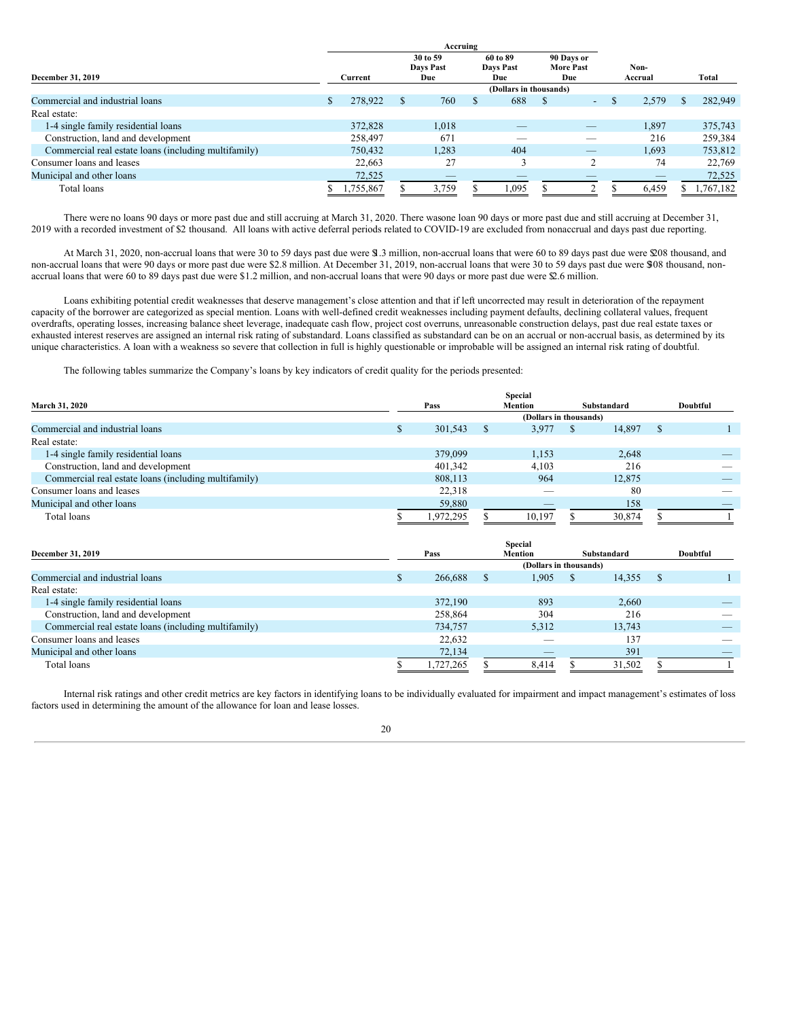|                                                      | Accruing |           |  |                         |  |                        |  |                                |   |         |          |
|------------------------------------------------------|----------|-----------|--|-------------------------|--|------------------------|--|--------------------------------|---|---------|----------|
|                                                      |          |           |  | 30 to 59                |  | 60 to 89               |  | 90 Days or<br><b>More Past</b> |   | Non-    |          |
| December 31, 2019                                    |          | Current   |  | <b>Days Past</b><br>Due |  | Days Past<br>Due       |  | Due                            |   | Accrual | Total    |
|                                                      |          |           |  |                         |  | (Dollars in thousands) |  |                                |   |         |          |
| Commercial and industrial loans                      |          | 278,922   |  | 760                     |  | 688                    |  | $\overline{\phantom{a}}$       | S | 2,579   | 282,949  |
| Real estate:                                         |          |           |  |                         |  |                        |  |                                |   |         |          |
| 1-4 single family residential loans                  |          | 372,828   |  | 1,018                   |  |                        |  | _                              |   | 1,897   | 375,743  |
| Construction, land and development                   |          | 258,497   |  | 671                     |  |                        |  | _                              |   | 216     | 259,384  |
| Commercial real estate loans (including multifamily) |          | 750,432   |  | 1,283                   |  | 404                    |  | _                              |   | 1,693   | 753,812  |
| Consumer loans and leases                            |          | 22.663    |  | 27                      |  |                        |  |                                |   | 74      | 22,769   |
| Municipal and other loans                            |          | 72,525    |  |                         |  |                        |  |                                |   |         | 72,525   |
| Total loans                                          |          | 1,755,867 |  | 3,759                   |  | .095                   |  |                                |   | 6,459   | ,767,182 |

There were no loans 90 days or more past due and still accruing at March 31, 2020. There wasone loan 90 days or more past due and still accruing at December 31, 2019 with a recorded investment of \$2 thousand. All loans with active deferral periods related to COVID-19 are excluded from nonaccrual and days past due reporting.

At March 31, 2020, non-accrual loans that were 30 to 59 days past due were \$1.3 million, non-accrual loans that were 60 to 89 days past due were \$208 thousand, and non-accrual loans that were 90 days or more past due were \$2.8 million. At December 31, 2019, non-accrual loans that were 30 to 59 days past due were \$08 thousand, nonaccrual loans that were 60 to 89 days past due were \$1.2 million, and non-accrual loans that were 90 days or more past due were \$2.6 million.

Loans exhibiting potential credit weaknesses that deserve management's close attention and that if left uncorrected may result in deterioration of the repayment capacity of the borrower are categorized as special mention. Loans with well-defined credit weaknesses including payment defaults, declining collateral values, frequent overdrafts, operating losses, increasing balance sheet leverage, inadequate cash flow, project cost overruns, unreasonable construction delays, past due real estate taxes or exhausted interest reserves are assigned an internal risk rating of substandard. Loans classified as substandard can be on an accrual or non-accrual basis, as determined by its unique characteristics. A loan with a weakness so severe that collection in full is highly questionable or improbable will be assigned an internal risk rating of doubtful.

The following tables summarize the Company's loans by key indicators of credit quality for the periods presented:

|                                                      |           |               | <b>Special</b>           |               |        |               |          |
|------------------------------------------------------|-----------|---------------|--------------------------|---------------|--------|---------------|----------|
| <b>March 31, 2020</b>                                | Pass      |               | <b>Mention</b>           | Substandard   |        |               | Doubtful |
|                                                      |           |               | (Dollars in thousands)   |               |        |               |          |
| Commercial and industrial loans                      | 301.543   | <sup>\$</sup> | 3.977                    | <sup>\$</sup> | 14.897 | <sup>\$</sup> |          |
| Real estate:                                         |           |               |                          |               |        |               |          |
| 1-4 single family residential loans                  | 379,099   |               | 1.153                    |               | 2,648  |               |          |
| Construction, land and development                   | 401,342   |               | 4,103                    |               | 216    |               |          |
| Commercial real estate loans (including multifamily) | 808,113   |               | 964                      |               | 12,875 |               |          |
| Consumer loans and leases                            | 22,318    |               | $\overline{\phantom{a}}$ |               | 80     |               |          |
| Municipal and other loans                            | 59,880    |               |                          |               | 158    |               |          |
| Total loans                                          | 1,972,295 |               | 10.197                   |               | 30,874 |               |          |

|                                                      |           |                | <b>Special</b>           |   |             |    |          |
|------------------------------------------------------|-----------|----------------|--------------------------|---|-------------|----|----------|
| December 31, 2019                                    | Pass      | <b>Mention</b> |                          |   | Substandard |    | Doubtful |
|                                                      |           |                | (Dollars in thousands)   |   |             |    |          |
| Commercial and industrial loans                      | 266,688   |                | 1.905                    | S | 14,355      | -S |          |
| Real estate:                                         |           |                |                          |   |             |    |          |
| 1-4 single family residential loans                  | 372,190   |                | 893                      |   | 2,660       |    |          |
| Construction, land and development                   | 258,864   |                | 304                      |   | 216         |    |          |
| Commercial real estate loans (including multifamily) | 734,757   |                | 5.312                    |   | 13.743      |    | _        |
| Consumer loans and leases                            | 22,632    |                | $\overline{\phantom{a}}$ |   | 137         |    |          |
| Municipal and other loans                            | 72,134    |                | $-$                      |   | 391         |    |          |
| Total loans                                          | 1,727,265 |                | 8,414                    |   | 31,502      |    |          |

Internal risk ratings and other credit metrics are key factors in identifying loans to be individually evaluated for impairment and impact management's estimates of loss factors used in determining the amount of the allowance for loan and lease losses.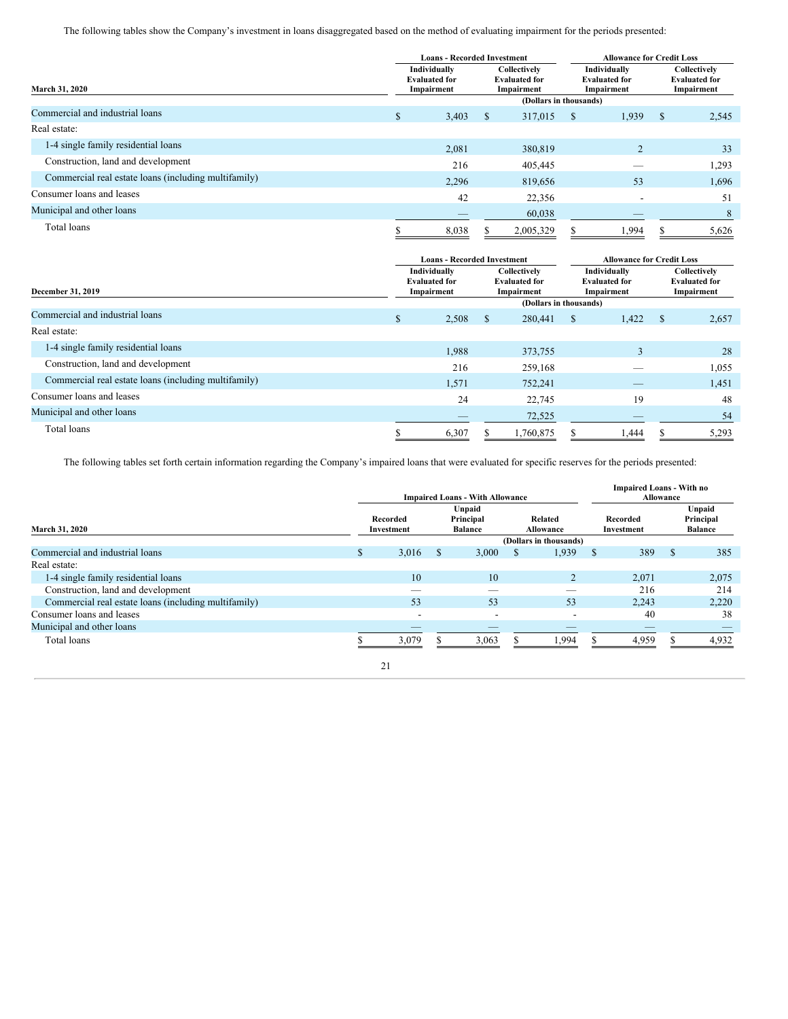The following tables show the Company's investment in loans disaggregated based on the method of evaluating impairment for the periods presented:

|                                                      |               | <b>Loans - Recorded Investment</b>                 |              |                                                    |                                                    | <b>Allowance for Credit Loss</b> |    |                                                    |  |
|------------------------------------------------------|---------------|----------------------------------------------------|--------------|----------------------------------------------------|----------------------------------------------------|----------------------------------|----|----------------------------------------------------|--|
| March 31, 2020                                       |               | Individually<br><b>Evaluated for</b><br>Impairment |              | Collectively<br><b>Evaluated for</b><br>Impairment | Individually<br><b>Evaluated for</b><br>Impairment |                                  |    | Collectively<br><b>Evaluated for</b><br>Impairment |  |
|                                                      |               |                                                    |              | (Dollars in thousands)                             |                                                    |                                  |    |                                                    |  |
| Commercial and industrial loans                      | $\mathcal{S}$ | 3,403                                              | <sup>S</sup> | 317,015                                            | <sup>\$</sup>                                      | 1,939                            | -S | 2,545                                              |  |
| Real estate:                                         |               |                                                    |              |                                                    |                                                    |                                  |    |                                                    |  |
| 1-4 single family residential loans                  |               | 2,081                                              |              | 380,819                                            |                                                    | $\overline{c}$                   |    | 33                                                 |  |
| Construction, land and development                   |               | 216                                                |              | 405,445                                            |                                                    |                                  |    | 1,293                                              |  |
| Commercial real estate loans (including multifamily) |               | 2,296                                              |              | 819,656                                            |                                                    | 53                               |    | 1,696                                              |  |
| Consumer loans and leases                            |               | 42                                                 |              | 22,356                                             |                                                    |                                  |    | 51                                                 |  |
| Municipal and other loans                            |               |                                                    |              | 60,038                                             |                                                    |                                  |    | 8                                                  |  |
| Total loans                                          |               | 8,038                                              |              | 2,005,329                                          |                                                    | .994                             |    | 5,626                                              |  |

|                                                      |                                                                                                          | <b>Loans - Recorded Investment</b> |   |                        |   |                                                    | <b>Allowance for Credit Loss</b> |                                                    |  |
|------------------------------------------------------|----------------------------------------------------------------------------------------------------------|------------------------------------|---|------------------------|---|----------------------------------------------------|----------------------------------|----------------------------------------------------|--|
| December 31, 2019                                    | Individually<br>Collectively<br><b>Evaluated for</b><br><b>Evaluated for</b><br>Impairment<br>Impairment |                                    |   |                        |   | Individually<br><b>Evaluated for</b><br>Impairment |                                  | Collectively<br><b>Evaluated for</b><br>Impairment |  |
|                                                      |                                                                                                          |                                    |   | (Dollars in thousands) |   |                                                    |                                  |                                                    |  |
| Commercial and industrial loans                      | $\mathcal{S}$                                                                                            | 2,508                              | S | 280,441                | S | 1,422                                              | -S                               | 2,657                                              |  |
| Real estate:                                         |                                                                                                          |                                    |   |                        |   |                                                    |                                  |                                                    |  |
| 1-4 single family residential loans                  |                                                                                                          | 1,988                              |   | 373,755                |   | 3                                                  |                                  | 28                                                 |  |
| Construction, land and development                   |                                                                                                          | 216                                |   | 259,168                |   |                                                    |                                  | 1,055                                              |  |
| Commercial real estate loans (including multifamily) |                                                                                                          | 1,571                              |   | 752,241                |   |                                                    |                                  | 1,451                                              |  |
| Consumer loans and leases                            |                                                                                                          | 24                                 |   | 22,745                 |   | 19                                                 |                                  | 48                                                 |  |
| Municipal and other loans                            |                                                                                                          |                                    |   | 72,525                 |   |                                                    |                                  | 54                                                 |  |
| Total loans                                          |                                                                                                          | 6,307                              |   | 1,760,875              |   | 1.444                                              |                                  | 5,293                                              |  |

The following tables set forth certain information regarding the Company's impaired loans that were evaluated for specific reserves for the periods presented:

|                                                      | <b>Impaired Loans - With Allowance</b> |                                                                                                |   |       |   |       |               | <b>Impaired Loans - With no</b><br><b>Allowance</b> |               |                                       |  |  |
|------------------------------------------------------|----------------------------------------|------------------------------------------------------------------------------------------------|---|-------|---|-------|---------------|-----------------------------------------------------|---------------|---------------------------------------|--|--|
| March 31, 2020                                       |                                        | Unpaid<br>Principal<br>Related<br>Recorded<br><b>Balance</b><br><b>Allowance</b><br>Investment |   |       |   |       |               | Recorded<br>Investment                              |               | Unpaid<br>Principal<br><b>Balance</b> |  |  |
|                                                      | (Dollars in thousands)                 |                                                                                                |   |       |   |       |               |                                                     |               |                                       |  |  |
| Commercial and industrial loans                      | \$                                     | 3,016                                                                                          | S | 3,000 | S | 1,939 | <sup>\$</sup> | 389                                                 | <sup>\$</sup> | 385                                   |  |  |
| Real estate:                                         |                                        |                                                                                                |   |       |   |       |               |                                                     |               |                                       |  |  |
| 1-4 single family residential loans                  |                                        | 10                                                                                             |   | 10    |   |       |               | 2,071                                               |               | 2,075                                 |  |  |
| Construction, land and development                   |                                        |                                                                                                |   |       |   |       |               | 216                                                 |               | 214                                   |  |  |
| Commercial real estate loans (including multifamily) |                                        | 53                                                                                             |   | 53    |   | 53    |               | 2,243                                               |               | 2,220                                 |  |  |
| Consumer loans and leases                            |                                        | $\overline{\phantom{a}}$                                                                       |   | -     |   | -     |               | 40                                                  |               | 38                                    |  |  |
| Municipal and other loans                            |                                        | $-$                                                                                            |   | __    |   | _     |               | _                                                   |               | _                                     |  |  |
| Total loans                                          |                                        | 3,079                                                                                          |   | 3,063 |   | 1,994 |               | 4,959                                               |               | 4,932                                 |  |  |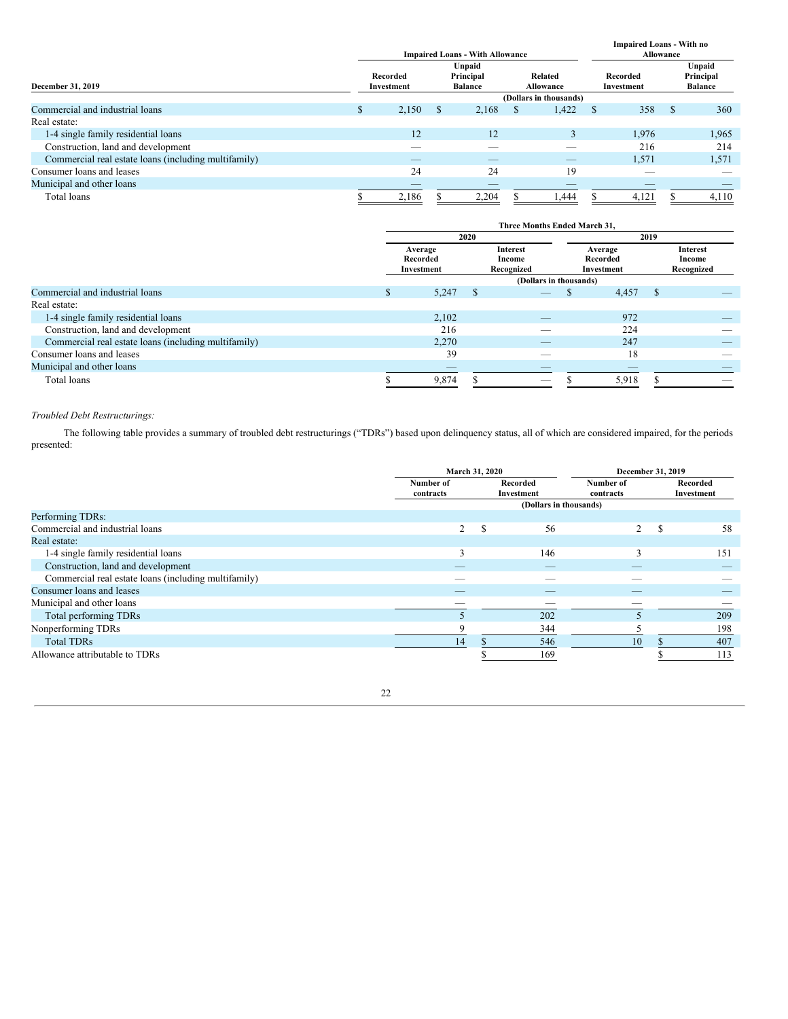|                                                      |     |                        |    | <b>Impaired Loans - With Allowance</b> | <b>Impaired Loans - With no</b><br><b>Allowance</b> |                             |               |                        |               |                                       |  |
|------------------------------------------------------|-----|------------------------|----|----------------------------------------|-----------------------------------------------------|-----------------------------|---------------|------------------------|---------------|---------------------------------------|--|
| December 31, 2019                                    |     | Recorded<br>Investment |    | Unpaid<br>Principal<br><b>Balance</b>  |                                                     | Related<br><b>Allowance</b> |               | Recorded<br>Investment |               | Unpaid<br>Principal<br><b>Balance</b> |  |
|                                                      |     | (Dollars in thousands) |    |                                        |                                                     |                             |               |                        |               |                                       |  |
| Commercial and industrial loans                      | \$. | 2,150                  | S. | 2,168                                  | S                                                   | 1,422                       | <sup>\$</sup> | 358                    | <sup>\$</sup> | 360                                   |  |
| Real estate:                                         |     |                        |    |                                        |                                                     |                             |               |                        |               |                                       |  |
| 1-4 single family residential loans                  |     | 12                     |    | 12                                     |                                                     | 3                           |               | 1,976                  |               | 1,965                                 |  |
| Construction, land and development                   |     |                        |    |                                        |                                                     |                             |               | 216                    |               | 214                                   |  |
| Commercial real estate loans (including multifamily) |     |                        |    |                                        |                                                     | _                           |               | 1,571                  |               | 1,571                                 |  |
| Consumer loans and leases                            |     | 24                     |    | 24                                     |                                                     | 19                          |               | _                      |               |                                       |  |
| Municipal and other loans                            |     |                        |    |                                        |                                                     |                             |               |                        |               |                                       |  |
| Total loans                                          |     | 2,186                  |    | 2,204                                  |                                                     | 1,444                       |               | 4,121                  |               | 4,110                                 |  |

|                                                      | Three Months Ended March 31, |                                   |      |                                         |  |                                   |   |                                         |  |  |  |
|------------------------------------------------------|------------------------------|-----------------------------------|------|-----------------------------------------|--|-----------------------------------|---|-----------------------------------------|--|--|--|
|                                                      |                              |                                   | 2020 |                                         |  | 2019                              |   |                                         |  |  |  |
|                                                      |                              | Average<br>Recorded<br>Investment |      | <b>Interest</b><br>Income<br>Recognized |  | Average<br>Recorded<br>Investment |   | <b>Interest</b><br>Income<br>Recognized |  |  |  |
|                                                      |                              |                                   |      | (Dollars in thousands)                  |  |                                   |   |                                         |  |  |  |
| Commercial and industrial loans                      | ъ                            | 5,247                             | S.   |                                         |  | 4,457                             | S |                                         |  |  |  |
| Real estate:                                         |                              |                                   |      |                                         |  |                                   |   |                                         |  |  |  |
| 1-4 single family residential loans                  |                              | 2,102                             |      |                                         |  | 972                               |   |                                         |  |  |  |
| Construction, land and development                   |                              | 216                               |      | _                                       |  | 224                               |   | _                                       |  |  |  |
| Commercial real estate loans (including multifamily) |                              | 2,270                             |      | _                                       |  | 247                               |   |                                         |  |  |  |
| Consumer loans and leases                            |                              | 39                                |      |                                         |  | 18                                |   |                                         |  |  |  |
| Municipal and other loans                            |                              |                                   |      | $\overline{\phantom{a}}$                |  | _                                 |   |                                         |  |  |  |
| Total loans                                          |                              | 9,874                             |      |                                         |  | 5,918                             |   | $\overline{\phantom{a}}$                |  |  |  |

# *Troubled Debt Restructurings:*

The following table provides a summary of troubled debt restructurings ("TDRs") based upon delinquency status, all of which are considered impaired, for the periods presented:

|                                                      | March 31, 2020         |    |                        | December 31, 2019      |   |                        |  |  |  |
|------------------------------------------------------|------------------------|----|------------------------|------------------------|---|------------------------|--|--|--|
|                                                      | Number of<br>contracts |    | Recorded<br>Investment | Number of<br>contracts |   | Recorded<br>Investment |  |  |  |
|                                                      |                        |    | (Dollars in thousands) |                        |   |                        |  |  |  |
| Performing TDRs:                                     |                        |    |                        |                        |   |                        |  |  |  |
| Commercial and industrial loans                      | $\overline{2}$         | -S | 56                     | $\overline{2}$         | S | 58                     |  |  |  |
| Real estate:                                         |                        |    |                        |                        |   |                        |  |  |  |
| 1-4 single family residential loans                  | 3                      |    | 146                    |                        |   | 151                    |  |  |  |
| Construction, land and development                   | _                      |    |                        |                        |   |                        |  |  |  |
| Commercial real estate loans (including multifamily) |                        |    |                        |                        |   |                        |  |  |  |
| Consumer loans and leases                            |                        |    |                        |                        |   |                        |  |  |  |
| Municipal and other loans                            |                        |    |                        |                        |   |                        |  |  |  |
| Total performing TDRs                                |                        |    | 202                    |                        |   | 209                    |  |  |  |
| Nonperforming TDRs                                   |                        |    | 344                    |                        |   | 198                    |  |  |  |
| <b>Total TDRs</b>                                    | 14                     |    | 546                    | 10                     |   | 407                    |  |  |  |
| Allowance attributable to TDRs                       |                        |    | 169                    |                        |   | 113                    |  |  |  |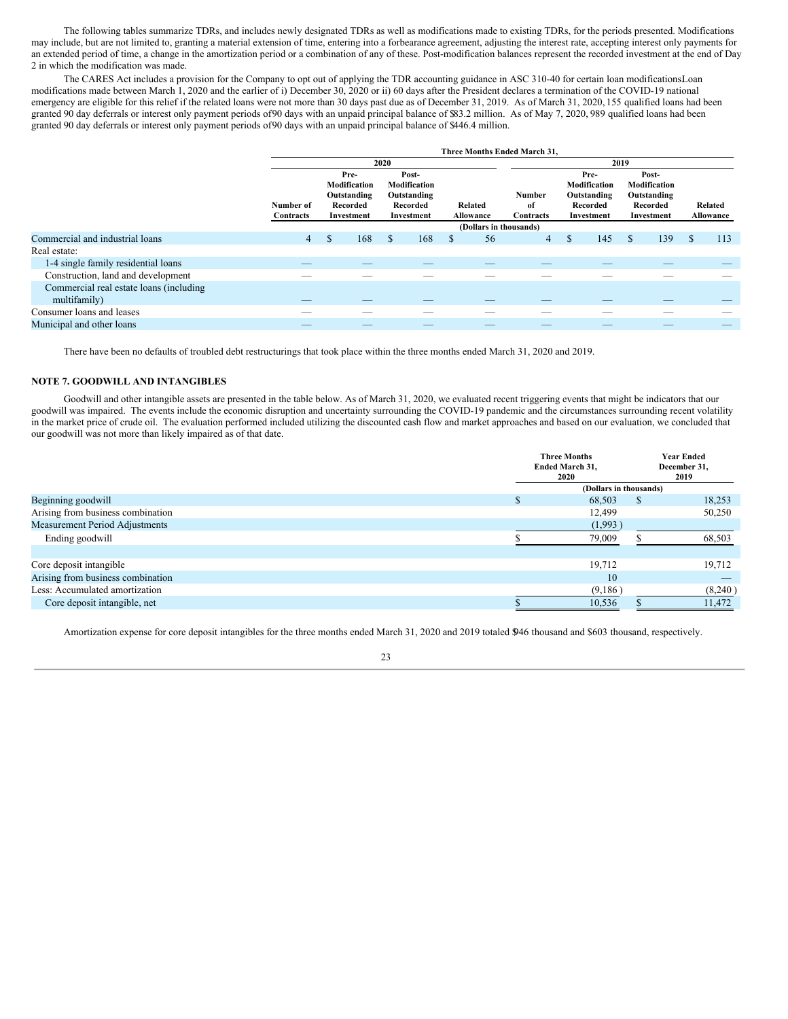The following tables summarize TDRs, and includes newly designated TDRs as well as modifications made to existing TDRs, for the periods presented. Modifications may include, but are not limited to, granting a material extension of time, entering into a forbearance agreement, adjusting the interest rate, accepting interest only payments for an extended period of time, a change in the amortization period or a combination of any of these. Post-modification balances represent the recorded investment at the end of Day 2 in which the modification was made.

The CARES Act includes a provision for the Company to opt out of applying the TDR accounting guidance in ASC 310-40 for certain loan modifications Loan modifications made between March 1, 2020 and the earlier of i) December 30, 2020 or ii) 60 days after the President declares a termination of the COVID-19 national emergency are eligible for this relief if the related loans were not more than 30 days past due as of December 31, 2019. As of March 31, 2020, 155 qualified loans had been granted 90 day deferrals or interest only payment periods of90 days with an unpaid principal balance of \$83.2 million. As of May 7, 2020, 989 qualified loans had been granted 90 day deferrals or interest only payment periods of90 days with an unpaid principal balance of \$446.4 million.

|                                                          | Three Months Ended March 31, |                                                               |     |      |                                                                |               |                        |                           |   |                                                               |                                                                |     |              |                             |
|----------------------------------------------------------|------------------------------|---------------------------------------------------------------|-----|------|----------------------------------------------------------------|---------------|------------------------|---------------------------|---|---------------------------------------------------------------|----------------------------------------------------------------|-----|--------------|-----------------------------|
|                                                          |                              |                                                               |     | 2020 |                                                                |               |                        |                           |   |                                                               | 2019                                                           |     |              |                             |
|                                                          | Number of<br>Contracts       | Pre-<br>Modification<br>Outstanding<br>Recorded<br>Investment |     |      | Post-<br>Modification<br>Outstanding<br>Recorded<br>Investment |               | Related<br>Allowance   | Number<br>of<br>Contracts |   | Pre-<br>Modification<br>Outstanding<br>Recorded<br>Investment | Post-<br>Modification<br>Outstanding<br>Recorded<br>Investment |     |              | Related<br><b>Allowance</b> |
|                                                          |                              |                                                               |     |      |                                                                |               | (Dollars in thousands) |                           |   |                                                               |                                                                |     |              |                             |
| Commercial and industrial loans                          | $\overline{4}$               | \$                                                            | 168 | S    | 168                                                            | <sup>\$</sup> | 56                     | 4                         | S | 145                                                           | $\mathbb{S}$                                                   | 139 | <sup>S</sup> | 113                         |
| Real estate:                                             |                              |                                                               |     |      |                                                                |               |                        |                           |   |                                                               |                                                                |     |              |                             |
| 1-4 single family residential loans                      | _                            |                                                               |     |      |                                                                |               | _                      |                           |   |                                                               |                                                                |     |              |                             |
| Construction, land and development                       |                              |                                                               |     |      |                                                                |               |                        |                           |   |                                                               |                                                                |     |              |                             |
| Commercial real estate loans (including)<br>multifamily) |                              |                                                               | _   |      | __                                                             |               | _                      | $\overline{\phantom{a}}$  |   |                                                               |                                                                |     |              |                             |
| Consumer loans and leases                                |                              |                                                               |     |      |                                                                |               |                        |                           |   |                                                               |                                                                |     |              |                             |
| Municipal and other loans                                |                              |                                                               |     |      |                                                                |               |                        |                           |   |                                                               |                                                                |     |              |                             |

There have been no defaults of troubled debt restructurings that took place within the three months ended March 31, 2020 and 2019.

# **NOTE 7. GOODWILL AND INTANGIBLES**

Goodwill and other intangible assets are presented in the table below. As of March 31, 2020, we evaluated recent triggering events that might be indicators that our goodwill was impaired. The events include the economic disruption and uncertainty surrounding the COVID-19 pandemic and the circumstances surrounding recent volatility in the market price of crude oil. The evaluation performed included utilizing the discounted cash flow and market approaches and based on our evaluation, we concluded that our goodwill was not more than likely impaired as of that date.

|                                   | <b>Three Months</b><br>Ended March 31,<br>2020 |   | <b>Year Ended</b><br>December 31,<br>2019 |
|-----------------------------------|------------------------------------------------|---|-------------------------------------------|
|                                   | (Dollars in thousands)                         |   |                                           |
| Beginning goodwill                | 68,503                                         | S | 18,253                                    |
| Arising from business combination | 12.499                                         |   | 50,250                                    |
| Measurement Period Adjustments    | (1,993)                                        |   |                                           |
| Ending goodwill                   | 79,009                                         |   | 68,503                                    |
|                                   |                                                |   |                                           |
| Core deposit intangible           | 19,712                                         |   | 19,712                                    |
| Arising from business combination | 10                                             |   |                                           |
| Less: Accumulated amortization    | (9,186)                                        |   | (8,240)                                   |
| Core deposit intangible, net      | 10,536                                         |   | 11,472                                    |
|                                   |                                                |   |                                           |

Amortization expense for core deposit intangibles for the three months ended March 31, 2020 and 2019 totaled \$946 thousand and \$603 thousand, respectively.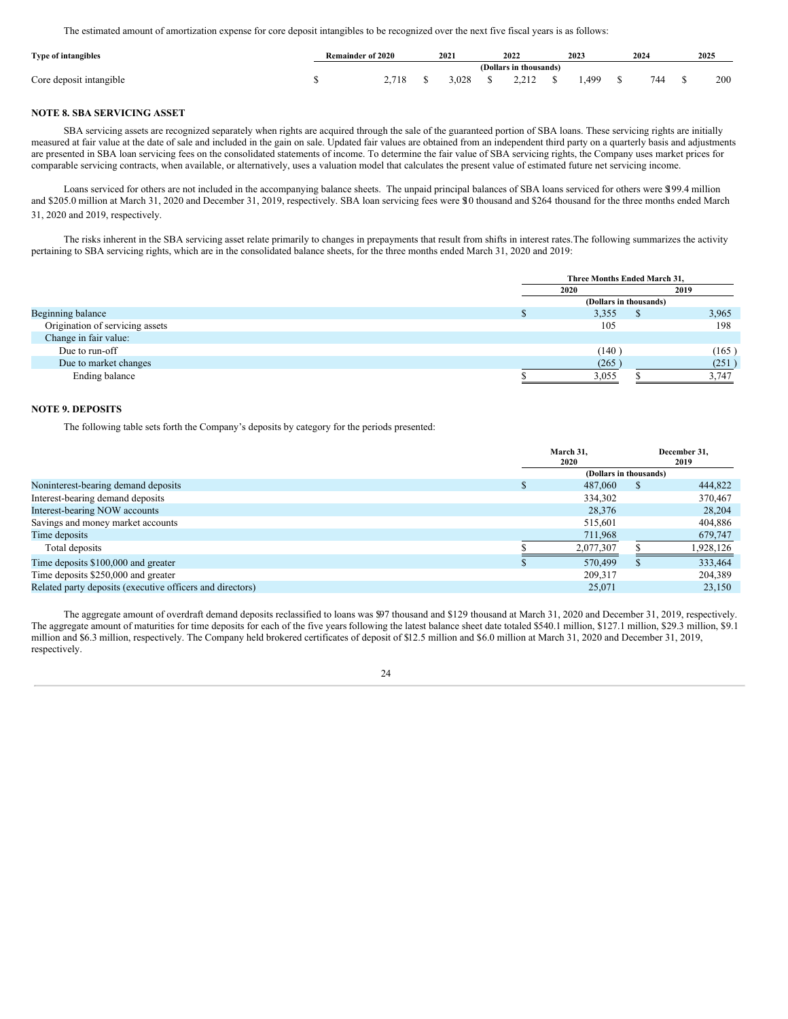The estimated amount of amortization expense for core deposit intangibles to be recognized over the next five fiscal years is as follows:

| <b>Type of intangibles</b> | Remainder of 2020 |       | 2021  | 2022<br>2023 |                                      |  |      | 2024 | 2025 |     |  |
|----------------------------|-------------------|-------|-------|--------------|--------------------------------------|--|------|------|------|-----|--|
|                            |                   |       |       |              | (Dollars in thousands)               |  |      |      |      |     |  |
| Core deposit intangible    |                   | 2.718 | 3.028 |              | $\frac{1}{2}$ \$ 2,212 $\frac{1}{2}$ |  | .499 | 744  |      | 200 |  |

# **NOTE 8. SBA SERVICING ASSET**

SBA servicing assets are recognized separately when rights are acquired through the sale of the guaranteed portion of SBA loans. These servicing rights are initially measured at fair value at the date of sale and included in the gain on sale. Updated fair values are obtained from an independent third party on a quarterly basis and adjustments are presented in SBA loan servicing fees on the consolidated statements of income. To determine the fair value of SBA servicing rights, the Company uses market prices for comparable servicing contracts, when available, or alternatively, uses a valuation model that calculates the present value of estimated future net servicing income.

Loans serviced for others are not included in the accompanying balance sheets. The unpaid principal balances of SBA loans serviced for others were \$199.4 million and \$205.0 million at March 31, 2020 and December 31, 2019, respectively. SBA loan servicing fees were \$10 thousand and \$264 thousand for the three months ended March 31, 2020 and 2019, respectively.

The risks inherent in the SBA servicing asset relate primarily to changes in prepayments that result from shifts in interest rates.The following summarizes the activity pertaining to SBA servicing rights, which are in the consolidated balance sheets, for the three months ended March 31, 2020 and 2019:

|                                 | Three Months Ended March 31, |  |       |  |  |  |  |
|---------------------------------|------------------------------|--|-------|--|--|--|--|
|                                 | 2020                         |  | 2019  |  |  |  |  |
|                                 | (Dollars in thousands)       |  |       |  |  |  |  |
| Beginning balance               | 3,355                        |  | 3,965 |  |  |  |  |
| Origination of servicing assets | 105                          |  | 198   |  |  |  |  |
| Change in fair value:           |                              |  |       |  |  |  |  |
| Due to run-off                  | (140)                        |  | (165) |  |  |  |  |
| Due to market changes           | (265)                        |  | (251) |  |  |  |  |
| Ending balance                  | 3.055                        |  | 3.747 |  |  |  |  |

# **NOTE 9. DEPOSITS**

The following table sets forth the Company's deposits by category for the periods presented:

|                                                           | March 31.<br>2020      |   | December 31,<br>2019 |
|-----------------------------------------------------------|------------------------|---|----------------------|
|                                                           | (Dollars in thousands) |   |                      |
| Noninterest-bearing demand deposits                       | 487,060                | S | 444,822              |
| Interest-bearing demand deposits                          | 334,302                |   | 370,467              |
| Interest-bearing NOW accounts                             | 28,376                 |   | 28,204               |
| Savings and money market accounts                         | 515,601                |   | 404,886              |
| Time deposits                                             | 711,968                |   | 679,747              |
| Total deposits                                            | 2,077,307              |   | 1.928.126            |
| Time deposits \$100,000 and greater                       | 570,499                | ъ | 333,464              |
| Time deposits \$250,000 and greater                       | 209.317                |   | 204,389              |
| Related party deposits (executive officers and directors) | 25.071                 |   | 23.150               |

The aggregate amount of overdraft demand deposits reclassified to loans was \$97 thousand and \$129 thousand at March 31, 2020 and December 31, 2019, respectively. The aggregate amount of maturities for time deposits for each of the five years following the latest balance sheet date totaled \$540.1 million, \$127.1 million, \$29.3 million, \$9.1 million and \$6.3 million, respectively. The Company held brokered certificates of deposit of \$12.5 million and \$6.0 million at March 31, 2020 and December 31, 2019, respectively.

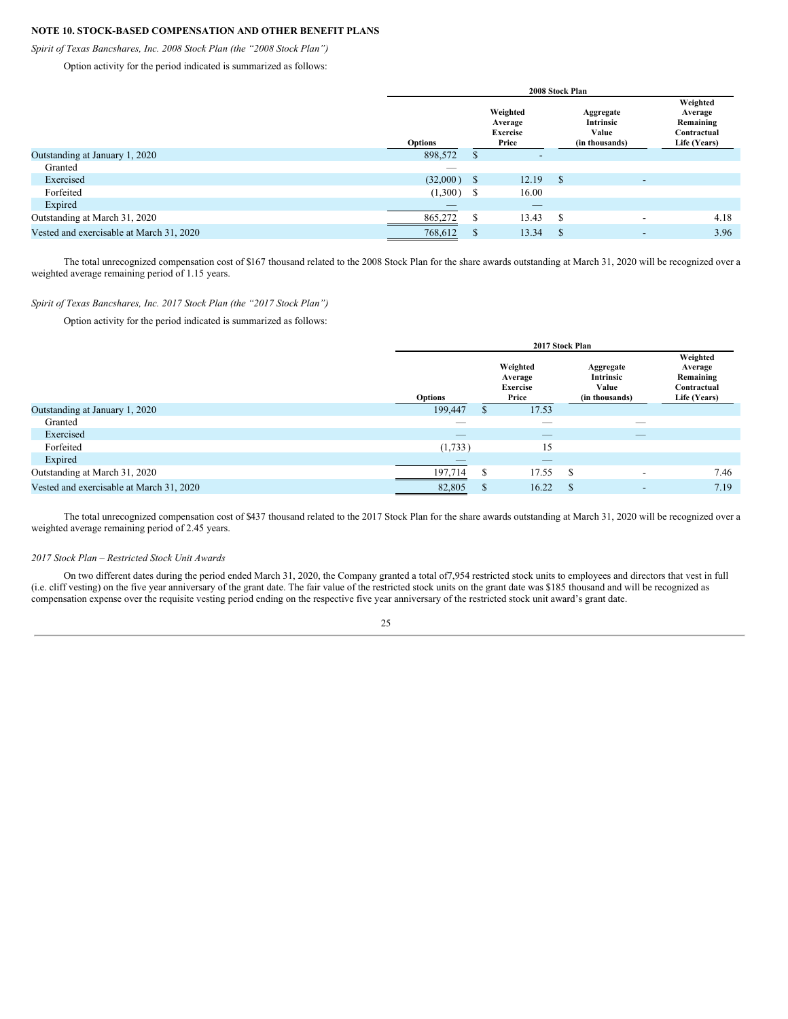# **NOTE 10. STOCK-BASED COMPENSATION AND OTHER BENEFIT PLANS**

*Spirit of Texas Bancshares, Inc. 2008 Stock Plan (the "2008 Stock Plan")*

Option activity for the period indicated is summarized as follows:

|                                          |                | 2008 Stock Plan |                                                 |          |                                                   |  |                                                                 |  |  |  |  |
|------------------------------------------|----------------|-----------------|-------------------------------------------------|----------|---------------------------------------------------|--|-----------------------------------------------------------------|--|--|--|--|
|                                          | <b>Options</b> |                 | Weighted<br>Average<br><b>Exercise</b><br>Price |          | Aggregate<br>Intrinsic<br>Value<br>(in thousands) |  | Weighted<br>Average<br>Remaining<br>Contractual<br>Life (Years) |  |  |  |  |
| Outstanding at January 1, 2020           | 898,572        | S               | $\overline{\phantom{a}}$                        |          |                                                   |  |                                                                 |  |  |  |  |
| Granted                                  | __             |                 |                                                 |          |                                                   |  |                                                                 |  |  |  |  |
| Exercised                                | $(32,000)$ \$  |                 | 12.19                                           | <b>S</b> | $\overline{\phantom{a}}$                          |  |                                                                 |  |  |  |  |
| Forfeited                                | $(1,300)$ \$   |                 | 16.00                                           |          |                                                   |  |                                                                 |  |  |  |  |
| Expired                                  | _              |                 | __                                              |          |                                                   |  |                                                                 |  |  |  |  |
| Outstanding at March 31, 2020            | 865,272        | S               | 13.43                                           | -S       | $\overline{\phantom{a}}$                          |  | 4.18                                                            |  |  |  |  |
| Vested and exercisable at March 31, 2020 | 768,612        | S               | 13.34                                           | S        | $\overline{\phantom{a}}$                          |  | 3.96                                                            |  |  |  |  |

The total unrecognized compensation cost of \$167 thousand related to the 2008 Stock Plan for the share awards outstanding at March 31, 2020 will be recognized over a weighted average remaining period of 1.15 years.

# *Spirit of Texas Bancshares, Inc. 2017 Stock Plan (the "2017 Stock Plan")*

Option activity for the period indicated is summarized as follows:

|                                          | 2017 Stock Plan |              |                                                 |      |                                                   |                                                                 |  |
|------------------------------------------|-----------------|--------------|-------------------------------------------------|------|---------------------------------------------------|-----------------------------------------------------------------|--|
|                                          | <b>Options</b>  |              | Weighted<br>Average<br><b>Exercise</b><br>Price |      | Aggregate<br>Intrinsic<br>Value<br>(in thousands) | Weighted<br>Average<br>Remaining<br>Contractual<br>Life (Years) |  |
| Outstanding at January 1, 2020           | 199,447         | S.           | 17.53                                           |      |                                                   |                                                                 |  |
| Granted                                  | __              |              | $\overline{\phantom{a}}$                        |      | _                                                 |                                                                 |  |
| Exercised                                |                 |              | $\hspace{0.1mm}-\hspace{0.1mm}$                 |      | $-$                                               |                                                                 |  |
| Forfeited                                | (1,733)         |              | 15                                              |      |                                                   |                                                                 |  |
| Expired                                  |                 |              | $-$                                             |      |                                                   |                                                                 |  |
| Outstanding at March 31, 2020            | 197,714         | S            | 17.55                                           | - \$ | $\overline{\phantom{0}}$                          | 7.46                                                            |  |
| Vested and exercisable at March 31, 2020 | 82,805          | <sup>S</sup> | 16.22                                           | -S   | $\overline{\phantom{a}}$                          | 7.19                                                            |  |

The total unrecognized compensation cost of \$437 thousand related to the 2017 Stock Plan for the share awards outstanding at March 31, 2020 will be recognized over a weighted average remaining period of 2.45 years.

# *2017 Stock Plan – Restricted Stock Unit Awards*

On two different dates during the period ended March 31, 2020, the Company granted a total of7,954 restricted stock units to employees and directors that vest in full (i.e. cliff vesting) on the five year anniversary of the grant date. The fair value of the restricted stock units on the grant date was \$185 thousand and will be recognized as compensation expense over the requisite vesting period ending on the respective five year anniversary of the restricted stock unit award's grant date.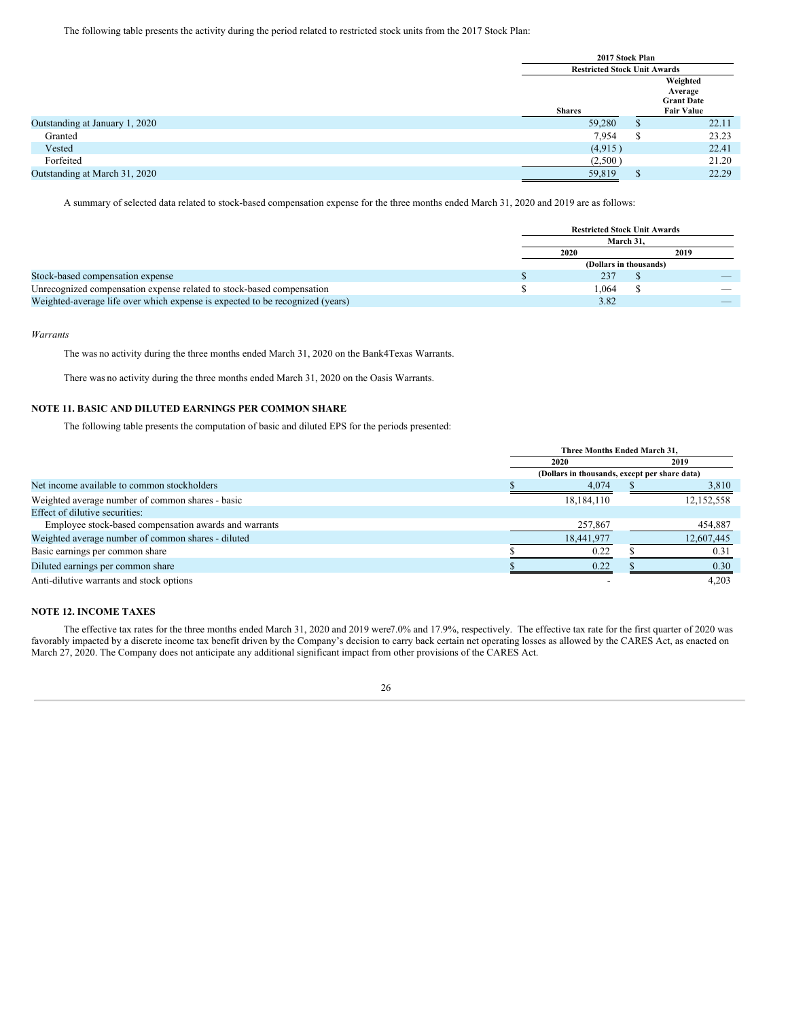The following table presents the activity during the period related to restricted stock units from the 2017 Stock Plan:

|                                |               | 2017 Stock Plan<br><b>Restricted Stock Unit Awards</b><br>Weighted |                                                   |  |  |  |
|--------------------------------|---------------|--------------------------------------------------------------------|---------------------------------------------------|--|--|--|
|                                |               |                                                                    |                                                   |  |  |  |
|                                | <b>Shares</b> |                                                                    | Average<br><b>Grant Date</b><br><b>Fair Value</b> |  |  |  |
| Outstanding at January 1, 2020 | 59,280        | ъ                                                                  | 22.11                                             |  |  |  |
| Granted                        | 7,954         | S                                                                  | 23.23                                             |  |  |  |
| Vested                         | (4,915)       |                                                                    | 22.41                                             |  |  |  |
| Forfeited                      | (2,500)       |                                                                    | 21.20                                             |  |  |  |
| Outstanding at March 31, 2020  | 59,819        | <b>S</b>                                                           | 22.29                                             |  |  |  |

A summary of selected data related to stock-based compensation expense for the three months ended March 31, 2020 and 2019 are as follows:

|                                                                               | <b>Restricted Stock Unit Awards</b> |      |  |  |  |  |
|-------------------------------------------------------------------------------|-------------------------------------|------|--|--|--|--|
|                                                                               | March 31.                           |      |  |  |  |  |
|                                                                               | 2020                                | 2019 |  |  |  |  |
|                                                                               | (Dollars in thousands)              |      |  |  |  |  |
| Stock-based compensation expense                                              | 237                                 |      |  |  |  |  |
| Unrecognized compensation expense related to stock-based compensation         | 1.064                               |      |  |  |  |  |
| Weighted-average life over which expense is expected to be recognized (years) | 3.82                                |      |  |  |  |  |

# *Warrants*

The was no activity during the three months ended March 31, 2020 on the Bank4Texas Warrants.

There was no activity during the three months ended March 31, 2020 on the Oasis Warrants.

# **NOTE 11. BASIC AND DILUTED EARNINGS PER COMMON SHARE**

The following table presents the computation of basic and diluted EPS for the periods presented:

|                                                       | Three Months Ended March 31,                  |  |            |  |  |  |  |
|-------------------------------------------------------|-----------------------------------------------|--|------------|--|--|--|--|
|                                                       | 2020                                          |  | 2019       |  |  |  |  |
|                                                       | (Dollars in thousands, except per share data) |  |            |  |  |  |  |
| Net income available to common stockholders           | 4,074                                         |  | 3,810      |  |  |  |  |
| Weighted average number of common shares - basic      | 18, 184, 110                                  |  | 12,152,558 |  |  |  |  |
| Effect of dilutive securities:                        |                                               |  |            |  |  |  |  |
| Employee stock-based compensation awards and warrants | 257,867                                       |  | 454.887    |  |  |  |  |
| Weighted average number of common shares - diluted    | 18,441,977                                    |  | 12,607,445 |  |  |  |  |
| Basic earnings per common share                       | 0.22                                          |  | 0.31       |  |  |  |  |
| Diluted earnings per common share                     | 0.22                                          |  | 0.30       |  |  |  |  |
| Anti-dilutive warrants and stock options              |                                               |  | 4.203      |  |  |  |  |

# **NOTE 12. INCOME TAXES**

The effective tax rates for the three months ended March 31, 2020 and 2019 were7.0% and 17.9%, respectively. The effective tax rate for the first quarter of 2020 was favorably impacted by a discrete income tax benefit driven by the Company's decision to carry back certain net operating losses as allowed by the CARES Act, as enacted on March 27, 2020. The Company does not anticipate any additional significant impact from other provisions of the CARES Act.

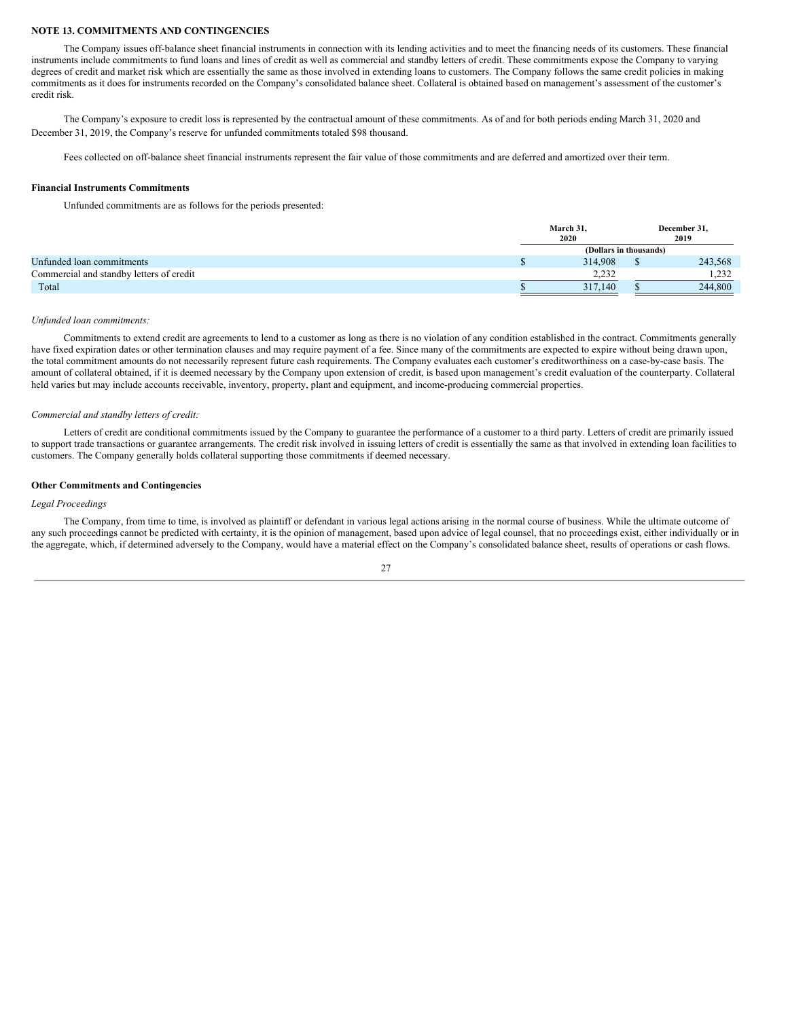# **NOTE 13. COMMITMENTS AND CONTINGENCIES**

The Company issues off-balance sheet financial instruments in connection with its lending activities and to meet the financing needs of its customers. These financial instruments include commitments to fund loans and lines of credit as well as commercial and standby letters of credit. These commitments expose the Company to varying degrees of credit and market risk which are essentially the same as those involved in extending loans to customers. The Company follows the same credit policies in making commitments as it does for instruments recorded on the Company's consolidated balance sheet. Collateral is obtained based on management's assessment of the customer's credit risk.

The Company's exposure to credit loss is represented by the contractual amount of these commitments. As of and for both periods ending March 31, 2020 and December 31, 2019, the Company's reserve for unfunded commitments totaled \$98 thousand.

Fees collected on off-balance sheet financial instruments represent the fair value of those commitments and are deferred and amortized over their term.

#### **Financial Instruments Commitments**

Unfunded commitments are as follows for the periods presented:

|                                          | March 31,<br>2020 |                        | December 31,<br>2019 |
|------------------------------------------|-------------------|------------------------|----------------------|
|                                          |                   | (Dollars in thousands) |                      |
| Unfunded loan commitments                | 314,908           |                        | 243,568              |
| Commercial and standby letters of credit | 2.232             |                        | 1.232                |
| Total                                    | 317,140           |                        | 244,800              |

#### *Unfunded loan commitments:*

Commitments to extend credit are agreements to lend to a customer as long as there is no violation of any condition established in the contract. Commitments generally have fixed expiration dates or other termination clauses and may require payment of a fee. Since many of the commitments are expected to expire without being drawn upon, the total commitment amounts do not necessarily represent future cash requirements. The Company evaluates each customer's creditworthiness on a case-by-case basis. The amount of collateral obtained, if it is deemed necessary by the Company upon extension of credit, is based upon management's credit evaluation of the counterparty. Collateral held varies but may include accounts receivable, inventory, property, plant and equipment, and income-producing commercial properties.

#### *Commercial and standby letters of credit:*

Letters of credit are conditional commitments issued by the Company to guarantee the performance of a customer to a third party. Letters of credit are primarily issued to support trade transactions or guarantee arrangements. The credit risk involved in issuing letters of credit is essentially the same as that involved in extending loan facilities to customers. The Company generally holds collateral supporting those commitments if deemed necessary.

# **Other Commitments and Contingencies**

# *Legal Proceedings*

The Company, from time to time, is involved as plaintiff or defendant in various legal actions arising in the normal course of business. While the ultimate outcome of any such proceedings cannot be predicted with certainty, it is the opinion of management, based upon advice of legal counsel, that no proceedings exist, either individually or in the aggregate, which, if determined adversely to the Company, would have a material effect on the Company's consolidated balance sheet, results of operations or cash flows.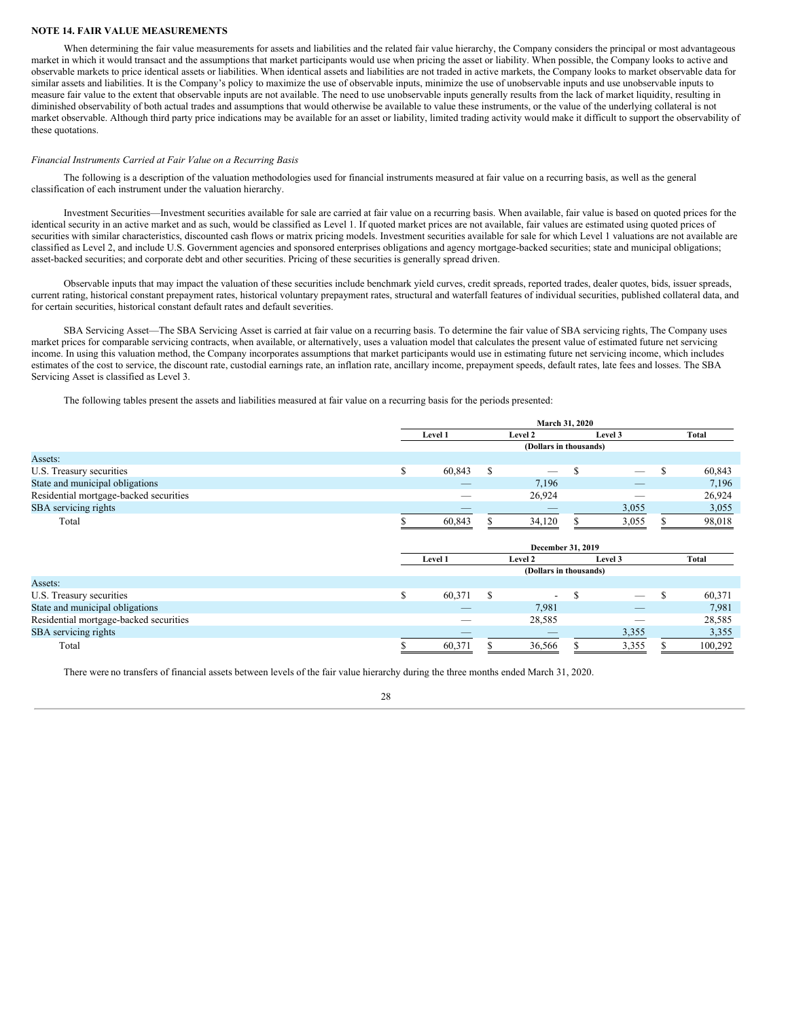#### **NOTE 14. FAIR VALUE MEASUREMENTS**

When determining the fair value measurements for assets and liabilities and the related fair value hierarchy, the Company considers the principal or most advantageous market in which it would transact and the assumptions that market participants would use when pricing the asset or liability. When possible, the Company looks to active and observable markets to price identical assets or liabilities. When identical assets and liabilities are not traded in active markets, the Company looks to market observable data for similar assets and liabilities. It is the Company's policy to maximize the use of observable inputs, minimize the use of unobservable inputs and use unobservable inputs to measure fair value to the extent that observable inputs are not available. The need to use unobservable inputs generally results from the lack of market liquidity, resulting in diminished observability of both actual trades and assumptions that would otherwise be available to value these instruments, or the value of the underlying collateral is not market observable. Although third party price indications may be available for an asset or liability, limited trading activity would make it difficult to support the observability of these quotations.

# *Financial Instruments Carried at Fair Value on a Recurring Basis*

The following is a description of the valuation methodologies used for financial instruments measured at fair value on a recurring basis, as well as the general classification of each instrument under the valuation hierarchy.

Investment Securities—Investment securities available for sale are carried at fair value on a recurring basis. When available, fair value is based on quoted prices for the identical security in an active market and as such, would be classified as Level 1. If quoted market prices are not available, fair values are estimated using quoted prices of securities with similar characteristics, discounted cash flows or matrix pricing models. Investment securities available for sale for which Level 1 valuations are not available are classified as Level 2, and include U.S. Government agencies and sponsored enterprises obligations and agency mortgage-backed securities; state and municipal obligations; asset-backed securities; and corporate debt and other securities. Pricing of these securities is generally spread driven.

Observable inputs that may impact the valuation of these securities include benchmark yield curves, credit spreads, reported trades, dealer quotes, bids, issuer spreads, current rating, historical constant prepayment rates, historical voluntary prepayment rates, structural and waterfall features of individual securities, published collateral data, and for certain securities, historical constant default rates and default severities.

SBA Servicing Asset—The SBA Servicing Asset is carried at fair value on a recurring basis. To determine the fair value of SBA servicing rights, The Company uses market prices for comparable servicing contracts, when available, or alternatively, uses a valuation model that calculates the present value of estimated future net servicing income. In using this valuation method, the Company incorporates assumptions that market participants would use in estimating future net servicing income, which includes estimates of the cost to service, the discount rate, custodial earnings rate, an inflation rate, ancillary income, prepayment speeds, default rates, late fees and losses. The SBA Servicing Asset is classified as Level 3.

The following tables present the assets and liabilities measured at fair value on a recurring basis for the periods presented:

|                                        |    |         |   | March 31, 2020           |               |                          |   |              |  |
|----------------------------------------|----|---------|---|--------------------------|---------------|--------------------------|---|--------------|--|
|                                        |    | Level 1 |   | Level 2                  |               | Level 3                  |   | <b>Total</b> |  |
|                                        |    |         |   |                          |               |                          |   |              |  |
|                                        |    |         |   |                          |               |                          |   |              |  |
|                                        | \$ | 60,843  | S | -                        | \$.           |                          | S | 60,843       |  |
| State and municipal obligations        |    |         |   | 7,196                    |               | _                        |   | 7,196        |  |
| Residential mortgage-backed securities |    | _       |   | 26,924                   |               | -                        |   | 26,924       |  |
|                                        |    |         |   |                          |               | 3,055                    |   | 3,055        |  |
|                                        |    | 60,843  |   | 34,120                   |               | 3,055                    |   | 98,018       |  |
|                                        |    |         |   | December 31, 2019        |               |                          |   |              |  |
|                                        |    | Level 1 |   | Level 2<br>Level 3       |               |                          |   | <b>Total</b> |  |
|                                        |    |         |   | (Dollars in thousands)   |               |                          |   |              |  |
|                                        |    |         |   |                          |               |                          |   |              |  |
|                                        | S  | 60,371  | S | $\overline{\phantom{a}}$ | <sup>\$</sup> | $\overline{\phantom{0}}$ | S | 60,371       |  |
| State and municipal obligations        |    |         |   | 7,981                    |               |                          |   | 7,981        |  |
| Residential mortgage-backed securities |    |         |   | 28,585                   |               |                          |   | 28,585       |  |
|                                        |    |         |   |                          |               | 3,355                    |   | 3,355        |  |
|                                        | ъ  | 60,371  | ъ | 36,566                   | S             | 3,355                    | S | 100,292      |  |

There were no transfers of financial assets between levels of the fair value hierarchy during the three months ended March 31, 2020.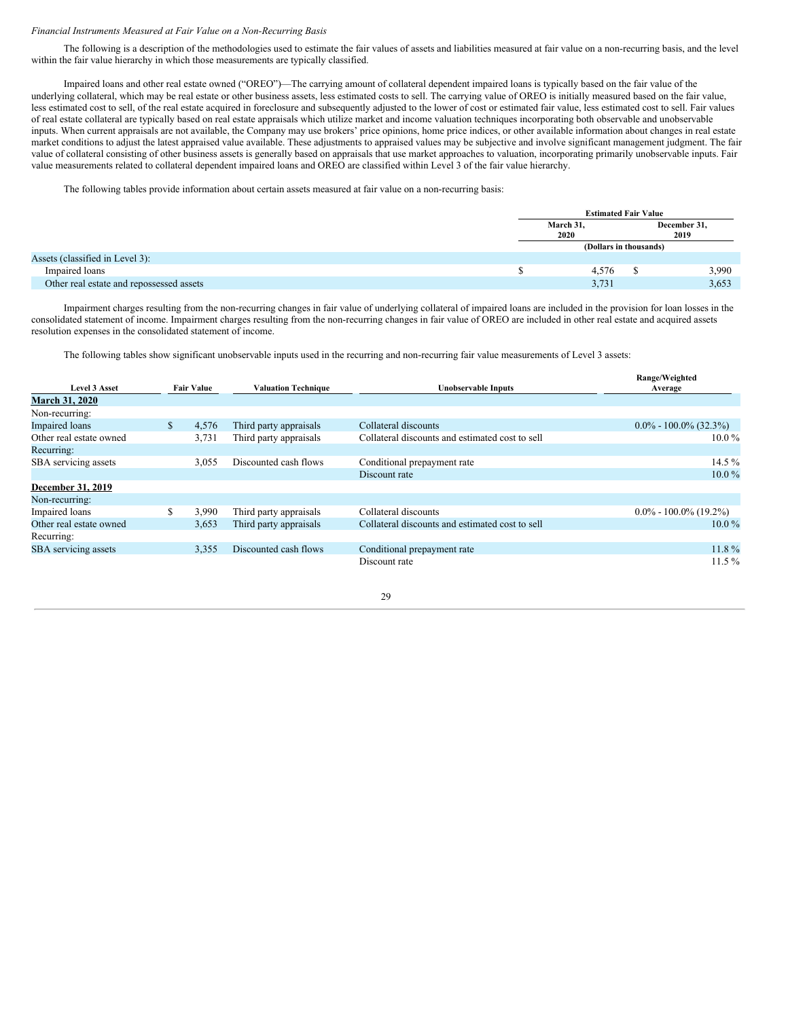#### *Financial Instruments Measured at Fair Value on a Non-Recurring Basis*

The following is a description of the methodologies used to estimate the fair values of assets and liabilities measured at fair value on a non-recurring basis, and the level within the fair value hierarchy in which those measurements are typically classified.

Impaired loans and other real estate owned ("OREO")—The carrying amount of collateral dependent impaired loans is typically based on the fair value of the underlying collateral, which may be real estate or other business assets, less estimated costs to sell. The carrying value of OREO is initially measured based on the fair value, less estimated cost to sell, of the real estate acquired in foreclosure and subsequently adjusted to the lower of cost or estimated fair value, less estimated cost to sell. Fair values of real estate collateral are typically based on real estate appraisals which utilize market and income valuation techniques incorporating both observable and unobservable inputs. When current appraisals are not available, the Company may use brokers' price opinions, home price indices, or other available information about changes in real estate market conditions to adjust the latest appraised value available. These adjustments to appraised values may be subjective and involve significant management judgment. The fair value of collateral consisting of other business assets is generally based on appraisals that use market approaches to valuation, incorporating primarily unobservable inputs. Fair value measurements related to collateral dependent impaired loans and OREO are classified within Level 3 of the fair value hierarchy.

The following tables provide information about certain assets measured at fair value on a non-recurring basis:

|                                          | <b>Estimated Fair Value</b> |  |                      |  |  |
|------------------------------------------|-----------------------------|--|----------------------|--|--|
|                                          | March 31,<br>2020           |  | December 31,<br>2019 |  |  |
|                                          | (Dollars in thousands)      |  |                      |  |  |
| Assets (classified in Level 3):          |                             |  |                      |  |  |
| Impaired loans                           | 4,576                       |  | 3,990                |  |  |
| Other real estate and repossessed assets | 3,731                       |  | 3,653                |  |  |

Impairment charges resulting from the non-recurring changes in fair value of underlying collateral of impaired loans are included in the provision for loan losses in the consolidated statement of income. Impairment charges resulting from the non-recurring changes in fair value of OREO are included in other real estate and acquired assets resolution expenses in the consolidated statement of income.

The following tables show significant unobservable inputs used in the recurring and non-recurring fair value measurements of Level 3 assets:

| <b>Level 3 Asset</b><br><b>Fair Value</b> |              |       | <b>Valuation Technique</b> | Unobservable Inputs                             | Range/Weighted<br>Average |
|-------------------------------------------|--------------|-------|----------------------------|-------------------------------------------------|---------------------------|
| <b>March 31, 2020</b>                     |              |       |                            |                                                 |                           |
| Non-recurring:                            |              |       |                            |                                                 |                           |
| <b>Impaired</b> loans                     | $\mathbb{S}$ | 4,576 | Third party appraisals     | Collateral discounts                            | $0.0\% - 100.0\%$ (32.3%) |
| Other real estate owned                   |              | 3,731 | Third party appraisals     | Collateral discounts and estimated cost to sell | $10.0\%$                  |
| Recurring:                                |              |       |                            |                                                 |                           |
| SBA servicing assets                      |              | 3,055 | Discounted cash flows      | Conditional prepayment rate                     | 14.5 $%$                  |
|                                           |              |       |                            | Discount rate                                   | $10.0\%$                  |
| December 31, 2019                         |              |       |                            |                                                 |                           |
| Non-recurring:                            |              |       |                            |                                                 |                           |
| Impaired loans                            | S            | 3,990 | Third party appraisals     | Collateral discounts                            | $0.0\% - 100.0\%$ (19.2%) |
| Other real estate owned                   |              | 3,653 | Third party appraisals     | Collateral discounts and estimated cost to sell | $10.0\%$                  |
| Recurring:                                |              |       |                            |                                                 |                           |
| SBA servicing assets                      |              | 3,355 | Discounted cash flows      | Conditional prepayment rate                     | $11.8\%$                  |
|                                           |              |       |                            | Discount rate                                   | $11.5\%$                  |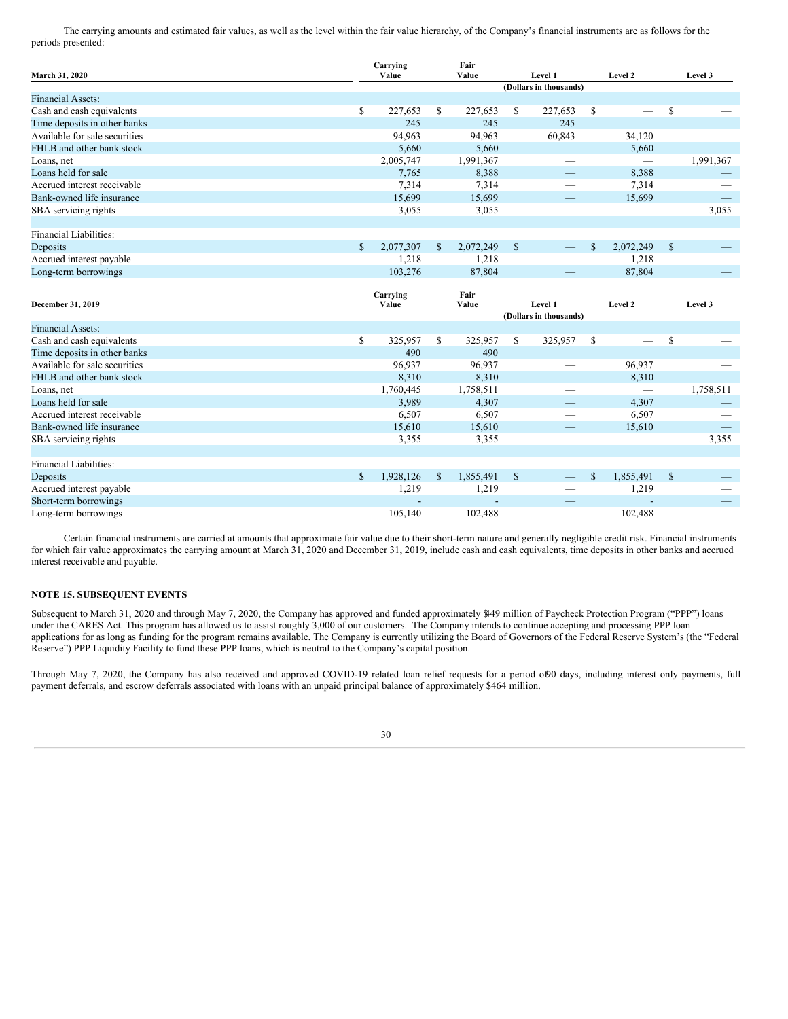The carrying amounts and estimated fair values, as well as the level within the fair value hierarchy, of the Company's financial instruments are as follows for the periods presented:

| March 31, 2020                | Fair<br>Carrying<br>Value<br>Value |           |     | Level 1   |              |                        | Level 2       |           | Level 3      |           |
|-------------------------------|------------------------------------|-----------|-----|-----------|--------------|------------------------|---------------|-----------|--------------|-----------|
|                               |                                    |           |     |           |              | (Dollars in thousands) |               |           |              |           |
| <b>Financial Assets:</b>      |                                    |           |     |           |              |                        |               |           |              |           |
| Cash and cash equivalents     | $\mathbb{S}$                       | 227,653   | \$  | 227,653   | \$           | 227,653                | $\mathbf S$   |           | $\mathbb{S}$ |           |
| Time deposits in other banks  |                                    | 245       |     | 245       |              | 245                    |               |           |              |           |
| Available for sale securities |                                    | 94,963    |     | 94,963    |              | 60,843                 |               | 34,120    |              |           |
| FHLB and other bank stock     |                                    | 5,660     |     | 5,660     |              |                        |               | 5,660     |              |           |
| Loans, net                    |                                    | 2,005,747 |     | 1,991,367 |              |                        |               |           |              | 1,991,367 |
| Loans held for sale           |                                    | 7,765     |     | 8,388     |              |                        |               | 8,388     |              |           |
| Accrued interest receivable   |                                    | 7,314     |     | 7,314     |              | -                      |               | 7,314     |              |           |
| Bank-owned life insurance     |                                    | 15,699    |     | 15,699    |              |                        |               | 15,699    |              |           |
| SBA servicing rights          |                                    | 3,055     |     | 3,055     |              | -                      |               |           |              | 3,055     |
|                               |                                    |           |     |           |              |                        |               |           |              |           |
| <b>Financial Liabilities:</b> |                                    |           |     |           |              |                        |               |           |              |           |
| Deposits                      | S                                  | 2,077,307 | \$. | 2,072,249 | $\mathbb{S}$ |                        | <sup>\$</sup> | 2,072,249 | $\mathbb{S}$ |           |
| Accrued interest payable      |                                    | 1,218     |     | 1,218     |              |                        |               | 1,218     |              |           |
| Long-term borrowings          |                                    | 103,276   |     | 87,804    |              |                        |               | 87,804    |              |           |
|                               |                                    |           |     |           |              |                        |               |           |              |           |
|                               |                                    | Carrying  |     | Fair      |              |                        |               |           |              |           |
| December 31, 2019             |                                    | Value     |     | Value     |              | Level 1                |               | Level 2   |              | Level 3   |
|                               |                                    |           |     |           |              | (Dollars in thousands) |               |           |              |           |
| <b>Financial Assets:</b>      |                                    |           |     |           |              |                        |               |           |              |           |
| Cash and cash equivalents     | \$                                 | 325,957   | \$  | 325,957   | \$           | 325,957                | S             |           | $\mathbb{S}$ |           |
| Time deposits in other banks  |                                    | 490       |     | 490       |              |                        |               |           |              |           |

| Cash and cash equivalents     | ₩   | ----- <i>--</i> |     | ------    |               |                                 |              |           | ↩  |           |
|-------------------------------|-----|-----------------|-----|-----------|---------------|---------------------------------|--------------|-----------|----|-----------|
| Time deposits in other banks  |     | 490             |     | 490       |               |                                 |              |           |    |           |
| Available for sale securities |     | 96,937          |     | 96,937    |               | $\overline{\phantom{a}}$        |              | 96,937    |    |           |
| FHLB and other bank stock     |     | 8,310           |     | 8,310     |               | $-$                             |              | 8,310     |    |           |
| Loans, net                    |     | 1,760,445       |     | 1,758,511 |               |                                 |              |           |    | 1,758,511 |
| Loans held for sale           |     | 3.989           |     | 4,307     |               | $\overline{\phantom{a}}$        |              | 4,307     |    |           |
| Accrued interest receivable   |     | 6,507           |     | 6,507     |               |                                 |              | 6,507     |    | __        |
| Bank-owned life insurance     |     | 15,610          |     | 15,610    |               | $\overline{\phantom{a}}$        |              | 15,610    |    | _         |
| SBA servicing rights          |     | 3,355           |     | 3,355     |               |                                 |              | _         |    | 3,355     |
|                               |     |                 |     |           |               |                                 |              |           |    |           |
| <b>Financial Liabilities:</b> |     |                 |     |           |               |                                 |              |           |    |           |
| Deposits                      | \$. | 1.928.126       | \$. | 1,855,491 | <sup>\$</sup> | $\hspace{0.1mm}-\hspace{0.1mm}$ | $\mathbb{S}$ | 1,855,491 | -S | _         |
| Accrued interest payable      |     | 1,219           |     | 1,219     |               | _                               |              | 1,219     |    |           |
| Short-term borrowings         |     |                 |     |           |               |                                 |              |           |    |           |
| Long-term borrowings          |     | 105.140         |     | 102.488   |               |                                 |              | 102.488   |    |           |
|                               |     |                 |     |           |               |                                 |              |           |    |           |

Certain financial instruments are carried at amounts that approximate fair value due to their short-term nature and generally negligible credit risk. Financial instruments for which fair value approximates the carrying amount at March 31, 2020 and December 31, 2019, include cash and cash equivalents, time deposits in other banks and accrued interest receivable and payable.

# **NOTE 15. SUBSEQUENT EVENTS**

Subsequent to March 31, 2020 and through May 7, 2020, the Company has approved and funded approximately \$449 million of Paycheck Protection Program ("PPP") loans under the CARES Act. This program has allowed us to assist roughly 3,000 of our customers. The Company intends to continue accepting and processing PPP loan applications for as long as funding for the program remains available. The Company is currently utilizing the Board of Governors of the Federal Reserve System's (the "Federal Reserve") PPP Liquidity Facility to fund these PPP loans, which is neutral to the Company's capital position.

Through May 7, 2020, the Company has also received and approved COVID-19 related loan relief requests for a period of90 days, including interest only payments, full payment deferrals, and escrow deferrals associated with loans with an unpaid principal balance of approximately \$464 million.

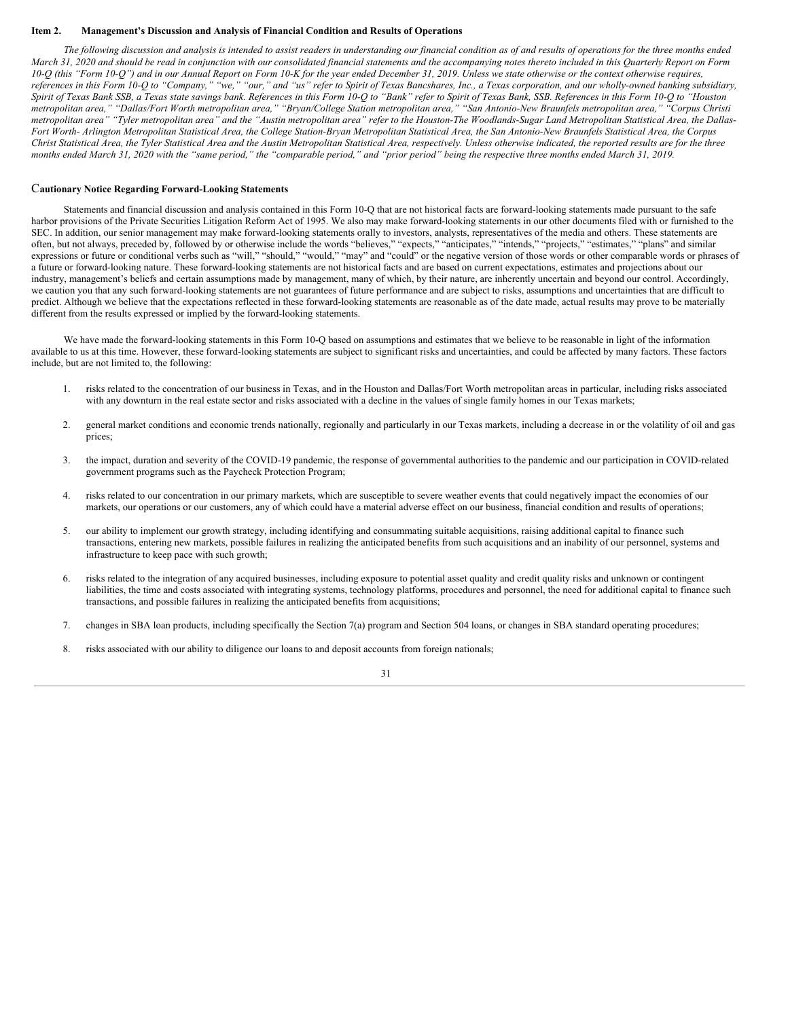#### <span id="page-31-0"></span>**Item 2. Management's Discussion and Analysis of Financial Condition and Results of Operations**

The following discussion and analysis is intended to assist readers in understanding our financial condition as of and results of operations for the three months ended March 31, 2020 and should be read in conjunction with our consolidated financial statements and the accompanying notes thereto included in this Quarterly Report on Form 10-Q (this "Form 10-Q") and in our Annual Report on Form 10-K for the year ended December 31, 2019. Unless we state otherwise or the context otherwise requires, references in this Form 10-Q to "Company," "we," "our," and "us" refer to Spirit of Texas Bancshares, Inc., a Texas corporation, and our wholly-owned banking subsidiary, Spirit of Texas Bank SSB, a Texas state savings bank. References in this Form 10-Q to "Bank" refer to Spirit of Texas Bank, SSB. References in this Form 10-Q to "Houston metropolitan area," "Dallas/Fort Worth metropolitan area," "Bryan/College Station metropolitan area," "San Antonio-New Braunfels metropolitan area," "Corpus Christi metropolitan area" "Tyler metropolitan area" and the "Austin metropolitan area" refer to the Houston-The Woodlands-Sugar Land Metropolitan Statistical Area, the Dallas-Fort Worth- Arlington Metropolitan Statistical Area, the College Station-Bryan Metropolitan Statistical Area, the San Antonio-New Braunfels Statistical Area, the Corpus Christ Statistical Area, the Tyler Statistical Area and the Austin Metropolitan Statistical Area, respectively. Unless otherwise indicated, the reported results are for the three months ended March 31, 2020 with the "same period," the "comparable period," and "prior period" being the respective three months ended March 31, 2019.

# C**autionary Notice Regarding Forward-Looking Statements**

Statements and financial discussion and analysis contained in this Form 10-Q that are not historical facts are forward-looking statements made pursuant to the safe harbor provisions of the Private Securities Litigation Reform Act of 1995. We also may make forward-looking statements in our other documents filed with or furnished to the SEC. In addition, our senior management may make forward-looking statements orally to investors, analysts, representatives of the media and others. These statements are often, but not always, preceded by, followed by or otherwise include the words "believes," "expects," "anticipates," "intends," "projects," "estimates," "plans" and similar expressions or future or conditional verbs such as "will," "should," "may" and "could" or the negative version of those words or other comparable words or phrases of a future or forward-looking nature. These forward-looking statements are not historical facts and are based on current expectations, estimates and projections about our industry, management's beliefs and certain assumptions made by management, many of which, by their nature, are inherently uncertain and beyond our control. Accordingly, we caution you that any such forward-looking statements are not guarantees of future performance and are subject to risks, assumptions and uncertainties that are difficult to predict. Although we believe that the expectations reflected in these forward-looking statements are reasonable as of the date made, actual results may prove to be materially different from the results expressed or implied by the forward-looking statements.

We have made the forward-looking statements in this Form 10-Q based on assumptions and estimates that we believe to be reasonable in light of the information available to us at this time. However, these forward-looking statements are subject to significant risks and uncertainties, and could be affected by many factors. These factors include, but are not limited to, the following:

- 1. risks related to the concentration of our business in Texas, and in the Houston and Dallas/Fort Worth metropolitan areas in particular, including risks associated with any downturn in the real estate sector and risks associated with a decline in the values of single family homes in our Texas markets;
- 2. general market conditions and economic trends nationally, regionally and particularly in our Texas markets, including a decrease in or the volatility of oil and gas prices;
- 3. the impact, duration and severity of the COVID-19 pandemic, the response of governmental authorities to the pandemic and our participation in COVID-related government programs such as the Paycheck Protection Program;
- 4. risks related to our concentration in our primary markets, which are susceptible to severe weather events that could negatively impact the economies of our markets, our operations or our customers, any of which could have a material adverse effect on our business, financial condition and results of operations;
- 5. our ability to implement our growth strategy, including identifying and consummating suitable acquisitions, raising additional capital to finance such transactions, entering new markets, possible failures in realizing the anticipated benefits from such acquisitions and an inability of our personnel, systems and infrastructure to keep pace with such growth;
- 6. risks related to the integration of any acquired businesses, including exposure to potential asset quality and credit quality risks and unknown or contingent liabilities, the time and costs associated with integrating systems, technology platforms, procedures and personnel, the need for additional capital to finance such transactions, and possible failures in realizing the anticipated benefits from acquisitions;
- 7. changes in SBA loan products, including specifically the Section 7(a) program and Section 504 loans, or changes in SBA standard operating procedures;

31

8. risks associated with our ability to diligence our loans to and deposit accounts from foreign nationals;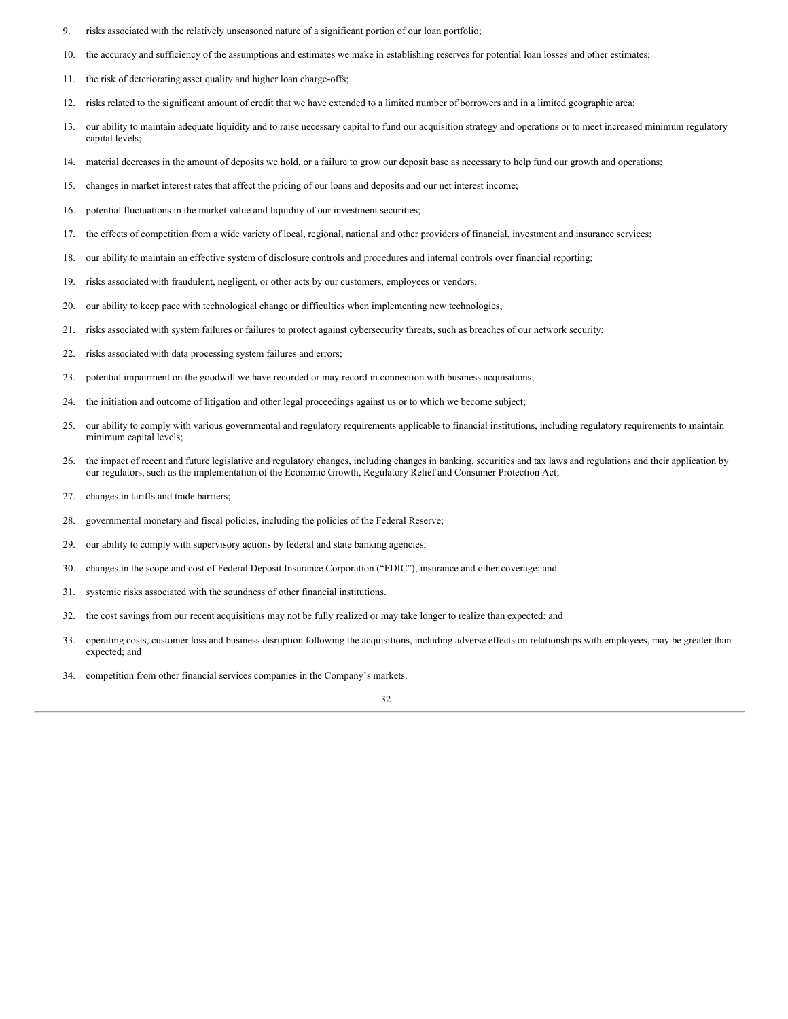- 9. risks associated with the relatively unseasoned nature of a significant portion of our loan portfolio;
- 10. the accuracy and sufficiency of the assumptions and estimates we make in establishing reserves for potential loan losses and other estimates;
- 11. the risk of deteriorating asset quality and higher loan charge-offs;
- 12. risks related to the significant amount of credit that we have extended to a limited number of borrowers and in a limited geographic area;
- 13. our ability to maintain adequate liquidity and to raise necessary capital to fund our acquisition strategy and operations or to meet increased minimum regulatory capital levels;
- 14. material decreases in the amount of deposits we hold, or a failure to grow our deposit base as necessary to help fund our growth and operations;
- 15. changes in market interest rates that affect the pricing of our loans and deposits and our net interest income;
- 16. potential fluctuations in the market value and liquidity of our investment securities;
- 17. the effects of competition from a wide variety of local, regional, national and other providers of financial, investment and insurance services;
- 18. our ability to maintain an effective system of disclosure controls and procedures and internal controls over financial reporting;
- 19. risks associated with fraudulent, negligent, or other acts by our customers, employees or vendors;
- 20. our ability to keep pace with technological change or difficulties when implementing new technologies;
- 21. risks associated with system failures or failures to protect against cybersecurity threats, such as breaches of our network security;
- 22. risks associated with data processing system failures and errors;
- 23. potential impairment on the goodwill we have recorded or may record in connection with business acquisitions;
- 24. the initiation and outcome of litigation and other legal proceedings against us or to which we become subject;
- 25. our ability to comply with various governmental and regulatory requirements applicable to financial institutions, including regulatory requirements to maintain minimum capital levels;
- 26. the impact of recent and future legislative and regulatory changes, including changes in banking, securities and tax laws and regulations and their application by our regulators, such as the implementation of the Economic Growth, Regulatory Relief and Consumer Protection Act;
- 27. changes in tariffs and trade barriers;
- 28. governmental monetary and fiscal policies, including the policies of the Federal Reserve;
- 29. our ability to comply with supervisory actions by federal and state banking agencies;
- 30. changes in the scope and cost of Federal Deposit Insurance Corporation ("FDIC"), insurance and other coverage; and
- 31. systemic risks associated with the soundness of other financial institutions.
- 32. the cost savings from our recent acquisitions may not be fully realized or may take longer to realize than expected; and
- 33. operating costs, customer loss and business disruption following the acquisitions, including adverse effects on relationships with employees, may be greater than expected; and
- 34. competition from other financial services companies in the Company's markets.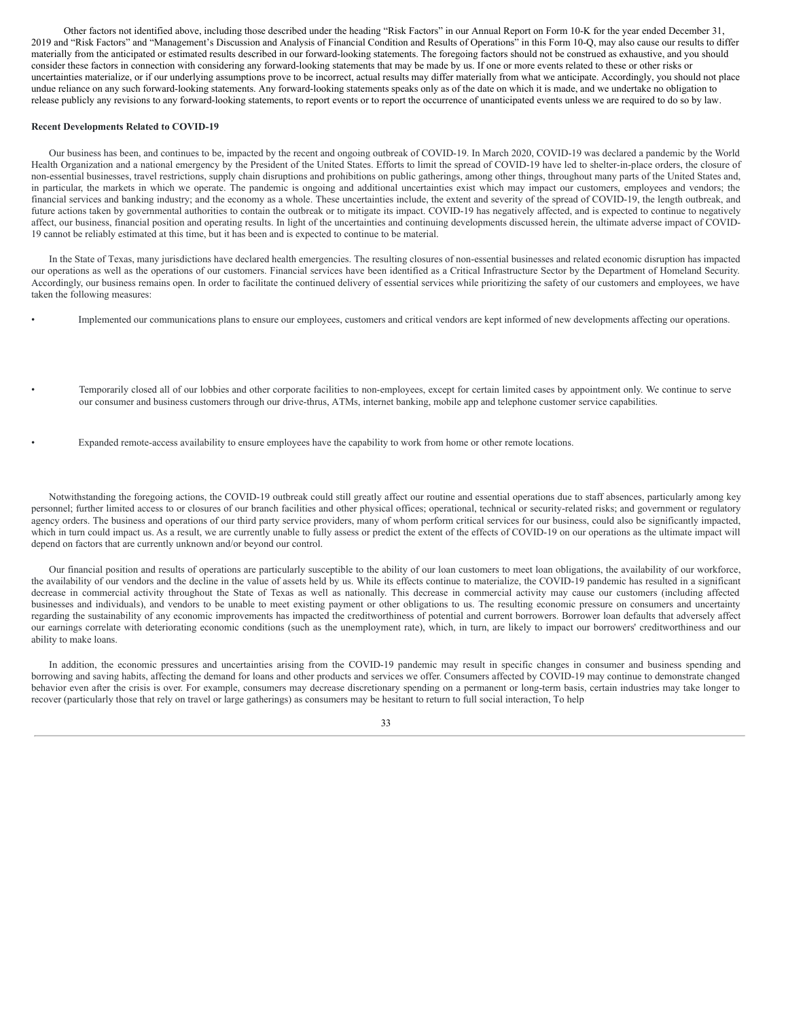Other factors not identified above, including those described under the heading "Risk Factors" in our Annual Report on Form 10-K for the year ended December 31, 2019 and "Risk Factors" and "Management's Discussion and Analysis of Financial Condition and Results of Operations" in this Form 10-Q, may also cause our results to differ materially from the anticipated or estimated results described in our forward-looking statements. The foregoing factors should not be construed as exhaustive, and you should consider these factors in connection with considering any forward-looking statements that may be made by us. If one or more events related to these or other risks or uncertainties materialize, or if our underlying assumptions prove to be incorrect, actual results may differ materially from what we anticipate. Accordingly, you should not place undue reliance on any such forward-looking statements. Any forward-looking statements speaks only as of the date on which it is made, and we undertake no obligation to release publicly any revisions to any forward-looking statements, to report events or to report the occurrence of unanticipated events unless we are required to do so by law.

#### **Recent Developments Related to COVID-19**

Our business has been, and continues to be, impacted by the recent and ongoing outbreak of COVID-19. In March 2020, COVID-19 was declared a pandemic by the World Health Organization and a national emergency by the President of the United States. Efforts to limit the spread of COVID-19 have led to shelter-in-place orders, the closure of non-essential businesses, travel restrictions, supply chain disruptions and prohibitions on public gatherings, among other things, throughout many parts of the United States and, in particular, the markets in which we operate. The pandemic is ongoing and additional uncertainties exist which may impact our customers, employees and vendors; the financial services and banking industry; and the economy as a whole. These uncertainties include, the extent and severity of the spread of COVID-19, the length outbreak, and future actions taken by governmental authorities to contain the outbreak or to mitigate its impact. COVID-19 has negatively affected, and is expected to continue to negatively affect, our business, financial position and operating results. In light of the uncertainties and continuing developments discussed herein, the ultimate adverse impact of COVID-19 cannot be reliably estimated at this time, but it has been and is expected to continue to be material.

In the State of Texas, many jurisdictions have declared health emergencies. The resulting closures of non-essential businesses and related economic disruption has impacted our operations as well as the operations of our customers. Financial services have been identified as a Critical Infrastructure Sector by the Department of Homeland Security. Accordingly, our business remains open. In order to facilitate the continued delivery of essential services while prioritizing the safety of our customers and employees, we have taken the following measures:

- Implemented our communications plans to ensure our employees, customers and critical vendors are kept informed of new developments affecting our operations.
- Temporarily closed all of our lobbies and other corporate facilities to non-employees, except for certain limited cases by appointment only. We continue to serve our consumer and business customers through our drive-thrus, ATMs, internet banking, mobile app and telephone customer service capabilities.
- Expanded remote-access availability to ensure employees have the capability to work from home or other remote locations.

Notwithstanding the foregoing actions, the COVID-19 outbreak could still greatly affect our routine and essential operations due to staff absences, particularly among key personnel; further limited access to or closures of our branch facilities and other physical offices; operational, technical or security-related risks; and government or regulatory agency orders. The business and operations of our third party service providers, many of whom perform critical services for our business, could also be significantly impacted, which in turn could impact us. As a result, we are currently unable to fully assess or predict the extent of the effects of COVID-19 on our operations as the ultimate impact will depend on factors that are currently unknown and/or beyond our control.

Our financial position and results of operations are particularly susceptible to the ability of our loan customers to meet loan obligations, the availability of our workforce, the availability of our vendors and the decline in the value of assets held by us. While its effects continue to materialize, the COVID-19 pandemic has resulted in a significant decrease in commercial activity throughout the State of Texas as well as nationally. This decrease in commercial activity may cause our customers (including affected businesses and individuals), and vendors to be unable to meet existing payment or other obligations to us. The resulting economic pressure on consumers and uncertainty regarding the sustainability of any economic improvements has impacted the creditworthiness of potential and current borrowers. Borrower loan defaults that adversely affect our earnings correlate with deteriorating economic conditions (such as the unemployment rate), which, in turn, are likely to impact our borrowers' creditworthiness and our ability to make loans.

In addition, the economic pressures and uncertainties arising from the COVID-19 pandemic may result in specific changes in consumer and business spending and borrowing and saving habits, affecting the demand for loans and other products and services we offer. Consumers affected by COVID-19 may continue to demonstrate changed behavior even after the crisis is over. For example, consumers may decrease discretionary spending on a permanent or long-term basis, certain industries may take longer to recover (particularly those that rely on travel or large gatherings) as consumers may be hesitant to return to full social interaction, To help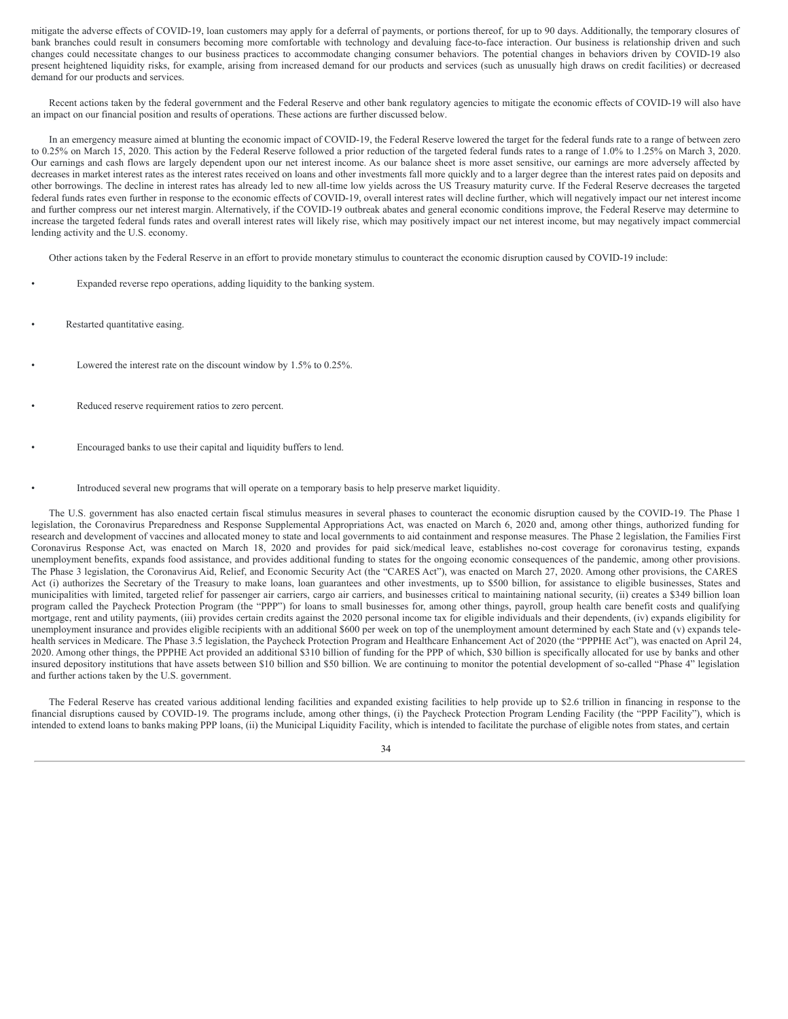mitigate the adverse effects of COVID-19, loan customers may apply for a deferral of payments, or portions thereof, for up to 90 days. Additionally, the temporary closures of bank branches could result in consumers becoming more comfortable with technology and devaluing face-to-face interaction. Our business is relationship driven and such changes could necessitate changes to our business practices to accommodate changing consumer behaviors. The potential changes in behaviors driven by COVID-19 also present heightened liquidity risks, for example, arising from increased demand for our products and services (such as unusually high draws on credit facilities) or decreased demand for our products and services.

Recent actions taken by the federal government and the Federal Reserve and other bank regulatory agencies to mitigate the economic effects of COVID-19 will also have an impact on our financial position and results of operations. These actions are further discussed below.

In an emergency measure aimed at blunting the economic impact of COVID-19, the Federal Reserve lowered the target for the federal funds rate to a range of between zero to 0.25% on March 15, 2020. This action by the Federal Reserve followed a prior reduction of the targeted federal funds rates to a range of 1.0% to 1.25% on March 3, 2020. Our earnings and cash flows are largely dependent upon our net interest income. As our balance sheet is more asset sensitive, our earnings are more adversely affected by decreases in market interest rates as the interest rates received on loans and other investments fall more quickly and to a larger degree than the interest rates paid on deposits and other borrowings. The decline in interest rates has already led to new all-time low yields across the US Treasury maturity curve. If the Federal Reserve decreases the targeted federal funds rates even further in response to the economic effects of COVID-19, overall interest rates will decline further, which will negatively impact our net interest income and further compress our net interest margin. Alternatively, if the COVID-19 outbreak abates and general economic conditions improve, the Federal Reserve may determine to increase the targeted federal funds rates and overall interest rates will likely rise, which may positively impact our net interest income, but may negatively impact commercial lending activity and the U.S. economy.

Other actions taken by the Federal Reserve in an effort to provide monetary stimulus to counteract the economic disruption caused by COVID-19 include:

- Expanded reverse repo operations, adding liquidity to the banking system.
- Restarted quantitative easing.
- Lowered the interest rate on the discount window by 1.5% to 0.25%.
- Reduced reserve requirement ratios to zero percent.
- Encouraged banks to use their capital and liquidity buffers to lend.
- Introduced several new programs that will operate on a temporary basis to help preserve market liquidity.

The U.S. government has also enacted certain fiscal stimulus measures in several phases to counteract the economic disruption caused by the COVID-19. The Phase 1 legislation, the Coronavirus Preparedness and Response Supplemental Appropriations Act, was enacted on March 6, 2020 and, among other things, authorized funding for research and development of vaccines and allocated money to state and local governments to aid containment and response measures. The Phase 2 legislation, the Families First Coronavirus Response Act, was enacted on March 18, 2020 and provides for paid sick/medical leave, establishes no-cost coverage for coronavirus testing, expands unemployment benefits, expands food assistance, and provides additional funding to states for the ongoing economic consequences of the pandemic, among other provisions. The Phase 3 legislation, the Coronavirus Aid, Relief, and Economic Security Act (the "CARES Act"), was enacted on March 27, 2020. Among other provisions, the CARES Act (i) authorizes the Secretary of the Treasury to make loans, loan guarantees and other investments, up to \$500 billion, for assistance to eligible businesses, States and municipalities with limited, targeted relief for passenger air carriers, cargo air carriers, and businesses critical to maintaining national security, (ii) creates a \$349 billion loan program called the Paycheck Protection Program (the "PPP") for loans to small businesses for, among other things, payroll, group health care benefit costs and qualifying mortgage, rent and utility payments, (iii) provides certain credits against the 2020 personal income tax for eligible individuals and their dependents, (iv) expands eligibility for unemployment insurance and provides eligible recipients with an additional \$600 per week on top of the unemployment amount determined by each State and (v) expands telehealth services in Medicare. The Phase 3.5 legislation, the Paycheck Protection Program and Healthcare Enhancement Act of 2020 (the "PPPHE Act"), was enacted on April 24, 2020. Among other things, the PPPHE Act provided an additional \$310 billion of funding for the PPP of which, \$30 billion is specifically allocated for use by banks and other insured depository institutions that have assets between \$10 billion and \$50 billion. We are continuing to monitor the potential development of so-called "Phase 4" legislation and further actions taken by the U.S. government.

The Federal Reserve has created various additional lending facilities and expanded existing facilities to help provide up to \$2.6 trillion in financing in response to the financial disruptions caused by COVID-19. The programs include, among other things, (i) the Paycheck Protection Program Lending Facility (the "PPP Facility"), which is intended to extend loans to banks making PPP loans, (ii) the Municipal Liquidity Facility, which is intended to facilitate the purchase of eligible notes from states, and certain

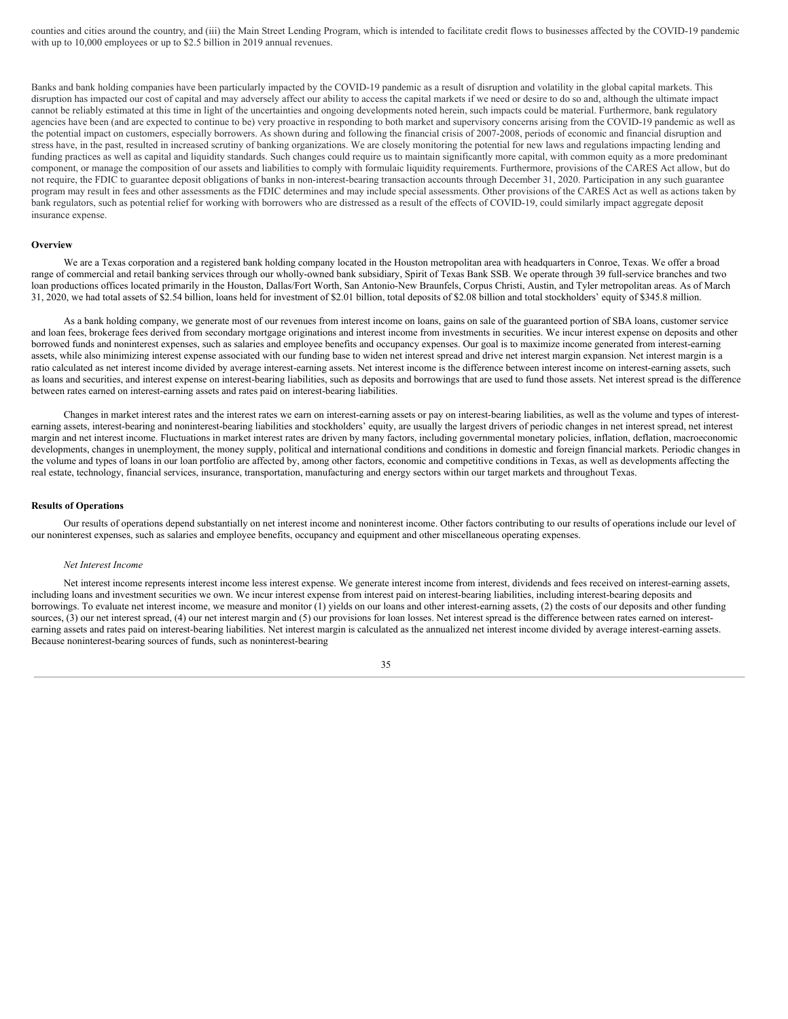counties and cities around the country, and (iii) the Main Street Lending Program, which is intended to facilitate credit flows to businesses affected by the COVID-19 pandemic with up to 10,000 employees or up to \$2.5 billion in 2019 annual revenues.

Banks and bank holding companies have been particularly impacted by the COVID-19 pandemic as a result of disruption and volatility in the global capital markets. This disruption has impacted our cost of capital and may adversely affect our ability to access the capital markets if we need or desire to do so and, although the ultimate impact cannot be reliably estimated at this time in light of the uncertainties and ongoing developments noted herein, such impacts could be material. Furthermore, bank regulatory agencies have been (and are expected to continue to be) very proactive in responding to both market and supervisory concerns arising from the COVID-19 pandemic as well as the potential impact on customers, especially borrowers. As shown during and following the financial crisis of 2007-2008, periods of economic and financial disruption and stress have, in the past, resulted in increased scrutiny of banking organizations. We are closely monitoring the potential for new laws and regulations impacting lending and funding practices as well as capital and liquidity standards. Such changes could require us to maintain significantly more capital, with common equity as a more predominant component, or manage the composition of our assets and liabilities to comply with formulaic liquidity requirements. Furthermore, provisions of the CARES Act allow, but do not require, the FDIC to guarantee deposit obligations of banks in non-interest-bearing transaction accounts through December 31, 2020. Participation in any such guarantee program may result in fees and other assessments as the FDIC determines and may include special assessments. Other provisions of the CARES Act as well as actions taken by bank regulators, such as potential relief for working with borrowers who are distressed as a result of the effects of COVID-19, could similarly impact aggregate deposit insurance expense.

#### **Overview**

We are a Texas corporation and a registered bank holding company located in the Houston metropolitan area with headquarters in Conroe, Texas. We offer a broad range of commercial and retail banking services through our wholly-owned bank subsidiary, Spirit of Texas Bank SSB. We operate through 39 full-service branches and two loan productions offices located primarily in the Houston, Dallas/Fort Worth, San Antonio-New Braunfels, Corpus Christi, Austin, and Tyler metropolitan areas. As of March 31, 2020, we had total assets of \$2.54 billion, loans held for investment of \$2.01 billion, total deposits of \$2.08 billion and total stockholders' equity of \$345.8 million.

As a bank holding company, we generate most of our revenues from interest income on loans, gains on sale of the guaranteed portion of SBA loans, customer service and loan fees, brokerage fees derived from secondary mortgage originations and interest income from investments in securities. We incur interest expense on deposits and other borrowed funds and noninterest expenses, such as salaries and employee benefits and occupancy expenses. Our goal is to maximize income generated from interest-earning assets, while also minimizing interest expense associated with our funding base to widen net interest spread and drive net interest margin expansion. Net interest margin is a ratio calculated as net interest income divided by average interest-earning assets. Net interest income is the difference between interest income on interest-earning assets, such as loans and securities, and interest expense on interest-bearing liabilities, such as deposits and borrowings that are used to fund those assets. Net interest spread is the difference between rates earned on interest-earning assets and rates paid on interest-bearing liabilities.

Changes in market interest rates and the interest rates we earn on interest-earning assets or pay on interest-bearing liabilities, as well as the volume and types of interestearning assets, interest-bearing and noninterest-bearing liabilities and stockholders' equity, are usually the largest drivers of periodic changes in net interest spread, net interest margin and net interest income. Fluctuations in market interest rates are driven by many factors, including governmental monetary policies, inflation, deflation, macroeconomic developments, changes in unemployment, the money supply, political and international conditions and conditions in domestic and foreign financial markets. Periodic changes in the volume and types of loans in our loan portfolio are affected by, among other factors, economic and competitive conditions in Texas, as well as developments affecting the real estate, technology, financial services, insurance, transportation, manufacturing and energy sectors within our target markets and throughout Texas.

#### **Results of Operations**

Our results of operations depend substantially on net interest income and noninterest income. Other factors contributing to our results of operations include our level of our noninterest expenses, such as salaries and employee benefits, occupancy and equipment and other miscellaneous operating expenses.

#### *Net Interest Income*

Net interest income represents interest income less interest expense. We generate interest income from interest, dividends and fees received on interest-earning assets, including loans and investment securities we own. We incur interest expense from interest paid on interest-bearing liabilities, including interest-bearing deposits and borrowings. To evaluate net interest income, we measure and monitor (1) yields on our loans and other interest-earning assets, (2) the costs of our deposits and other funding sources, (3) our net interest spread, (4) our net interest margin and (5) our provisions for loan losses. Net interest spread is the difference between rates earned on interestearning assets and rates paid on interest-bearing liabilities. Net interest margin is calculated as the annualized net interest income divided by average interest-earning assets. Because noninterest-bearing sources of funds, such as noninterest-bearing

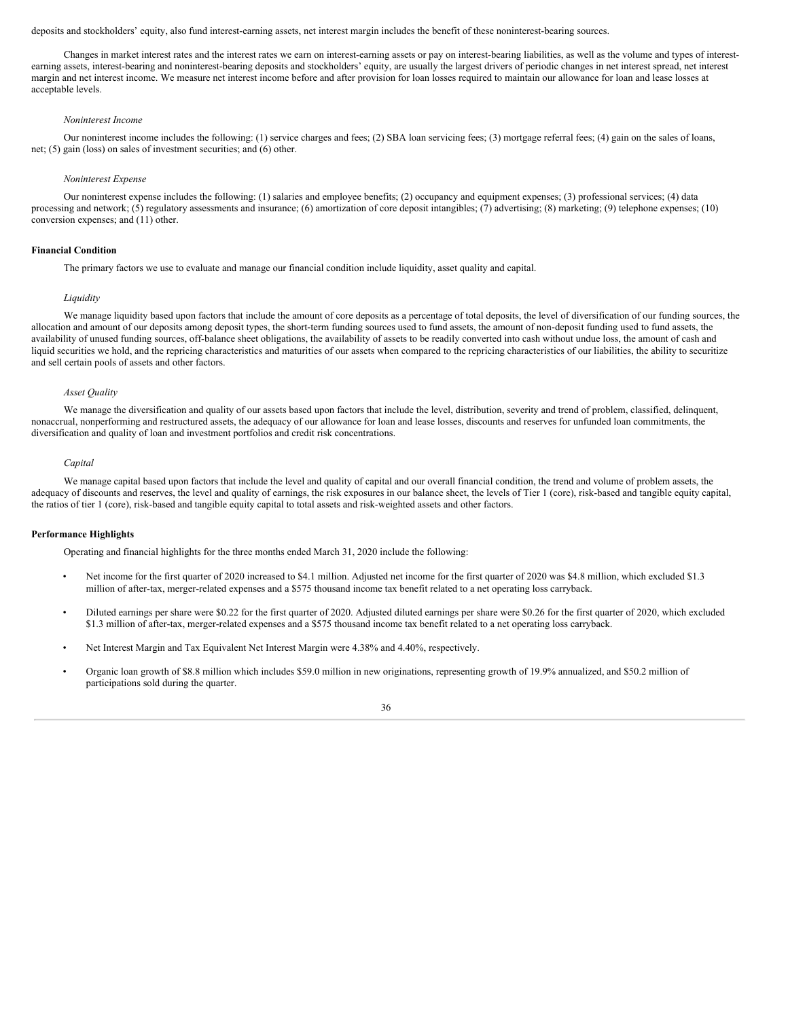deposits and stockholders' equity, also fund interest-earning assets, net interest margin includes the benefit of these noninterest-bearing sources.

Changes in market interest rates and the interest rates we earn on interest-earning assets or pay on interest-bearing liabilities, as well as the volume and types of interestearning assets, interest-bearing and noninterest-bearing deposits and stockholders' equity, are usually the largest drivers of periodic changes in net interest spread, net interest margin and net interest income. We measure net interest income before and after provision for loan losses required to maintain our allowance for loan and lease losses at acceptable levels.

# *Noninterest Income*

Our noninterest income includes the following: (1) service charges and fees; (2) SBA loan servicing fees; (3) mortgage referral fees; (4) gain on the sales of loans, net; (5) gain (loss) on sales of investment securities; and (6) other.

#### *Noninterest Expense*

Our noninterest expense includes the following: (1) salaries and employee benefits; (2) occupancy and equipment expenses; (3) professional services; (4) data processing and network; (5) regulatory assessments and insurance; (6) amortization of core deposit intangibles; (7) advertising; (8) marketing; (9) telephone expenses; (10) conversion expenses; and (11) other.

#### **Financial Condition**

The primary factors we use to evaluate and manage our financial condition include liquidity, asset quality and capital.

#### *Liquidity*

We manage liquidity based upon factors that include the amount of core deposits as a percentage of total deposits, the level of diversification of our funding sources, the allocation and amount of our deposits among deposit types, the short-term funding sources used to fund assets, the amount of non-deposit funding used to fund assets, the availability of unused funding sources, off-balance sheet obligations, the availability of assets to be readily converted into cash without undue loss, the amount of cash and liquid securities we hold, and the repricing characteristics and maturities of our assets when compared to the repricing characteristics of our liabilities, the ability to securitize and sell certain pools of assets and other factors.

#### *Asset Quality*

We manage the diversification and quality of our assets based upon factors that include the level, distribution, severity and trend of problem, classified, delinquent, nonaccrual, nonperforming and restructured assets, the adequacy of our allowance for loan and lease losses, discounts and reserves for unfunded loan commitments, the diversification and quality of loan and investment portfolios and credit risk concentrations.

#### *Capital*

We manage capital based upon factors that include the level and quality of capital and our overall financial condition, the trend and volume of problem assets, the adequacy of discounts and reserves, the level and quality of earnings, the risk exposures in our balance sheet, the levels of Tier 1 (core), risk-based and tangible equity capital, the ratios of tier 1 (core), risk-based and tangible equity capital to total assets and risk-weighted assets and other factors.

#### **Performance Highlights**

Operating and financial highlights for the three months ended March 31, 2020 include the following:

- Net income for the first quarter of 2020 increased to \$4.1 million. Adjusted net income for the first quarter of 2020 was \$4.8 million, which excluded \$1.3 million of after-tax, merger-related expenses and a \$575 thousand income tax benefit related to a net operating loss carryback.
- Diluted earnings per share were \$0.22 for the first quarter of 2020. Adjusted diluted earnings per share were \$0.26 for the first quarter of 2020, which excluded \$1.3 million of after-tax, merger-related expenses and a \$575 thousand income tax benefit related to a net operating loss carryback.
- Net Interest Margin and Tax Equivalent Net Interest Margin were 4.38% and 4.40%, respectively.
- Organic loan growth of \$8.8 million which includes \$59.0 million in new originations, representing growth of 19.9% annualized, and \$50.2 million of participations sold during the quarter.

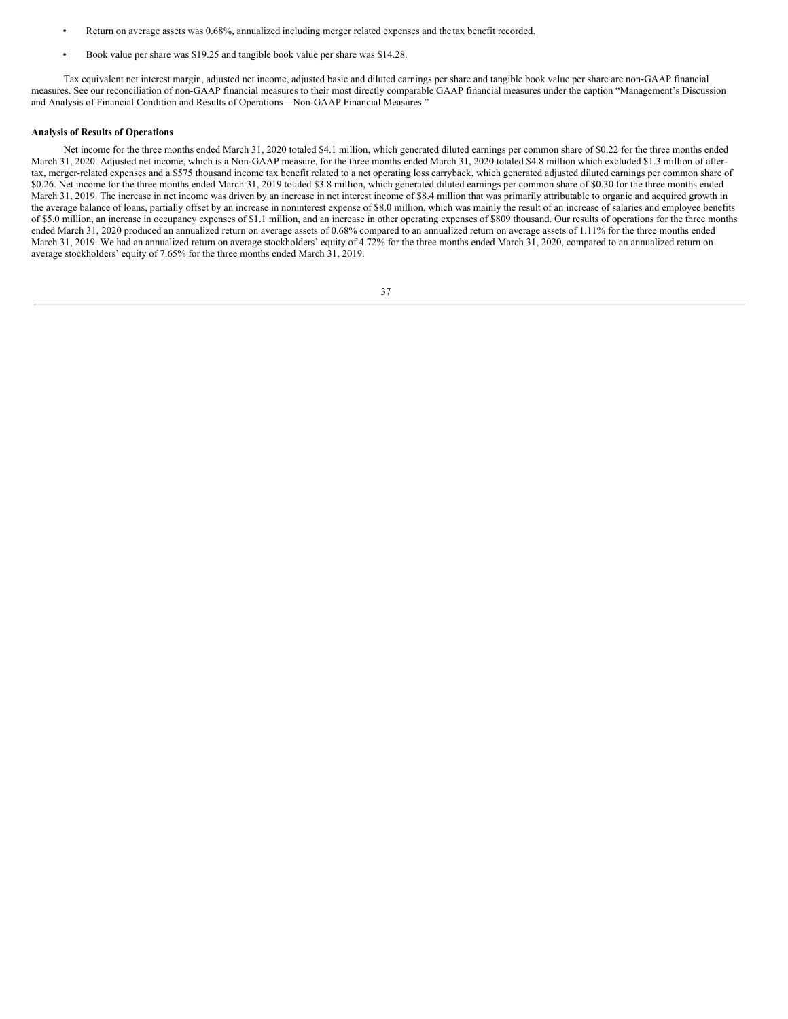- Return on average assets was 0.68%, annualized including merger related expenses and the tax benefit recorded.
- Book value per share was \$19.25 and tangible book value per share was \$14.28.

Tax equivalent net interest margin, adjusted net income, adjusted basic and diluted earnings per share and tangible book value per share are non-GAAP financial measures. See our reconciliation of non-GAAP financial measures to their most directly comparable GAAP financial measures under the caption "Management's Discussion and Analysis of Financial Condition and Results of Operations—Non-GAAP Financial Measures."

# **Analysis of Results of Operations**

Net income for the three months ended March 31, 2020 totaled \$4.1 million, which generated diluted earnings per common share of \$0.22 for the three months ended March 31, 2020. Adjusted net income, which is a Non-GAAP measure, for the three months ended March 31, 2020 totaled \$4.8 million which excluded \$1.3 million of aftertax, merger-related expenses and a \$575 thousand income tax benefit related to a net operating loss carryback, which generated adjusted diluted earnings per common share of \$0.26. Net income for the three months ended March 31, 2019 totaled \$3.8 million, which generated diluted earnings per common share of \$0.30 for the three months ended March 31, 2019. The increase in net income was driven by an increase in net interest income of \$8.4 million that was primarily attributable to organic and acquired growth in the average balance of loans, partially offset by an increase in noninterest expense of \$8.0 million, which was mainly the result of an increase of salaries and employee benefits of \$5.0 million, an increase in occupancy expenses of \$1.1 million, and an increase in other operating expenses of \$809 thousand. Our results of operations for the three months ended March 31, 2020 produced an annualized return on average assets of 0.68% compared to an annualized return on average assets of 1.11% for the three months ended March 31, 2019. We had an annualized return on average stockholders' equity of 4.72% for the three months ended March 31, 2020, compared to an annualized return on average stockholders' equity of 7.65% for the three months ended March 31, 2019.

| I<br>I<br>× |  |
|-------------|--|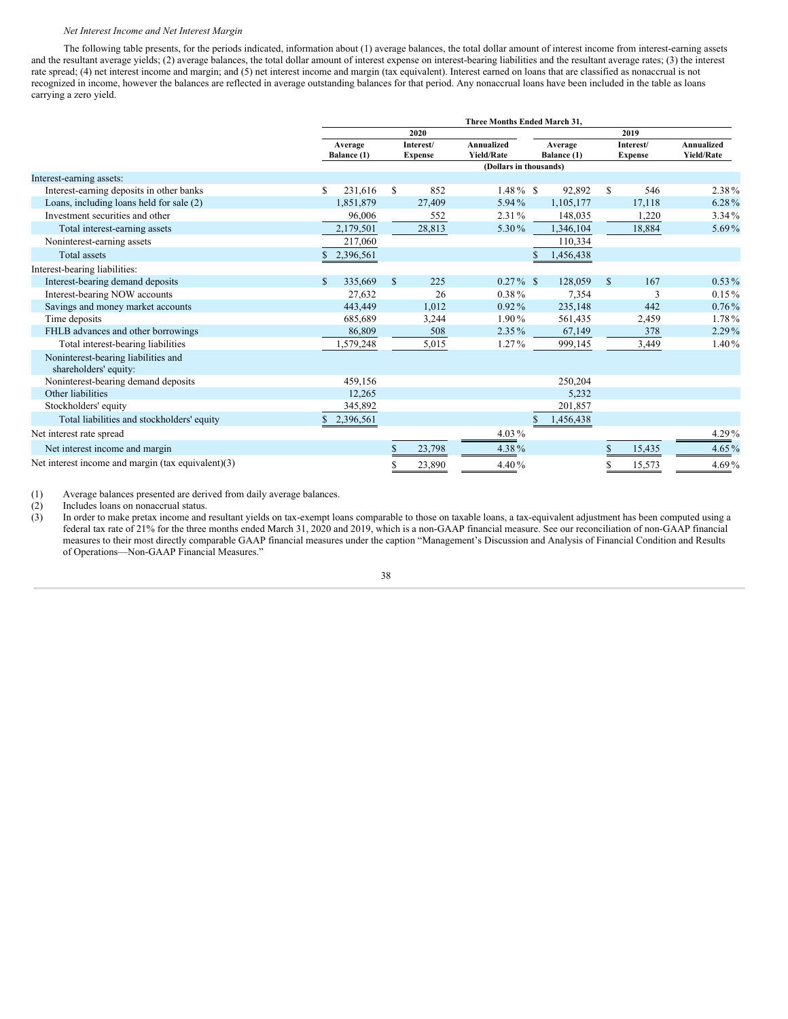# *Net Interest Income and Net Interest Margin*

The following table presents, for the periods indicated, information about (1) average balances, the total dollar amount of interest income from interest-earning assets and the resultant average yields; (2) average balances, the total dollar amount of interest expense on interest-bearing liabilities and the resultant average rates; (3) the interest rate spread; (4) net interest income and margin; and (5) net interest income and margin (tax equivalent). Interest earned on loans that are classified as nonaccrual is not recognized in income, however the balances are reflected in average outstanding balances for that period. Any nonaccrual loans have been included in the table as loans carrying a zero yield.

|                                                              | Three Months Ended March 31, |                        |               |                             |                                 |                        |           |                             |        |                                 |  |  |
|--------------------------------------------------------------|------------------------------|------------------------|---------------|-----------------------------|---------------------------------|------------------------|-----------|-----------------------------|--------|---------------------------------|--|--|
|                                                              |                              |                        |               | 2020                        |                                 |                        | 2019      |                             |        |                                 |  |  |
|                                                              |                              | Average<br>Balance (1) |               | Interest/<br><b>Expense</b> | Annualized<br><b>Yield/Rate</b> | Average<br>Balance (1) |           | Interest/<br><b>Expense</b> |        | Annualized<br><b>Yield/Rate</b> |  |  |
|                                                              |                              |                        |               |                             | (Dollars in thousands)          |                        |           |                             |        |                                 |  |  |
| Interest-earning assets:                                     |                              |                        |               |                             |                                 |                        |           |                             |        |                                 |  |  |
| Interest-earning deposits in other banks                     | S                            | 231,616                | S             | 852                         | $1.48\%$ \$                     |                        | 92,892    | \$                          | 546    | 2.38%                           |  |  |
| Loans, including loans held for sale (2)                     |                              | 1,851,879              |               | 27,409                      | 5.94%                           |                        | 1,105,177 |                             | 17,118 | 6.28%                           |  |  |
| Investment securities and other                              |                              | 96,006                 |               | 552                         | $2.31\%$                        |                        | 148,035   |                             | 1,220  | 3.34%                           |  |  |
| Total interest-earning assets                                |                              | 2,179,501              |               | 28,813                      | 5.30%                           |                        | 1,346,104 |                             | 18,884 | 5.69%                           |  |  |
| Noninterest-earning assets                                   |                              | 217,060                |               |                             |                                 |                        | 110,334   |                             |        |                                 |  |  |
| <b>Total assets</b>                                          |                              | 2,396,561              |               |                             |                                 |                        | 1,456,438 |                             |        |                                 |  |  |
| Interest-bearing liabilities:                                |                              |                        |               |                             |                                 |                        |           |                             |        |                                 |  |  |
| Interest-bearing demand deposits                             | $\mathcal{S}$                | 335,669                | <sup>\$</sup> | 225                         | $0.27\%$ \$                     |                        | 128,059   | <sup>\$</sup>               | 167    | $0.53\%$                        |  |  |
| Interest-bearing NOW accounts                                |                              | 27,632                 |               | 26                          | $0.38\%$                        |                        | 7,354     |                             | 3      | $0.15\%$                        |  |  |
| Savings and money market accounts                            |                              | 443,449                |               | 1,012                       | $0.92\%$                        |                        | 235,148   |                             | 442    | $0.76\%$                        |  |  |
| Time deposits                                                |                              | 685,689                |               | 3,244                       | 1.90%                           |                        | 561,435   |                             | 2,459  | 1.78%                           |  |  |
| FHLB advances and other borrowings                           |                              | 86,809                 |               | 508                         | $2.35\%$                        |                        | 67,149    |                             | 378    | 2.29%                           |  |  |
| Total interest-bearing liabilities                           |                              | 1,579,248              |               | 5,015                       | $1.27\%$                        |                        | 999,145   |                             | 3,449  | 1.40%                           |  |  |
| Noninterest-bearing liabilities and<br>shareholders' equity: |                              |                        |               |                             |                                 |                        |           |                             |        |                                 |  |  |
| Noninterest-bearing demand deposits                          |                              | 459,156                |               |                             |                                 |                        | 250,204   |                             |        |                                 |  |  |
| Other liabilities                                            |                              | 12,265                 |               |                             |                                 |                        | 5,232     |                             |        |                                 |  |  |
| Stockholders' equity                                         |                              | 345,892                |               |                             |                                 |                        | 201,857   |                             |        |                                 |  |  |
| Total liabilities and stockholders' equity                   |                              | 2,396,561              |               |                             |                                 |                        | 1,456,438 |                             |        |                                 |  |  |
| Net interest rate spread                                     |                              |                        |               |                             | 4.03 $%$                        |                        |           |                             |        | 4.29%                           |  |  |
| Net interest income and margin                               |                              |                        |               | 23,798                      | 4.38%                           |                        |           | \$                          | 15,435 | 4.65%                           |  |  |
| Net interest income and margin (tax equivalent)(3)           |                              |                        |               | 23,890                      | 4.40%                           |                        |           | \$                          | 15,573 | 4.69%                           |  |  |

(1) Average balances presented are derived from daily average balances.

(2) Includes loans on nonaccrual status.

(3) In order to make pretax income and resultant yields on tax-exempt loans comparable to those on taxable loans, a tax-equivalent adjustment has been computed using a federal tax rate of 21% for the three months ended March 31, 2020 and 2019, which is a non-GAAP financial measure. See our reconciliation of non-GAAP financial measures to their most directly comparable GAAP financial measures under the caption "Management's Discussion and Analysis of Financial Condition and Results of Operations—Non-GAAP Financial Measures."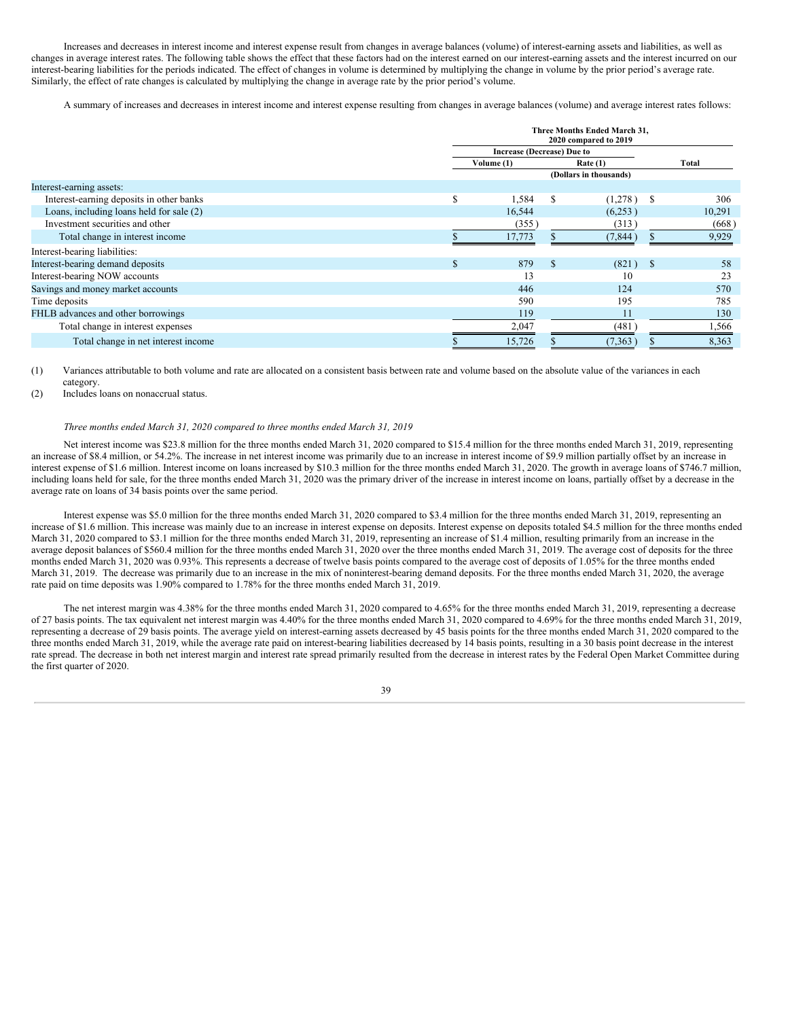Increases and decreases in interest income and interest expense result from changes in average balances (volume) of interest-earning assets and liabilities, as well as changes in average interest rates. The following table shows the effect that these factors had on the interest earned on our interest-earning assets and the interest incurred on our interest-bearing liabilities for the periods indicated. The effect of changes in volume is determined by multiplying the change in volume by the prior period's average rate. Similarly, the effect of rate changes is calculated by multiplying the change in average rate by the prior period's volume.

A summary of increases and decreases in interest income and interest expense resulting from changes in average balances (volume) and average interest rates follows:

|                                          |              | Three Months Ended March 31,<br>2020 compared to 2019 |              |                        |     |        |
|------------------------------------------|--------------|-------------------------------------------------------|--------------|------------------------|-----|--------|
|                                          |              | <b>Increase (Decrease) Due to</b>                     |              |                        |     |        |
|                                          |              | Volume (1)<br>Rate $(1)$                              |              |                        |     | Total  |
|                                          |              |                                                       |              | (Dollars in thousands) |     |        |
| Interest-earning assets:                 |              |                                                       |              |                        |     |        |
| Interest-earning deposits in other banks | \$           | 1,584                                                 | $\mathbb{S}$ | (1,278)                | - S | 306    |
| Loans, including loans held for sale (2) |              | 16,544                                                |              | (6,253)                |     | 10,291 |
| Investment securities and other          |              | (355)                                                 |              | (313)                  |     | (668)  |
| Total change in interest income          |              | 17,773                                                |              | (7,844)                |     | 9,929  |
| Interest-bearing liabilities:            |              |                                                       |              |                        |     |        |
| Interest-bearing demand deposits         | $\mathbf{s}$ | 879                                                   | <b>S</b>     | (821)                  | -S  | 58     |
| Interest-bearing NOW accounts            |              | 13                                                    |              | 10                     |     | 23     |
| Savings and money market accounts        |              | 446                                                   |              | 124                    |     | 570    |
| Time deposits                            |              | 590                                                   |              | 195                    |     | 785    |
| FHLB advances and other borrowings       |              | 119                                                   |              | 11                     |     | 130    |
| Total change in interest expenses        |              | 2,047                                                 |              | (481)                  |     | 1,566  |
| Total change in net interest income      |              | 15,726                                                |              | (7, 363)               |     | 8,363  |

(1) Variances attributable to both volume and rate are allocated on a consistent basis between rate and volume based on the absolute value of the variances in each category.

(2) Includes loans on nonaccrual status.

#### *Three months ended March 31, 2020 compared to three months ended March 31, 2019*

Net interest income was \$23.8 million for the three months ended March 31, 2020 compared to \$15.4 million for the three months ended March 31, 2019, representing an increase of \$8.4 million, or 54.2%. The increase in net interest income was primarily due to an increase in interest income of \$9.9 million partially offset by an increase in interest expense of \$1.6 million. Interest income on loans increased by \$10.3 million for the three months ended March 31, 2020. The growth in average loans of \$746.7 million, including loans held for sale, for the three months ended March 31, 2020 was the primary driver of the increase in interest income on loans, partially offset by a decrease in the average rate on loans of 34 basis points over the same period.

Interest expense was \$5.0 million for the three months ended March 31, 2020 compared to \$3.4 million for the three months ended March 31, 2019, representing an increase of \$1.6 million. This increase was mainly due to an increase in interest expense on deposits. Interest expense on deposits totaled \$4.5 million for the three months ended March 31, 2020 compared to \$3.1 million for the three months ended March 31, 2019, representing an increase of \$1.4 million, resulting primarily from an increase in the average deposit balances of \$560.4 million for the three months ended March 31, 2020 over the three months ended March 31, 2019. The average cost of deposits for the three months ended March 31, 2020 was 0.93%. This represents a decrease of twelve basis points compared to the average cost of deposits of 1.05% for the three months ended March 31, 2019. The decrease was primarily due to an increase in the mix of noninterest-bearing demand deposits. For the three months ended March 31, 2020, the average rate paid on time deposits was 1.90% compared to 1.78% for the three months ended March 31, 2019.

The net interest margin was 4.38% for the three months ended March 31, 2020 compared to 4.65% for the three months ended March 31, 2019, representing a decrease of 27 basis points. The tax equivalent net interest margin was 4.40% for the three months ended March 31, 2020 compared to 4.69% for the three months ended March 31, 2019, representing a decrease of 29 basis points. The average yield on interest-earning assets decreased by 45 basis points for the three months ended March 31, 2020 compared to the three months ended March 31, 2019, while the average rate paid on interest-bearing liabilities decreased by 14 basis points, resulting in a 30 basis point decrease in the interest rate spread. The decrease in both net interest margin and interest rate spread primarily resulted from the decrease in interest rates by the Federal Open Market Committee during the first quarter of 2020.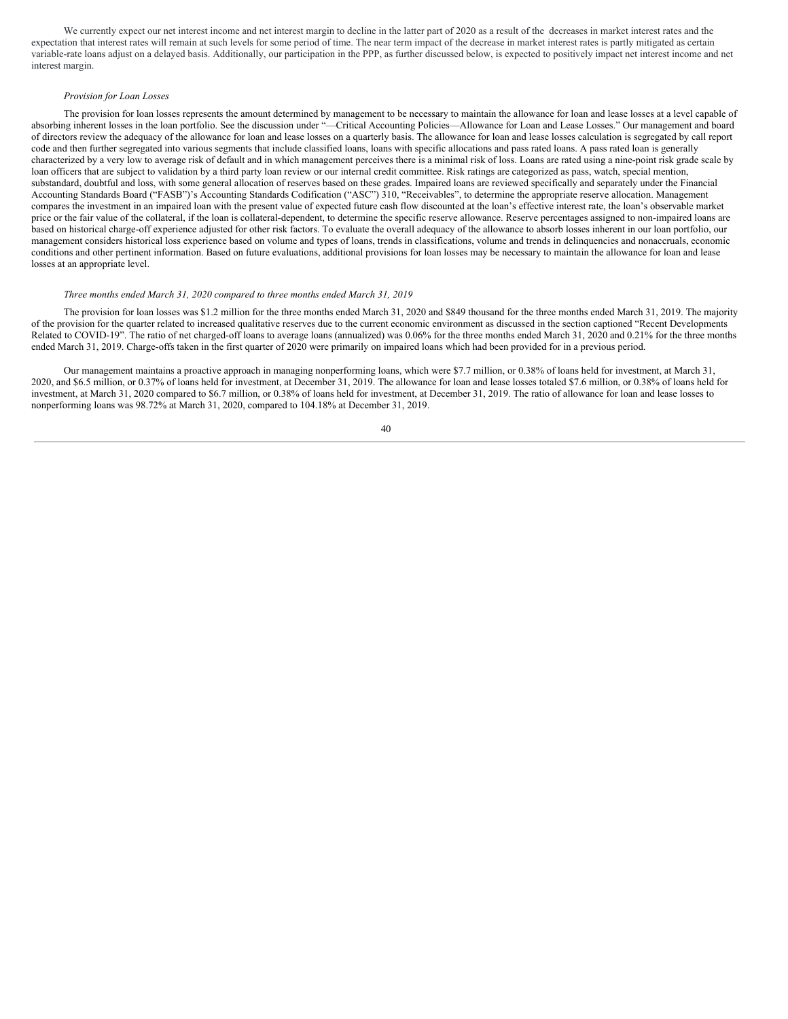We currently expect our net interest income and net interest margin to decline in the latter part of 2020 as a result of the decreases in market interest rates and the expectation that interest rates will remain at such levels for some period of time. The near term impact of the decrease in market interest rates is partly mitigated as certain variable-rate loans adjust on a delayed basis. Additionally, our participation in the PPP, as further discussed below, is expected to positively impact net interest income and net interest margin.

# *Provision for Loan Losses*

The provision for loan losses represents the amount determined by management to be necessary to maintain the allowance for loan and lease losses at a level capable of absorbing inherent losses in the loan portfolio. See the discussion under "—Critical Accounting Policies—Allowance for Loan and Lease Losses." Our management and board of directors review the adequacy of the allowance for loan and lease losses on a quarterly basis. The allowance for loan and lease losses calculation is segregated by call report code and then further segregated into various segments that include classified loans, loans with specific allocations and pass rated loans. A pass rated loan is generally characterized by a very low to average risk of default and in which management perceives there is a minimal risk of loss. Loans are rated using a nine-point risk grade scale by loan officers that are subject to validation by a third party loan review or our internal credit committee. Risk ratings are categorized as pass, watch, special mention, substandard, doubtful and loss, with some general allocation of reserves based on these grades. Impaired loans are reviewed specifically and separately under the Financial Accounting Standards Board ("FASB")'s Accounting Standards Codification ("ASC") 310, "Receivables", to determine the appropriate reserve allocation. Management compares the investment in an impaired loan with the present value of expected future cash flow discounted at the loan's effective interest rate, the loan's observable market price or the fair value of the collateral, if the loan is collateral-dependent, to determine the specific reserve allowance. Reserve percentages assigned to non-impaired loans are based on historical charge-off experience adjusted for other risk factors. To evaluate the overall adequacy of the allowance to absorb losses inherent in our loan portfolio, our management considers historical loss experience based on volume and types of loans, trends in classifications, volume and trends in delinquencies and nonaccruals, economic conditions and other pertinent information. Based on future evaluations, additional provisions for loan losses may be necessary to maintain the allowance for loan and lease losses at an appropriate level.

#### *Three months ended March 31, 2020 compared to three months ended March 31, 2019*

The provision for loan losses was \$1.2 million for the three months ended March 31, 2020 and \$849 thousand for the three months ended March 31, 2019. The majority of the provision for the quarter related to increased qualitative reserves due to the current economic environment as discussed in the section captioned "Recent Developments Related to COVID-19". The ratio of net charged-off loans to average loans (annualized) was 0.06% for the three months ended March 31, 2020 and 0.21% for the three months ended March 31, 2019. Charge-offs taken in the first quarter of 2020 were primarily on impaired loans which had been provided for in a previous period.

Our management maintains a proactive approach in managing nonperforming loans, which were \$7.7 million, or 0.38% of loans held for investment, at March 31, 2020, and \$6.5 million, or 0.37% of loans held for investment, at December 31, 2019. The allowance for loan and lease losses totaled \$7.6 million, or 0.38% of loans held for investment, at March 31, 2020 compared to \$6.7 million, or 0.38% of loans held for investment, at December 31, 2019. The ratio of allowance for loan and lease losses to nonperforming loans was 98.72% at March 31, 2020, compared to 104.18% at December 31, 2019.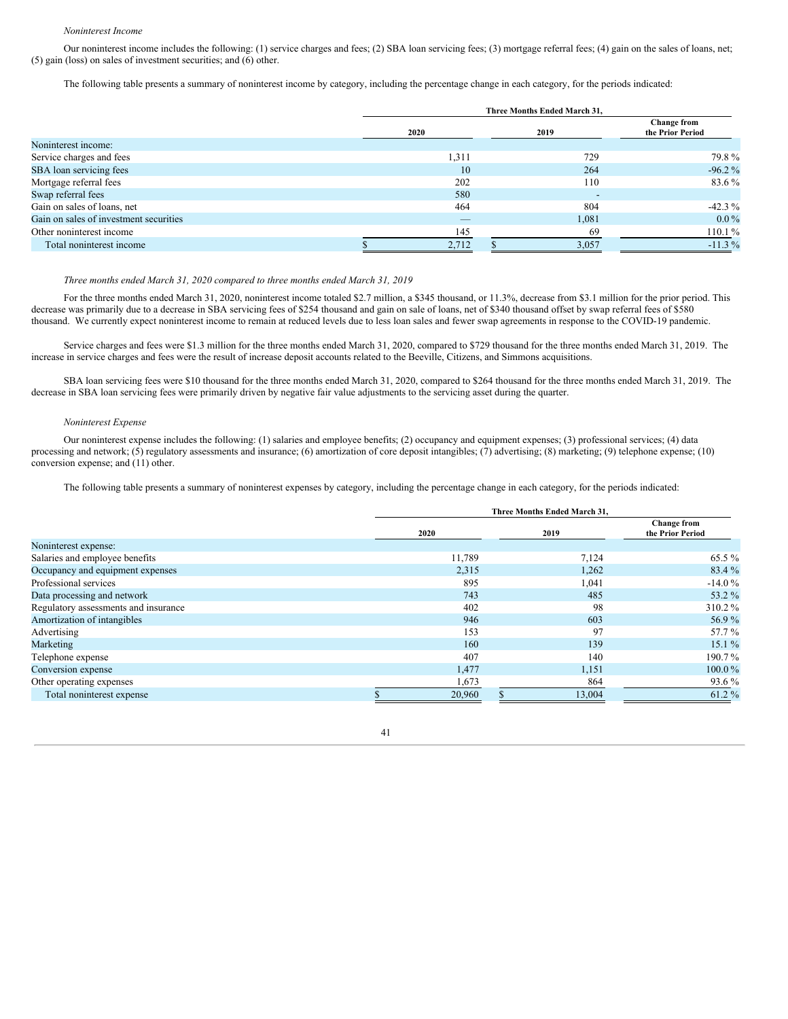#### *Noninterest Income*

Our noninterest income includes the following: (1) service charges and fees; (2) SBA loan servicing fees; (3) mortgage referral fees; (4) gain on the sales of loans, net; (5) gain (loss) on sales of investment securities; and (6) other.

The following table presents a summary of noninterest income by category, including the percentage change in each category, for the periods indicated:

|                                        |      | Three Months Ended March 31. |  |       |                                 |  |  |  |  |
|----------------------------------------|------|------------------------------|--|-------|---------------------------------|--|--|--|--|
|                                        | 2020 |                              |  | 2019  | Change from<br>the Prior Period |  |  |  |  |
| Noninterest income:                    |      |                              |  |       |                                 |  |  |  |  |
| Service charges and fees               |      | 1,311                        |  | 729   | 79.8%                           |  |  |  |  |
| SBA loan servicing fees                |      | 10                           |  | 264   | $-96.2\%$                       |  |  |  |  |
| Mortgage referral fees                 |      | 202                          |  | 110   | 83.6 %                          |  |  |  |  |
| Swap referral fees                     |      | 580                          |  | -     |                                 |  |  |  |  |
| Gain on sales of loans, net            |      | 464                          |  | 804   | $-42.3\%$                       |  |  |  |  |
| Gain on sales of investment securities |      | _                            |  | 1,081 | $0.0\%$                         |  |  |  |  |
| Other noninterest income               |      | 145                          |  | 69    | 110.1%                          |  |  |  |  |
| Total noninterest income               |      | 2,712                        |  | 3,057 | $-11.3\%$                       |  |  |  |  |

# *Three months ended March 31, 2020 compared to three months ended March 31, 2019*

For the three months ended March 31, 2020, noninterest income totaled \$2.7 million, a \$345 thousand, or 11.3%, decrease from \$3.1 million for the prior period. This decrease was primarily due to a decrease in SBA servicing fees of \$254 thousand and gain on sale of loans, net of \$340 thousand offset by swap referral fees of \$580 thousand. We currently expect noninterest income to remain at reduced levels due to less loan sales and fewer swap agreements in response to the COVID-19 pandemic.

Service charges and fees were \$1.3 million for the three months ended March 31, 2020, compared to \$729 thousand for the three months ended March 31, 2019. The increase in service charges and fees were the result of increase deposit accounts related to the Beeville, Citizens, and Simmons acquisitions.

SBA loan servicing fees were \$10 thousand for the three months ended March 31, 2020, compared to \$264 thousand for the three months ended March 31, 2019. The decrease in SBA loan servicing fees were primarily driven by negative fair value adjustments to the servicing asset during the quarter.

# *Noninterest Expense*

Our noninterest expense includes the following: (1) salaries and employee benefits; (2) occupancy and equipment expenses; (3) professional services; (4) data processing and network; (5) regulatory assessments and insurance; (6) amortization of core deposit intangibles; (7) advertising; (8) marketing; (9) telephone expense; (10) conversion expense; and (11) other.

The following table presents a summary of noninterest expenses by category, including the percentage change in each category, for the periods indicated:

|                                      | Three Months Ended March 31, |        |                                        |  |  |  |  |
|--------------------------------------|------------------------------|--------|----------------------------------------|--|--|--|--|
|                                      | 2020                         | 2019   | <b>Change from</b><br>the Prior Period |  |  |  |  |
| Noninterest expense:                 |                              |        |                                        |  |  |  |  |
| Salaries and employee benefits       | 11,789                       | 7,124  | 65.5 %                                 |  |  |  |  |
| Occupancy and equipment expenses     | 2,315                        | 1,262  | 83.4 %                                 |  |  |  |  |
| Professional services                | 895                          | 1,041  | $-14.0%$                               |  |  |  |  |
| Data processing and network          | 743                          | 485    | 53.2 %                                 |  |  |  |  |
| Regulatory assessments and insurance | 402                          | 98     | 310.2%                                 |  |  |  |  |
| Amortization of intangibles          | 946                          | 603    | 56.9%                                  |  |  |  |  |
| Advertising                          | 153                          | 97     | 57.7 %                                 |  |  |  |  |
| Marketing                            | 160                          | 139    | 15.1%                                  |  |  |  |  |
| Telephone expense                    | 407                          | 140    | 190.7%                                 |  |  |  |  |
| Conversion expense                   | 1,477                        | 1,151  | $100.0\%$                              |  |  |  |  |
| Other operating expenses             | 1,673                        | 864    | 93.6 %                                 |  |  |  |  |
| Total noninterest expense            | 20,960                       | 13,004 | 61.2%                                  |  |  |  |  |

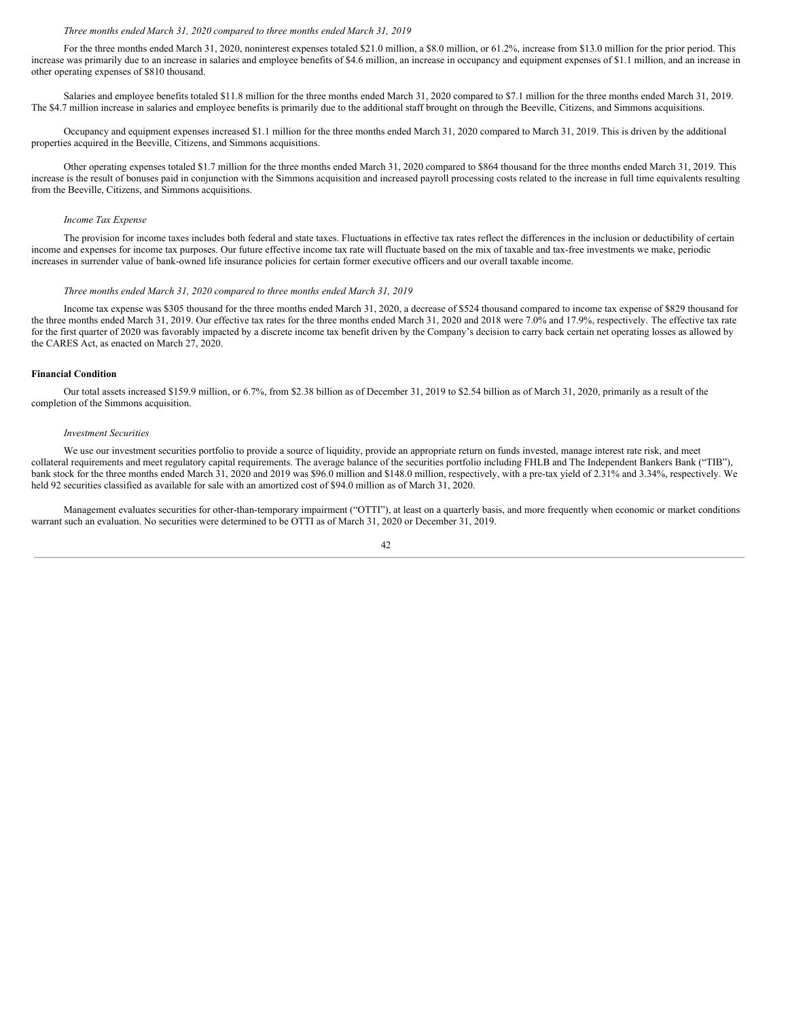#### *Three months ended March 31, 2020 compared to three months ended March 31, 2019*

For the three months ended March 31, 2020, noninterest expenses totaled \$21.0 million, a \$8.0 million, or 61.2%, increase from \$13.0 million for the prior period. This increase was primarily due to an increase in salaries and employee benefits of \$4.6 million, an increase in occupancy and equipment expenses of \$1.1 million, and an increase in other operating expenses of \$810 thousand.

Salaries and employee benefits totaled \$11.8 million for the three months ended March 31, 2020 compared to \$7.1 million for the three months ended March 31, 2019. The \$4.7 million increase in salaries and employee benefits is primarily due to the additional staff brought on through the Beeville, Citizens, and Simmons acquisitions.

Occupancy and equipment expenses increased \$1.1 million for the three months ended March 31, 2020 compared to March 31, 2019. This is driven by the additional properties acquired in the Beeville, Citizens, and Simmons acquisitions.

Other operating expenses totaled \$1.7 million for the three months ended March 31, 2020 compared to \$864 thousand for the three months ended March 31, 2019. This increase is the result of bonuses paid in conjunction with the Simmons acquisition and increased payroll processing costs related to the increase in full time equivalents resulting from the Beeville, Citizens, and Simmons acquisitions.

#### *Income Tax Expense*

The provision for income taxes includes both federal and state taxes. Fluctuations in effective tax rates reflect the differences in the inclusion or deductibility of certain income and expenses for income tax purposes. Our future effective income tax rate will fluctuate based on the mix of taxable and tax-free investments we make, periodic increases in surrender value of bank-owned life insurance policies for certain former executive officers and our overall taxable income.

#### *Three months ended March 31, 2020 compared to three months ended March 31, 2019*

Income tax expense was \$305 thousand for the three months ended March 31, 2020, a decrease of \$524 thousand compared to income tax expense of \$829 thousand for the three months ended March 31, 2019. Our effective tax rates for the three months ended March 31, 2020 and 2018 were 7.0% and 17.9%, respectively. The effective tax rate for the first quarter of 2020 was favorably impacted by a discrete income tax benefit driven by the Company's decision to carry back certain net operating losses as allowed by the CARES Act, as enacted on March 27, 2020.

# **Financial Condition**

Our total assets increased \$159.9 million, or 6.7%, from \$2.38 billion as of December 31, 2019 to \$2.54 billion as of March 31, 2020, primarily as a result of the completion of the Simmons acquisition.

#### *Investment Securities*

We use our investment securities portfolio to provide a source of liquidity, provide an appropriate return on funds invested, manage interest rate risk, and meet collateral requirements and meet regulatory capital requirements. The average balance of the securities portfolio including FHLB and The Independent Bankers Bank ("TIB"), bank stock for the three months ended March 31, 2020 and 2019 was \$96.0 million and \$148.0 million, respectively, with a pre-tax yield of 2.31% and 3.34%, respectively. We held 92 securities classified as available for sale with an amortized cost of \$94.0 million as of March 31, 2020.

Management evaluates securities for other-than-temporary impairment ("OTTI"), at least on a quarterly basis, and more frequently when economic or market conditions warrant such an evaluation. No securities were determined to be OTTI as of March 31, 2020 or December 31, 2019.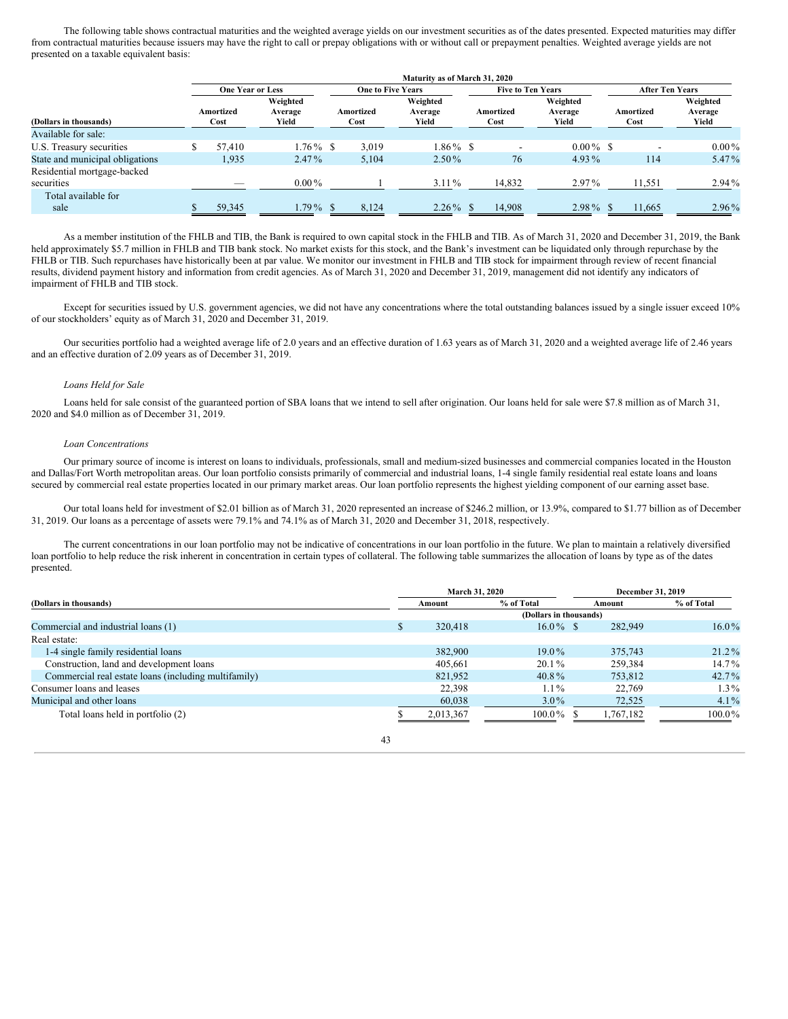The following table shows contractual maturities and the weighted average yields on our investment securities as of the dates presented. Expected maturities may differ from contractual maturities because issuers may have the right to call or prepay obligations with or without call or prepayment penalties. Weighted average yields are not presented on a taxable equivalent basis:

|                                 |                         |                              |                          | Maturity as of March 31, 2020 |  |                   |                              |  |                        |                              |  |
|---------------------------------|-------------------------|------------------------------|--------------------------|-------------------------------|--|-------------------|------------------------------|--|------------------------|------------------------------|--|
|                                 | <b>One Year or Less</b> |                              | <b>One to Five Years</b> |                               |  |                   | <b>Five to Ten Years</b>     |  | <b>After Ten Years</b> |                              |  |
| (Dollars in thousands)          | Amortized<br>Cost       | Weighted<br>Average<br>Yield | Amortized<br>Cost        | Weighted<br>Average<br>Yield  |  | Amortized<br>Cost | Weighted<br>Average<br>Yield |  | Amortized<br>Cost      | Weighted<br>Average<br>Yield |  |
| Available for sale:             |                         |                              |                          |                               |  |                   |                              |  |                        |                              |  |
| U.S. Treasury securities        | 57.410                  | $1.76\%$ \$                  | 3.019                    | $1.86\%$ \$                   |  |                   | $0.00\%$ \$                  |  |                        | $0.00\%$                     |  |
| State and municipal obligations | 1,935                   | $2.47\%$                     | 5.104                    | $2.50\%$                      |  | 76                | $4.93\%$                     |  | 114                    | 5.47%                        |  |
| Residential mortgage-backed     |                         |                              |                          |                               |  |                   |                              |  |                        |                              |  |
| securities                      |                         | $0.00\%$                     |                          | $3.11\%$                      |  | 14,832            | $2.97\%$                     |  | 11,551                 | $2.94\%$                     |  |
| Total available for             |                         |                              |                          |                               |  |                   |                              |  |                        |                              |  |
| sale                            | 59,345                  | $1.79\%$ \$                  | 8,124                    | $2.26\%$                      |  | 14,908            | $2.98\%$                     |  | 11,665                 | $2.96\%$                     |  |

As a member institution of the FHLB and TIB, the Bank is required to own capital stock in the FHLB and TIB. As of March 31, 2020 and December 31, 2019, the Bank held approximately \$5.7 million in FHLB and TIB bank stock. No market exists for this stock, and the Bank's investment can be liquidated only through repurchase by the FHLB or TIB. Such repurchases have historically been at par value. We monitor our investment in FHLB and TIB stock for impairment through review of recent financial results, dividend payment history and information from credit agencies. As of March 31, 2020 and December 31, 2019, management did not identify any indicators of impairment of FHLB and TIB stock.

Except for securities issued by U.S. government agencies, we did not have any concentrations where the total outstanding balances issued by a single issuer exceed 10% of our stockholders' equity as of March 31, 2020 and December 31, 2019.

Our securities portfolio had a weighted average life of 2.0 years and an effective duration of 1.63 years as of March 31, 2020 and a weighted average life of 2.46 years and an effective duration of 2.09 years as of December 31, 2019.

#### *Loans Held for Sale*

Loans held for sale consist of the guaranteed portion of SBA loans that we intend to sell after origination. Our loans held for sale were \$7.8 million as of March 31, 2020 and \$4.0 million as of December 31, 2019.

# *Loan Concentrations*

Our primary source of income is interest on loans to individuals, professionals, small and medium-sized businesses and commercial companies located in the Houston and Dallas/Fort Worth metropolitan areas. Our loan portfolio consists primarily of commercial and industrial loans, 1-4 single family residential real estate loans and loans secured by commercial real estate properties located in our primary market areas. Our loan portfolio represents the highest yielding component of our earning asset base.

Our total loans held for investment of \$2.01 billion as of March 31, 2020 represented an increase of \$246.2 million, or 13.9%, compared to \$1.77 billion as of December 31, 2019. Our loans as a percentage of assets were 79.1% and 74.1% as of March 31, 2020 and December 31, 2018, respectively.

The current concentrations in our loan portfolio may not be indicative of concentrations in our loan portfolio in the future. We plan to maintain a relatively diversified loan portfolio to help reduce the risk inherent in concentration in certain types of collateral. The following table summarizes the allocation of loans by type as of the dates presented.

|                                                      | March 31, 2020 |           |                        | December 31, 2019 |            |  |
|------------------------------------------------------|----------------|-----------|------------------------|-------------------|------------|--|
| (Dollars in thousands)                               |                | Amount    | % of Total             | Amount            | % of Total |  |
|                                                      |                |           | (Dollars in thousands) |                   |            |  |
| Commercial and industrial loans (1)                  |                | 320,418   | $16.0\%$ \$            | 282,949           | $16.0\%$   |  |
| Real estate:                                         |                |           |                        |                   |            |  |
| 1-4 single family residential loans                  |                | 382,900   | $19.0\%$               | 375,743           | $21.2\%$   |  |
| Construction, land and development loans             |                | 405,661   | $20.1\%$               | 259,384           | $14.7\%$   |  |
| Commercial real estate loans (including multifamily) |                | 821,952   | 40.8%                  | 753.812           | $42.7\%$   |  |
| Consumer loans and leases                            |                | 22,398    | $1.1\%$                | 22,769            | $1.3\%$    |  |
| Municipal and other loans                            |                | 60,038    | $3.0\%$                | 72,525            | $4.1\%$    |  |
| Total loans held in portfolio (2)                    |                | 2,013,367 | $100.0\%$              | 1,767,182         | $100.0\%$  |  |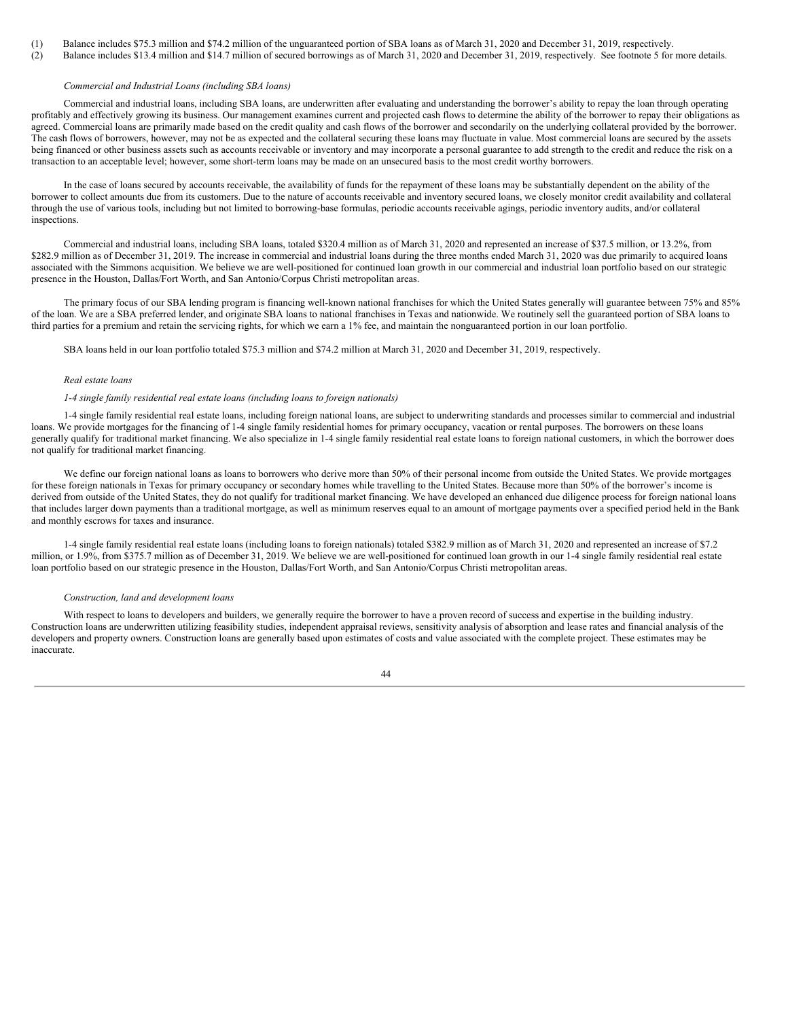(1) Balance includes \$75.3 million and \$74.2 million of the unguaranteed portion of SBA loans as of March 31, 2020 and December 31, 2019, respectively.

(2) Balance includes \$13.4 million and \$14.7 million of secured borrowings as of March 31, 2020 and December 31, 2019, respectively. See footnote 5 for more details.

# *Commercial and Industrial Loans (including SBA loans)*

Commercial and industrial loans, including SBA loans, are underwritten after evaluating and understanding the borrower's ability to repay the loan through operating profitably and effectively growing its business. Our management examines current and projected cash flows to determine the ability of the borrower to repay their obligations as agreed. Commercial loans are primarily made based on the credit quality and cash flows of the borrower and secondarily on the underlying collateral provided by the borrower. The cash flows of borrowers, however, may not be as expected and the collateral securing these loans may fluctuate in value. Most commercial loans are secured by the assets being financed or other business assets such as accounts receivable or inventory and may incorporate a personal guarantee to add strength to the credit and reduce the risk on a transaction to an acceptable level; however, some short-term loans may be made on an unsecured basis to the most credit worthy borrowers.

In the case of loans secured by accounts receivable, the availability of funds for the repayment of these loans may be substantially dependent on the ability of the borrower to collect amounts due from its customers. Due to the nature of accounts receivable and inventory secured loans, we closely monitor credit availability and collateral through the use of various tools, including but not limited to borrowing-base formulas, periodic accounts receivable agings, periodic inventory audits, and/or collateral inspections.

Commercial and industrial loans, including SBA loans, totaled \$320.4 million as of March 31, 2020 and represented an increase of \$37.5 million, or 13.2%, from \$282.9 million as of December 31, 2019. The increase in commercial and industrial loans during the three months ended March 31, 2020 was due primarily to acquired loans associated with the Simmons acquisition. We believe we are well-positioned for continued loan growth in our commercial and industrial loan portfolio based on our strategic presence in the Houston, Dallas/Fort Worth, and San Antonio/Corpus Christi metropolitan areas.

The primary focus of our SBA lending program is financing well-known national franchises for which the United States generally will guarantee between 75% and 85% of the loan. We are a SBA preferred lender, and originate SBA loans to national franchises in Texas and nationwide. We routinely sell the guaranteed portion of SBA loans to third parties for a premium and retain the servicing rights, for which we earn a 1% fee, and maintain the nonguaranteed portion in our loan portfolio.

SBA loans held in our loan portfolio totaled \$75.3 million and \$74.2 million at March 31, 2020 and December 31, 2019, respectively.

#### *Real estate loans*

# *1-4 single family residential real estate loans (including loans to foreign nationals)*

1-4 single family residential real estate loans, including foreign national loans, are subject to underwriting standards and processes similar to commercial and industrial loans. We provide mortgages for the financing of 1-4 single family residential homes for primary occupancy, vacation or rental purposes. The borrowers on these loans generally qualify for traditional market financing. We also specialize in 1-4 single family residential real estate loans to foreign national customers, in which the borrower does not qualify for traditional market financing.

We define our foreign national loans as loans to borrowers who derive more than 50% of their personal income from outside the United States. We provide mortgages for these foreign nationals in Texas for primary occupancy or secondary homes while travelling to the United States. Because more than 50% of the borrower's income is derived from outside of the United States, they do not qualify for traditional market financing. We have developed an enhanced due diligence process for foreign national loans that includes larger down payments than a traditional mortgage, as well as minimum reserves equal to an amount of mortgage payments over a specified period held in the Bank and monthly escrows for taxes and insurance.

1-4 single family residential real estate loans (including loans to foreign nationals) totaled \$382.9 million as of March 31, 2020 and represented an increase of \$7.2 million, or 1.9%, from \$375.7 million as of December 31, 2019. We believe we are well-positioned for continued loan growth in our 1-4 single family residential real estate loan portfolio based on our strategic presence in the Houston, Dallas/Fort Worth, and San Antonio/Corpus Christi metropolitan areas.

#### *Construction, land and development loans*

With respect to loans to developers and builders, we generally require the borrower to have a proven record of success and expertise in the building industry. Construction loans are underwritten utilizing feasibility studies, independent appraisal reviews, sensitivity analysis of absorption and lease rates and financial analysis of the developers and property owners. Construction loans are generally based upon estimates of costs and value associated with the complete project. These estimates may be inaccurate.

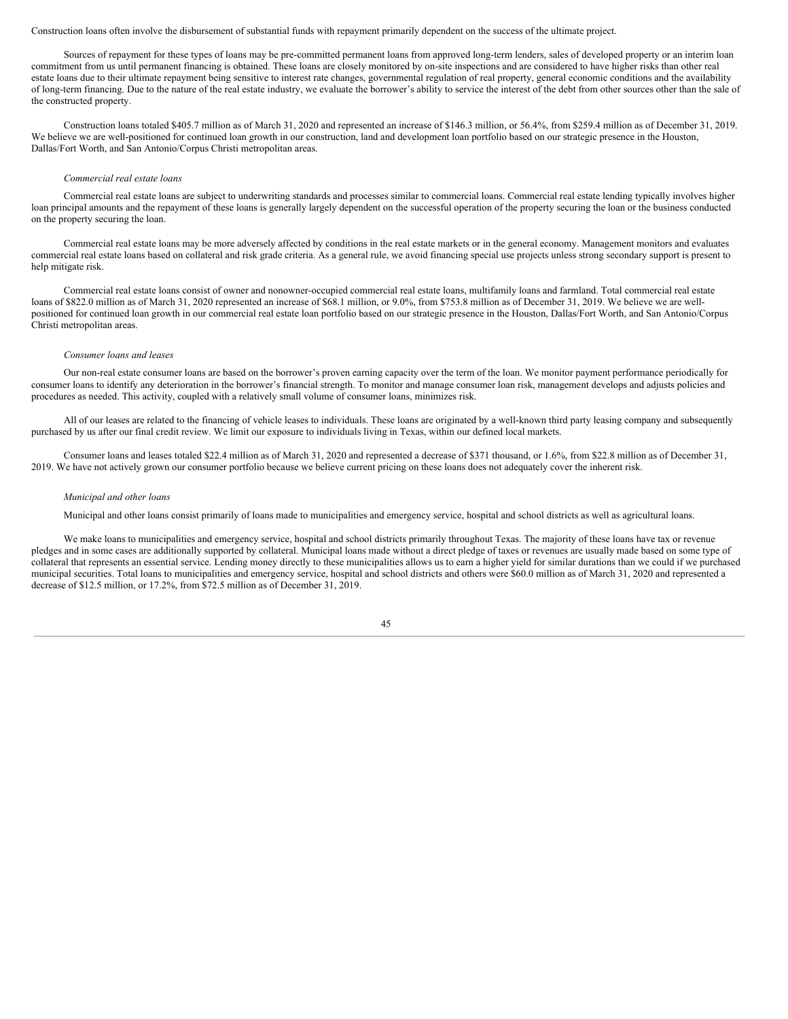#### Construction loans often involve the disbursement of substantial funds with repayment primarily dependent on the success of the ultimate project.

Sources of repayment for these types of loans may be pre-committed permanent loans from approved long-term lenders, sales of developed property or an interim loan commitment from us until permanent financing is obtained. These loans are closely monitored by on-site inspections and are considered to have higher risks than other real estate loans due to their ultimate repayment being sensitive to interest rate changes, governmental regulation of real property, general economic conditions and the availability of long-term financing. Due to the nature of the real estate industry, we evaluate the borrower's ability to service the interest of the debt from other sources other than the sale of the constructed property.

Construction loans totaled \$405.7 million as of March 31, 2020 and represented an increase of \$146.3 million, or 56.4%, from \$259.4 million as of December 31, 2019. We believe we are well-positioned for continued loan growth in our construction, land and development loan portfolio based on our strategic presence in the Houston, Dallas/Fort Worth, and San Antonio/Corpus Christi metropolitan areas.

#### *Commercial real estate loans*

Commercial real estate loans are subject to underwriting standards and processes similar to commercial loans. Commercial real estate lending typically involves higher loan principal amounts and the repayment of these loans is generally largely dependent on the successful operation of the property securing the loan or the business conducted on the property securing the loan.

Commercial real estate loans may be more adversely affected by conditions in the real estate markets or in the general economy. Management monitors and evaluates commercial real estate loans based on collateral and risk grade criteria. As a general rule, we avoid financing special use projects unless strong secondary support is present to help mitigate risk.

Commercial real estate loans consist of owner and nonowner-occupied commercial real estate loans, multifamily loans and farmland. Total commercial real estate loans of \$822.0 million as of March 31, 2020 represented an increase of \$68.1 million, or 9.0%, from \$753.8 million as of December 31, 2019. We believe we are wellpositioned for continued loan growth in our commercial real estate loan portfolio based on our strategic presence in the Houston, Dallas/Fort Worth, and San Antonio/Corpus Christi metropolitan areas.

#### *Consumer loans and leases*

Our non-real estate consumer loans are based on the borrower's proven earning capacity over the term of the loan. We monitor payment performance periodically for consumer loans to identify any deterioration in the borrower's financial strength. To monitor and manage consumer loan risk, management develops and adjusts policies and procedures as needed. This activity, coupled with a relatively small volume of consumer loans, minimizes risk.

All of our leases are related to the financing of vehicle leases to individuals. These loans are originated by a well-known third party leasing company and subsequently purchased by us after our final credit review. We limit our exposure to individuals living in Texas, within our defined local markets.

Consumer loans and leases totaled \$22.4 million as of March 31, 2020 and represented a decrease of \$371 thousand, or 1.6%, from \$22.8 million as of December 31, 2019. We have not actively grown our consumer portfolio because we believe current pricing on these loans does not adequately cover the inherent risk.

#### *Municipal and other loans*

Municipal and other loans consist primarily of loans made to municipalities and emergency service, hospital and school districts as well as agricultural loans.

We make loans to municipalities and emergency service, hospital and school districts primarily throughout Texas. The majority of these loans have tax or revenue pledges and in some cases are additionally supported by collateral. Municipal loans made without a direct pledge of taxes or revenues are usually made based on some type of collateral that represents an essential service. Lending money directly to these municipalities allows us to earn a higher yield for similar durations than we could if we purchased municipal securities. Total loans to municipalities and emergency service, hospital and school districts and others were \$60.0 million as of March 31, 2020 and represented a decrease of \$12.5 million, or 17.2%, from \$72.5 million as of December 31, 2019.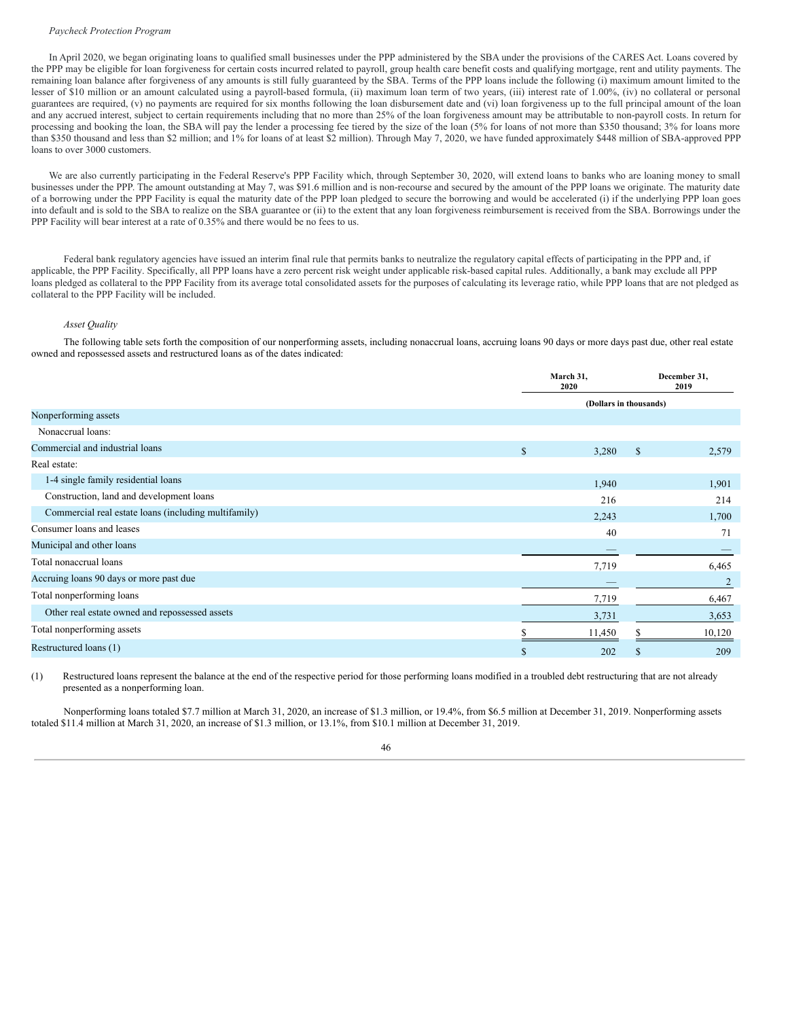#### *Paycheck Protection Program*

In April 2020, we began originating loans to qualified small businesses under the PPP administered by the SBA under the provisions of the CARES Act. Loans covered by the PPP may be eligible for loan forgiveness for certain costs incurred related to payroll, group health care benefit costs and qualifying mortgage, rent and utility payments. The remaining loan balance after forgiveness of any amounts is still fully guaranteed by the SBA. Terms of the PPP loans include the following (i) maximum amount limited to the lesser of \$10 million or an amount calculated using a payroll-based formula, (ii) maximum loan term of two years, (iii) interest rate of 1.00%, (iv) no collateral or personal guarantees are required, (v) no payments are required for six months following the loan disbursement date and (vi) loan forgiveness up to the full principal amount of the loan and any accrued interest, subject to certain requirements including that no more than 25% of the loan forgiveness amount may be attributable to non-payroll costs. In return for processing and booking the loan, the SBA will pay the lender a processing fee tiered by the size of the loan (5% for loans of not more than \$350 thousand; 3% for loans more than \$350 thousand and less than \$2 million; and 1% for loans of at least \$2 million). Through May 7, 2020, we have funded approximately \$448 million of SBA-approved PPP loans to over 3000 customers.

We are also currently participating in the Federal Reserve's PPP Facility which, through September 30, 2020, will extend loans to banks who are loaning money to small businesses under the PPP. The amount outstanding at May 7, was \$91.6 million and is non-recourse and secured by the amount of the PPP loans we originate. The maturity date of a borrowing under the PPP Facility is equal the maturity date of the PPP loan pledged to secure the borrowing and would be accelerated (i) if the underlying PPP loan goes into default and is sold to the SBA to realize on the SBA guarantee or (ii) to the extent that any loan forgiveness reimbursement is received from the SBA. Borrowings under the PPP Facility will bear interest at a rate of 0.35% and there would be no fees to us.

Federal bank regulatory agencies have issued an interim final rule that permits banks to neutralize the regulatory capital effects of participating in the PPP and, if applicable, the PPP Facility. Specifically, all PPP loans have a zero percent risk weight under applicable risk-based capital rules. Additionally, a bank may exclude all PPP loans pledged as collateral to the PPP Facility from its average total consolidated assets for the purposes of calculating its leverage ratio, while PPP loans that are not pledged as collateral to the PPP Facility will be included.

# *Asset Quality*

The following table sets forth the composition of our nonperforming assets, including nonaccrual loans, accruing loans 90 days or more days past due, other real estate owned and repossessed assets and restructured loans as of the dates indicated:

|                                                      | March 31,<br>2020      |    | December 31,<br>2019 |
|------------------------------------------------------|------------------------|----|----------------------|
|                                                      | (Dollars in thousands) |    |                      |
| Nonperforming assets                                 |                        |    |                      |
| Nonaccrual loans:                                    |                        |    |                      |
| Commercial and industrial loans                      | \$<br>3,280            | \$ | 2,579                |
| Real estate:                                         |                        |    |                      |
| 1-4 single family residential loans                  | 1,940                  |    | 1,901                |
| Construction, land and development loans             | 216                    |    | 214                  |
| Commercial real estate loans (including multifamily) | 2,243                  |    | 1,700                |
| Consumer loans and leases                            | 40                     |    | 71                   |
| Municipal and other loans                            |                        |    |                      |
| Total nonaccrual loans                               | 7,719                  |    | 6,465                |
| Accruing loans 90 days or more past due              |                        |    |                      |
| Total nonperforming loans                            | 7,719                  |    | 6,467                |
| Other real estate owned and repossessed assets       | 3,731                  |    | 3,653                |
| Total nonperforming assets                           | 11,450                 |    | 10,120               |
| Restructured loans (1)                               | \$<br>202              | \$ | 209                  |

(1) Restructured loans represent the balance at the end of the respective period for those performing loans modified in a troubled debt restructuring that are not already presented as a nonperforming loan.

Nonperforming loans totaled \$7.7 million at March 31, 2020, an increase of \$1.3 million, or 19.4%, from \$6.5 million at December 31, 2019. Nonperforming assets totaled \$11.4 million at March 31, 2020, an increase of \$1.3 million, or 13.1%, from \$10.1 million at December 31, 2019.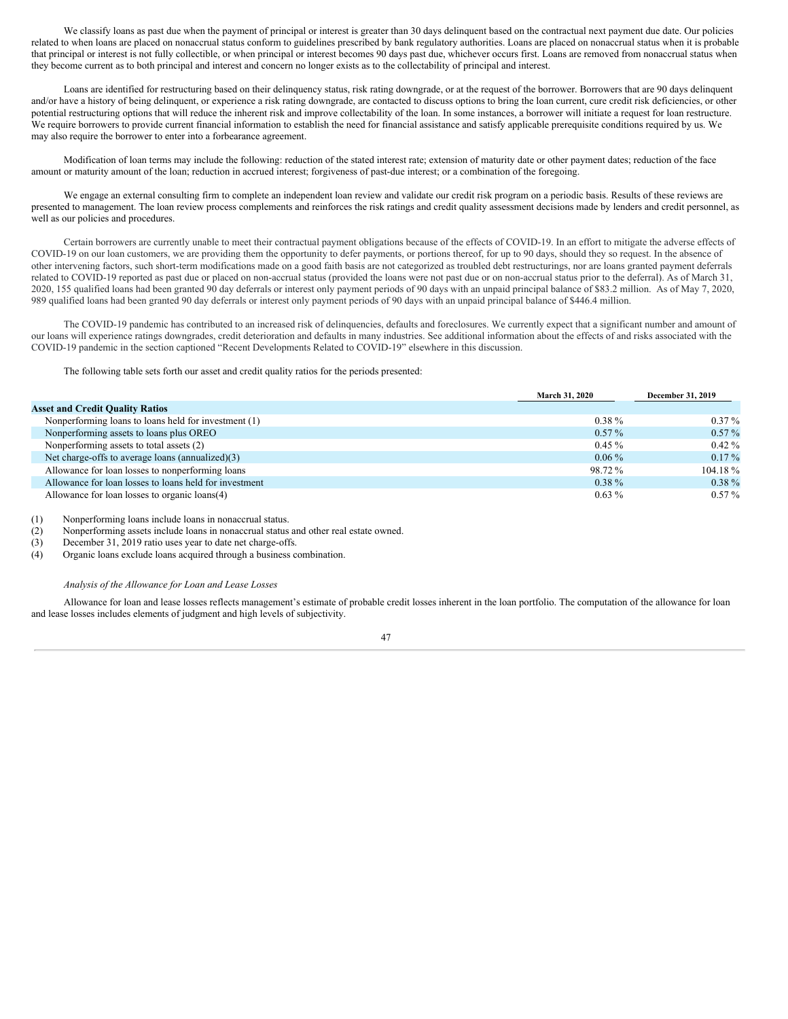We classify loans as past due when the payment of principal or interest is greater than 30 days delinquent based on the contractual next payment due date. Our policies related to when loans are placed on nonaccrual status conform to guidelines prescribed by bank regulatory authorities. Loans are placed on nonaccrual status when it is probable that principal or interest is not fully collectible, or when principal or interest becomes 90 days past due, whichever occurs first. Loans are removed from nonaccrual status when they become current as to both principal and interest and concern no longer exists as to the collectability of principal and interest.

Loans are identified for restructuring based on their delinquency status, risk rating downgrade, or at the request of the borrower. Borrowers that are 90 days delinquent and/or have a history of being delinquent, or experience a risk rating downgrade, are contacted to discuss options to bring the loan current, cure credit risk deficiencies, or other potential restructuring options that will reduce the inherent risk and improve collectability of the loan. In some instances, a borrower will initiate a request for loan restructure. We require borrowers to provide current financial information to establish the need for financial assistance and satisfy applicable prerequisite conditions required by us. We may also require the borrower to enter into a forbearance agreement.

Modification of loan terms may include the following: reduction of the stated interest rate; extension of maturity date or other payment dates; reduction of the face amount or maturity amount of the loan; reduction in accrued interest; forgiveness of past-due interest; or a combination of the foregoing.

We engage an external consulting firm to complete an independent loan review and validate our credit risk program on a periodic basis. Results of these reviews are presented to management. The loan review process complements and reinforces the risk ratings and credit quality assessment decisions made by lenders and credit personnel, as well as our policies and procedures.

Certain borrowers are currently unable to meet their contractual payment obligations because of the effects of COVID-19. In an effort to mitigate the adverse effects of COVID-19 on our loan customers, we are providing them the opportunity to defer payments, or portions thereof, for up to 90 days, should they so request. In the absence of other intervening factors, such short-term modifications made on a good faith basis are not categorized as troubled debt restructurings, nor are loans granted payment deferrals related to COVID-19 reported as past due or placed on non-accrual status (provided the loans were not past due or on non-accrual status prior to the deferral). As of March 31, 2020, 155 qualified loans had been granted 90 day deferrals or interest only payment periods of 90 days with an unpaid principal balance of \$83.2 million. As of May 7, 2020, 989 qualified loans had been granted 90 day deferrals or interest only payment periods of 90 days with an unpaid principal balance of \$446.4 million.

The COVID-19 pandemic has contributed to an increased risk of delinquencies, defaults and foreclosures. We currently expect that a significant number and amount of our loans will experience ratings downgrades, credit deterioration and defaults in many industries. See additional information about the effects of and risks associated with the COVID-19 pandemic in the section captioned "Recent Developments Related to COVID-19" elsewhere in this discussion.

The following table sets forth our asset and credit quality ratios for the periods presented:

|                                                        | <b>March 31, 2020</b> | December 31, 2019 |
|--------------------------------------------------------|-----------------------|-------------------|
| <b>Asset and Credit Quality Ratios</b>                 |                       |                   |
| Nonperforming loans to loans held for investment (1)   | $0.38 \%$             | $0.37\%$          |
| Nonperforming assets to loans plus OREO                | $0.57\%$              | $0.57\%$          |
| Nonperforming assets to total assets (2)               | $0.45\%$              | $0.42\%$          |
| Net charge-offs to average loans (annualized)(3)       | $0.06\%$              | $0.17\%$          |
| Allowance for loan losses to nonperforming loans       | 98.72 %               | $104.18\%$        |
| Allowance for loan losses to loans held for investment | $0.38 \%$             | $0.38 \%$         |
| Allowance for loan losses to organic loans(4)          | $0.63\%$              | $0.57\%$          |

(1) Nonperforming loans include loans in nonaccrual status.

(2) Nonperforming assets include loans in nonaccrual status and other real estate owned.<br>
(3) December 31, 2019 ratio uses year to date net charge-offs.

December 31, 2019 ratio uses year to date net charge-offs.

(4) Organic loans exclude loans acquired through a business combination.

#### *Analysis of the Allowance for Loan and Lease Losses*

Allowance for loan and lease losses reflects management's estimate of probable credit losses inherent in the loan portfolio. The computation of the allowance for loan and lease losses includes elements of judgment and high levels of subjectivity.

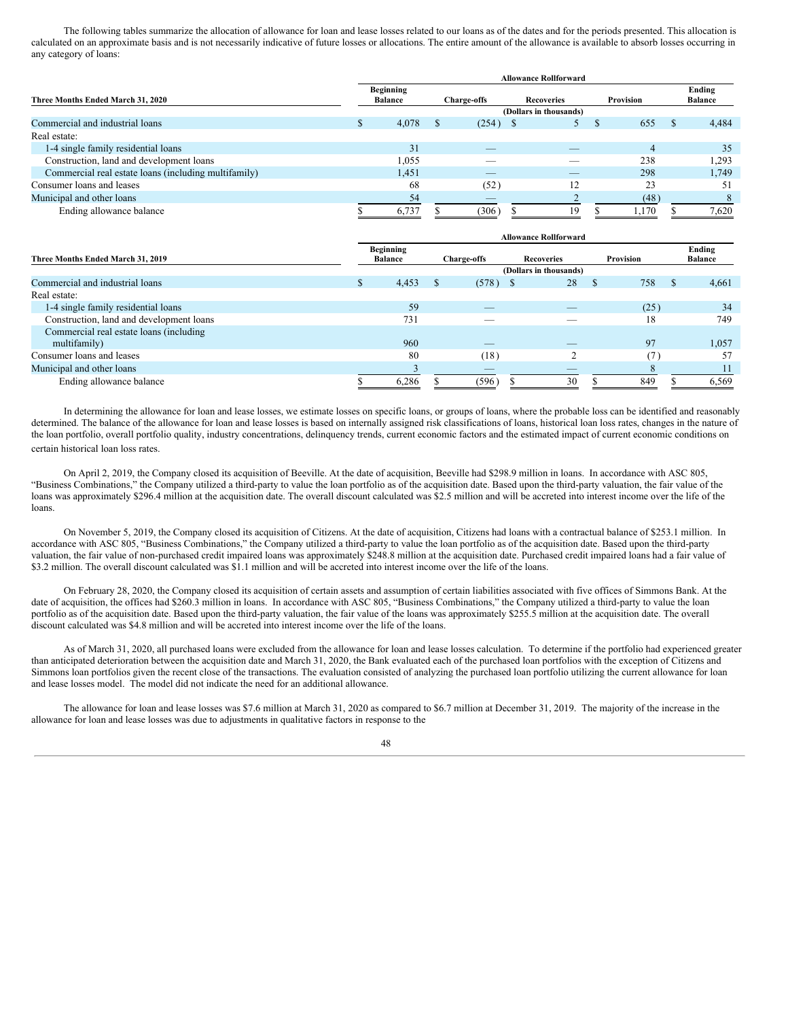The following tables summarize the allocation of allowance for loan and lease losses related to our loans as of the dates and for the periods presented. This allocation is calculated on an approximate basis and is not necessarily indicative of future losses or allocations. The entire amount of the allowance is available to absorb losses occurring in any category of loans:

| Three Months Ended March 31, 2020                    |  | <b>Beginning</b><br><b>Balance</b> |  | <b>Charge-offs</b> | <b>Recoveries</b>      | Provision      |   | Ending<br><b>Balance</b> |
|------------------------------------------------------|--|------------------------------------|--|--------------------|------------------------|----------------|---|--------------------------|
|                                                      |  |                                    |  |                    | (Dollars in thousands) |                |   |                          |
| Commercial and industrial loans                      |  | 4,078                              |  | (254)              |                        | 655            | S | 4,484                    |
| Real estate:                                         |  |                                    |  |                    |                        |                |   |                          |
| 1-4 single family residential loans                  |  | 31                                 |  |                    |                        | $\overline{4}$ |   | 35                       |
| Construction, land and development loans             |  | 1,055                              |  |                    |                        | 238            |   | 1,293                    |
| Commercial real estate loans (including multifamily) |  | 1.451                              |  |                    | $-$                    | 298            |   | 1,749                    |
| Consumer loans and leases                            |  | 68                                 |  | (52)               | 12                     | 23             |   | 51                       |
| Municipal and other loans                            |  | 54                                 |  | $-$                |                        | (48)           |   |                          |
| Ending allowance balance                             |  | 6,737                              |  | (306)              | 19                     | 1,170          |   | 7,620                    |

|                                          | <b>Allowance Rollforward</b> |                                    |  |             |                        |    |           |               |                          |
|------------------------------------------|------------------------------|------------------------------------|--|-------------|------------------------|----|-----------|---------------|--------------------------|
| Three Months Ended March 31, 2019        |                              | <b>Beginning</b><br><b>Balance</b> |  | Charge-offs | <b>Recoveries</b>      |    | Provision |               | Ending<br><b>Balance</b> |
|                                          |                              |                                    |  |             | (Dollars in thousands) |    |           |               |                          |
| Commercial and industrial loans          | ж                            | 4,453                              |  | $(578)$ \$  | 28                     | -S | 758       | <sup>\$</sup> | 4,661                    |
| Real estate:                             |                              |                                    |  |             |                        |    |           |               |                          |
| 1-4 single family residential loans      |                              | 59                                 |  |             |                        |    | (25)      |               | 34                       |
| Construction, land and development loans |                              | 731                                |  |             |                        |    | 18        |               | 749                      |
| Commercial real estate loans (including  |                              |                                    |  |             |                        |    |           |               |                          |
| multifamily)                             |                              | 960                                |  | _           | __                     |    | 97        |               | 1,057                    |
| Consumer loans and leases                |                              | 80                                 |  | (18)        |                        |    | 17        |               | 57                       |
| Municipal and other loans                |                              |                                    |  | _           |                        |    |           |               |                          |
| Ending allowance balance                 |                              | 6,286                              |  | (596)       | 30                     |    | 849       |               | 6,569                    |

In determining the allowance for loan and lease losses, we estimate losses on specific loans, or groups of loans, where the probable loss can be identified and reasonably determined. The balance of the allowance for loan and lease losses is based on internally assigned risk classifications of loans, historical loan loss rates, changes in the nature of the loan portfolio, overall portfolio quality, industry concentrations, delinquency trends, current economic factors and the estimated impact of current economic conditions on certain historical loan loss rates.

On April 2, 2019, the Company closed its acquisition of Beeville. At the date of acquisition, Beeville had \$298.9 million in loans. In accordance with ASC 805, "Business Combinations," the Company utilized a third-party to value the loan portfolio as of the acquisition date. Based upon the third-party valuation, the fair value of the loans was approximately \$296.4 million at the acquisition date. The overall discount calculated was \$2.5 million and will be accreted into interest income over the life of the loans.

On November 5, 2019, the Company closed its acquisition of Citizens. At the date of acquisition, Citizens had loans with a contractual balance of \$253.1 million. In accordance with ASC 805, "Business Combinations," the Company utilized a third-party to value the loan portfolio as of the acquisition date. Based upon the third-party valuation, the fair value of non-purchased credit impaired loans was approximately \$248.8 million at the acquisition date. Purchased credit impaired loans had a fair value of \$3.2 million. The overall discount calculated was \$1.1 million and will be accreted into interest income over the life of the loans.

On February 28, 2020, the Company closed its acquisition of certain assets and assumption of certain liabilities associated with five offices of Simmons Bank. At the date of acquisition, the offices had \$260.3 million in loans. In accordance with ASC 805, "Business Combinations," the Company utilized a third-party to value the loan portfolio as of the acquisition date. Based upon the third-party valuation, the fair value of the loans was approximately \$255.5 million at the acquisition date. The overall discount calculated was \$4.8 million and will be accreted into interest income over the life of the loans.

As of March 31, 2020, all purchased loans were excluded from the allowance for loan and lease losses calculation. To determine if the portfolio had experienced greater than anticipated deterioration between the acquisition date and March 31, 2020, the Bank evaluated each of the purchased loan portfolios with the exception of Citizens and Simmons loan portfolios given the recent close of the transactions. The evaluation consisted of analyzing the purchased loan portfolio utilizing the current allowance for loan and lease losses model. The model did not indicate the need for an additional allowance.

The allowance for loan and lease losses was \$7.6 million at March 31, 2020 as compared to \$6.7 million at December 31, 2019. The majority of the increase in the allowance for loan and lease losses was due to adjustments in qualitative factors in response to the

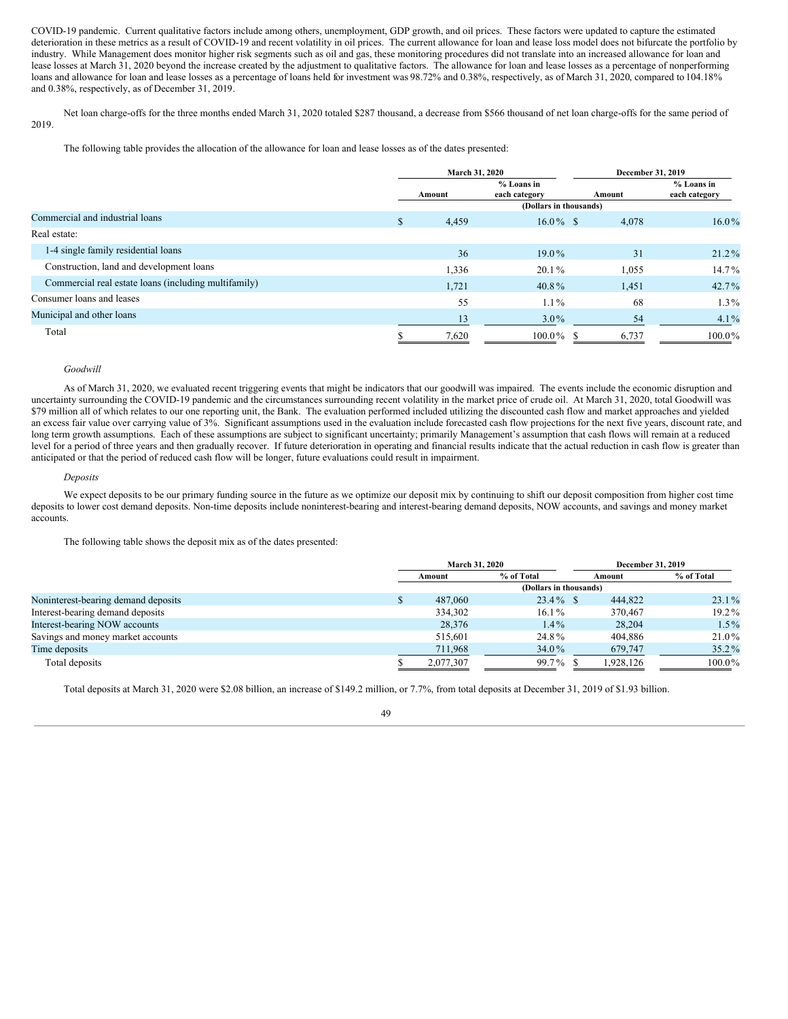COVID-19 pandemic. Current qualitative factors include among others, unemployment, GDP growth, and oil prices. These factors were updated to capture the estimated deterioration in these metrics as a result of COVID-19 and recent volatility in oil prices. The current allowance for loan and lease loss model does not bifurcate the portfolio by industry. While Management does monitor higher risk segments such as oil and gas, these monitoring procedures did not translate into an increased allowance for loan and lease losses at March 31, 2020 beyond the increase created by the adjustment to qualitative factors. The allowance for loan and lease losses as a percentage of nonperforming loans and allowance for loan and lease losses as a percentage of loans held for investment was 98.72% and 0.38%, respectively, as of March 31, 2020, compared to 104.18% and 0.38%, respectively, as of December 31, 2019.

Net loan charge-offs for the three months ended March 31, 2020 totaled \$287 thousand, a decrease from \$566 thousand of net loan charge-offs for the same period of 2019.

The following table provides the allocation of the allowance for loan and lease losses as of the dates presented:

|                                                      |               | <b>March 31, 2020</b>  |                               |             | December 31, 2019             |  |  |  |
|------------------------------------------------------|---------------|------------------------|-------------------------------|-------------|-------------------------------|--|--|--|
|                                                      |               | Amount                 | $%$ Loans in<br>each category | Amount      | $%$ Loans in<br>each category |  |  |  |
|                                                      |               | (Dollars in thousands) |                               |             |                               |  |  |  |
| Commercial and industrial loans                      | <sup>\$</sup> | 4,459                  | $16.0\%$ \$                   | 4,078       | $16.0\%$                      |  |  |  |
| Real estate:                                         |               |                        |                               |             |                               |  |  |  |
| 1-4 single family residential loans                  |               | 36                     | $19.0\%$                      | 31          | $21.2\%$                      |  |  |  |
| Construction, land and development loans             |               | 1,336                  | $20.1\%$                      | 1,055       | $14.7\%$                      |  |  |  |
| Commercial real estate loans (including multifamily) |               | 1,721                  | $40.8\%$                      | 1,451       | $42.7\%$                      |  |  |  |
| Consumer loans and leases                            |               | 55                     | $1.1\%$                       | 68          | $1.3\%$                       |  |  |  |
| Municipal and other loans                            |               | 13                     | $3.0\%$                       | 54          | $4.1\%$                       |  |  |  |
| Total                                                |               | 7,620                  | $100.0\%$                     | 6,737<br>-8 | $100.0\%$                     |  |  |  |

#### *Goodwill*

As of March 31, 2020, we evaluated recent triggering events that might be indicators that our goodwill was impaired. The events include the economic disruption and uncertainty surrounding the COVID-19 pandemic and the circumstances surrounding recent volatility in the market price of crude oil. At March 31, 2020, total Goodwill was \$79 million all of which relates to our one reporting unit, the Bank. The evaluation performed included utilizing the discounted cash flow and market approaches and yielded an excess fair value over carrying value of 3%. Significant assumptions used in the evaluation include forecasted cash flow projections for the next five years, discount rate, and long term growth assumptions. Each of these assumptions are subject to significant uncertainty; primarily Management's assumption that cash flows will remain at a reduced level for a period of three years and then gradually recover. If future deterioration in operating and financial results indicate that the actual reduction in cash flow is greater than anticipated or that the period of reduced cash flow will be longer, future evaluations could result in impairment.

#### *Deposits*

We expect deposits to be our primary funding source in the future as we optimize our deposit mix by continuing to shift our deposit composition from higher cost time deposits to lower cost demand deposits. Non-time deposits include noninterest-bearing and interest-bearing demand deposits, NOW accounts, and savings and money market accounts.

The following table shows the deposit mix as of the dates presented:

|                                     | <b>March 31, 2020</b> |                        | December 31, 2019 |            |  |
|-------------------------------------|-----------------------|------------------------|-------------------|------------|--|
|                                     | Amount                | % of Total             | Amount            | % of Total |  |
|                                     |                       | (Dollars in thousands) |                   |            |  |
| Noninterest-bearing demand deposits | 487,060               | $23.4\%$ \$            | 444,822           | $23.1\%$   |  |
| Interest-bearing demand deposits    | 334,302               | $16.1\%$               | 370,467           | $19.2\%$   |  |
| Interest-bearing NOW accounts       | 28,376                | $1.4\%$                | 28,204            | $1.5\%$    |  |
| Savings and money market accounts   | 515,601               | 24.8%                  | 404.886           | 21.0%      |  |
| Time deposits                       | 711,968               | 34.0%                  | 679,747           | $35.2\%$   |  |
| Total deposits                      | 2,077,307             | 99.7%                  | 1,928,126         | $100.0\%$  |  |

Total deposits at March 31, 2020 were \$2.08 billion, an increase of \$149.2 million, or 7.7%, from total deposits at December 31, 2019 of \$1.93 billion.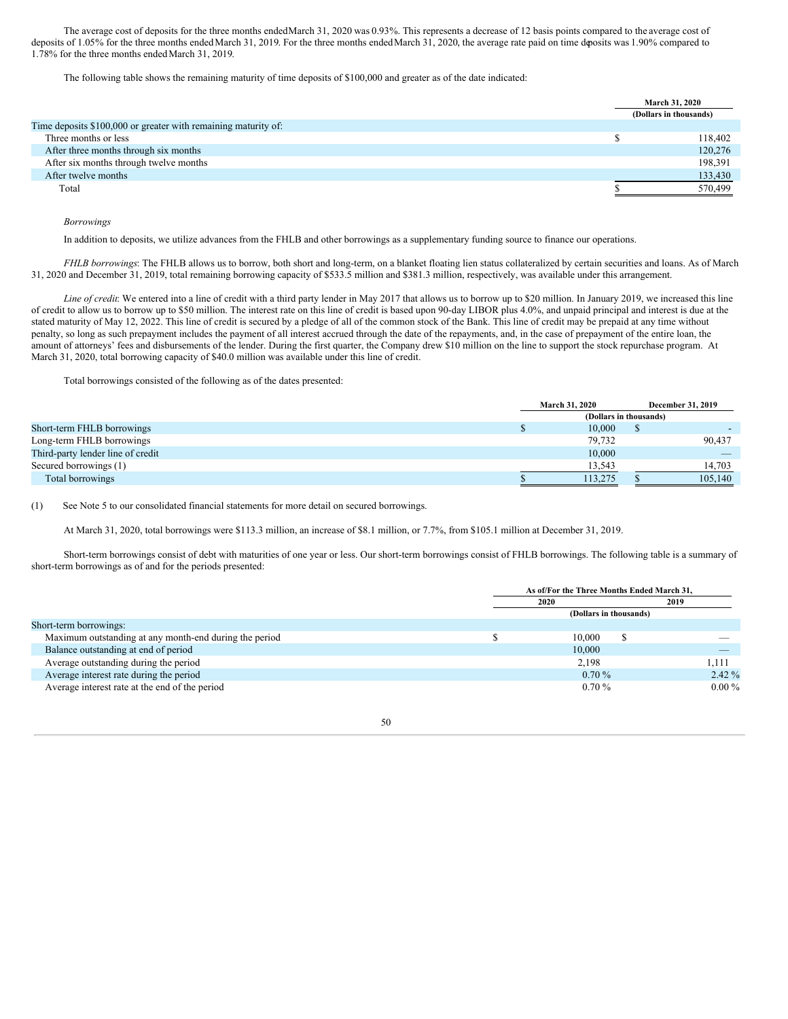The average cost of deposits for the three months endedMarch 31, 2020 was 0.93%. This represents a decrease of 12 basis points compared to the average cost of deposits of 1.05% for the three months endedMarch 31, 2019. For the three months endedMarch 31, 2020, the average rate paid on time deposits was 1.90% compared to 1.78% for the three months endedMarch 31, 2019.

The following table shows the remaining maturity of time deposits of \$100,000 and greater as of the date indicated:

|                                                                | <b>March 31, 2020</b>  |
|----------------------------------------------------------------|------------------------|
|                                                                | (Dollars in thousands) |
| Time deposits \$100,000 or greater with remaining maturity of: |                        |
| Three months or less                                           | 118,402                |
| After three months through six months                          | 120,276                |
| After six months through twelve months                         | 198,391                |
| After twelve months                                            | 133,430                |
| Total                                                          | 570,499                |

*Borrowings*

In addition to deposits, we utilize advances from the FHLB and other borrowings as a supplementary funding source to finance our operations.

*FHLB borrowings*: The FHLB allows us to borrow, both short and long-term, on a blanket floating lien status collateralized by certain securities and loans. As of March 31, 2020 and December 31, 2019, total remaining borrowing capacity of \$533.5 million and \$381.3 million, respectively, was available under this arrangement.

*Line of credit*: We entered into a line of credit with a third party lender in May 2017 that allows us to borrow up to \$20 million. In January 2019, we increased this line of credit to allow us to borrow up to \$50 million. The interest rate on this line of credit is based upon 90-day LIBOR plus 4.0%, and unpaid principal and interest is due at the stated maturity of May 12, 2022. This line of credit is secured by a pledge of all of the common stock of the Bank. This line of credit may be prepaid at any time without penalty, so long as such prepayment includes the payment of all interest accrued through the date of the repayments, and, in the case of prepayment of the entire loan, the amount of attorneys' fees and disbursements of the lender. During the first quarter, the Company drew \$10 million on the line to support the stock repurchase program. At March 31, 2020, total borrowing capacity of \$40.0 million was available under this line of credit.

Total borrowings consisted of the following as of the dates presented:

|                                   | <b>March 31, 2020</b>  | <b>December 31, 2019</b> |
|-----------------------------------|------------------------|--------------------------|
|                                   | (Dollars in thousands) |                          |
| Short-term FHLB borrowings        | 10,000                 |                          |
| Long-term FHLB borrowings         | 79.732                 | 90,437                   |
| Third-party lender line of credit | 10.000                 |                          |
| Secured borrowings (1)            | 13,543                 | 14,703                   |
| Total borrowings                  | 113.275                | 105,140                  |

(1) See Note 5 to our consolidated financial statements for more detail on secured borrowings.

At March 31, 2020, total borrowings were \$113.3 million, an increase of \$8.1 million, or 7.7%, from \$105.1 million at December 31, 2019.

Short-term borrowings consist of debt with maturities of one year or less. Our short-term borrowings consist of FHLB borrowings. The following table is a summary of short-term borrowings as of and for the periods presented:

|                                                        | As of/For the Three Months Ended March 31. |          |          |
|--------------------------------------------------------|--------------------------------------------|----------|----------|
|                                                        | 2020                                       |          | 2019     |
|                                                        | (Dollars in thousands)                     |          |          |
| Short-term borrowings:                                 |                                            |          |          |
| Maximum outstanding at any month-end during the period |                                            | 10.000   |          |
| Balance outstanding at end of period                   |                                            | 10,000   |          |
| Average outstanding during the period                  |                                            | 2.198    | 1.111    |
| Average interest rate during the period                |                                            | $0.70\%$ | $2.42\%$ |
| Average interest rate at the end of the period         |                                            | $0.70\%$ | $0.00\%$ |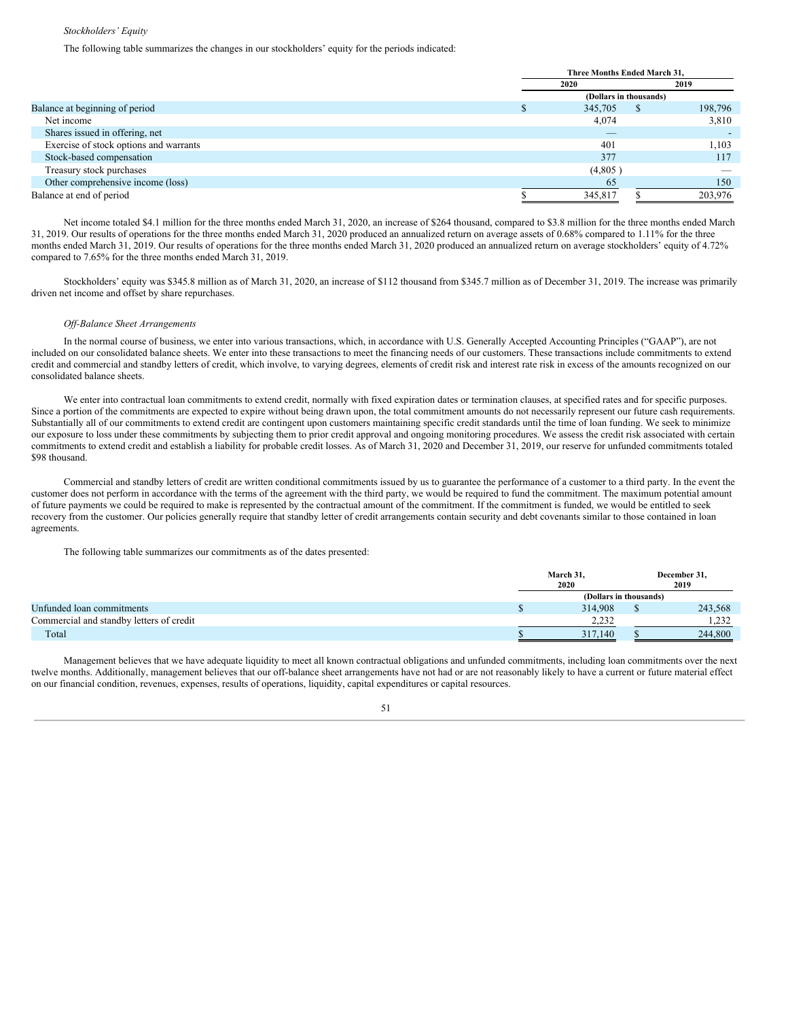#### *Stockholders' Equity*

The following table summarizes the changes in our stockholders' equity for the periods indicated:

|                                        | Three Months Ended March 31, |         |                        |         |
|----------------------------------------|------------------------------|---------|------------------------|---------|
|                                        |                              | 2020    |                        | 2019    |
|                                        |                              |         | (Dollars in thousands) |         |
| Balance at beginning of period         |                              | 345,705 | ъ                      | 198,796 |
| Net income                             |                              | 4,074   |                        | 3,810   |
| Shares issued in offering, net         |                              | _       |                        |         |
| Exercise of stock options and warrants |                              | 401     |                        | 1,103   |
| Stock-based compensation               |                              | 377     |                        | 117     |
| Treasury stock purchases               |                              | (4,805) |                        |         |
| Other comprehensive income (loss)      |                              | 65      |                        | 150     |
| Balance at end of period               |                              | 345,817 |                        | 203,976 |

Net income totaled \$4.1 million for the three months ended March 31, 2020, an increase of \$264 thousand, compared to \$3.8 million for the three months ended March 31, 2019. Our results of operations for the three months ended March 31, 2020 produced an annualized return on average assets of 0.68% compared to 1.11% for the three months ended March 31, 2019. Our results of operations for the three months ended March 31, 2020 produced an annualized return on average stockholders' equity of 4.72% compared to 7.65% for the three months ended March 31, 2019.

Stockholders' equity was \$345.8 million as of March 31, 2020, an increase of \$112 thousand from \$345.7 million as of December 31, 2019. The increase was primarily driven net income and offset by share repurchases.

# *Of -Balance Sheet Arrangements*

In the normal course of business, we enter into various transactions, which, in accordance with U.S. Generally Accepted Accounting Principles ("GAAP"), are not included on our consolidated balance sheets. We enter into these transactions to meet the financing needs of our customers. These transactions include commitments to extend credit and commercial and standby letters of credit, which involve, to varying degrees, elements of credit risk and interest rate risk in excess of the amounts recognized on our consolidated balance sheets.

We enter into contractual loan commitments to extend credit, normally with fixed expiration dates or termination clauses, at specified rates and for specific purposes. Since a portion of the commitments are expected to expire without being drawn upon, the total commitment amounts do not necessarily represent our future cash requirements. Substantially all of our commitments to extend credit are contingent upon customers maintaining specific credit standards until the time of loan funding. We seek to minimize our exposure to loss under these commitments by subjecting them to prior credit approval and ongoing monitoring procedures. We assess the credit risk associated with certain commitments to extend credit and establish a liability for probable credit losses. As of March 31, 2020 and December 31, 2019, our reserve for unfunded commitments totaled \$98 thousand.

Commercial and standby letters of credit are written conditional commitments issued by us to guarantee the performance of a customer to a third party. In the event the customer does not perform in accordance with the terms of the agreement with the third party, we would be required to fund the commitment. The maximum potential amount of future payments we could be required to make is represented by the contractual amount of the commitment. If the commitment is funded, we would be entitled to seek recovery from the customer. Our policies generally require that standby letter of credit arrangements contain security and debt covenants similar to those contained in loan agreements.

The following table summarizes our commitments as of the dates presented:

|                                          | March 31,<br>2020      | December 31,<br>2019 |
|------------------------------------------|------------------------|----------------------|
|                                          | (Dollars in thousands) |                      |
| Unfunded loan commitments                | 314,908                | 243,568              |
| Commercial and standby letters of credit | 2.232                  | 1.232                |
| Total                                    | 317,140                | 244,800              |

Management believes that we have adequate liquidity to meet all known contractual obligations and unfunded commitments, including loan commitments over the next twelve months. Additionally, management believes that our off-balance sheet arrangements have not had or are not reasonably likely to have a current or future material effect on our financial condition, revenues, expenses, results of operations, liquidity, capital expenditures or capital resources.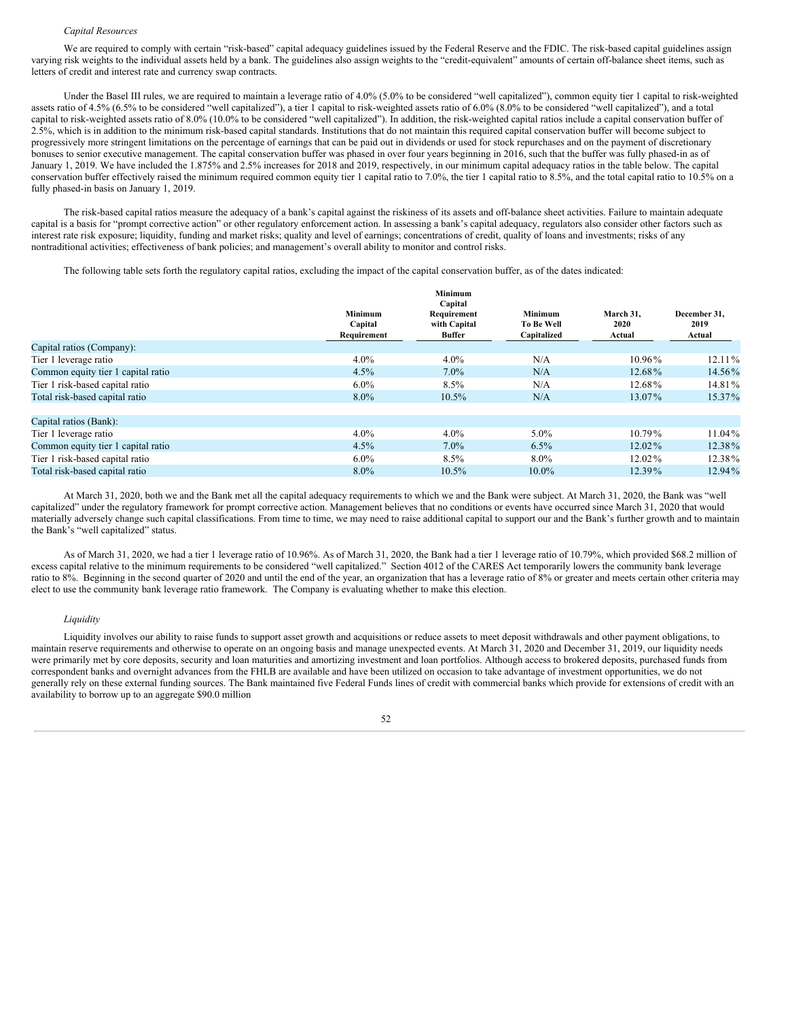#### *Capital Resources*

We are required to comply with certain "risk-based" capital adequacy guidelines issued by the Federal Reserve and the FDIC. The risk-based capital guidelines assign varying risk weights to the individual assets held by a bank. The guidelines also assign weights to the "credit-equivalent" amounts of certain off-balance sheet items, such as letters of credit and interest rate and currency swap contracts.

Under the Basel III rules, we are required to maintain a leverage ratio of 4.0% (5.0% to be considered "well capitalized"), common equity tier 1 capital to risk-weighted assets ratio of 4.5% (6.5% to be considered "well capitalized"), a tier 1 capital to risk-weighted assets ratio of 6.0% (8.0% to be considered "well capitalized"), and a total capital to risk-weighted assets ratio of 8.0% (10.0% to be considered "well capitalized"). In addition, the risk-weighted capital ratios include a capital conservation buffer of 2.5%, which is in addition to the minimum risk-based capital standards. Institutions that do not maintain this required capital conservation buffer will become subject to progressively more stringent limitations on the percentage of earnings that can be paid out in dividends or used for stock repurchases and on the payment of discretionary bonuses to senior executive management. The capital conservation buffer was phased in over four years beginning in 2016, such that the buffer was fully phased-in as of January 1, 2019. We have included the 1.875% and 2.5% increases for 2018 and 2019, respectively, in our minimum capital adequacy ratios in the table below. The capital conservation buffer effectively raised the minimum required common equity tier 1 capital ratio to 7.0%, the tier 1 capital ratio to 8.5%, and the total capital ratio to 10.5% on a fully phased-in basis on January 1, 2019.

The risk-based capital ratios measure the adequacy of a bank's capital against the riskiness of its assets and off-balance sheet activities. Failure to maintain adequate capital is a basis for "prompt corrective action" or other regulatory enforcement action. In assessing a bank's capital adequacy, regulators also consider other factors such as interest rate risk exposure; liquidity, funding and market risks; quality and level of earnings; concentrations of credit, quality of loans and investments; risks of any nontraditional activities; effectiveness of bank policies; and management's overall ability to monitor and control risks.

The following table sets forth the regulatory capital ratios, excluding the impact of the capital conservation buffer, as of the dates indicated:

|                                    |                           | Minimum<br>Capital          |                              |                   |                      |
|------------------------------------|---------------------------|-----------------------------|------------------------------|-------------------|----------------------|
|                                    | <b>Minimum</b><br>Capital | Requirement<br>with Capital | Minimum<br><b>To Be Well</b> | March 31,<br>2020 | December 31,<br>2019 |
|                                    | Requirement               | Buffer                      | Capitalized                  | Actual            | Actual               |
| Capital ratios (Company):          |                           |                             |                              |                   |                      |
| Tier 1 leverage ratio              | $4.0\%$                   | $4.0\%$                     | N/A                          | 10.96%            | $12.11\%$            |
| Common equity tier 1 capital ratio | 4.5%                      | $7.0\%$                     | N/A                          | 12.68%            | 14.56%               |
| Tier 1 risk-based capital ratio    | $6.0\%$                   | $8.5\%$                     | N/A                          | 12.68%            | 14.81%               |
| Total risk-based capital ratio     | 8.0%                      | 10.5%                       | N/A                          | 13.07%            | 15.37%               |
|                                    |                           |                             |                              |                   |                      |
| Capital ratios (Bank):             |                           |                             |                              |                   |                      |
| Tier 1 leverage ratio              | $4.0\%$                   | $4.0\%$                     | $5.0\%$                      | $10.79\%$         | 11.04%               |
| Common equity tier 1 capital ratio | 4.5%                      | $7.0\%$                     | $6.5\%$                      | $12.02\%$         | 12.38%               |
| Tier 1 risk-based capital ratio    | $6.0\%$                   | 8.5%                        | $8.0\%$                      | 12.02%            | 12.38%               |
| Total risk-based capital ratio     | $8.0\%$                   | $10.5\%$                    | $10.0\%$                     | $12.39\%$         | 12.94%               |

At March 31, 2020, both we and the Bank met all the capital adequacy requirements to which we and the Bank were subject. At March 31, 2020, the Bank was "well capitalized" under the regulatory framework for prompt corrective action. Management believes that no conditions or events have occurred since March 31, 2020 that would materially adversely change such capital classifications. From time to time, we may need to raise additional capital to support our and the Bank's further growth and to maintain the Bank's "well capitalized" status.

As of March 31, 2020, we had a tier 1 leverage ratio of 10.96%. As of March 31, 2020, the Bank had a tier 1 leverage ratio of 10.79%, which provided \$68.2 million of excess capital relative to the minimum requirements to be considered "well capitalized." Section 4012 of the CARES Act temporarily lowers the community bank leverage ratio to 8%. Beginning in the second quarter of 2020 and until the end of the year, an organization that has a leverage ratio of 8% or greater and meets certain other criteria may elect to use the community bank leverage ratio framework. The Company is evaluating whether to make this election.

#### *Liquidity*

Liquidity involves our ability to raise funds to support asset growth and acquisitions or reduce assets to meet deposit withdrawals and other payment obligations, to maintain reserve requirements and otherwise to operate on an ongoing basis and manage unexpected events. At March 31, 2020 and December 31, 2019, our liquidity needs were primarily met by core deposits, security and loan maturities and amortizing investment and loan portfolios. Although access to brokered deposits, purchased funds from correspondent banks and overnight advances from the FHLB are available and have been utilized on occasion to take advantage of investment opportunities, we do not generally rely on these external funding sources. The Bank maintained five Federal Funds lines of credit with commercial banks which provide for extensions of credit with an availability to borrow up to an aggregate \$90.0 million

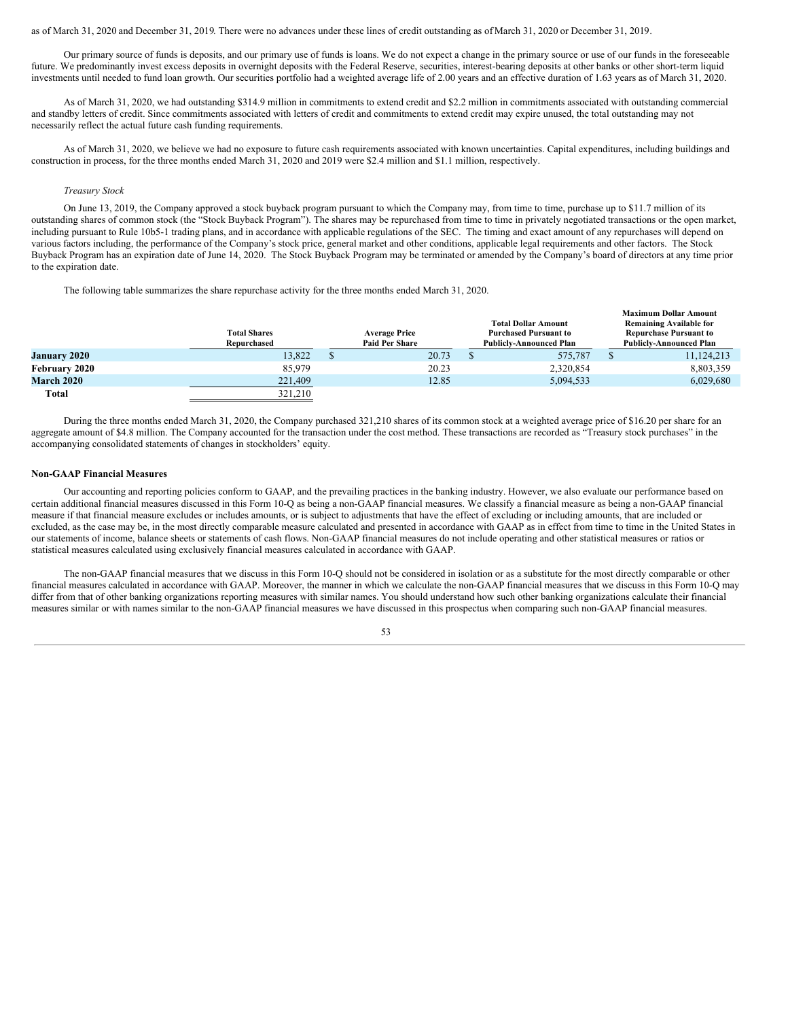#### as of March 31, 2020 and December 31, 2019. There were no advances under these lines of credit outstanding as of March 31, 2020 or December 31, 2019.

Our primary source of funds is deposits, and our primary use of funds is loans. We do not expect a change in the primary source or use of our funds in the foreseeable future. We predominantly invest excess deposits in overnight deposits with the Federal Reserve, securities, interest-bearing deposits at other banks or other short-term liquid investments until needed to fund loan growth. Our securities portfolio had a weighted average life of 2.00 years and an effective duration of 1.63 years as of March 31, 2020.

As of March 31, 2020, we had outstanding \$314.9 million in commitments to extend credit and \$2.2 million in commitments associated with outstanding commercial and standby letters of credit. Since commitments associated with letters of credit and commitments to extend credit may expire unused, the total outstanding may not necessarily reflect the actual future cash funding requirements.

As of March 31, 2020, we believe we had no exposure to future cash requirements associated with known uncertainties. Capital expenditures, including buildings and construction in process, for the three months ended March 31, 2020 and 2019 were \$2.4 million and \$1.1 million, respectively.

#### *Treasury Stock*

On June 13, 2019, the Company approved a stock buyback program pursuant to which the Company may, from time to time, purchase up to \$11.7 million of its outstanding shares of common stock (the "Stock Buyback Program"). The shares may be repurchased from time to time in privately negotiated transactions or the open market, including pursuant to Rule 10b5-1 trading plans, and in accordance with applicable regulations of the SEC. The timing and exact amount of any repurchases will depend on various factors including, the performance of the Company's stock price, general market and other conditions, applicable legal requirements and other factors. The Stock Buyback Program has an expiration date of June 14, 2020. The Stock Buyback Program may be terminated or amended by the Company's board of directors at any time prior to the expiration date.

The following table summarizes the share repurchase activity for the three months ended March 31, 2020.

|                   |                     |                       |                                | <b>Maximum Dollar Amount</b>   |
|-------------------|---------------------|-----------------------|--------------------------------|--------------------------------|
|                   |                     |                       | <b>Total Dollar Amount</b>     | <b>Remaining Available for</b> |
|                   | <b>Total Shares</b> | <b>Average Price</b>  | <b>Purchased Pursuant to</b>   | <b>Repurchase Pursuant to</b>  |
|                   | Repurchased         | <b>Paid Per Share</b> | <b>Publicly-Announced Plan</b> | <b>Publicly-Announced Plan</b> |
| January 2020      | 13.822              | 20.73                 | 575,787                        | 11,124,213                     |
| February 2020     | 85,979              | 20.23                 | 2,320,854                      | 8,803,359                      |
| <b>March 2020</b> | 221,409             | 12.85                 | 5,094,533                      | 6,029,680                      |
| Total             | 321,210             |                       |                                |                                |

During the three months ended March 31, 2020, the Company purchased 321,210 shares of its common stock at a weighted average price of \$16.20 per share for an aggregate amount of \$4.8 million. The Company accounted for the transaction under the cost method. These transactions are recorded as "Treasury stock purchases" in the accompanying consolidated statements of changes in stockholders' equity.

#### **Non-GAAP Financial Measures**

Our accounting and reporting policies conform to GAAP, and the prevailing practices in the banking industry. However, we also evaluate our performance based on certain additional financial measures discussed in this Form 10-Q as being a non-GAAP financial measures. We classify a financial measure as being a non-GAAP financial measure if that financial measure excludes or includes amounts, or is subject to adjustments that have the effect of excluding or including amounts, that are included or excluded, as the case may be, in the most directly comparable measure calculated and presented in accordance with GAAP as in effect from time to time in the United States in our statements of income, balance sheets or statements of cash flows. Non-GAAP financial measures do not include operating and other statistical measures or ratios or statistical measures calculated using exclusively financial measures calculated in accordance with GAAP.

The non-GAAP financial measures that we discuss in this Form 10-Q should not be considered in isolation or as a substitute for the most directly comparable or other financial measures calculated in accordance with GAAP. Moreover, the manner in which we calculate the non-GAAP financial measures that we discuss in this Form 10-Q may differ from that of other banking organizations reporting measures with similar names. You should understand how such other banking organizations calculate their financial measures similar or with names similar to the non-GAAP financial measures we have discussed in this prospectus when comparing such non-GAAP financial measures.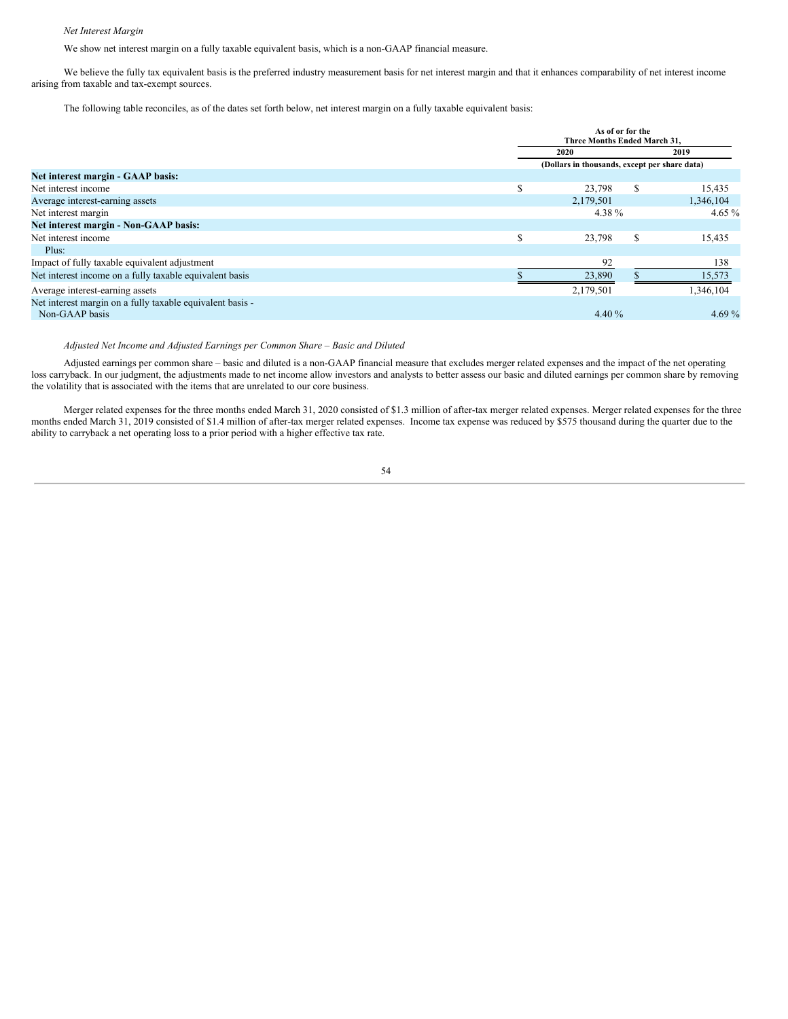# *Net Interest Margin*

We show net interest margin on a fully taxable equivalent basis, which is a non-GAAP financial measure.

We believe the fully tax equivalent basis is the preferred industry measurement basis for net interest margin and that it enhances comparability of net interest income arising from taxable and tax-exempt sources.

The following table reconciles, as of the dates set forth below, net interest margin on a fully taxable equivalent basis:

|                                                                             |               | As of or for the<br>Three Months Ended March 31. |               |           |  |
|-----------------------------------------------------------------------------|---------------|--------------------------------------------------|---------------|-----------|--|
|                                                                             |               | 2020                                             |               | 2019      |  |
|                                                                             |               | (Dollars in thousands, except per share data)    |               |           |  |
| Net interest margin - GAAP basis:                                           |               |                                                  |               |           |  |
| Net interest income                                                         | S             | 23,798                                           | <sup>\$</sup> | 15,435    |  |
| Average interest-earning assets                                             |               | 2,179,501                                        |               | 1,346,104 |  |
| Net interest margin                                                         |               | 4.38 %                                           |               | 4.65 $%$  |  |
| Net interest margin - Non-GAAP basis:                                       |               |                                                  |               |           |  |
| Net interest income                                                         | $\sigma$<br>ж | 23,798                                           | \$            | 15,435    |  |
| Plus:                                                                       |               |                                                  |               |           |  |
| Impact of fully taxable equivalent adjustment                               |               | 92                                               |               | 138       |  |
| Net interest income on a fully taxable equivalent basis                     |               | 23,890                                           |               | 15,573    |  |
| Average interest-earning assets                                             |               | 2,179,501                                        |               | 1,346,104 |  |
| Net interest margin on a fully taxable equivalent basis -<br>Non-GAAP basis |               | 4.40 $\%$                                        |               | 4.69 $%$  |  |

# *Adjusted Net Income and Adjusted Earnings per Common Share – Basic and Diluted*

Adjusted earnings per common share – basic and diluted is a non-GAAP financial measure that excludes merger related expenses and the impact of the net operating loss carryback. In our judgment, the adjustments made to net income allow investors and analysts to better assess our basic and diluted earnings per common share by removing the volatility that is associated with the items that are unrelated to our core business.

Merger related expenses for the three months ended March 31, 2020 consisted of \$1.3 million of after-tax merger related expenses. Merger related expenses for the three months ended March 31, 2019 consisted of \$1.4 million of after-tax merger related expenses. Income tax expense was reduced by \$575 thousand during the quarter due to the ability to carryback a net operating loss to a prior period with a higher effective tax rate.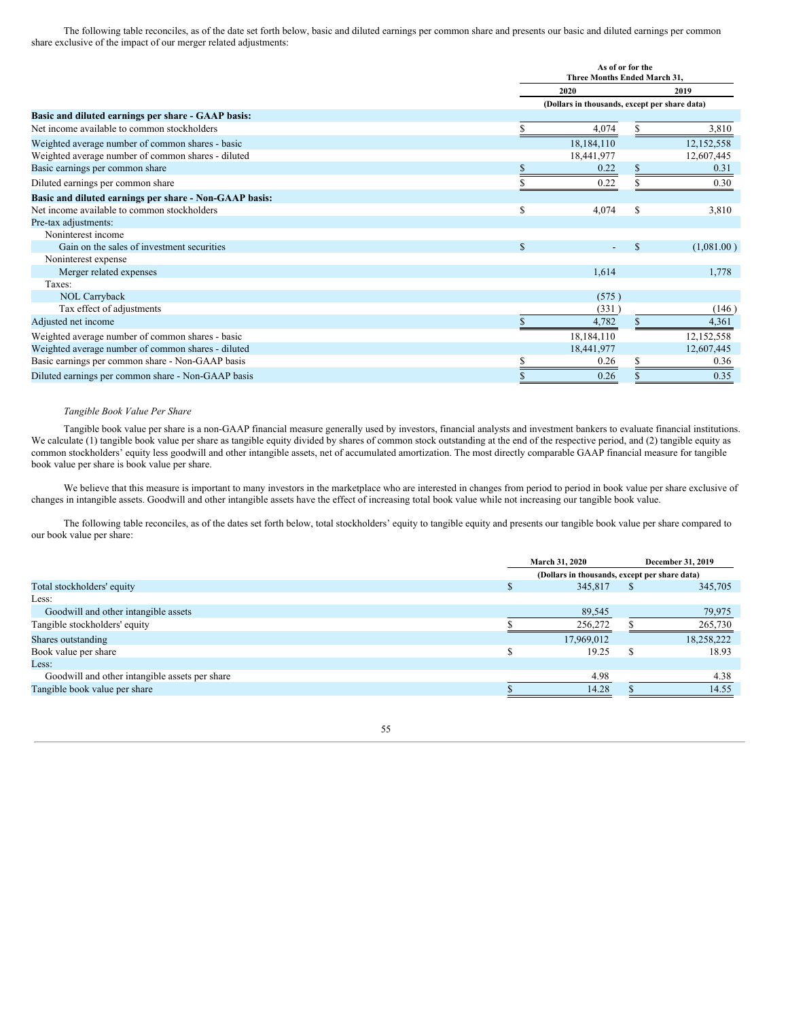The following table reconciles, as of the date set forth below, basic and diluted earnings per common share and presents our basic and diluted earnings per common share exclusive of the impact of our merger related adjustments:

|                                                        |    | As of or for the<br>Three Months Ended March 31, |    |            |
|--------------------------------------------------------|----|--------------------------------------------------|----|------------|
|                                                        |    | 2020                                             |    | 2019       |
|                                                        |    | (Dollars in thousands, except per share data)    |    |            |
| Basic and diluted earnings per share - GAAP basis:     |    |                                                  |    |            |
| Net income available to common stockholders            |    | 4,074                                            |    | 3,810      |
| Weighted average number of common shares - basic       |    | 18,184,110                                       |    | 12,152,558 |
| Weighted average number of common shares - diluted     |    | 18,441,977                                       |    | 12,607,445 |
| Basic earnings per common share                        |    | 0.22                                             | \$ | 0.31       |
| Diluted earnings per common share                      |    | 0.22                                             |    | 0.30       |
| Basic and diluted earnings per share - Non-GAAP basis: |    |                                                  |    |            |
| Net income available to common stockholders            | S  | 4,074                                            | \$ | 3,810      |
| Pre-tax adjustments:                                   |    |                                                  |    |            |
| Noninterest income                                     |    |                                                  |    |            |
| Gain on the sales of investment securities             | \$ |                                                  | \$ | (1,081.00) |
| Noninterest expense                                    |    |                                                  |    |            |
| Merger related expenses                                |    | 1.614                                            |    | 1,778      |
| Taxes:                                                 |    |                                                  |    |            |
| <b>NOL Carryback</b>                                   |    | (575)                                            |    |            |
| Tax effect of adjustments                              |    | (331)                                            |    | (146)      |
| Adjusted net income                                    |    | 4,782                                            |    | 4,361      |
| Weighted average number of common shares - basic       |    | 18,184,110                                       |    | 12,152,558 |
| Weighted average number of common shares - diluted     |    | 18,441,977                                       |    | 12,607,445 |
| Basic earnings per common share - Non-GAAP basis       |    | 0.26                                             |    | 0.36       |
| Diluted earnings per common share - Non-GAAP basis     |    | 0.26                                             |    | 0.35       |
|                                                        |    |                                                  |    |            |

# *Tangible Book Value Per Share*

Tangible book value per share is a non-GAAP financial measure generally used by investors, financial analysts and investment bankers to evaluate financial institutions. We calculate (1) tangible book value per share as tangible equity divided by shares of common stock outstanding at the end of the respective period, and (2) tangible equity as common stockholders' equity less goodwill and other intangible assets, net of accumulated amortization. The most directly comparable GAAP financial measure for tangible book value per share is book value per share.

We believe that this measure is important to many investors in the marketplace who are interested in changes from period to period in book value per share exclusive of changes in intangible assets. Goodwill and other intangible assets have the effect of increasing total book value while not increasing our tangible book value.

The following table reconciles, as of the dates set forth below, total stockholders' equity to tangible equity and presents our tangible book value per share compared to our book value per share:

|                                                |          | March 31, 2020                                | December 31, 2019 |
|------------------------------------------------|----------|-----------------------------------------------|-------------------|
|                                                |          | (Dollars in thousands, except per share data) |                   |
| Total stockholders' equity                     | <b>J</b> | 345,817                                       | 345,705           |
| Less:                                          |          |                                               |                   |
| Goodwill and other intangible assets           |          | 89,545                                        | 79,975            |
| Tangible stockholders' equity                  |          | 256,272                                       | 265,730           |
| Shares outstanding                             |          | 17,969,012                                    | 18,258,222        |
| Book value per share                           |          | 19.25                                         | 18.93             |
| Less:                                          |          |                                               |                   |
| Goodwill and other intangible assets per share |          | 4.98                                          | 4.38              |
| Tangible book value per share                  |          | 14.28                                         | 14.55             |

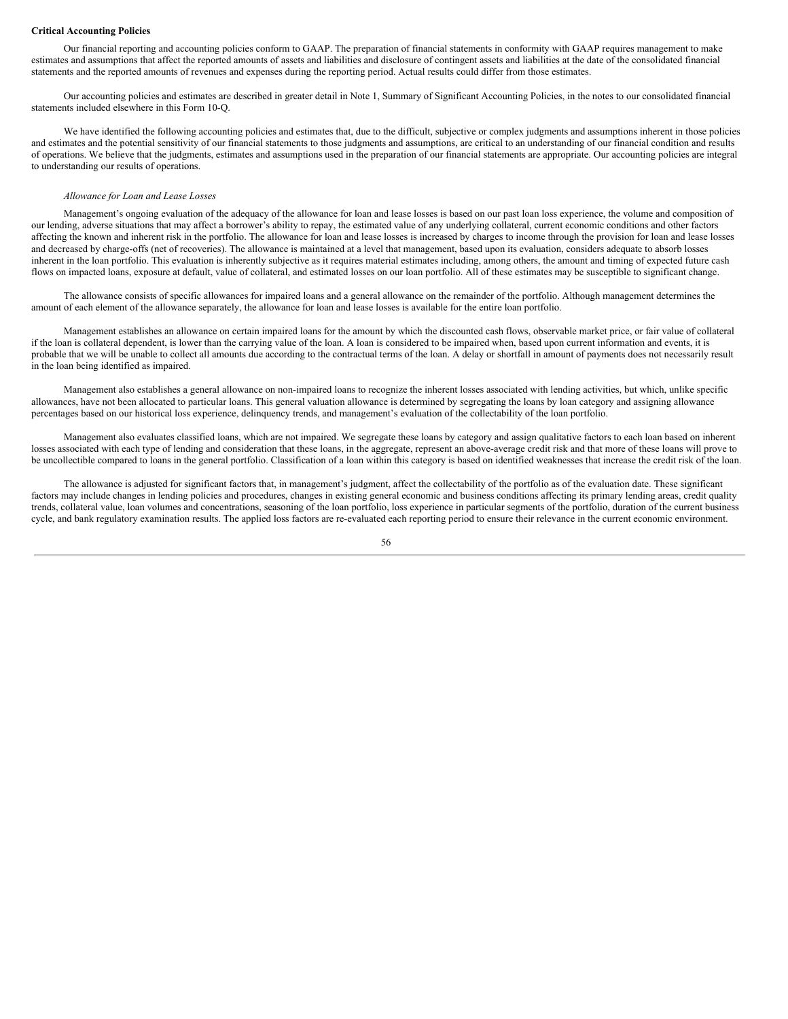#### **Critical Accounting Policies**

Our financial reporting and accounting policies conform to GAAP. The preparation of financial statements in conformity with GAAP requires management to make estimates and assumptions that affect the reported amounts of assets and liabilities and disclosure of contingent assets and liabilities at the date of the consolidated financial statements and the reported amounts of revenues and expenses during the reporting period. Actual results could differ from those estimates.

Our accounting policies and estimates are described in greater detail in Note 1, Summary of Significant Accounting Policies, in the notes to our consolidated financial statements included elsewhere in this Form 10-Q.

We have identified the following accounting policies and estimates that, due to the difficult, subjective or complex judgments and assumptions inherent in those policies and estimates and the potential sensitivity of our financial statements to those judgments and assumptions, are critical to an understanding of our financial condition and results of operations. We believe that the judgments, estimates and assumptions used in the preparation of our financial statements are appropriate. Our accounting policies are integral to understanding our results of operations.

# *Allowance for Loan and Lease Losses*

Management's ongoing evaluation of the adequacy of the allowance for loan and lease losses is based on our past loan loss experience, the volume and composition of our lending, adverse situations that may affect a borrower's ability to repay, the estimated value of any underlying collateral, current economic conditions and other factors affecting the known and inherent risk in the portfolio. The allowance for loan and lease losses is increased by charges to income through the provision for loan and lease losses and decreased by charge-offs (net of recoveries). The allowance is maintained at a level that management, based upon its evaluation, considers adequate to absorb losses inherent in the loan portfolio. This evaluation is inherently subjective as it requires material estimates including, among others, the amount and timing of expected future cash flows on impacted loans, exposure at default, value of collateral, and estimated losses on our loan portfolio. All of these estimates may be susceptible to significant change.

The allowance consists of specific allowances for impaired loans and a general allowance on the remainder of the portfolio. Although management determines the amount of each element of the allowance separately, the allowance for loan and lease losses is available for the entire loan portfolio.

Management establishes an allowance on certain impaired loans for the amount by which the discounted cash flows, observable market price, or fair value of collateral if the loan is collateral dependent, is lower than the carrying value of the loan. A loan is considered to be impaired when, based upon current information and events, it is probable that we will be unable to collect all amounts due according to the contractual terms of the loan. A delay or shortfall in amount of payments does not necessarily result in the loan being identified as impaired.

Management also establishes a general allowance on non-impaired loans to recognize the inherent losses associated with lending activities, but which, unlike specific allowances, have not been allocated to particular loans. This general valuation allowance is determined by segregating the loans by loan category and assigning allowance percentages based on our historical loss experience, delinquency trends, and management's evaluation of the collectability of the loan portfolio.

Management also evaluates classified loans, which are not impaired. We segregate these loans by category and assign qualitative factors to each loan based on inherent losses associated with each type of lending and consideration that these loans, in the aggregate, represent an above-average credit risk and that more of these loans will prove to be uncollectible compared to loans in the general portfolio. Classification of a loan within this category is based on identified weaknesses that increase the credit risk of the loan.

The allowance is adjusted for significant factors that, in management's judgment, affect the collectability of the portfolio as of the evaluation date. These significant factors may include changes in lending policies and procedures, changes in existing general economic and business conditions affecting its primary lending areas, credit quality trends, collateral value, loan volumes and concentrations, seasoning of the loan portfolio, loss experience in particular segments of the portfolio, duration of the current business cycle, and bank regulatory examination results. The applied loss factors are re-evaluated each reporting period to ensure their relevance in the current economic environment.

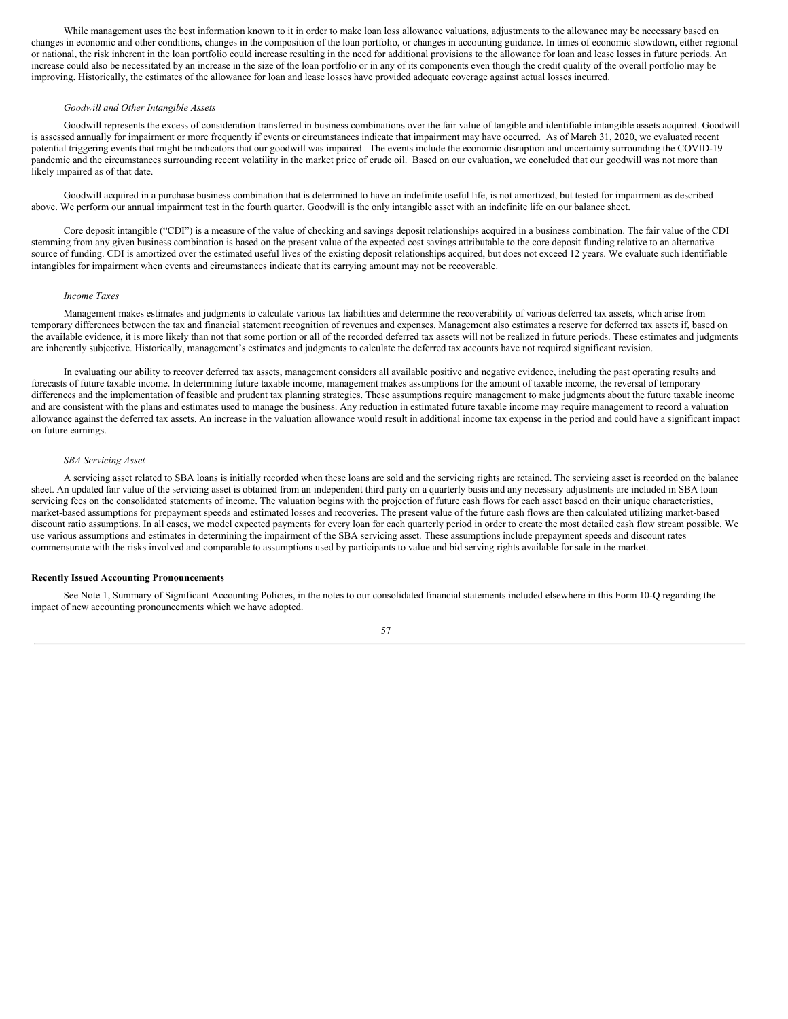While management uses the best information known to it in order to make loan loss allowance valuations, adjustments to the allowance may be necessary based on changes in economic and other conditions, changes in the composition of the loan portfolio, or changes in accounting guidance. In times of economic slowdown, either regional or national, the risk inherent in the loan portfolio could increase resulting in the need for additional provisions to the allowance for loan and lease losses in future periods. An increase could also be necessitated by an increase in the size of the loan portfolio or in any of its components even though the credit quality of the overall portfolio may be improving. Historically, the estimates of the allowance for loan and lease losses have provided adequate coverage against actual losses incurred.

#### *Goodwill and Other Intangible Assets*

Goodwill represents the excess of consideration transferred in business combinations over the fair value of tangible and identifiable intangible assets acquired. Goodwill is assessed annually for impairment or more frequently if events or circumstances indicate that impairment may have occurred. As of March 31, 2020, we evaluated recent potential triggering events that might be indicators that our goodwill was impaired. The events include the economic disruption and uncertainty surrounding the COVID-19 pandemic and the circumstances surrounding recent volatility in the market price of crude oil. Based on our evaluation, we concluded that our goodwill was not more than likely impaired as of that date.

Goodwill acquired in a purchase business combination that is determined to have an indefinite useful life, is not amortized, but tested for impairment as described above. We perform our annual impairment test in the fourth quarter. Goodwill is the only intangible asset with an indefinite life on our balance sheet.

Core deposit intangible ("CDI") is a measure of the value of checking and savings deposit relationships acquired in a business combination. The fair value of the CDI stemming from any given business combination is based on the present value of the expected cost savings attributable to the core deposit funding relative to an alternative source of funding. CDI is amortized over the estimated useful lives of the existing deposit relationships acquired, but does not exceed 12 years. We evaluate such identifiable intangibles for impairment when events and circumstances indicate that its carrying amount may not be recoverable.

# *Income Taxes*

Management makes estimates and judgments to calculate various tax liabilities and determine the recoverability of various deferred tax assets, which arise from temporary differences between the tax and financial statement recognition of revenues and expenses. Management also estimates a reserve for deferred tax assets if, based on the available evidence, it is more likely than not that some portion or all of the recorded deferred tax assets will not be realized in future periods. These estimates and judgments are inherently subjective. Historically, management's estimates and judgments to calculate the deferred tax accounts have not required significant revision.

In evaluating our ability to recover deferred tax assets, management considers all available positive and negative evidence, including the past operating results and forecasts of future taxable income. In determining future taxable income, management makes assumptions for the amount of taxable income, the reversal of temporary differences and the implementation of feasible and prudent tax planning strategies. These assumptions require management to make judgments about the future taxable income and are consistent with the plans and estimates used to manage the business. Any reduction in estimated future taxable income may require management to record a valuation allowance against the deferred tax assets. An increase in the valuation allowance would result in additional income tax expense in the period and could have a significant impact on future earnings.

#### *SBA Servicing Asset*

A servicing asset related to SBA loans is initially recorded when these loans are sold and the servicing rights are retained. The servicing asset is recorded on the balance sheet. An updated fair value of the servicing asset is obtained from an independent third party on a quarterly basis and any necessary adjustments are included in SBA loan servicing fees on the consolidated statements of income. The valuation begins with the projection of future cash flows for each asset based on their unique characteristics, market-based assumptions for prepayment speeds and estimated losses and recoveries. The present value of the future cash flows are then calculated utilizing market-based discount ratio assumptions. In all cases, we model expected payments for every loan for each quarterly period in order to create the most detailed cash flow stream possible. We use various assumptions and estimates in determining the impairment of the SBA servicing asset. These assumptions include prepayment speeds and discount rates commensurate with the risks involved and comparable to assumptions used by participants to value and bid serving rights available for sale in the market.

#### **Recently Issued Accounting Pronouncements**

See Note 1, Summary of Significant Accounting Policies, in the notes to our consolidated financial statements included elsewhere in this Form 10-Q regarding the impact of new accounting pronouncements which we have adopted.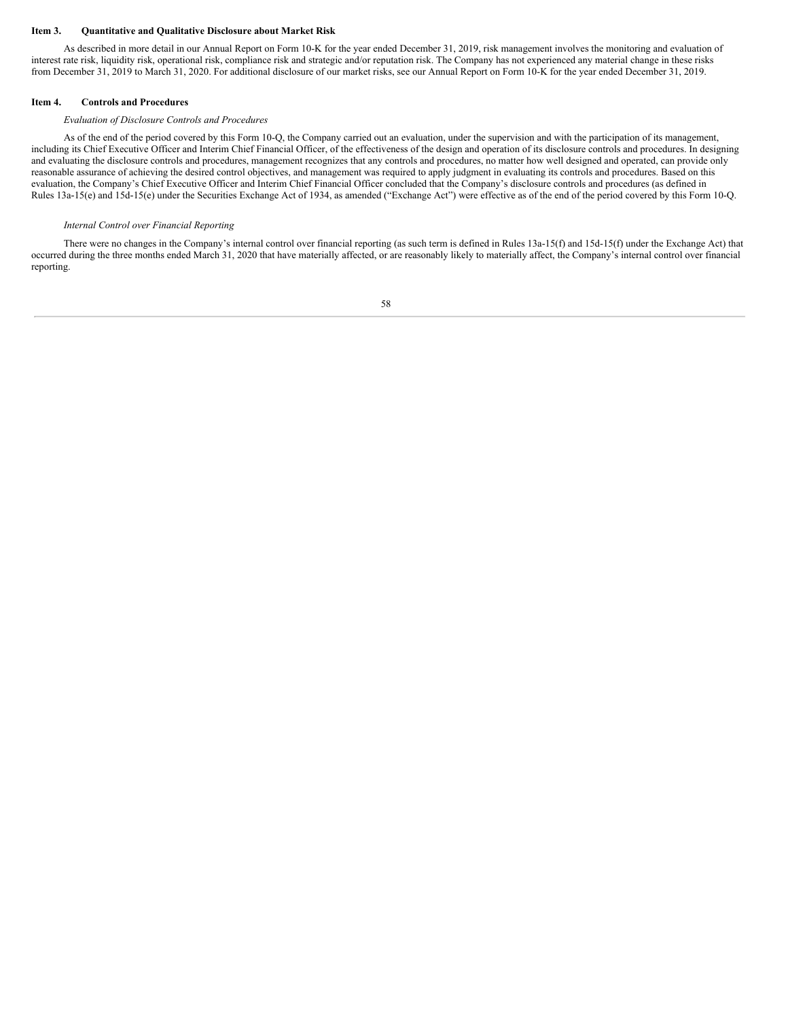#### <span id="page-58-0"></span>**Item 3. Quantitative and Qualitative Disclosure about Market Risk**

As described in more detail in our Annual Report on Form 10-K for the year ended December 31, 2019, risk management involves the monitoring and evaluation of interest rate risk, liquidity risk, operational risk, compliance risk and strategic and/or reputation risk. The Company has not experienced any material change in these risks from December 31, 2019 to March 31, 2020. For additional disclosure of our market risks, see our Annual Report on Form 10-K for the year ended December 31, 2019.

#### <span id="page-58-1"></span>**Item 4. Controls and Procedures**

# *Evaluation of Disclosure Controls and Procedures*

As of the end of the period covered by this Form 10-Q, the Company carried out an evaluation, under the supervision and with the participation of its management, including its Chief Executive Officer and Interim Chief Financial Officer, of the effectiveness of the design and operation of its disclosure controls and procedures. In designing and evaluating the disclosure controls and procedures, management recognizes that any controls and procedures, no matter how well designed and operated, can provide only reasonable assurance of achieving the desired control objectives, and management was required to apply judgment in evaluating its controls and procedures. Based on this evaluation, the Company's Chief Executive Officer and Interim Chief Financial Officer concluded that the Company's disclosure controls and procedures (as defined in Rules 13a-15(e) and 15d-15(e) under the Securities Exchange Act of 1934, as amended ("Exchange Act") were effective as of the end of the period covered by this Form 10-Q.

# *Internal Control over Financial Reporting*

There were no changes in the Company's internal control over financial reporting (as such term is defined in Rules 13a-15(f) and 15d-15(f) under the Exchange Act) that occurred during the three months ended March 31, 2020 that have materially affected, or are reasonably likely to materially affect, the Company's internal control over financial reporting.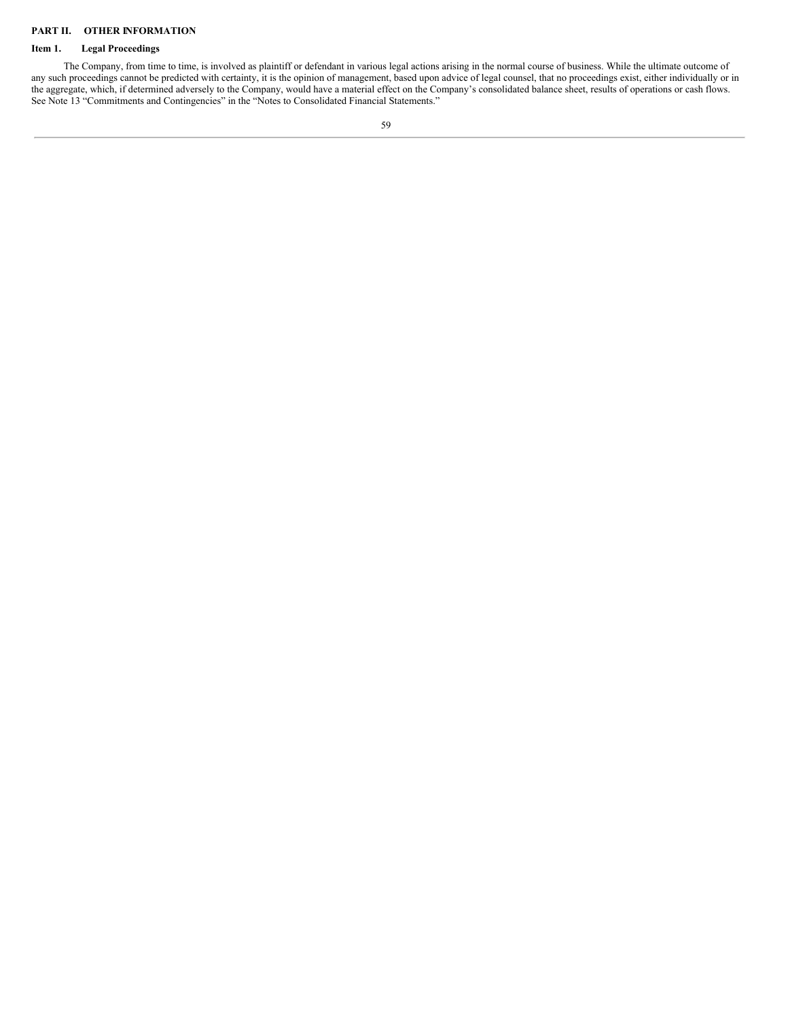# <span id="page-59-0"></span>**PART II. OTHER INFORMATION**

# <span id="page-59-1"></span>**Item 1. Legal Proceedings**

The Company, from time to time, is involved as plaintiff or defendant in various legal actions arising in the normal course of business. While the ultimate outcome of any such proceedings cannot be predicted with certainty, it is the opinion of management, based upon advice of legal counsel, that no proceedings exist, either individually or in the aggregate, which, if determined adversely to the Company, would have a material effect on the Company's consolidated balance sheet, results of operations or cash flows. See Note 13 "Commitments and Contingencies" in the "Notes to Consolidated Financial Statements."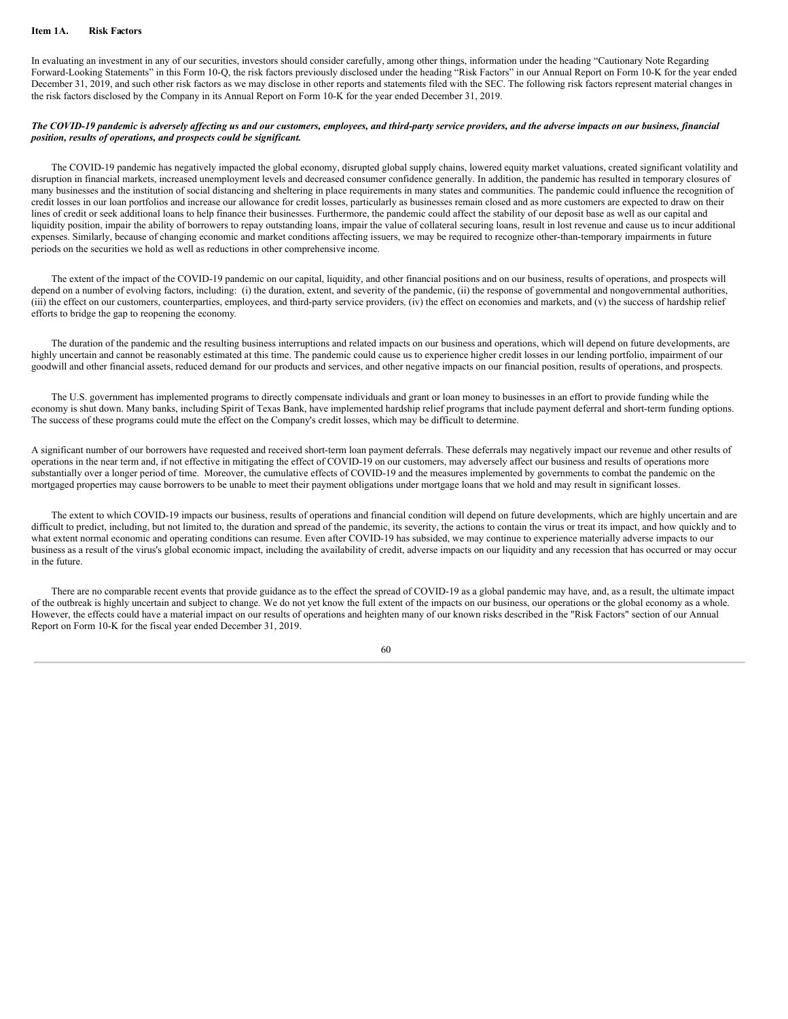#### <span id="page-60-0"></span>**Item 1A. Risk Factors**

In evaluating an investment in any of our securities, investors should consider carefully, among other things, information under the heading "Cautionary Note Regarding Forward-Looking Statements" in this Form 10-Q, the risk factors previously disclosed under the heading "Risk Factors" in our Annual Report on Form 10-K for the year ended December 31, 2019, and such other risk factors as we may disclose in other reports and statements filed with the SEC. The following risk factors represent material changes in the risk factors disclosed by the Company in its Annual Report on Form 10-K for the year ended December 31, 2019.

# The COVID-19 pandemic is adversely affecting us and our customers, employees, and third-party service providers, and the adverse impacts on our business, financial *position, results of operations, and prospects could be significant.*

The COVID-19 pandemic has negatively impacted the global economy, disrupted global supply chains, lowered equity market valuations, created significant volatility and disruption in financial markets, increased unemployment levels and decreased consumer confidence generally. In addition, the pandemic has resulted in temporary closures of many businesses and the institution of social distancing and sheltering in place requirements in many states and communities. The pandemic could influence the recognition of credit losses in our loan portfolios and increase our allowance for credit losses, particularly as businesses remain closed and as more customers are expected to draw on their lines of credit or seek additional loans to help finance their businesses. Furthermore, the pandemic could affect the stability of our deposit base as well as our capital and liquidity position, impair the ability of borrowers to repay outstanding loans, impair the value of collateral securing loans, result in lost revenue and cause us to incur additional expenses. Similarly, because of changing economic and market conditions affecting issuers, we may be required to recognize other-than-temporary impairments in future periods on the securities we hold as well as reductions in other comprehensive income.

The extent of the impact of the COVID-19 pandemic on our capital, liquidity, and other financial positions and on our business, results of operations, and prospects will depend on a number of evolving factors, including: (i) the duration, extent, and severity of the pandemic, (ii) the response of governmental and nongovernmental authorities, (iii) the effect on our customers, counterparties, employees, and third-party service providers*,* (iv) the effect on economies and markets, and (v) the success of hardship relief efforts to bridge the gap to reopening the economy*.*

The duration of the pandemic and the resulting business interruptions and related impacts on our business and operations, which will depend on future developments, are highly uncertain and cannot be reasonably estimated at this time. The pandemic could cause us to experience higher credit losses in our lending portfolio, impairment of our goodwill and other financial assets, reduced demand for our products and services, and other negative impacts on our financial position, results of operations, and prospects.

The U.S. government has implemented programs to directly compensate individuals and grant or loan money to businesses in an effort to provide funding while the economy is shut down. Many banks, including Spirit of Texas Bank, have implemented hardship relief programs that include payment deferral and short-term funding options. The success of these programs could mute the effect on the Company's credit losses, which may be difficult to determine.

A significant number of our borrowers have requested and received short-term loan payment deferrals. These deferrals may negatively impact our revenue and other results of operations in the near term and, if not effective in mitigating the effect of COVID-19 on our customers, may adversely affect our business and results of operations more substantially over a longer period of time. Moreover, the cumulative effects of COVID-19 and the measures implemented by governments to combat the pandemic on the mortgaged properties may cause borrowers to be unable to meet their payment obligations under mortgage loans that we hold and may result in significant losses.

The extent to which COVID-19 impacts our business, results of operations and financial condition will depend on future developments, which are highly uncertain and are difficult to predict, including, but not limited to, the duration and spread of the pandemic, its severity, the actions to contain the virus or treat its impact, and how quickly and to what extent normal economic and operating conditions can resume. Even after COVID-19 has subsided, we may continue to experience materially adverse impacts to our business as a result of the virus's global economic impact, including the availability of credit, adverse impacts on our liquidity and any recession that has occurred or may occur in the future.

There are no comparable recent events that provide guidance as to the effect the spread of COVID-19 as a global pandemic may have, and, as a result, the ultimate impact of the outbreak is highly uncertain and subject to change. We do not yet know the full extent of the impacts on our business, our operations or the global economy as a whole. However, the effects could have a material impact on our results of operations and heighten many of our known risks described in the "Risk Factors" section of our Annual Report on Form 10-K for the fiscal year ended December 31, 2019.

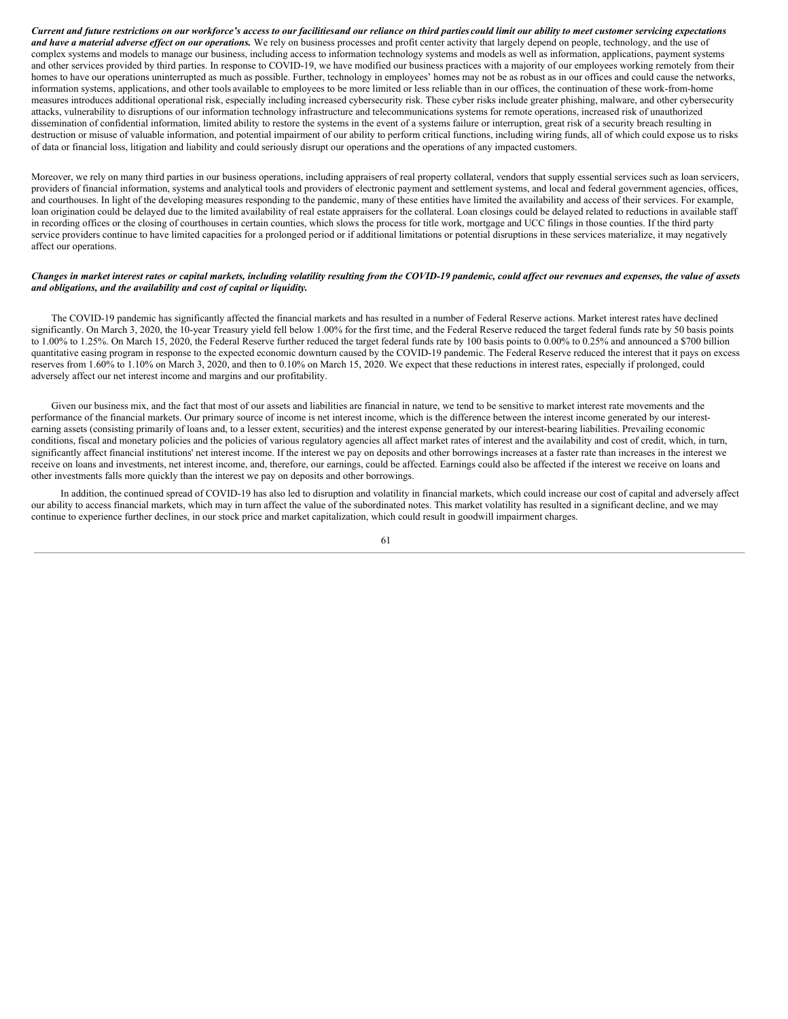Current and future restrictions on our workforce's access to our facilitiesand our reliance on third parties could limit our ability to meet customer servicing expectations and have a material adverse effect on our operations. We rely on business processes and profit center activity that largely depend on people, technology, and the use of complex systems and models to manage our business, including access to information technology systems and models as well as information, applications, payment systems and other services provided by third parties. In response to COVID-19, we have modified our business practices with a majority of our employees working remotely from their homes to have our operations uninterrupted as much as possible. Further, technology in employees' homes may not be as robust as in our offices and could cause the networks, information systems, applications, and other tools available to employees to be more limited or less reliable than in our offices, the continuation of these work-from-home measures introduces additional operational risk, especially including increased cybersecurity risk. These cyber risks include greater phishing, malware, and other cybersecurity attacks, vulnerability to disruptions of our information technology infrastructure and telecommunications systems for remote operations, increased risk of unauthorized dissemination of confidential information, limited ability to restore the systems in the event of a systems failure or interruption, great risk of a security breach resulting in destruction or misuse of valuable information, and potential impairment of our ability to perform critical functions, including wiring funds, all of which could expose us to risks of data or financial loss, litigation and liability and could seriously disrupt our operations and the operations of any impacted customers.

Moreover, we rely on many third parties in our business operations, including appraisers of real property collateral, vendors that supply essential services such as loan servicers, providers of financial information, systems and analytical tools and providers of electronic payment and settlement systems, and local and federal government agencies, offices, and courthouses. In light of the developing measures responding to the pandemic, many of these entities have limited the availability and access of their services. For example, loan origination could be delayed due to the limited availability of real estate appraisers for the collateral. Loan closings could be delayed related to reductions in available staff in recording offices or the closing of courthouses in certain counties, which slows the process for title work, mortgage and UCC filings in those counties. If the third party service providers continue to have limited capacities for a prolonged period or if additional limitations or potential disruptions in these services materialize, it may negatively affect our operations.

# Changes in market interest rates or capital markets, including volatility resulting from the COVID-19 pandemic, could affect our revenues and expenses, the value of assets *and obligations, and the availability and cost of capital or liquidity.*

The COVID-19 pandemic has significantly affected the financial markets and has resulted in a number of Federal Reserve actions. Market interest rates have declined significantly. On March 3, 2020, the 10-year Treasury yield fell below 1.00% for the first time, and the Federal Reserve reduced the target federal funds rate by 50 basis points to 1.00% to 1.25%. On March 15, 2020, the Federal Reserve further reduced the target federal funds rate by 100 basis points to 0.00% to 0.25% and announced a \$700 billion quantitative easing program in response to the expected economic downturn caused by the COVID-19 pandemic. The Federal Reserve reduced the interest that it pays on excess reserves from 1.60% to 1.10% on March 3, 2020, and then to 0.10% on March 15, 2020. We expect that these reductions in interest rates, especially if prolonged, could adversely affect our net interest income and margins and our profitability.

Given our business mix, and the fact that most of our assets and liabilities are financial in nature, we tend to be sensitive to market interest rate movements and the performance of the financial markets. Our primary source of income is net interest income, which is the difference between the interest income generated by our interestearning assets (consisting primarily of loans and, to a lesser extent, securities) and the interest expense generated by our interest-bearing liabilities. Prevailing economic conditions, fiscal and monetary policies and the policies of various regulatory agencies all affect market rates of interest and the availability and cost of credit, which, in turn, significantly affect financial institutions' net interest income. If the interest we pay on deposits and other borrowings increases at a faster rate than increases in the interest we receive on loans and investments, net interest income, and, therefore, our earnings, could be affected. Earnings could also be affected if the interest we receive on loans and other investments falls more quickly than the interest we pay on deposits and other borrowings.

In addition, the continued spread of COVID-19 has also led to disruption and volatility in financial markets, which could increase our cost of capital and adversely affect our ability to access financial markets, which may in turn affect the value of the subordinated notes. This market volatility has resulted in a significant decline, and we may continue to experience further declines, in our stock price and market capitalization, which could result in goodwill impairment charges.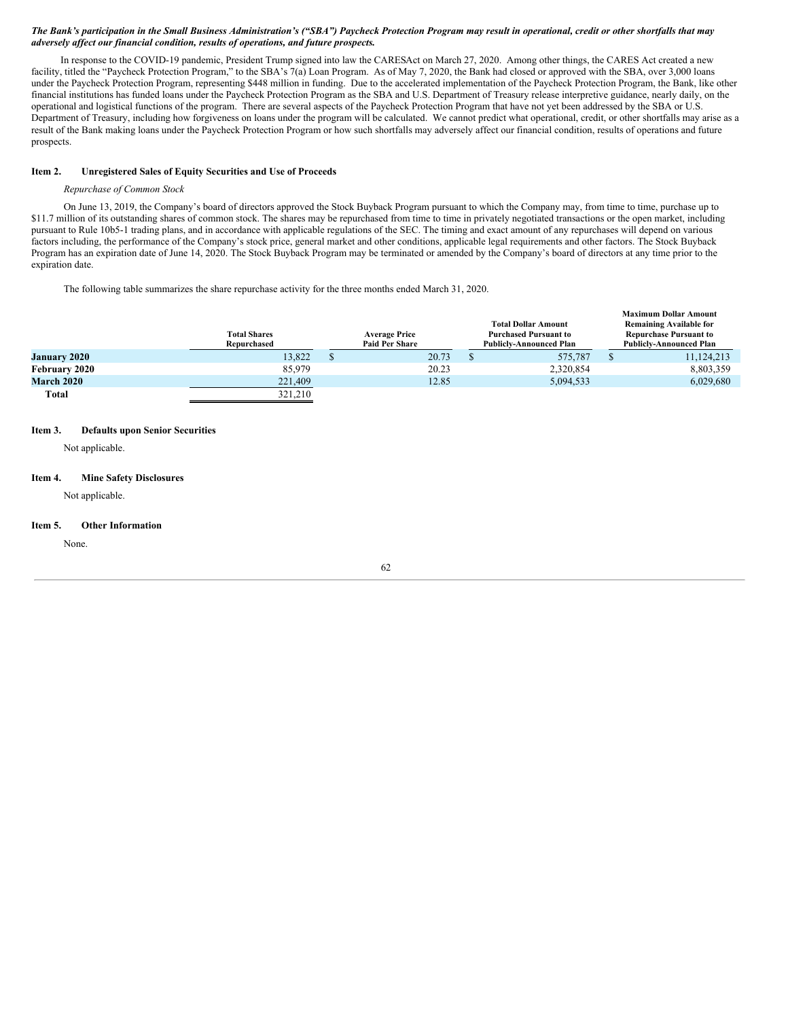# The Bank's participation in the Small Business Administration's ("SBA") Paycheck Protection Program may result in operational, credit or other shortfalls that may *adversely af ect our financial condition, results of operations, and future prospects.*

In response to the COVID-19 pandemic, President Trump signed into law the CARESAct on March 27, 2020. Among other things, the CARES Act created a new facility, titled the "Paycheck Protection Program," to the SBA's 7(a) Loan Program. As of May 7, 2020, the Bank had closed or approved with the SBA, over 3,000 loans under the Paycheck Protection Program, representing \$448 million in funding. Due to the accelerated implementation of the Paycheck Protection Program, the Bank, like other financial institutions has funded loans under the Paycheck Protection Program as the SBA and U.S. Department of Treasury release interpretive guidance, nearly daily, on the operational and logistical functions of the program. There are several aspects of the Paycheck Protection Program that have not yet been addressed by the SBA or U.S. Department of Treasury, including how forgiveness on loans under the program will be calculated. We cannot predict what operational, credit, or other shortfalls may arise as a result of the Bank making loans under the Paycheck Protection Program or how such shortfalls may adversely affect our financial condition, results of operations and future prospects.

# <span id="page-62-0"></span>**Item 2. Unregistered Sales of Equity Securities and Use of Proceeds**

# *Repurchase of Common Stock*

On June 13, 2019, the Company's board of directors approved the Stock Buyback Program pursuant to which the Company may, from time to time, purchase up to \$11.7 million of its outstanding shares of common stock. The shares may be repurchased from time to time in privately negotiated transactions or the open market, including pursuant to Rule 10b5-1 trading plans, and in accordance with applicable regulations of the SEC. The timing and exact amount of any repurchases will depend on various factors including, the performance of the Company's stock price, general market and other conditions, applicable legal requirements and other factors. The Stock Buyback Program has an expiration date of June 14, 2020. The Stock Buyback Program may be terminated or amended by the Company's board of directors at any time prior to the expiration date.

The following table summarizes the share repurchase activity for the three months ended March 31, 2020.

|                     |                     |                       |                                | <b>Maximum Dollar Amount</b>   |
|---------------------|---------------------|-----------------------|--------------------------------|--------------------------------|
|                     |                     |                       | <b>Total Dollar Amount</b>     | <b>Remaining Available for</b> |
|                     | <b>Total Shares</b> | <b>Average Price</b>  | <b>Purchased Pursuant to</b>   | <b>Repurchase Pursuant to</b>  |
|                     | Repurchased         | <b>Paid Per Share</b> | <b>Publicly-Announced Plan</b> | <b>Publicly-Announced Plan</b> |
| <b>January 2020</b> | 13,822              | 20.73                 | 575,787                        | 11,124,213                     |
| February 2020       | 85.979              | 20.23                 | 2,320,854                      | 8,803,359                      |
| <b>March 2020</b>   | 221,409             | 12.85                 | 5.094.533                      | 6,029,680                      |
| <b>Total</b>        | 321.210             |                       |                                |                                |

# <span id="page-62-1"></span>**Item 3. Defaults upon Senior Securities**

Not applicable.

# <span id="page-62-2"></span>**Item 4. Mine Safety Disclosures**

Not applicable.

#### <span id="page-62-3"></span>**Item 5. Other Information**

None.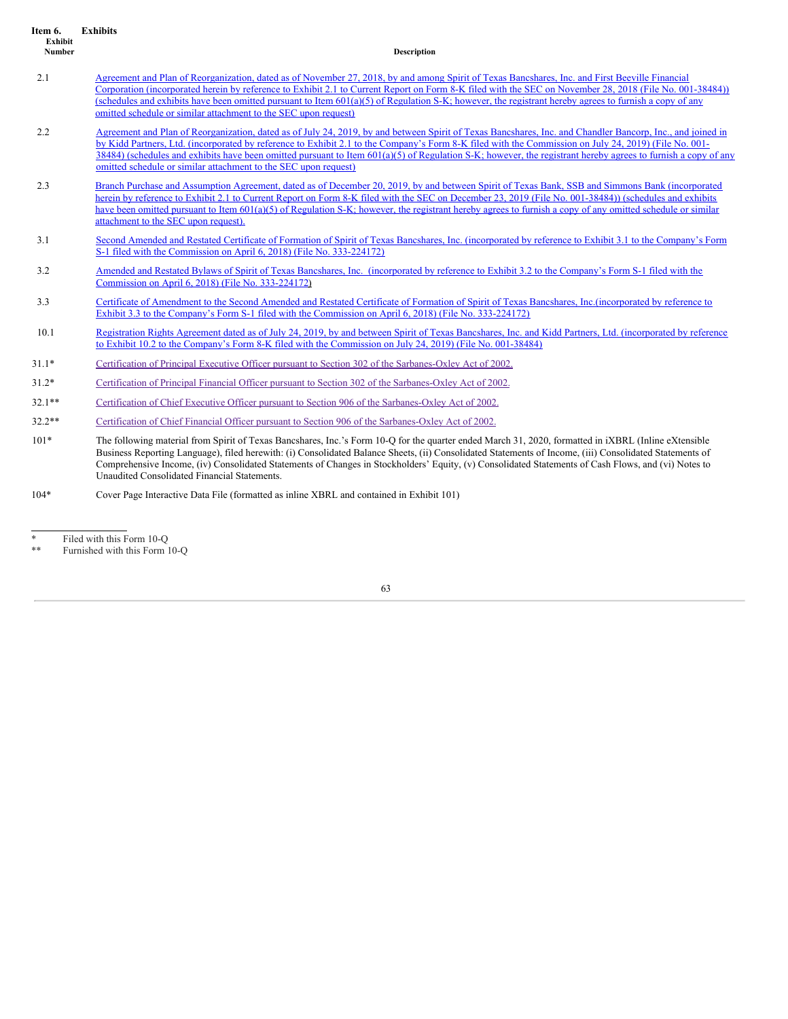<span id="page-63-0"></span>

| Item 6.<br>Exhibit<br>Number | <b>Exhibits</b><br><b>Description</b>                                                                                                                                                                                                                                                                                                                                                                                                                                                                                                                   |
|------------------------------|---------------------------------------------------------------------------------------------------------------------------------------------------------------------------------------------------------------------------------------------------------------------------------------------------------------------------------------------------------------------------------------------------------------------------------------------------------------------------------------------------------------------------------------------------------|
| 2.1                          | Agreement and Plan of Reorganization, dated as of November 27, 2018, by and among Spirit of Texas Bancshares, Inc. and First Beeville Financial<br>Corporation (incorporated herein by reference to Exhibit 2.1 to Current Report on Form 8-K filed with the SEC on November 28, 2018 (File No. 001-38484))<br>(schedules and exhibits have been omitted pursuant to Item 601(a)(5) of Regulation S-K; however, the registrant hereby agrees to furnish a copy of any<br>omitted schedule or similar attachment to the SEC upon request)                |
| 2.2                          | Agreement and Plan of Reorganization, dated as of July 24, 2019, by and between Spirit of Texas Bancshares, Inc. and Chandler Bancorp, Inc., and joined in<br>by Kidd Partners, Ltd. (incorporated by reference to Exhibit 2.1 to the Company's Form 8-K filed with the Commission on July 24, 2019) (File No. 001-<br>38484) (schedules and exhibits have been omitted pursuant to Item 601(a)(5) of Regulation S-K; however, the registrant hereby agrees to furnish a copy of any<br>omitted schedule or similar attachment to the SEC upon request) |
| 2.3                          | Branch Purchase and Assumption Agreement, dated as of December 20, 2019, by and between Spirit of Texas Bank, SSB and Simmons Bank (incorporated<br>herein by reference to Exhibit 2.1 to Current Report on Form 8-K filed with the SEC on December 23, 2019 (File No. 001-38484)) (schedules and exhibits<br>have been omitted pursuant to Item 601(a)(5) of Regulation S-K; however, the registrant hereby agrees to furnish a copy of any omitted schedule or similar<br>attachment to the SEC upon request).                                        |
| 3.1                          | Second Amended and Restated Certificate of Formation of Spirit of Texas Bancshares, Inc. (incorporated by reference to Exhibit 3.1 to the Company's Form<br>S-1 filed with the Commission on April 6, 2018) (File No. 333-224172)                                                                                                                                                                                                                                                                                                                       |
| 3.2                          | Amended and Restated Bylaws of Spirit of Texas Bancshares, Inc. (incorporated by reference to Exhibit 3.2 to the Company's Form S-1 filed with the<br>Commission on April 6, 2018) (File No. 333-224172)                                                                                                                                                                                                                                                                                                                                                |
| 3.3                          | Certificate of Amendment to the Second Amended and Restated Certificate of Formation of Spirit of Texas Bancshares, Inc. (incorporated by reference to<br>Exhibit 3.3 to the Company's Form S-1 filed with the Commission on April 6, 2018) (File No. 333-224172)                                                                                                                                                                                                                                                                                       |
| 10.1                         | Registration Rights Agreement dated as of July 24, 2019, by and between Spirit of Texas Bancshares, Inc. and Kidd Partners, Ltd. (incorporated by reference<br>to Exhibit 10.2 to the Company's Form 8-K filed with the Commission on July 24, 2019) (File No. 001-38484)                                                                                                                                                                                                                                                                               |
| $31.1*$                      | Certification of Principal Executive Officer pursuant to Section 302 of the Sarbanes-Oxley Act of 2002.                                                                                                                                                                                                                                                                                                                                                                                                                                                 |
| $31.2*$                      | Certification of Principal Financial Officer pursuant to Section 302 of the Sarbanes-Oxley Act of 2002.                                                                                                                                                                                                                                                                                                                                                                                                                                                 |
| $32.1**$                     | Certification of Chief Executive Officer pursuant to Section 906 of the Sarbanes-Oxley Act of 2002.                                                                                                                                                                                                                                                                                                                                                                                                                                                     |
| $32.2**$                     | Certification of Chief Financial Officer pursuant to Section 906 of the Sarbanes-Oxley Act of 2002.                                                                                                                                                                                                                                                                                                                                                                                                                                                     |
| $101*$                       | The following material from Spirit of Texas Bancshares, Inc.'s Form 10-Q for the quarter ended March 31, 2020, formatted in iXBRL (Inline eXtensible<br>Business Reporting Language), filed herewith: (i) Consolidated Balance Sheets, (ii) Consolidated Statements of Income, (iii) Consolidated Statements of<br>Comprehensive Income, (iv) Consolidated Statements of Changes in Stockholders' Equity, (v) Consolidated Statements of Cash Flows, and (vi) Notes to<br>Unaudited Consolidated Financial Statements.                                  |

104\* Cover Page Interactive Data File (formatted as inline XBRL and contained in Exhibit 101)

<sup>\*</sup> Filed with this Form 10-Q

<sup>\*\*</sup> Furnished with this Form 10-Q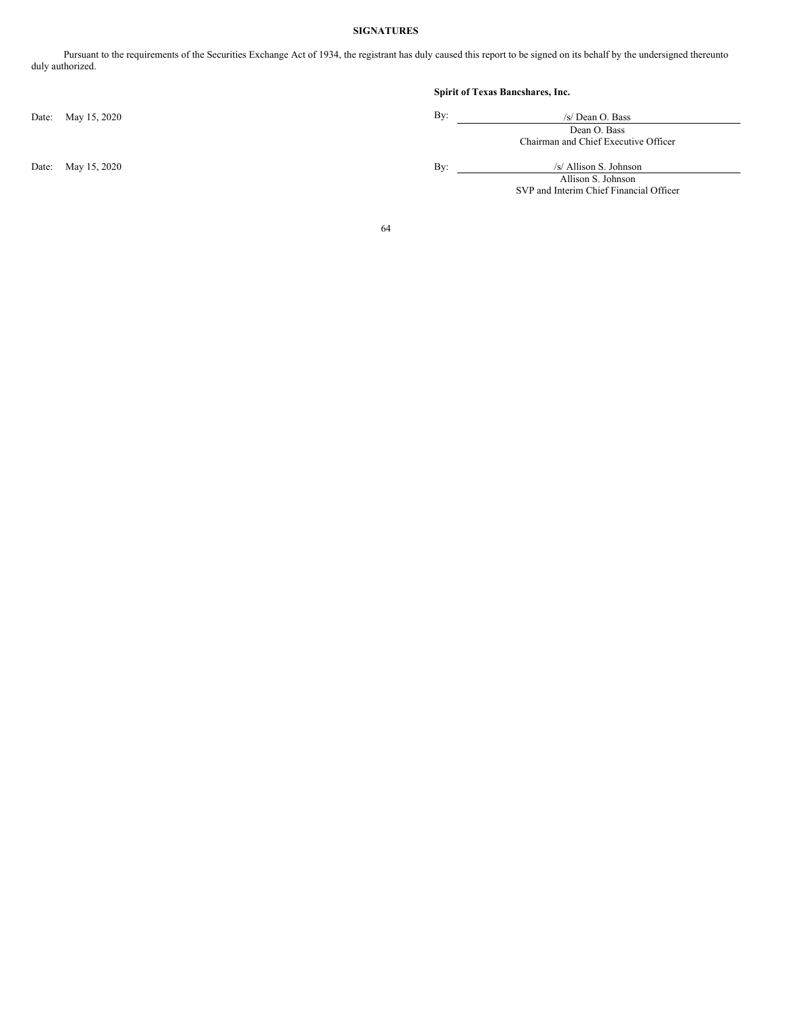# **SIGNATURES**

<span id="page-64-0"></span>Pursuant to the requirements of the Securities Exchange Act of 1934, the registrant has duly caused this report to be signed on its behalf by the undersigned thereunto duly authorized.

Date: May 15, 2020

Date: May 15, 2020

# **Spirit of Texas Bancshares, Inc.**

| By: | /s/ Dean O. Bass                     |
|-----|--------------------------------------|
|     | Dean O. Bass                         |
|     | Chairman and Chief Executive Officer |
| By: | /s/ Allison S. Johnson               |
|     |                                      |

Allison S. Johnson SVP and Interim Chief Financial Officer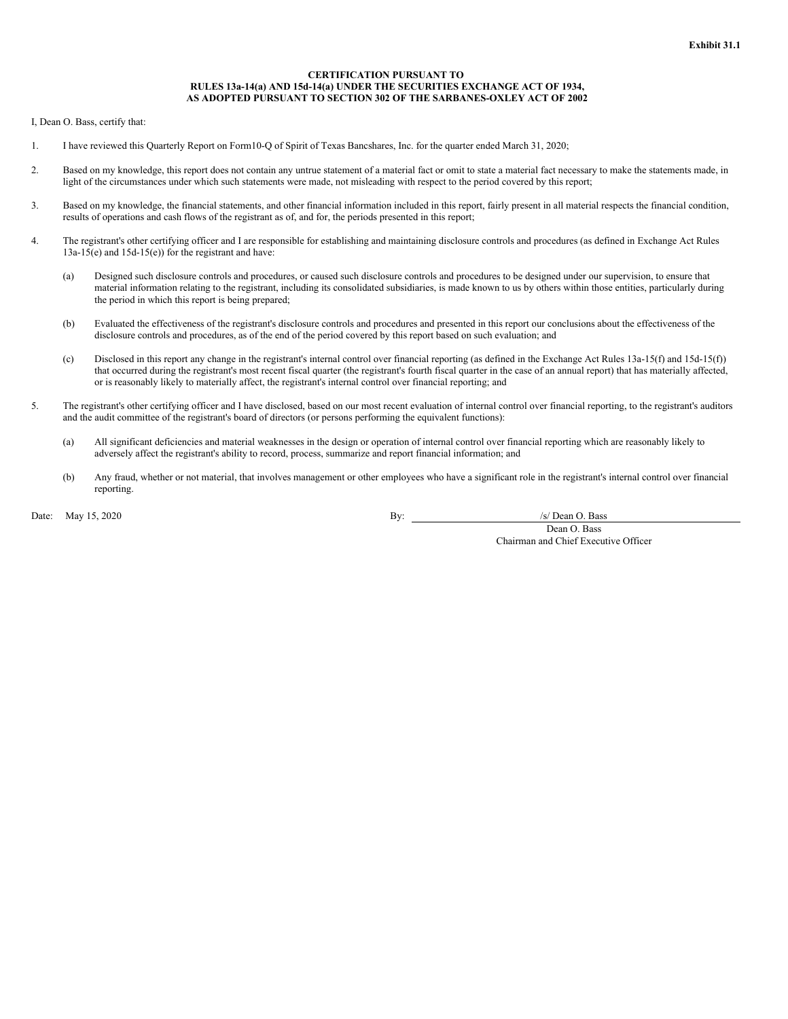#### **CERTIFICATION PURSUANT TO RULES 13a-14(a) AND 15d-14(a) UNDER THE SECURITIES EXCHANGE ACT OF 1934, AS ADOPTED PURSUANT TO SECTION 302 OF THE SARBANES-OXLEY ACT OF 2002**

<span id="page-65-0"></span>I, Dean O. Bass, certify that:

- 1. I have reviewed this Quarterly Report on Form10-Q of Spirit of Texas Bancshares, Inc. for the quarter ended March 31, 2020;
- 2. Based on my knowledge, this report does not contain any untrue statement of a material fact or omit to state a material fact necessary to make the statements made, in light of the circumstances under which such statements were made, not misleading with respect to the period covered by this report;
- 3. Based on my knowledge, the financial statements, and other financial information included in this report, fairly present in all material respects the financial condition, results of operations and cash flows of the registrant as of, and for, the periods presented in this report;
- 4. The registrant's other certifying officer and I are responsible for establishing and maintaining disclosure controls and procedures (as defined in Exchange Act Rules 13a-15(e) and 15d-15(e)) for the registrant and have:
	- (a) Designed such disclosure controls and procedures, or caused such disclosure controls and procedures to be designed under our supervision, to ensure that material information relating to the registrant, including its consolidated subsidiaries, is made known to us by others within those entities, particularly during the period in which this report is being prepared;
	- (b) Evaluated the effectiveness of the registrant's disclosure controls and procedures and presented in this report our conclusions about the effectiveness of the disclosure controls and procedures, as of the end of the period covered by this report based on such evaluation; and
	- (c) Disclosed in this report any change in the registrant's internal control over financial reporting (as defined in the Exchange Act Rules 13a-15(f) and 15d-15(f)) that occurred during the registrant's most recent fiscal quarter (the registrant's fourth fiscal quarter in the case of an annual report) that has materially affected, or is reasonably likely to materially affect, the registrant's internal control over financial reporting; and
- 5. The registrant's other certifying officer and I have disclosed, based on our most recent evaluation of internal control over financial reporting, to the registrant's auditors and the audit committee of the registrant's board of directors (or persons performing the equivalent functions):
	- (a) All significant deficiencies and material weaknesses in the design or operation of internal control over financial reporting which are reasonably likely to adversely affect the registrant's ability to record, process, summarize and report financial information; and
	- (b) Any fraud, whether or not material, that involves management or other employees who have a significant role in the registrant's internal control over financial reporting.

Date: May 15, 2020 /s/ Dean O. Bass

Dean O. Bass Chairman and Chief Executive Officer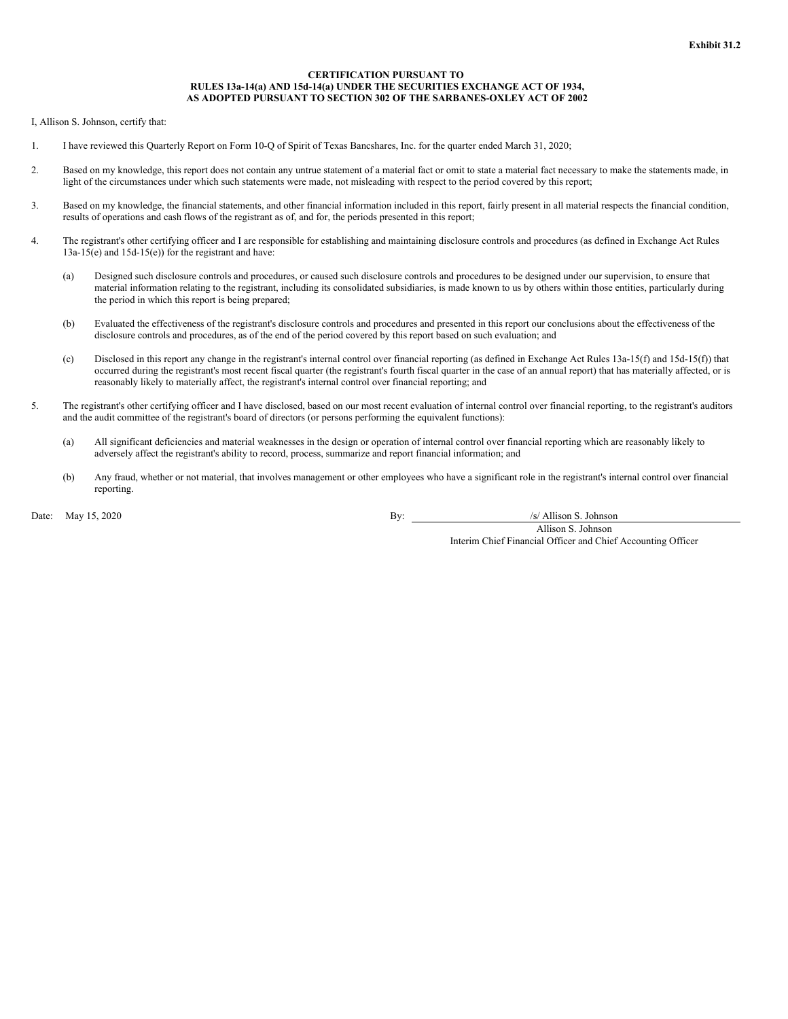#### **CERTIFICATION PURSUANT TO RULES 13a-14(a) AND 15d-14(a) UNDER THE SECURITIES EXCHANGE ACT OF 1934, AS ADOPTED PURSUANT TO SECTION 302 OF THE SARBANES-OXLEY ACT OF 2002**

<span id="page-66-0"></span>I, Allison S. Johnson, certify that:

- 1. I have reviewed this Quarterly Report on Form 10-Q of Spirit of Texas Bancshares, Inc. for the quarter ended March 31, 2020;
- 2. Based on my knowledge, this report does not contain any untrue statement of a material fact or omit to state a material fact necessary to make the statements made, in light of the circumstances under which such statements were made, not misleading with respect to the period covered by this report;
- 3. Based on my knowledge, the financial statements, and other financial information included in this report, fairly present in all material respects the financial condition, results of operations and cash flows of the registrant as of, and for, the periods presented in this report;
- 4. The registrant's other certifying officer and I are responsible for establishing and maintaining disclosure controls and procedures (as defined in Exchange Act Rules 13a-15(e) and 15d-15(e)) for the registrant and have:
	- (a) Designed such disclosure controls and procedures, or caused such disclosure controls and procedures to be designed under our supervision, to ensure that material information relating to the registrant, including its consolidated subsidiaries, is made known to us by others within those entities, particularly during the period in which this report is being prepared;
	- (b) Evaluated the effectiveness of the registrant's disclosure controls and procedures and presented in this report our conclusions about the effectiveness of the disclosure controls and procedures, as of the end of the period covered by this report based on such evaluation; and
	- (c) Disclosed in this report any change in the registrant's internal control over financial reporting (as defined in Exchange Act Rules 13a-15(f) and 15d-15(f)) that occurred during the registrant's most recent fiscal quarter (the registrant's fourth fiscal quarter in the case of an annual report) that has materially affected, or is reasonably likely to materially affect, the registrant's internal control over financial reporting; and
- 5. The registrant's other certifying officer and I have disclosed, based on our most recent evaluation of internal control over financial reporting, to the registrant's auditors and the audit committee of the registrant's board of directors (or persons performing the equivalent functions):
	- (a) All significant deficiencies and material weaknesses in the design or operation of internal control over financial reporting which are reasonably likely to adversely affect the registrant's ability to record, process, summarize and report financial information; and
	- (b) Any fraud, whether or not material, that involves management or other employees who have a significant role in the registrant's internal control over financial reporting.

Date: May 15, 2020 By: /s/ Allison S. Johnson

Allison S. Johnson Interim Chief Financial Officer and Chief Accounting Officer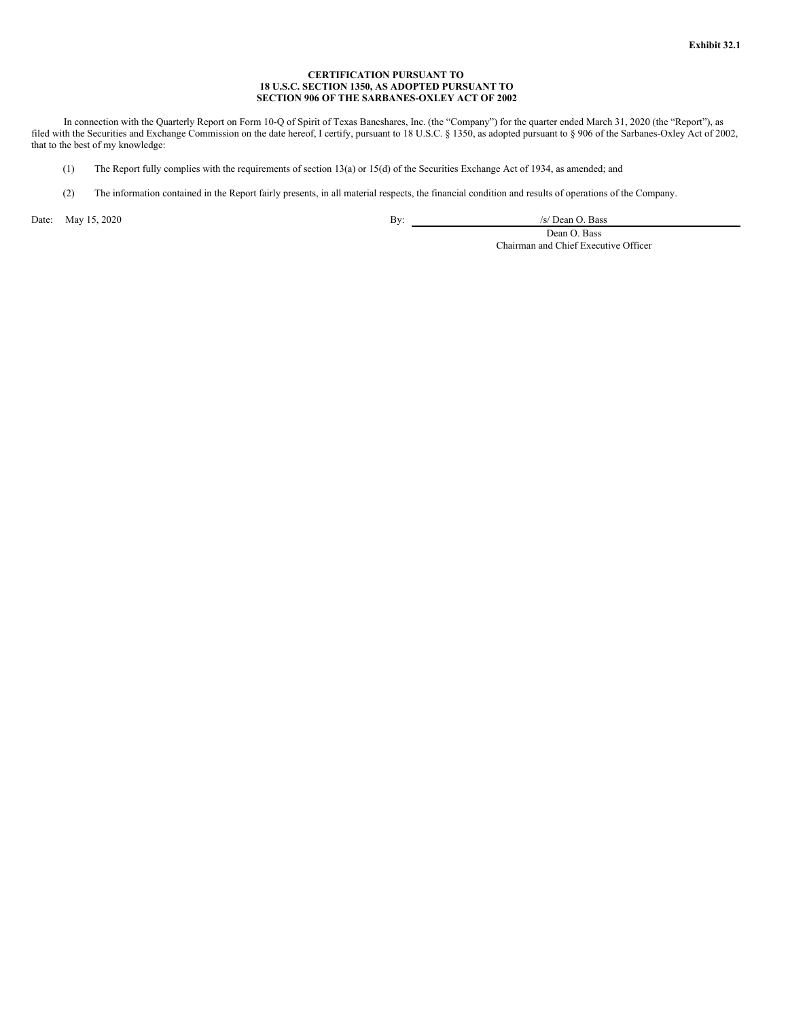# **CERTIFICATION PURSUANT TO 18 U.S.C. SECTION 1350, AS ADOPTED PURSUANT TO SECTION 906 OF THE SARBANES-OXLEY ACT OF 2002**

<span id="page-67-0"></span>In connection with the Quarterly Report on Form 10-Q of Spirit of Texas Bancshares, Inc. (the "Company") for the quarter ended March 31, 2020 (the "Report"), as filed with the Securities and Exchange Commission on the date hereof, I certify, pursuant to 18 U.S.C. § 1350, as adopted pursuant to § 906 of the Sarbanes-Oxley Act of 2002, that to the best of my knowledge:

- (1) The Report fully complies with the requirements of section 13(a) or 15(d) of the Securities Exchange Act of 1934, as amended; and
- (2) The information contained in the Report fairly presents, in all material respects, the financial condition and results of operations of the Company.

Date: May 15, 2020 / /s/ Dean O. Bass /s/ Dean O. Bass /s/ Dean O. Bass /s/ Dean O. Bass /s/ Dean O. Bass /s/ Dean O. Bass /s/ Dean O. Bass /s/ Dean O. Bass /s/ Dean O. Bass /s/ Dean O. Bass /s/ Dean O. Bass /s/ Dean O. Ba

Dean O. Bass Chairman and Chief Executive Officer